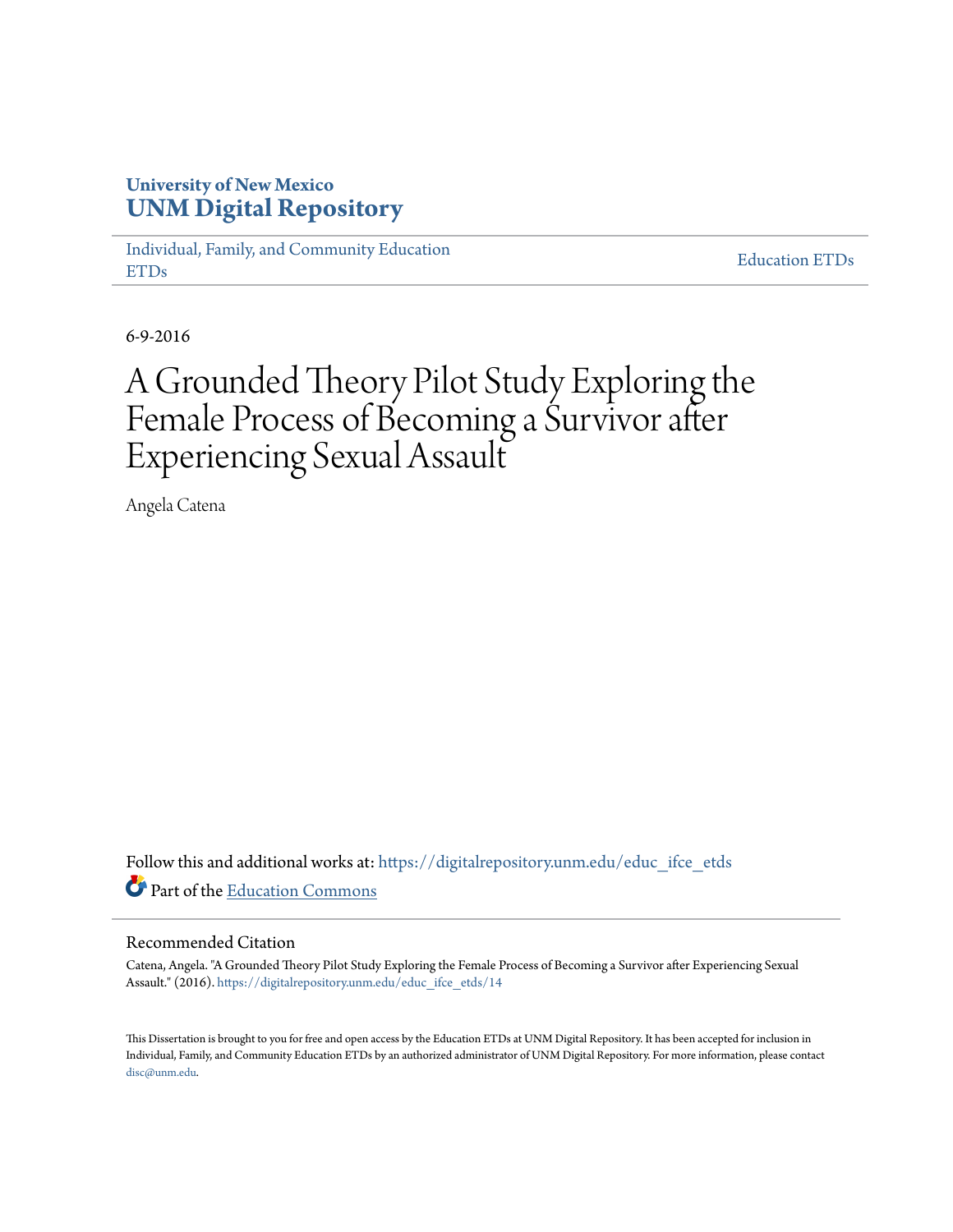# **University of New Mexico [UNM Digital Repository](https://digitalrepository.unm.edu?utm_source=digitalrepository.unm.edu%2Feduc_ifce_etds%2F14&utm_medium=PDF&utm_campaign=PDFCoverPages)**

[Individual, Family, and Community Education](https://digitalrepository.unm.edu/educ_ifce_etds?utm_source=digitalrepository.unm.edu%2Feduc_ifce_etds%2F14&utm_medium=PDF&utm_campaign=PDFCoverPages) [ETDs](https://digitalrepository.unm.edu/educ_ifce_etds?utm_source=digitalrepository.unm.edu%2Feduc_ifce_etds%2F14&utm_medium=PDF&utm_campaign=PDFCoverPages)

[Education ETDs](https://digitalrepository.unm.edu/educ_etds?utm_source=digitalrepository.unm.edu%2Feduc_ifce_etds%2F14&utm_medium=PDF&utm_campaign=PDFCoverPages)

6-9-2016

# A Grounded Theory Pilot Study Exploring the Female Process of Becoming a Survivor after Experiencing Sexual Assault

Angela Catena

Follow this and additional works at: [https://digitalrepository.unm.edu/educ\\_ifce\\_etds](https://digitalrepository.unm.edu/educ_ifce_etds?utm_source=digitalrepository.unm.edu%2Feduc_ifce_etds%2F14&utm_medium=PDF&utm_campaign=PDFCoverPages) Part of the [Education Commons](http://network.bepress.com/hgg/discipline/784?utm_source=digitalrepository.unm.edu%2Feduc_ifce_etds%2F14&utm_medium=PDF&utm_campaign=PDFCoverPages)

#### Recommended Citation

Catena, Angela. "A Grounded Theory Pilot Study Exploring the Female Process of Becoming a Survivor after Experiencing Sexual Assault." (2016). [https://digitalrepository.unm.edu/educ\\_ifce\\_etds/14](https://digitalrepository.unm.edu/educ_ifce_etds/14?utm_source=digitalrepository.unm.edu%2Feduc_ifce_etds%2F14&utm_medium=PDF&utm_campaign=PDFCoverPages)

This Dissertation is brought to you for free and open access by the Education ETDs at UNM Digital Repository. It has been accepted for inclusion in Individual, Family, and Community Education ETDs by an authorized administrator of UNM Digital Repository. For more information, please contact [disc@unm.edu](mailto:disc@unm.edu).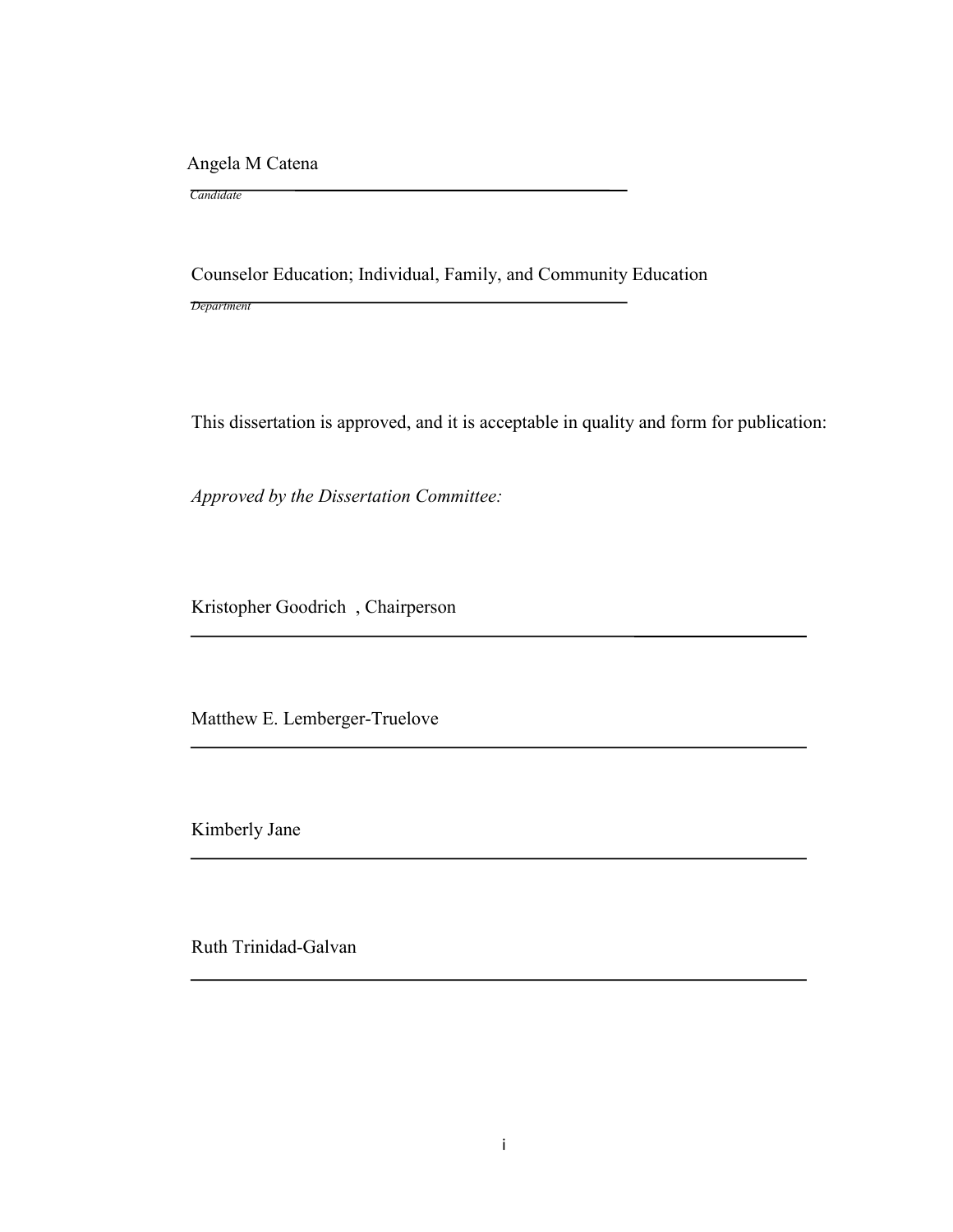Angela M Catena

 *Candidate*

Counselor Education; Individual, Family, and Community Education

*Department*

This dissertation is approved, and it is acceptable in quality and form for publication:

*Approved by the Dissertation Committee:*

Kristopher Goodrich , Chairperson

Matthew E. Lemberger-Truelove

Kimberly Jane

Ruth Trinidad-Galvan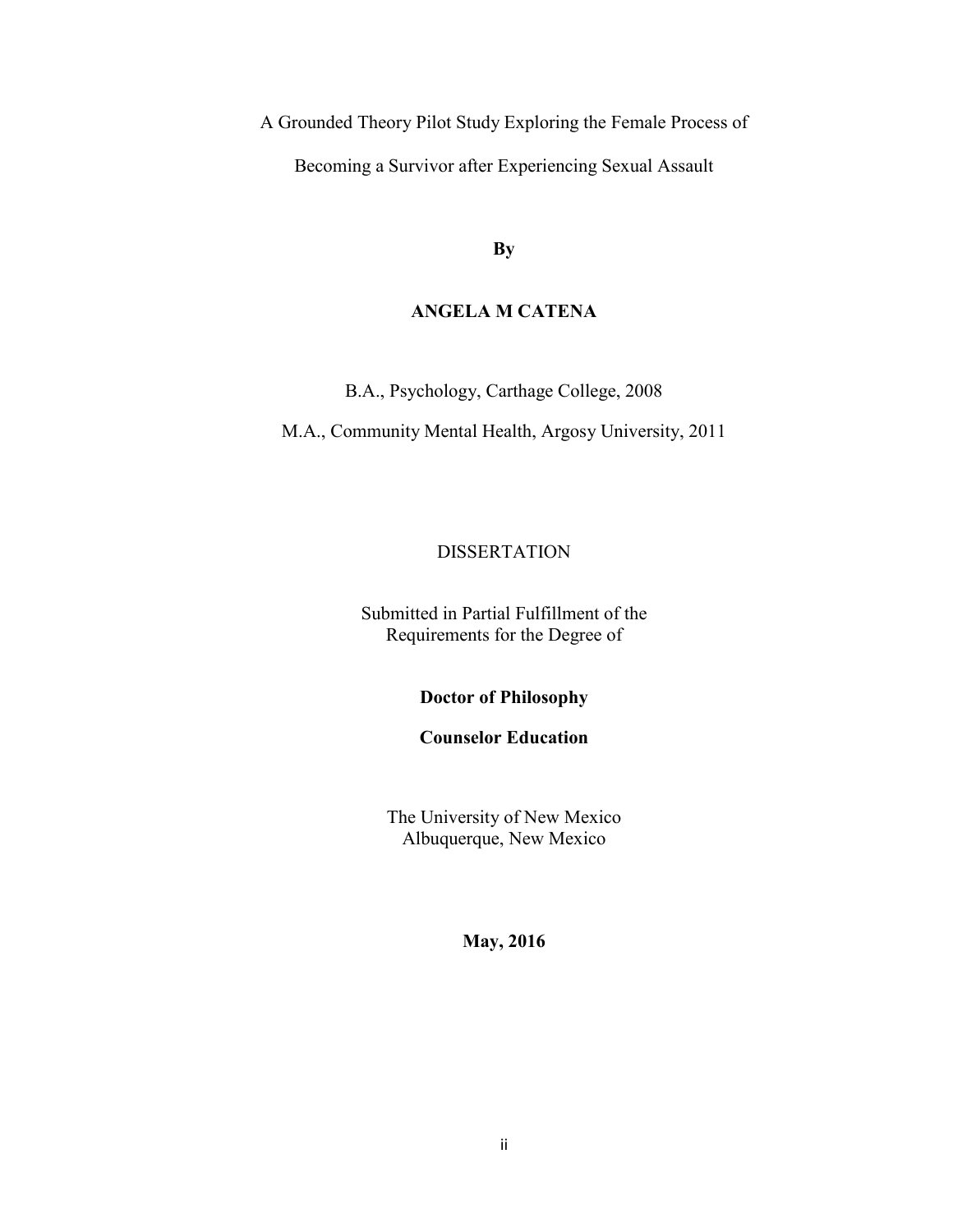A Grounded Theory Pilot Study Exploring the Female Process of Becoming a Survivor after Experiencing Sexual Assault

**By** 

# **ANGELA M CATENA**

B.A., Psychology, Carthage College, 2008

M.A., Community Mental Health, Argosy University, 2011

# DISSERTATION

Submitted in Partial Fulfillment of the Requirements for the Degree of

**Doctor of Philosophy**

**Counselor Education** 

The University of New Mexico Albuquerque, New Mexico

**May, 2016**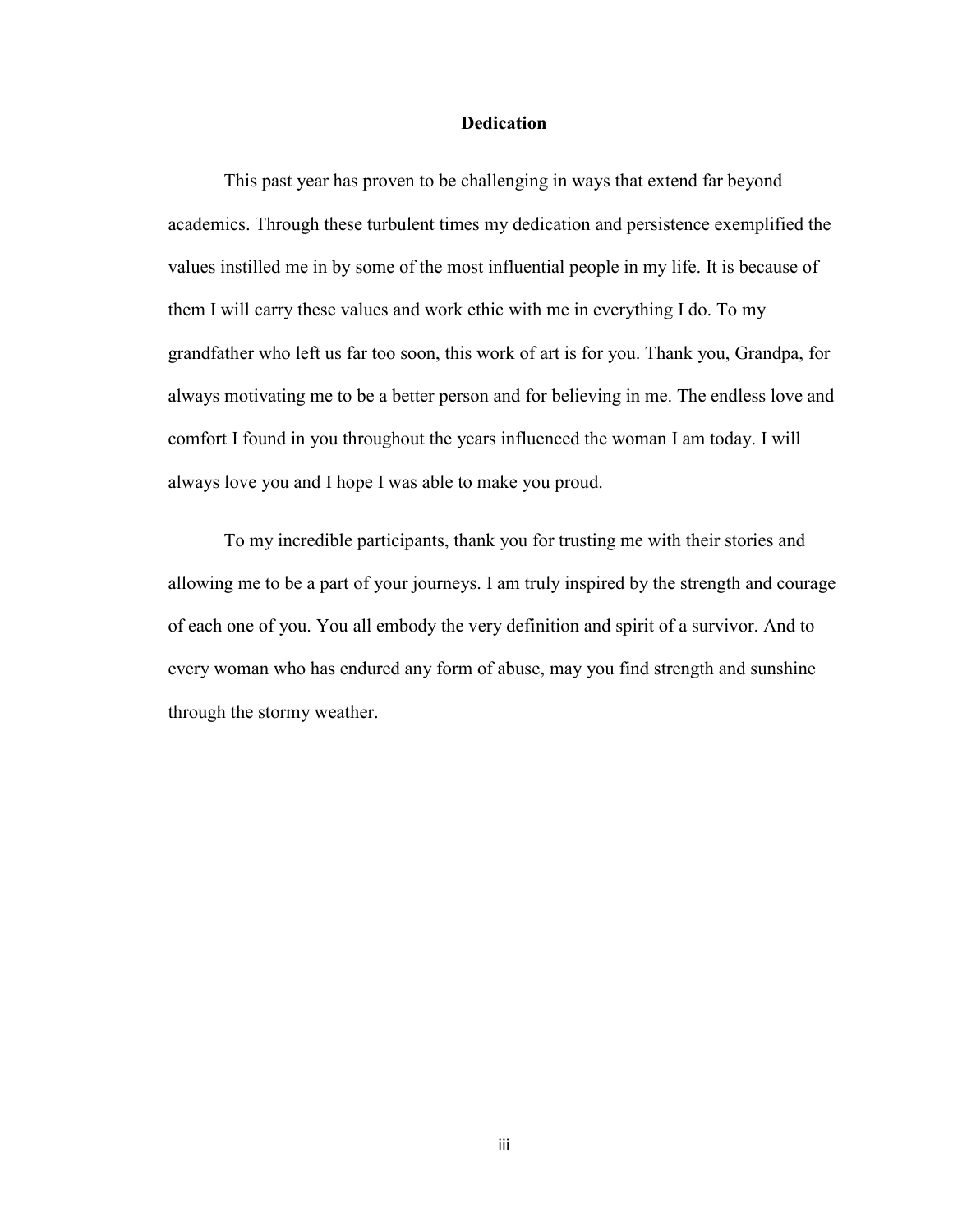## **Dedication**

This past year has proven to be challenging in ways that extend far beyond academics. Through these turbulent times my dedication and persistence exemplified the values instilled me in by some of the most influential people in my life. It is because of them I will carry these values and work ethic with me in everything I do. To my grandfather who left us far too soon, this work of art is for you. Thank you, Grandpa, for always motivating me to be a better person and for believing in me. The endless love and comfort I found in you throughout the years influenced the woman I am today. I will always love you and I hope I was able to make you proud.

To my incredible participants, thank you for trusting me with their stories and allowing me to be a part of your journeys. I am truly inspired by the strength and courage of each one of you. You all embody the very definition and spirit of a survivor. And to every woman who has endured any form of abuse, may you find strength and sunshine through the stormy weather.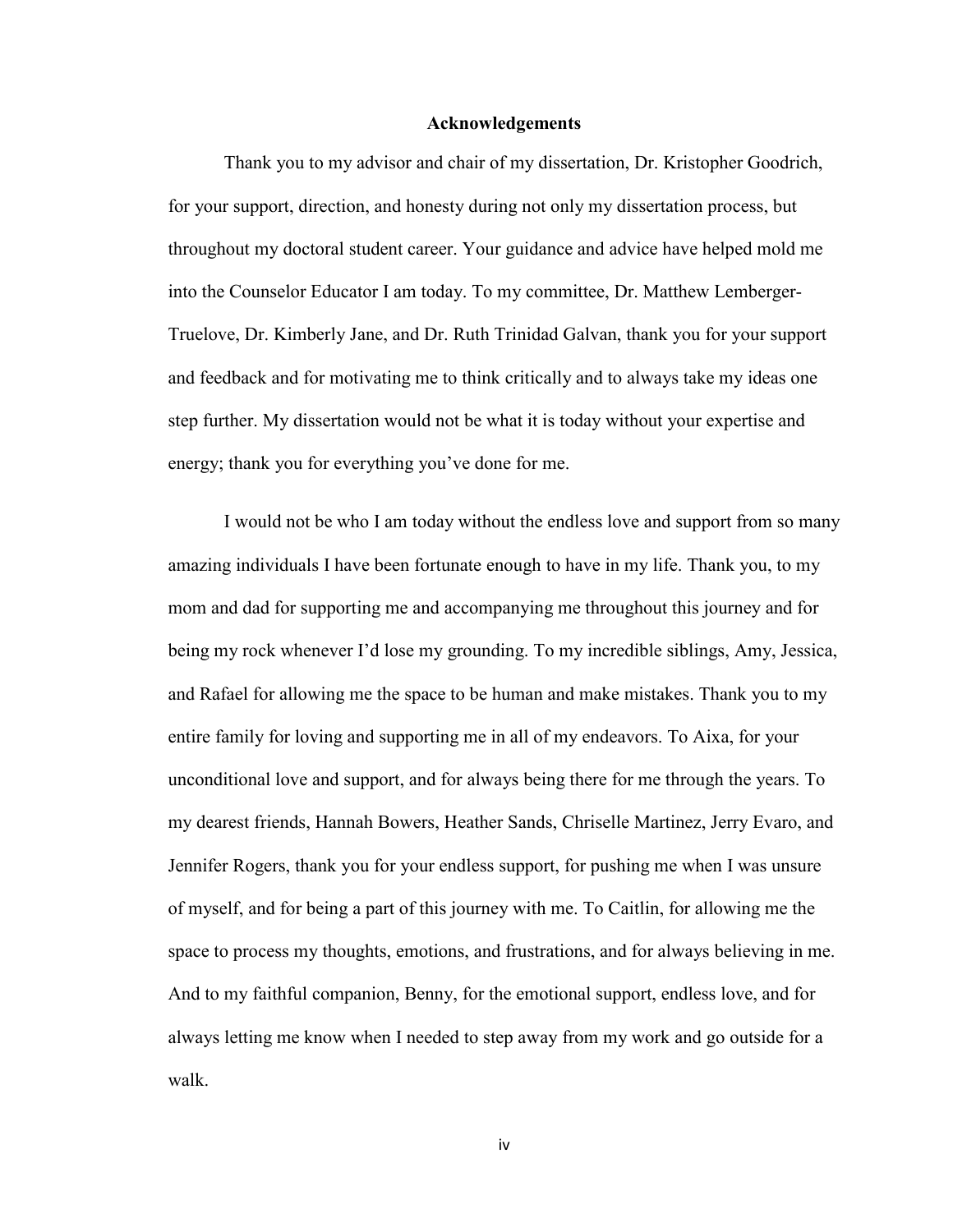#### **Acknowledgements**

Thank you to my advisor and chair of my dissertation, Dr. Kristopher Goodrich, for your support, direction, and honesty during not only my dissertation process, but throughout my doctoral student career. Your guidance and advice have helped mold me into the Counselor Educator I am today. To my committee, Dr. Matthew Lemberger-Truelove, Dr. Kimberly Jane, and Dr. Ruth Trinidad Galvan, thank you for your support and feedback and for motivating me to think critically and to always take my ideas one step further. My dissertation would not be what it is today without your expertise and energy; thank you for everything you've done for me.

I would not be who I am today without the endless love and support from so many amazing individuals I have been fortunate enough to have in my life. Thank you, to my mom and dad for supporting me and accompanying me throughout this journey and for being my rock whenever I'd lose my grounding. To my incredible siblings, Amy, Jessica, and Rafael for allowing me the space to be human and make mistakes. Thank you to my entire family for loving and supporting me in all of my endeavors. To Aixa, for your unconditional love and support, and for always being there for me through the years. To my dearest friends, Hannah Bowers, Heather Sands, Chriselle Martinez, Jerry Evaro, and Jennifer Rogers, thank you for your endless support, for pushing me when I was unsure of myself, and for being a part of this journey with me. To Caitlin, for allowing me the space to process my thoughts, emotions, and frustrations, and for always believing in me. And to my faithful companion, Benny, for the emotional support, endless love, and for always letting me know when I needed to step away from my work and go outside for a walk.

iv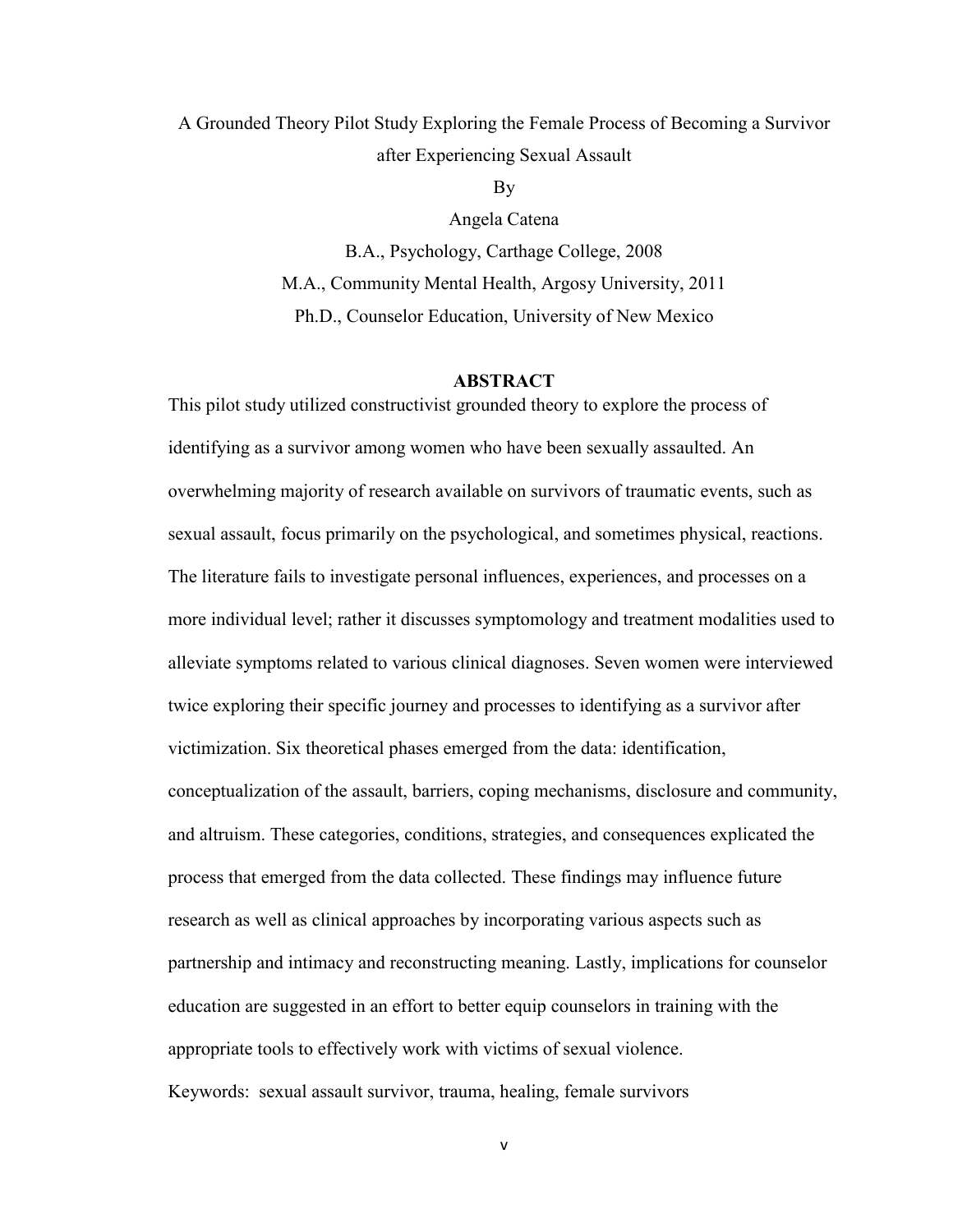A Grounded Theory Pilot Study Exploring the Female Process of Becoming a Survivor after Experiencing Sexual Assault

By

Angela Catena B.A., Psychology, Carthage College, 2008 M.A., Community Mental Health, Argosy University, 2011 Ph.D., Counselor Education, University of New Mexico

#### **ABSTRACT**

This pilot study utilized constructivist grounded theory to explore the process of identifying as a survivor among women who have been sexually assaulted. An overwhelming majority of research available on survivors of traumatic events, such as sexual assault, focus primarily on the psychological, and sometimes physical, reactions. The literature fails to investigate personal influences, experiences, and processes on a more individual level; rather it discusses symptomology and treatment modalities used to alleviate symptoms related to various clinical diagnoses. Seven women were interviewed twice exploring their specific journey and processes to identifying as a survivor after victimization. Six theoretical phases emerged from the data: identification, conceptualization of the assault, barriers, coping mechanisms, disclosure and community, and altruism. These categories, conditions, strategies, and consequences explicated the process that emerged from the data collected. These findings may influence future research as well as clinical approaches by incorporating various aspects such as partnership and intimacy and reconstructing meaning. Lastly, implications for counselor education are suggested in an effort to better equip counselors in training with the appropriate tools to effectively work with victims of sexual violence. Keywords: sexual assault survivor, trauma, healing, female survivors

v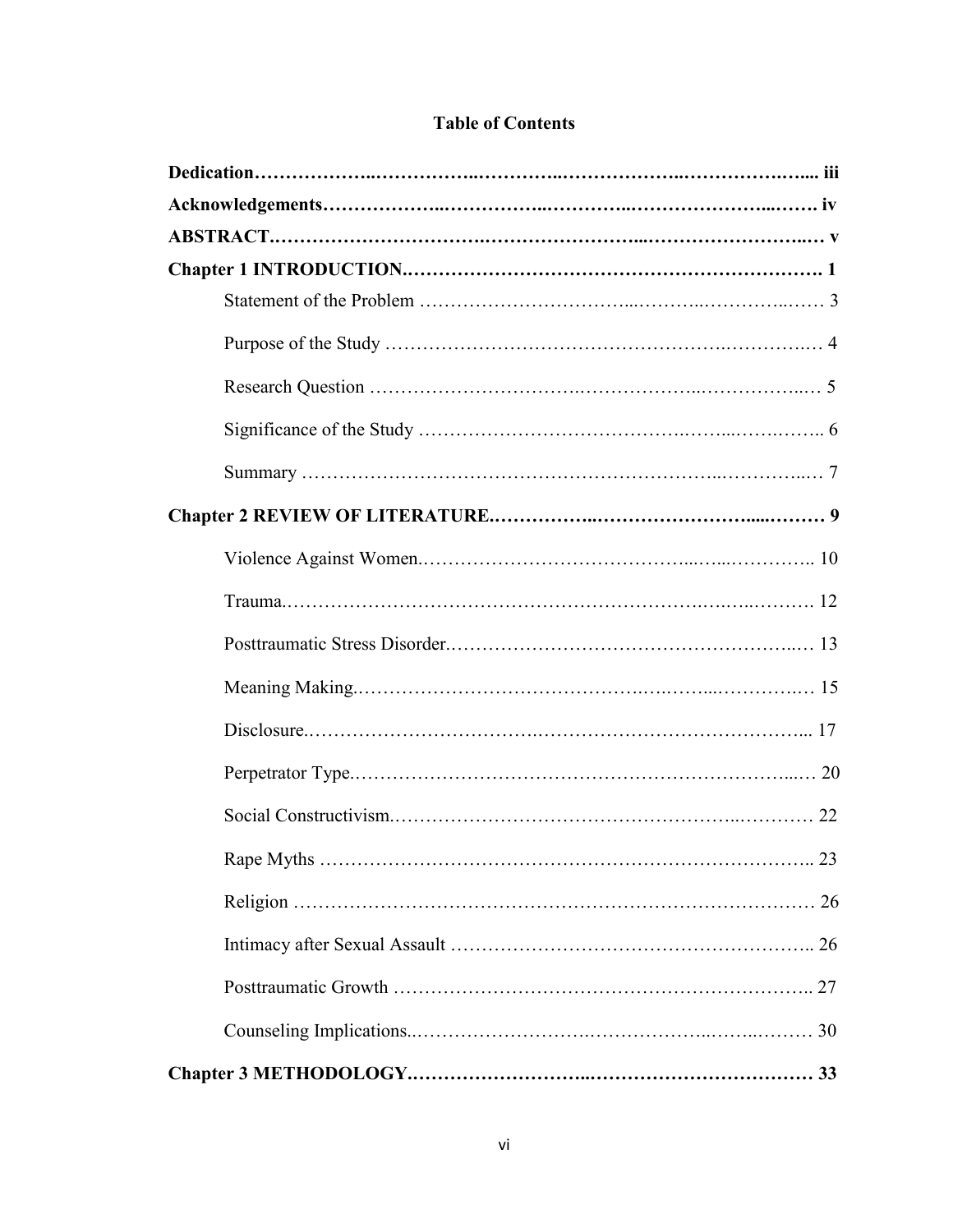# **Table of Contents**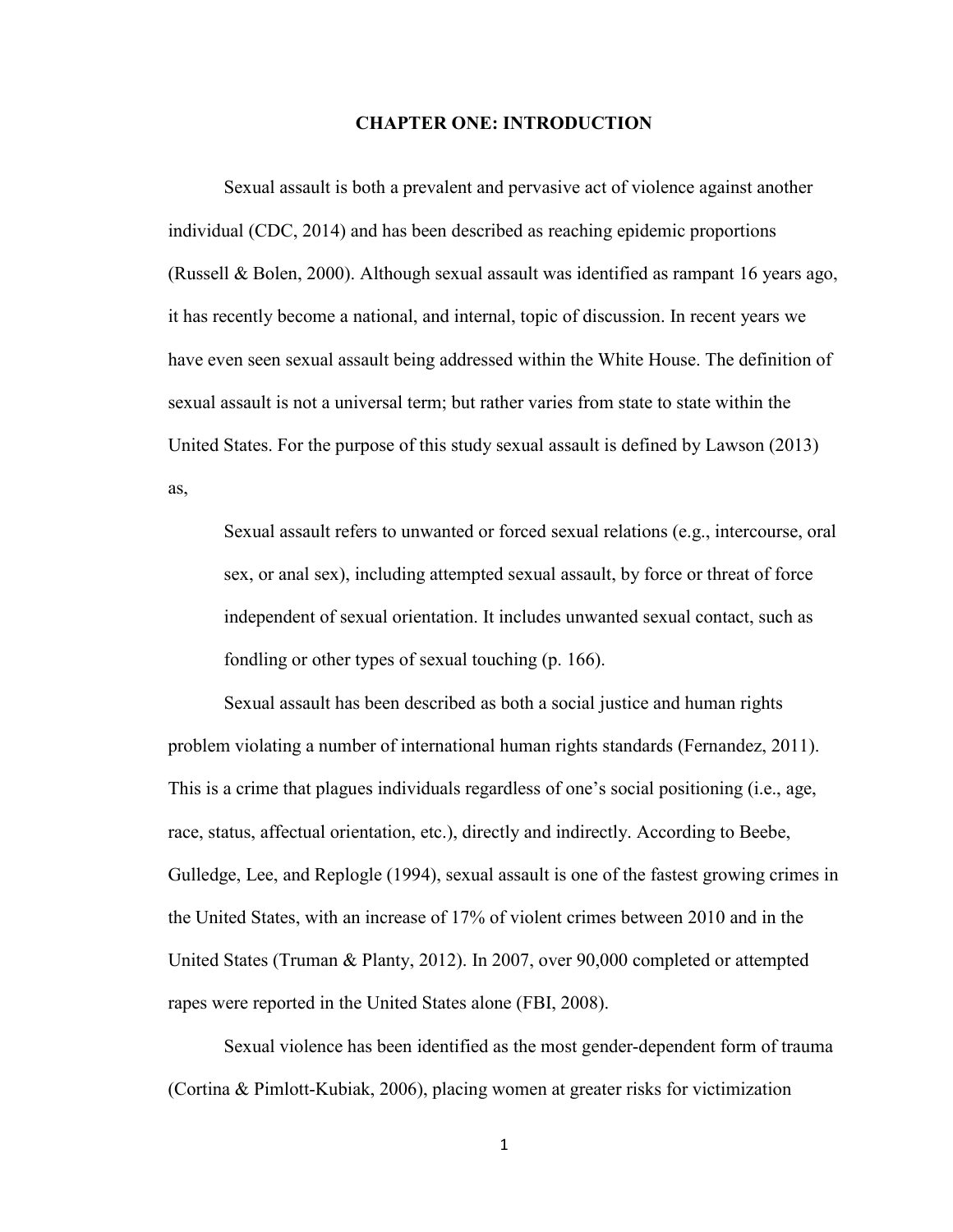## **CHAPTER ONE: INTRODUCTION**

Sexual assault is both a prevalent and pervasive act of violence against another individual (CDC, 2014) and has been described as reaching epidemic proportions (Russell & Bolen, 2000). Although sexual assault was identified as rampant 16 years ago, it has recently become a national, and internal, topic of discussion. In recent years we have even seen sexual assault being addressed within the White House. The definition of sexual assault is not a universal term; but rather varies from state to state within the United States. For the purpose of this study sexual assault is defined by Lawson (2013) as,

Sexual assault refers to unwanted or forced sexual relations (e.g., intercourse, oral sex, or anal sex), including attempted sexual assault, by force or threat of force independent of sexual orientation. It includes unwanted sexual contact, such as fondling or other types of sexual touching (p. 166).

Sexual assault has been described as both a social justice and human rights problem violating a number of international human rights standards (Fernandez, 2011). This is a crime that plagues individuals regardless of one's social positioning (i.e., age, race, status, affectual orientation, etc.), directly and indirectly. According to Beebe, Gulledge, Lee, and Replogle (1994), sexual assault is one of the fastest growing crimes in the United States, with an increase of 17% of violent crimes between 2010 and in the United States (Truman & Planty, 2012). In 2007, over 90,000 completed or attempted rapes were reported in the United States alone (FBI, 2008).

Sexual violence has been identified as the most gender-dependent form of trauma (Cortina & Pimlott-Kubiak, 2006), placing women at greater risks for victimization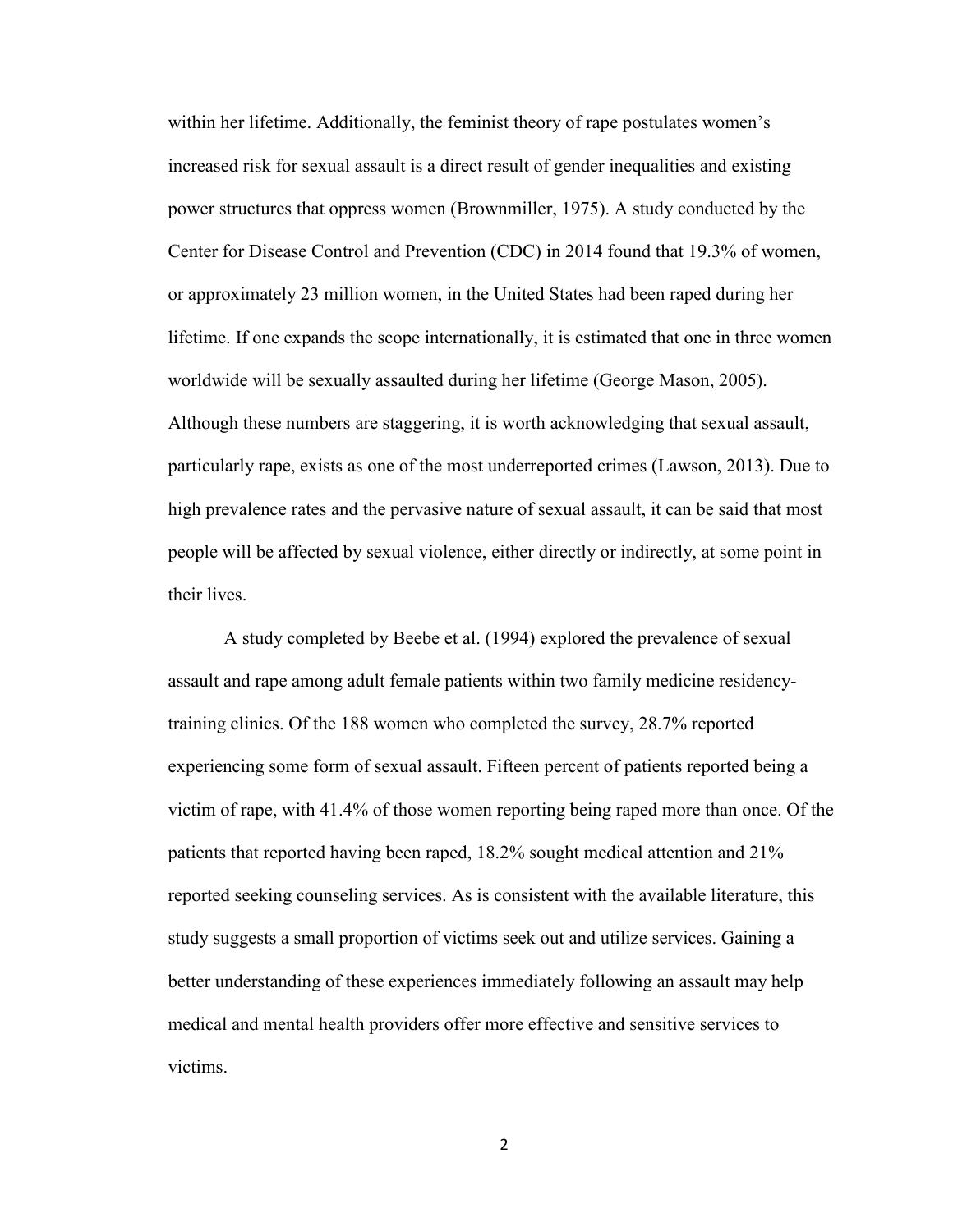within her lifetime. Additionally, the feminist theory of rape postulates women's increased risk for sexual assault is a direct result of gender inequalities and existing power structures that oppress women (Brownmiller, 1975). A study conducted by the Center for Disease Control and Prevention (CDC) in 2014 found that 19.3% of women, or approximately 23 million women, in the United States had been raped during her lifetime. If one expands the scope internationally, it is estimated that one in three women worldwide will be sexually assaulted during her lifetime (George Mason, 2005). Although these numbers are staggering, it is worth acknowledging that sexual assault, particularly rape, exists as one of the most underreported crimes (Lawson, 2013). Due to high prevalence rates and the pervasive nature of sexual assault, it can be said that most people will be affected by sexual violence, either directly or indirectly, at some point in their lives.

A study completed by Beebe et al. (1994) explored the prevalence of sexual assault and rape among adult female patients within two family medicine residencytraining clinics. Of the 188 women who completed the survey, 28.7% reported experiencing some form of sexual assault. Fifteen percent of patients reported being a victim of rape, with 41.4% of those women reporting being raped more than once. Of the patients that reported having been raped, 18.2% sought medical attention and 21% reported seeking counseling services. As is consistent with the available literature, this study suggests a small proportion of victims seek out and utilize services. Gaining a better understanding of these experiences immediately following an assault may help medical and mental health providers offer more effective and sensitive services to victims.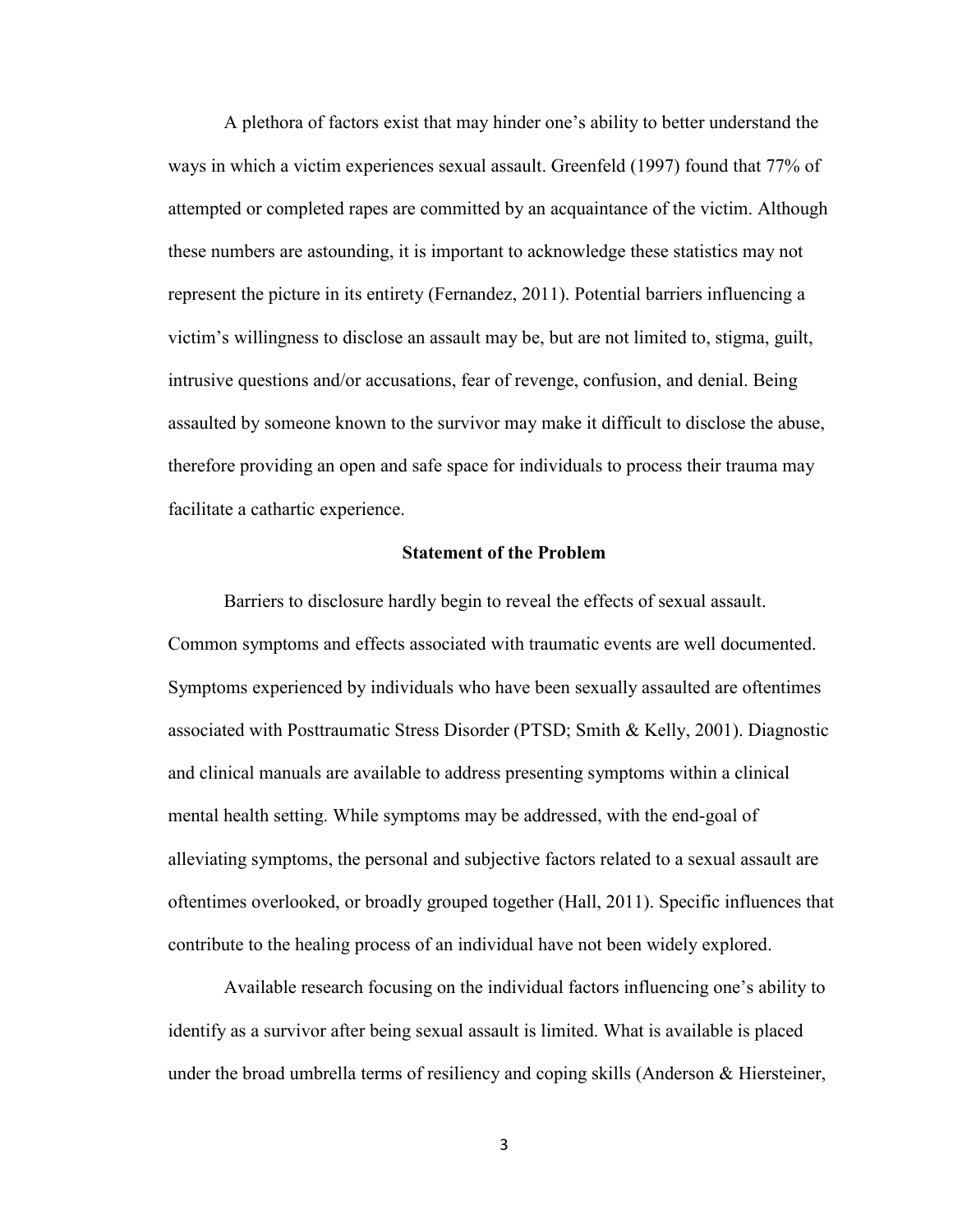A plethora of factors exist that may hinder one's ability to better understand the ways in which a victim experiences sexual assault. Greenfeld (1997) found that 77% of attempted or completed rapes are committed by an acquaintance of the victim. Although these numbers are astounding, it is important to acknowledge these statistics may not represent the picture in its entirety (Fernandez, 2011). Potential barriers influencing a victim's willingness to disclose an assault may be, but are not limited to, stigma, guilt, intrusive questions and/or accusations, fear of revenge, confusion, and denial. Being assaulted by someone known to the survivor may make it difficult to disclose the abuse, therefore providing an open and safe space for individuals to process their trauma may facilitate a cathartic experience.

#### **Statement of the Problem**

Barriers to disclosure hardly begin to reveal the effects of sexual assault. Common symptoms and effects associated with traumatic events are well documented. Symptoms experienced by individuals who have been sexually assaulted are oftentimes associated with Posttraumatic Stress Disorder (PTSD; Smith & Kelly, 2001). Diagnostic and clinical manuals are available to address presenting symptoms within a clinical mental health setting. While symptoms may be addressed, with the end-goal of alleviating symptoms, the personal and subjective factors related to a sexual assault are oftentimes overlooked, or broadly grouped together (Hall, 2011). Specific influences that contribute to the healing process of an individual have not been widely explored.

Available research focusing on the individual factors influencing one's ability to identify as a survivor after being sexual assault is limited. What is available is placed under the broad umbrella terms of resiliency and coping skills (Anderson & Hiersteiner,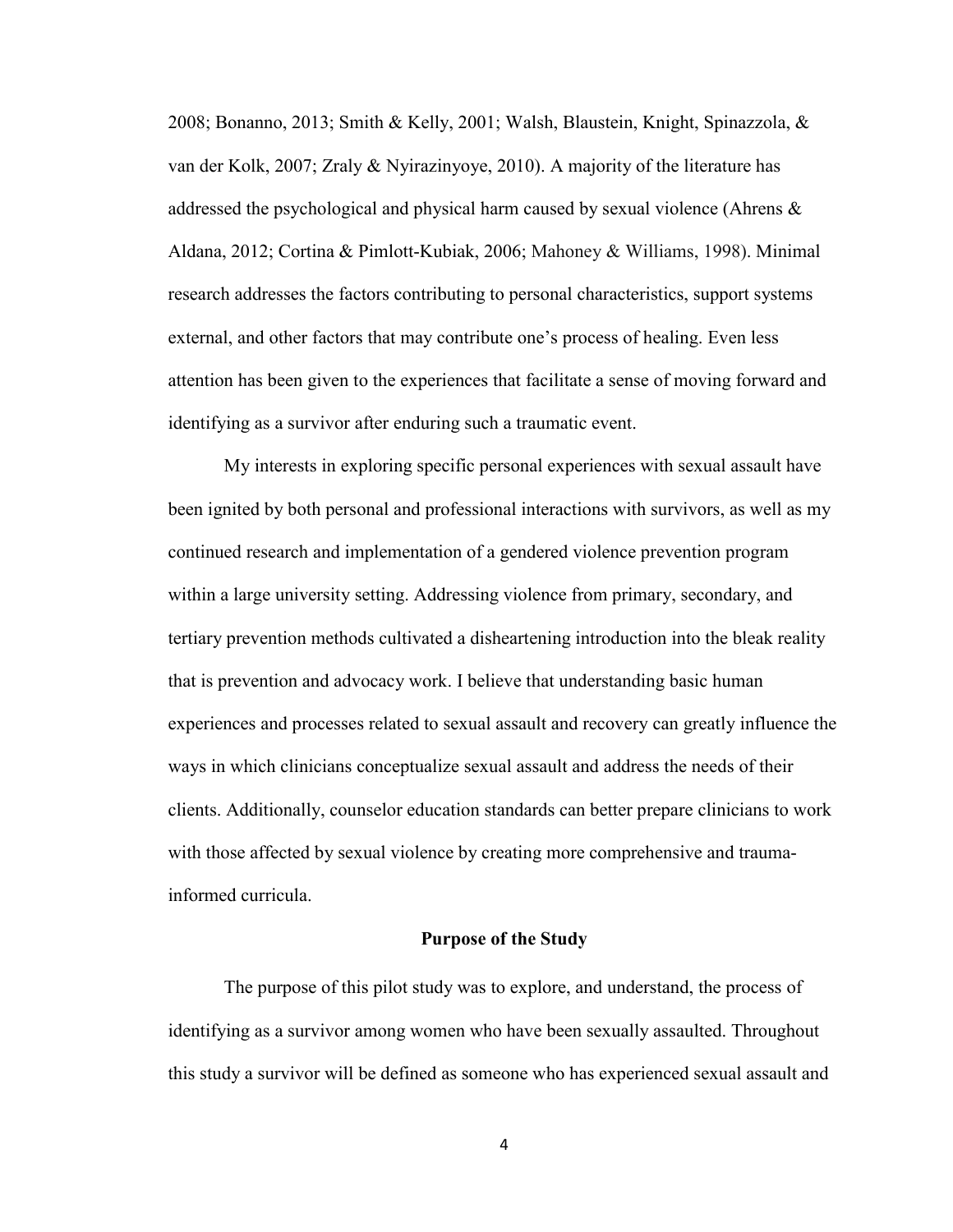2008; Bonanno, 2013; Smith & Kelly, 2001; Walsh, Blaustein, Knight, Spinazzola, & van der Kolk, 2007; Zraly & Nyirazinyoye, 2010). A majority of the literature has addressed the psychological and physical harm caused by sexual violence (Ahrens  $\&$ Aldana, 2012; Cortina & Pimlott-Kubiak, 2006; Mahoney & Williams, 1998). Minimal research addresses the factors contributing to personal characteristics, support systems external, and other factors that may contribute one's process of healing. Even less attention has been given to the experiences that facilitate a sense of moving forward and identifying as a survivor after enduring such a traumatic event.

My interests in exploring specific personal experiences with sexual assault have been ignited by both personal and professional interactions with survivors, as well as my continued research and implementation of a gendered violence prevention program within a large university setting. Addressing violence from primary, secondary, and tertiary prevention methods cultivated a disheartening introduction into the bleak reality that is prevention and advocacy work. I believe that understanding basic human experiences and processes related to sexual assault and recovery can greatly influence the ways in which clinicians conceptualize sexual assault and address the needs of their clients. Additionally, counselor education standards can better prepare clinicians to work with those affected by sexual violence by creating more comprehensive and traumainformed curricula.

## **Purpose of the Study**

The purpose of this pilot study was to explore, and understand, the process of identifying as a survivor among women who have been sexually assaulted. Throughout this study a survivor will be defined as someone who has experienced sexual assault and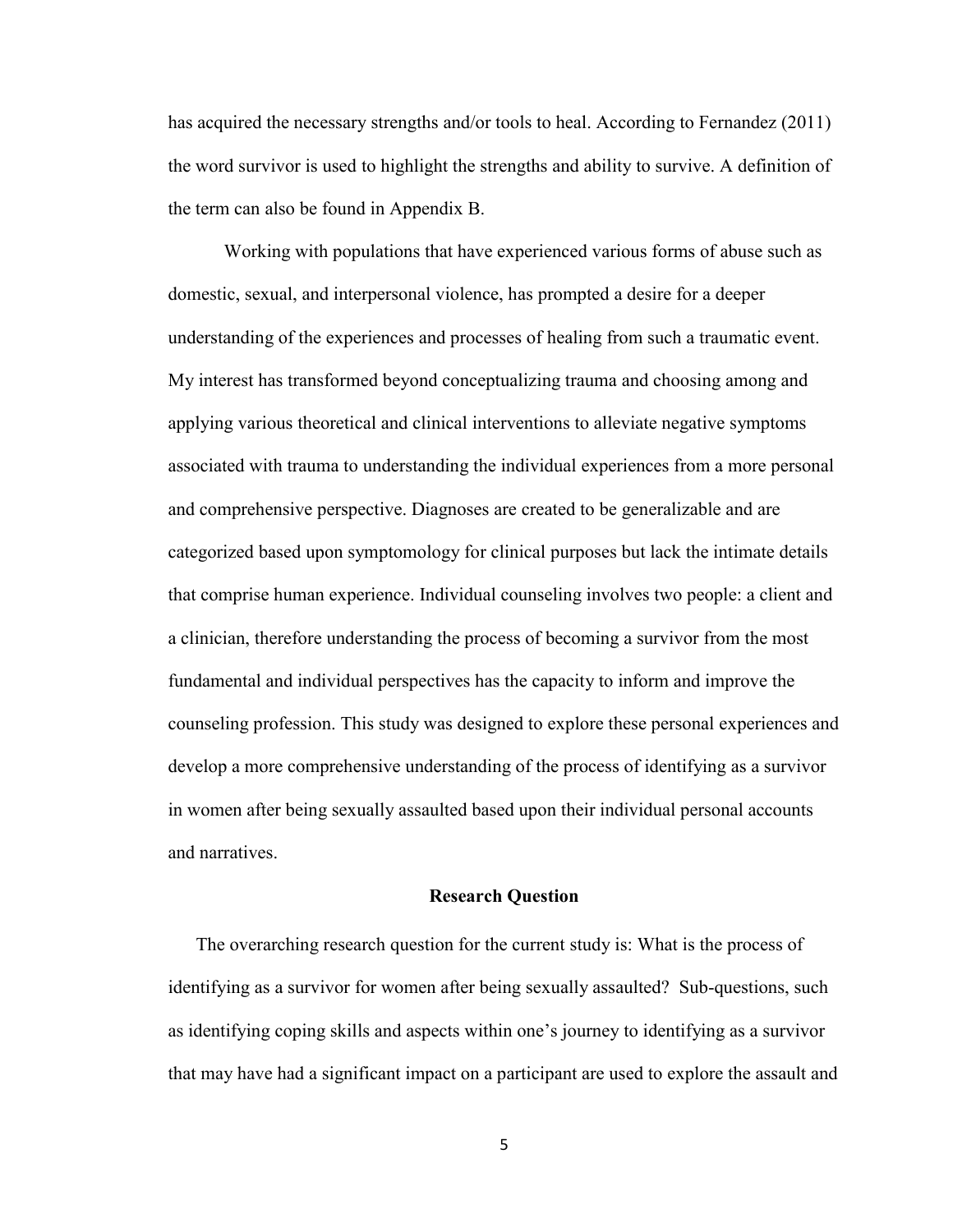has acquired the necessary strengths and/or tools to heal. According to Fernandez (2011) the word survivor is used to highlight the strengths and ability to survive. A definition of the term can also be found in Appendix B.

Working with populations that have experienced various forms of abuse such as domestic, sexual, and interpersonal violence, has prompted a desire for a deeper understanding of the experiences and processes of healing from such a traumatic event. My interest has transformed beyond conceptualizing trauma and choosing among and applying various theoretical and clinical interventions to alleviate negative symptoms associated with trauma to understanding the individual experiences from a more personal and comprehensive perspective. Diagnoses are created to be generalizable and are categorized based upon symptomology for clinical purposes but lack the intimate details that comprise human experience. Individual counseling involves two people: a client and a clinician, therefore understanding the process of becoming a survivor from the most fundamental and individual perspectives has the capacity to inform and improve the counseling profession. This study was designed to explore these personal experiences and develop a more comprehensive understanding of the process of identifying as a survivor in women after being sexually assaulted based upon their individual personal accounts and narratives.

#### **Research Question**

The overarching research question for the current study is: What is the process of identifying as a survivor for women after being sexually assaulted? Sub-questions, such as identifying coping skills and aspects within one's journey to identifying as a survivor that may have had a significant impact on a participant are used to explore the assault and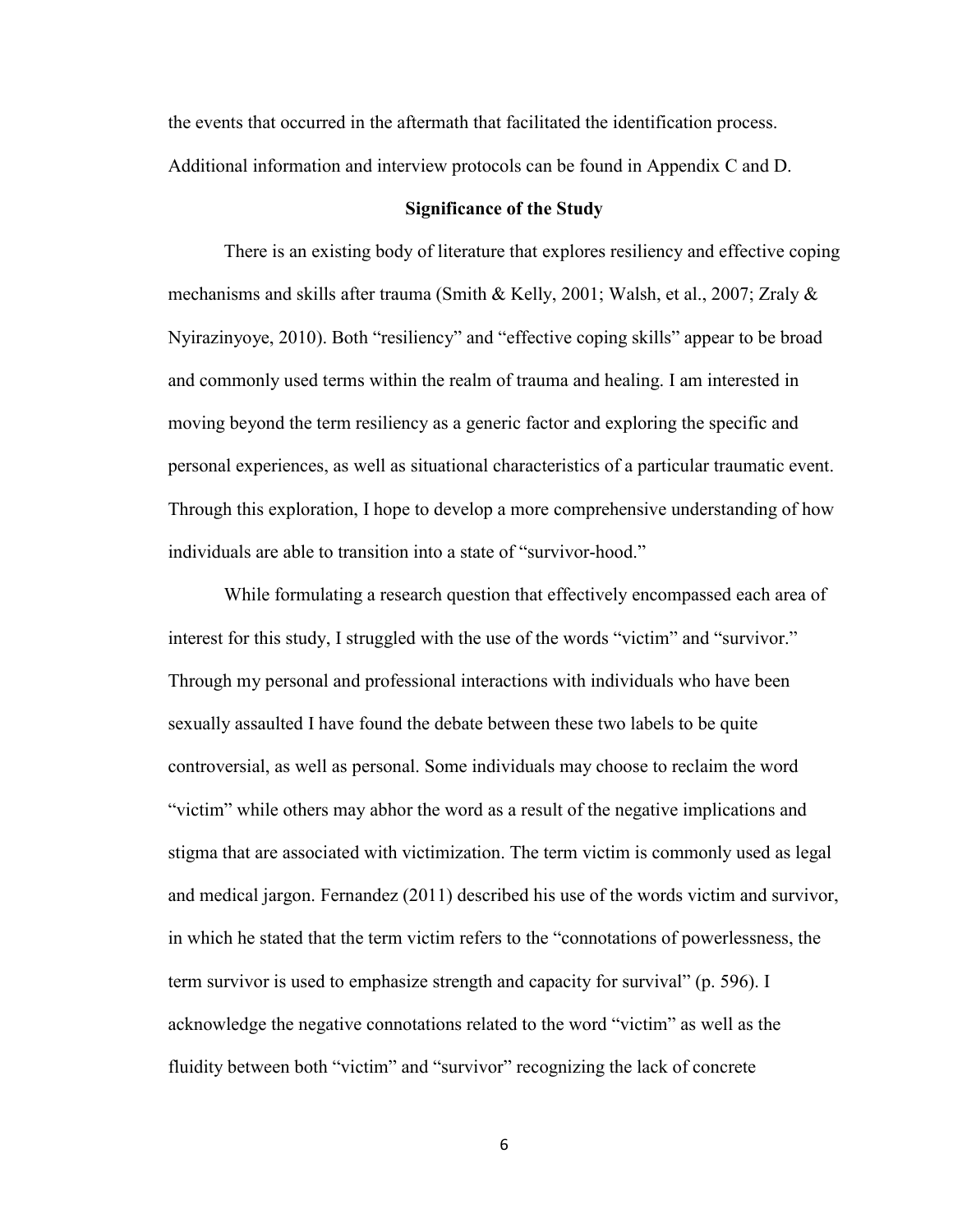the events that occurred in the aftermath that facilitated the identification process. Additional information and interview protocols can be found in Appendix C and D.

### **Significance of the Study**

There is an existing body of literature that explores resiliency and effective coping mechanisms and skills after trauma (Smith & Kelly, 2001; Walsh, et al., 2007; Zraly & Nyirazinyoye, 2010). Both "resiliency" and "effective coping skills" appear to be broad and commonly used terms within the realm of trauma and healing. I am interested in moving beyond the term resiliency as a generic factor and exploring the specific and personal experiences, as well as situational characteristics of a particular traumatic event. Through this exploration, I hope to develop a more comprehensive understanding of how individuals are able to transition into a state of "survivor-hood."

While formulating a research question that effectively encompassed each area of interest for this study, I struggled with the use of the words "victim" and "survivor." Through my personal and professional interactions with individuals who have been sexually assaulted I have found the debate between these two labels to be quite controversial, as well as personal. Some individuals may choose to reclaim the word "victim" while others may abhor the word as a result of the negative implications and stigma that are associated with victimization. The term victim is commonly used as legal and medical jargon. Fernandez (2011) described his use of the words victim and survivor, in which he stated that the term victim refers to the "connotations of powerlessness, the term survivor is used to emphasize strength and capacity for survival" (p. 596). I acknowledge the negative connotations related to the word "victim" as well as the fluidity between both "victim" and "survivor" recognizing the lack of concrete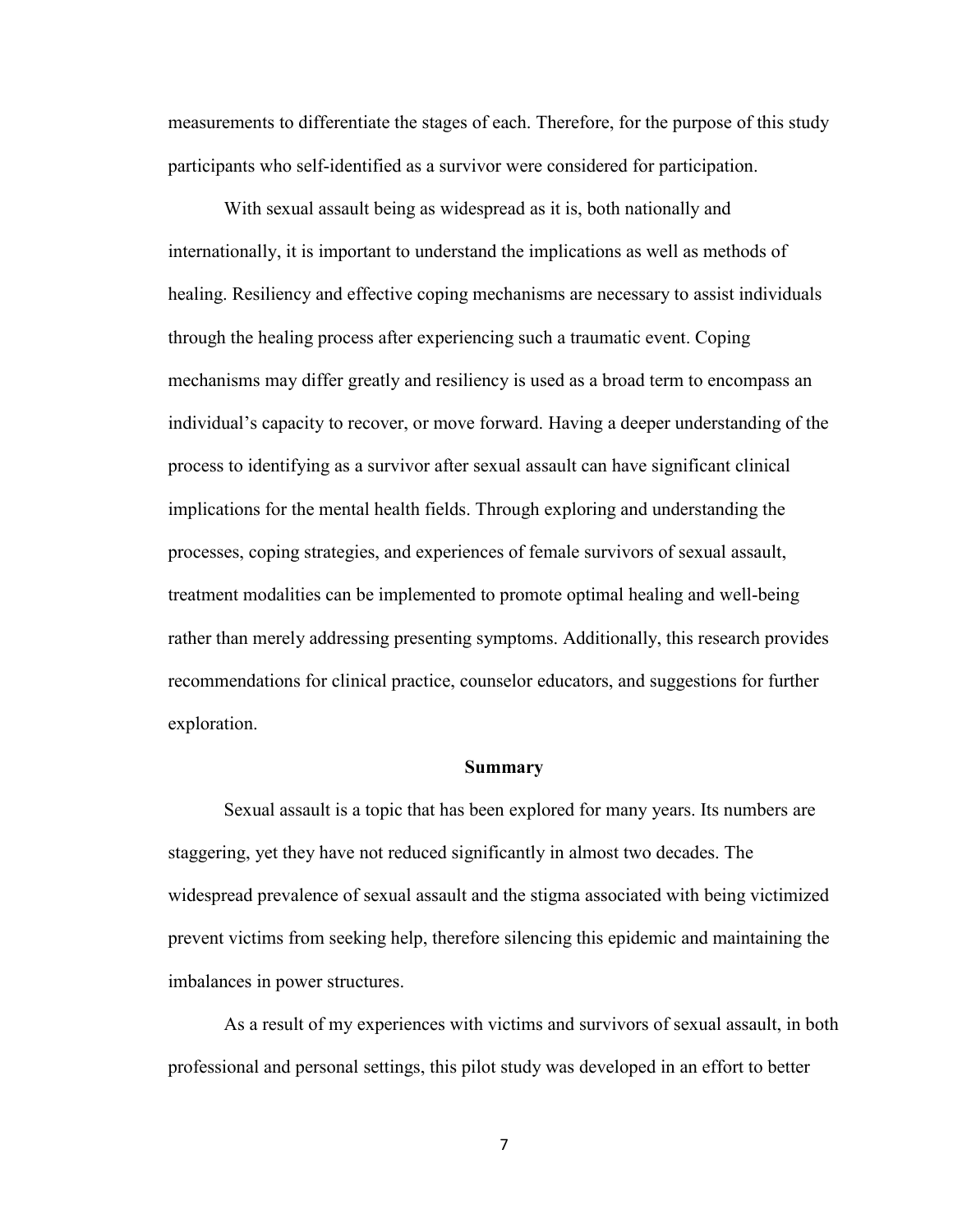measurements to differentiate the stages of each. Therefore, for the purpose of this study participants who self-identified as a survivor were considered for participation.

With sexual assault being as widespread as it is, both nationally and internationally, it is important to understand the implications as well as methods of healing. Resiliency and effective coping mechanisms are necessary to assist individuals through the healing process after experiencing such a traumatic event. Coping mechanisms may differ greatly and resiliency is used as a broad term to encompass an individual's capacity to recover, or move forward. Having a deeper understanding of the process to identifying as a survivor after sexual assault can have significant clinical implications for the mental health fields. Through exploring and understanding the processes, coping strategies, and experiences of female survivors of sexual assault, treatment modalities can be implemented to promote optimal healing and well-being rather than merely addressing presenting symptoms. Additionally, this research provides recommendations for clinical practice, counselor educators, and suggestions for further exploration.

#### **Summary**

Sexual assault is a topic that has been explored for many years. Its numbers are staggering, yet they have not reduced significantly in almost two decades. The widespread prevalence of sexual assault and the stigma associated with being victimized prevent victims from seeking help, therefore silencing this epidemic and maintaining the imbalances in power structures.

As a result of my experiences with victims and survivors of sexual assault, in both professional and personal settings, this pilot study was developed in an effort to better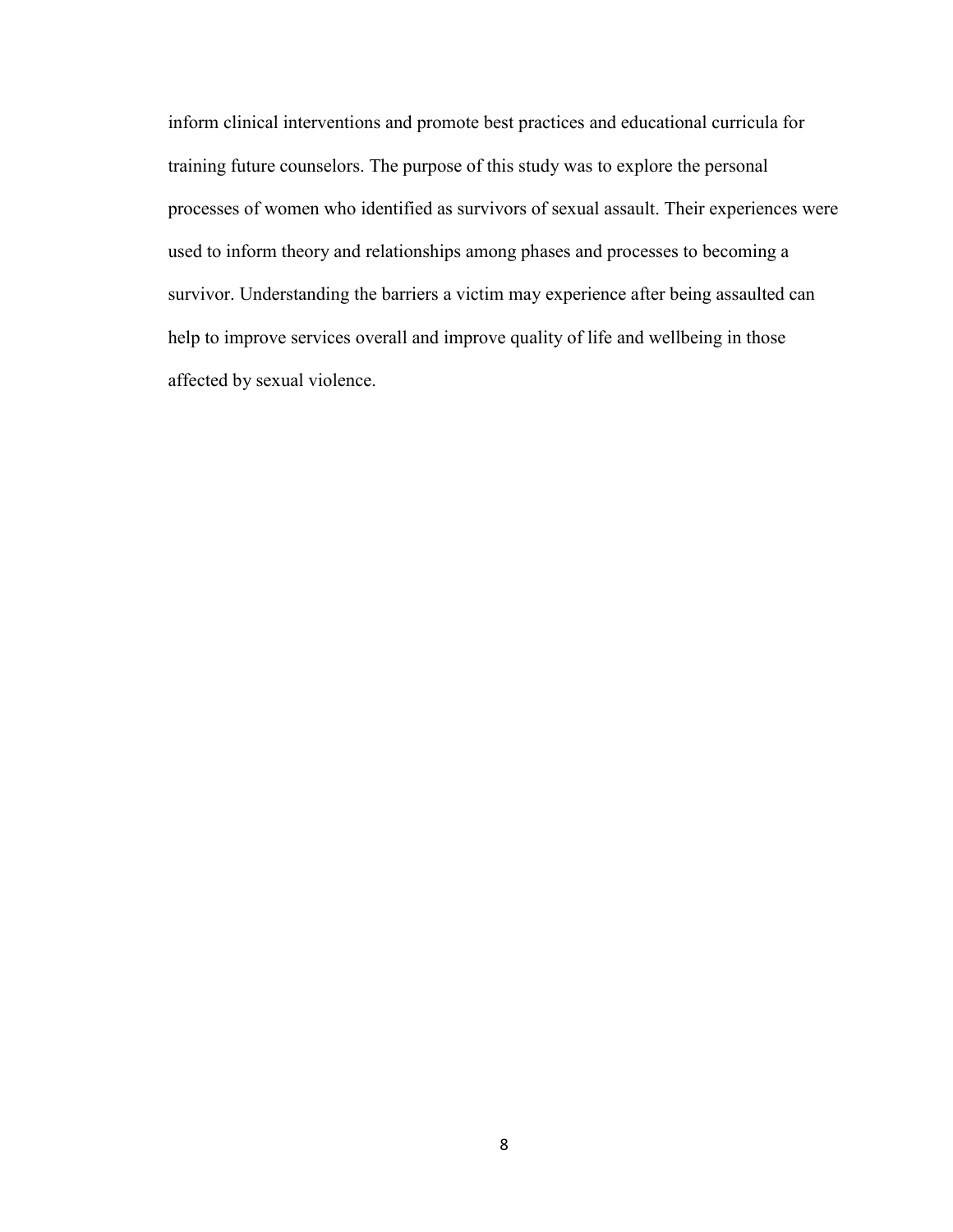inform clinical interventions and promote best practices and educational curricula for training future counselors. The purpose of this study was to explore the personal processes of women who identified as survivors of sexual assault. Their experiences were used to inform theory and relationships among phases and processes to becoming a survivor. Understanding the barriers a victim may experience after being assaulted can help to improve services overall and improve quality of life and wellbeing in those affected by sexual violence.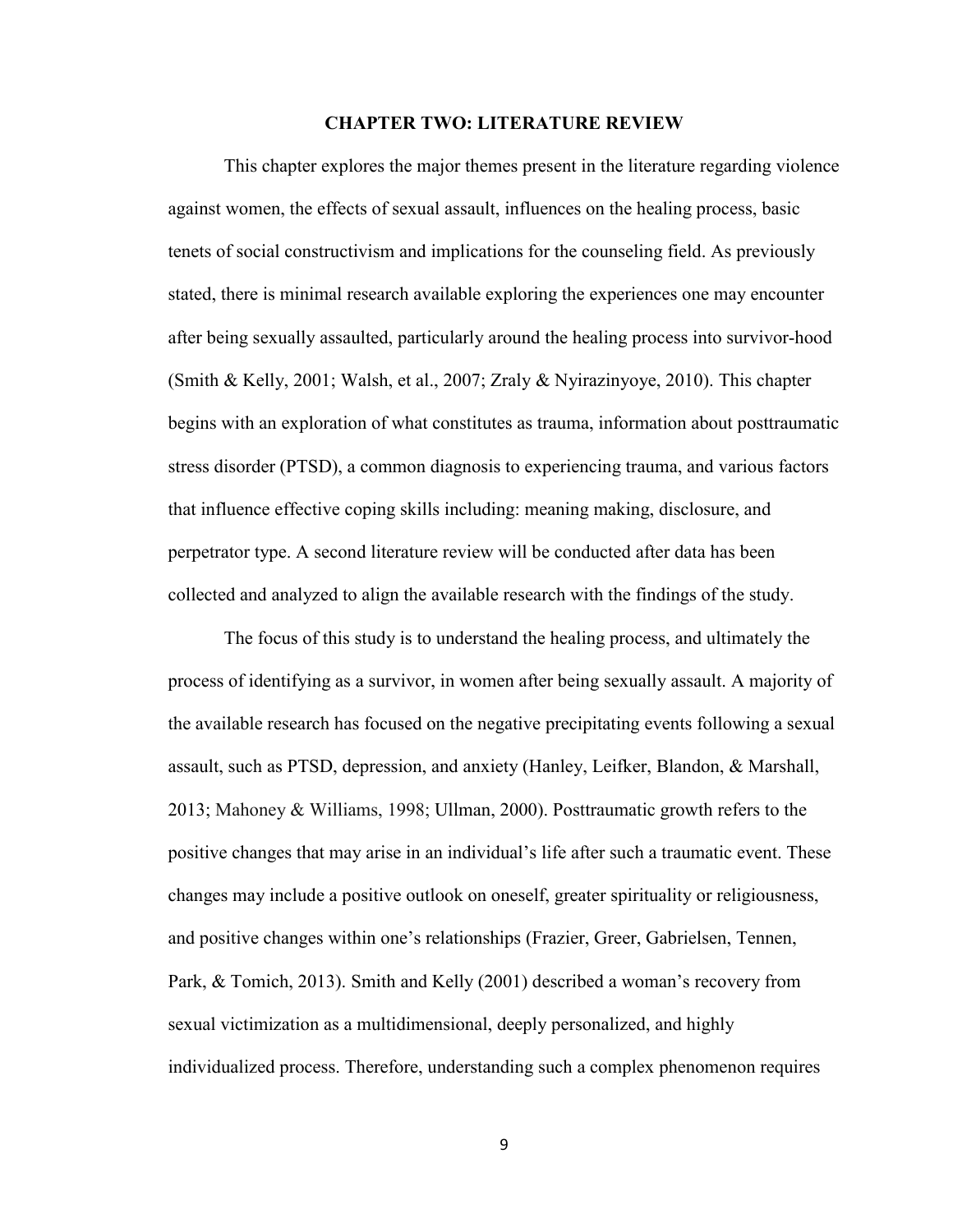#### **CHAPTER TWO: LITERATURE REVIEW**

This chapter explores the major themes present in the literature regarding violence against women, the effects of sexual assault, influences on the healing process, basic tenets of social constructivism and implications for the counseling field. As previously stated, there is minimal research available exploring the experiences one may encounter after being sexually assaulted, particularly around the healing process into survivor-hood (Smith & Kelly, 2001; Walsh, et al., 2007; Zraly & Nyirazinyoye, 2010). This chapter begins with an exploration of what constitutes as trauma, information about posttraumatic stress disorder (PTSD), a common diagnosis to experiencing trauma, and various factors that influence effective coping skills including: meaning making, disclosure, and perpetrator type. A second literature review will be conducted after data has been collected and analyzed to align the available research with the findings of the study.

The focus of this study is to understand the healing process, and ultimately the process of identifying as a survivor, in women after being sexually assault. A majority of the available research has focused on the negative precipitating events following a sexual assault, such as PTSD, depression, and anxiety (Hanley, Leifker, Blandon, & Marshall, 2013; Mahoney & Williams, 1998; Ullman, 2000). Posttraumatic growth refers to the positive changes that may arise in an individual's life after such a traumatic event. These changes may include a positive outlook on oneself, greater spirituality or religiousness, and positive changes within one's relationships (Frazier, Greer, Gabrielsen, Tennen, Park, & Tomich, 2013). Smith and Kelly (2001) described a woman's recovery from sexual victimization as a multidimensional, deeply personalized, and highly individualized process. Therefore, understanding such a complex phenomenon requires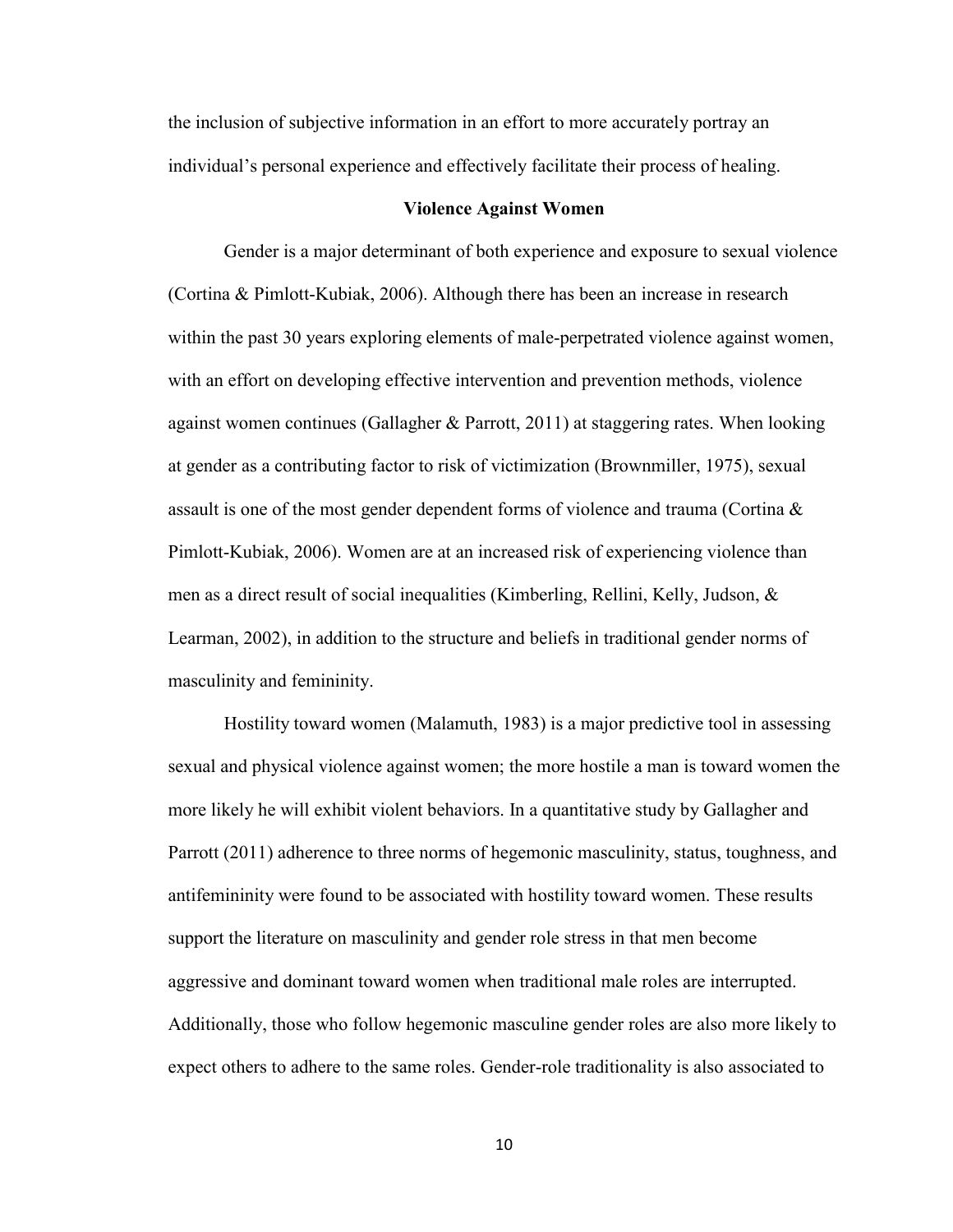the inclusion of subjective information in an effort to more accurately portray an individual's personal experience and effectively facilitate their process of healing.

#### **Violence Against Women**

 Gender is a major determinant of both experience and exposure to sexual violence (Cortina & Pimlott-Kubiak, 2006). Although there has been an increase in research within the past 30 years exploring elements of male-perpetrated violence against women, with an effort on developing effective intervention and prevention methods, violence against women continues (Gallagher & Parrott, 2011) at staggering rates. When looking at gender as a contributing factor to risk of victimization (Brownmiller, 1975), sexual assault is one of the most gender dependent forms of violence and trauma (Cortina & Pimlott-Kubiak, 2006). Women are at an increased risk of experiencing violence than men as a direct result of social inequalities (Kimberling, Rellini, Kelly, Judson, & Learman, 2002), in addition to the structure and beliefs in traditional gender norms of masculinity and femininity.

Hostility toward women (Malamuth, 1983) is a major predictive tool in assessing sexual and physical violence against women; the more hostile a man is toward women the more likely he will exhibit violent behaviors. In a quantitative study by Gallagher and Parrott (2011) adherence to three norms of hegemonic masculinity, status, toughness, and antifemininity were found to be associated with hostility toward women. These results support the literature on masculinity and gender role stress in that men become aggressive and dominant toward women when traditional male roles are interrupted. Additionally, those who follow hegemonic masculine gender roles are also more likely to expect others to adhere to the same roles. Gender-role traditionality is also associated to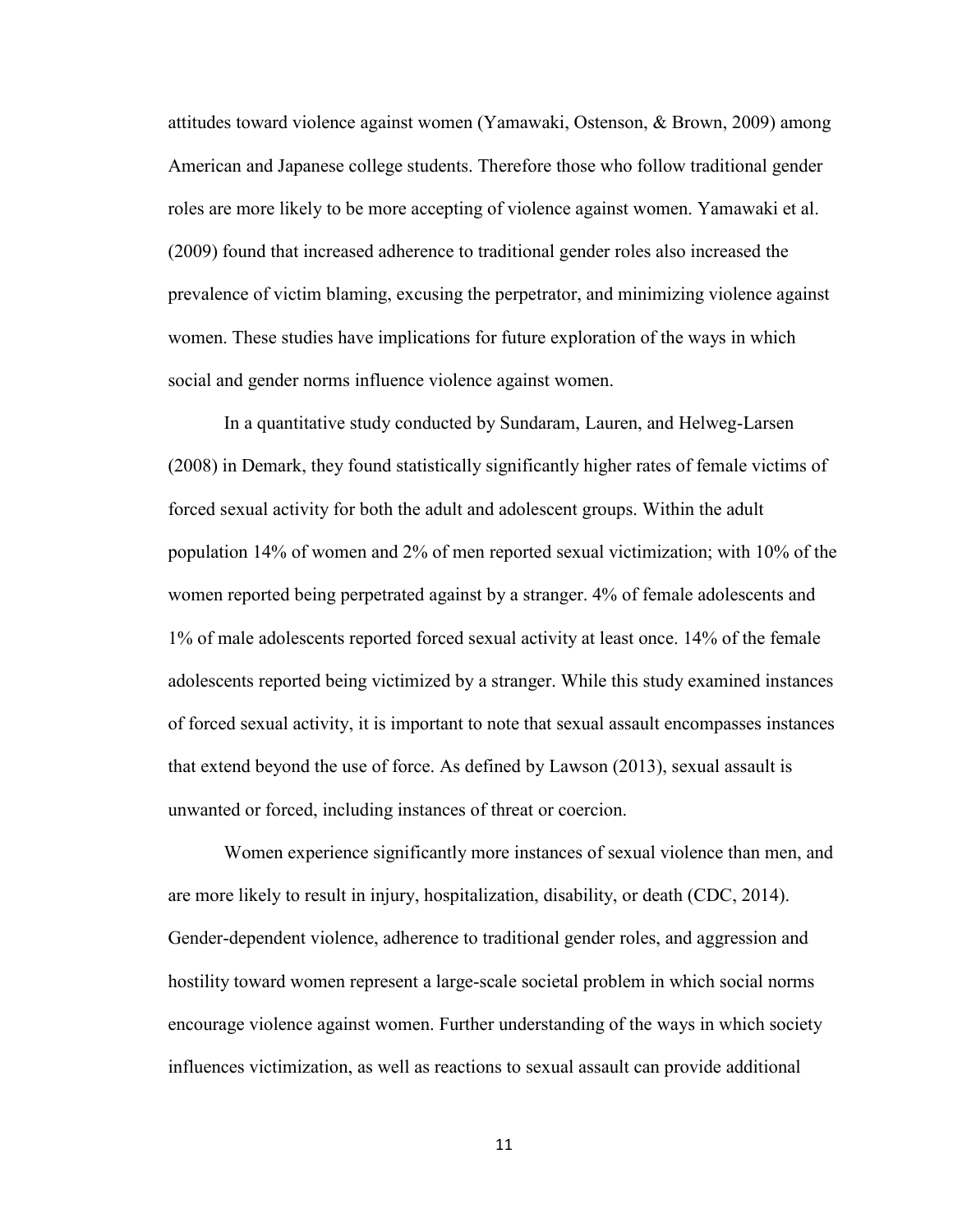attitudes toward violence against women (Yamawaki, Ostenson, & Brown, 2009) among American and Japanese college students. Therefore those who follow traditional gender roles are more likely to be more accepting of violence against women. Yamawaki et al. (2009) found that increased adherence to traditional gender roles also increased the prevalence of victim blaming, excusing the perpetrator, and minimizing violence against women. These studies have implications for future exploration of the ways in which social and gender norms influence violence against women.

In a quantitative study conducted by Sundaram, Lauren, and Helweg-Larsen (2008) in Demark, they found statistically significantly higher rates of female victims of forced sexual activity for both the adult and adolescent groups. Within the adult population 14% of women and 2% of men reported sexual victimization; with 10% of the women reported being perpetrated against by a stranger. 4% of female adolescents and 1% of male adolescents reported forced sexual activity at least once. 14% of the female adolescents reported being victimized by a stranger. While this study examined instances of forced sexual activity, it is important to note that sexual assault encompasses instances that extend beyond the use of force. As defined by Lawson (2013), sexual assault is unwanted or forced, including instances of threat or coercion.

Women experience significantly more instances of sexual violence than men, and are more likely to result in injury, hospitalization, disability, or death (CDC, 2014). Gender-dependent violence, adherence to traditional gender roles, and aggression and hostility toward women represent a large-scale societal problem in which social norms encourage violence against women. Further understanding of the ways in which society influences victimization, as well as reactions to sexual assault can provide additional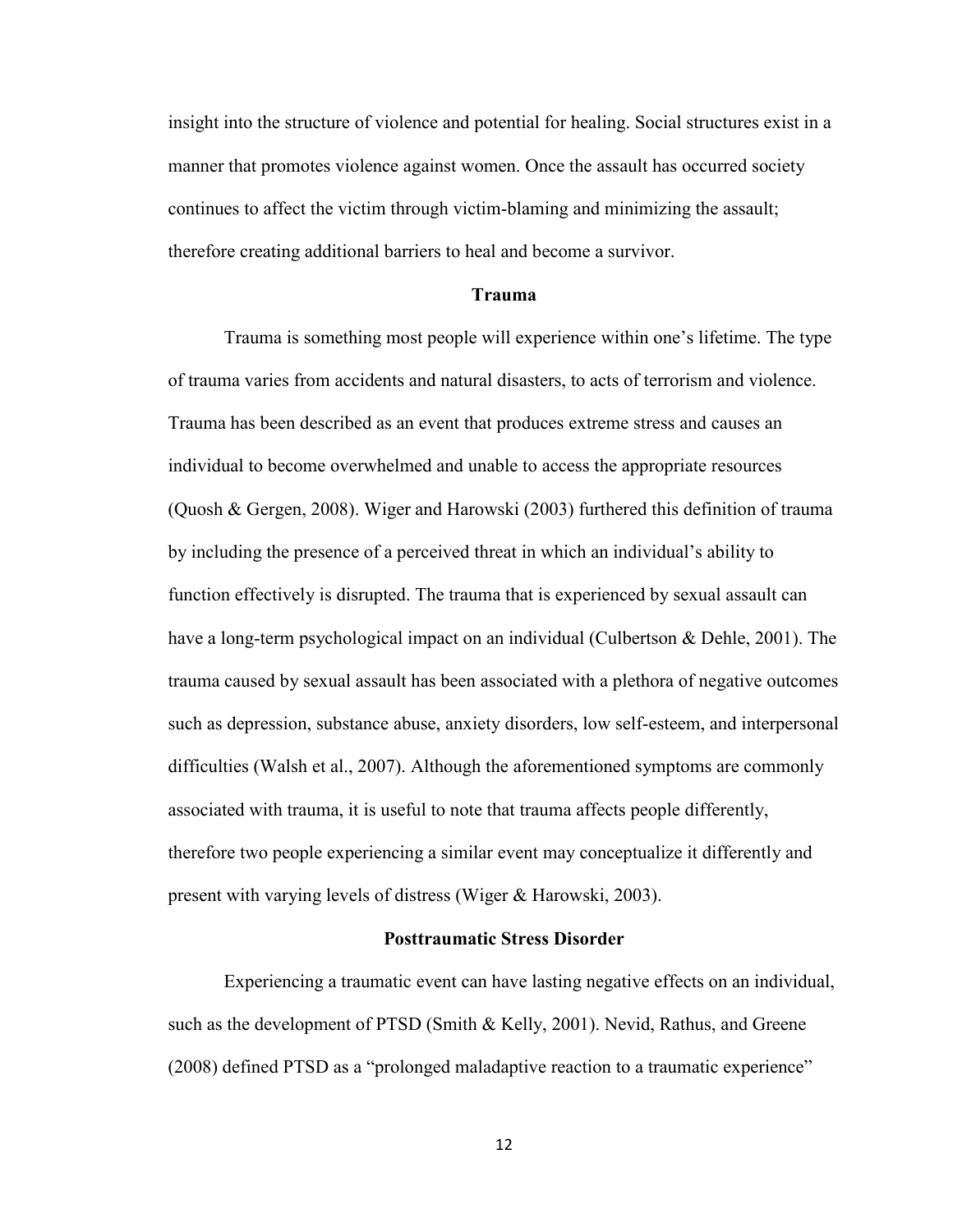insight into the structure of violence and potential for healing. Social structures exist in a manner that promotes violence against women. Once the assault has occurred society continues to affect the victim through victim-blaming and minimizing the assault; therefore creating additional barriers to heal and become a survivor.

#### **Trauma**

Trauma is something most people will experience within one's lifetime. The type of trauma varies from accidents and natural disasters, to acts of terrorism and violence. Trauma has been described as an event that produces extreme stress and causes an individual to become overwhelmed and unable to access the appropriate resources (Quosh & Gergen, 2008). Wiger and Harowski (2003) furthered this definition of trauma by including the presence of a perceived threat in which an individual's ability to function effectively is disrupted. The trauma that is experienced by sexual assault can have a long-term psychological impact on an individual (Culbertson & Dehle, 2001). The trauma caused by sexual assault has been associated with a plethora of negative outcomes such as depression, substance abuse, anxiety disorders, low self-esteem, and interpersonal difficulties (Walsh et al., 2007). Although the aforementioned symptoms are commonly associated with trauma, it is useful to note that trauma affects people differently, therefore two people experiencing a similar event may conceptualize it differently and present with varying levels of distress (Wiger & Harowski, 2003).

#### **Posttraumatic Stress Disorder**

Experiencing a traumatic event can have lasting negative effects on an individual, such as the development of PTSD (Smith & Kelly, 2001). Nevid, Rathus, and Greene (2008) defined PTSD as a "prolonged maladaptive reaction to a traumatic experience"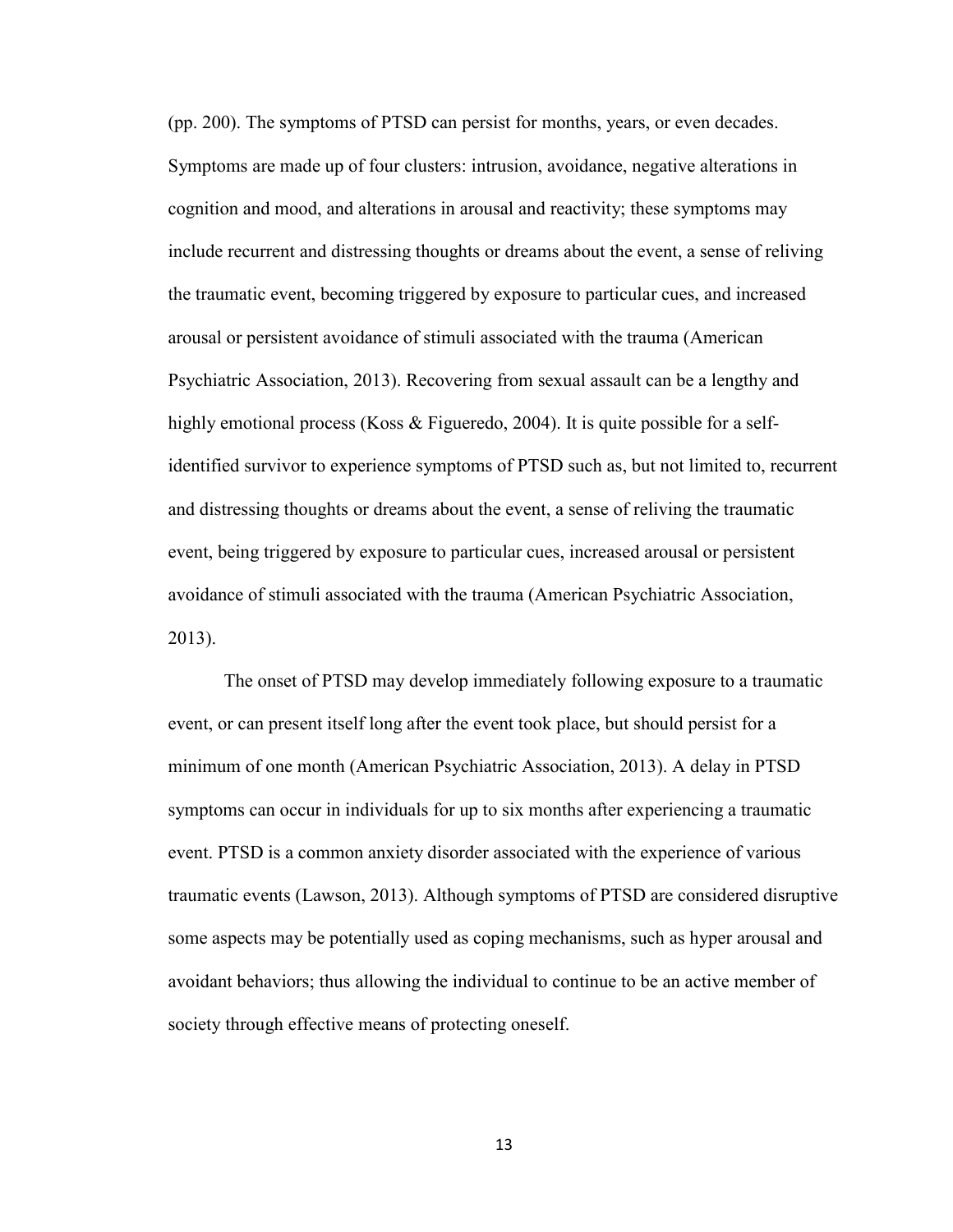(pp. 200). The symptoms of PTSD can persist for months, years, or even decades. Symptoms are made up of four clusters: intrusion, avoidance, negative alterations in cognition and mood, and alterations in arousal and reactivity; these symptoms may include recurrent and distressing thoughts or dreams about the event, a sense of reliving the traumatic event, becoming triggered by exposure to particular cues, and increased arousal or persistent avoidance of stimuli associated with the trauma (American Psychiatric Association, 2013). Recovering from sexual assault can be a lengthy and highly emotional process (Koss & Figueredo, 2004). It is quite possible for a selfidentified survivor to experience symptoms of PTSD such as, but not limited to, recurrent and distressing thoughts or dreams about the event, a sense of reliving the traumatic event, being triggered by exposure to particular cues, increased arousal or persistent avoidance of stimuli associated with the trauma (American Psychiatric Association, 2013).

The onset of PTSD may develop immediately following exposure to a traumatic event, or can present itself long after the event took place, but should persist for a minimum of one month (American Psychiatric Association, 2013). A delay in PTSD symptoms can occur in individuals for up to six months after experiencing a traumatic event. PTSD is a common anxiety disorder associated with the experience of various traumatic events (Lawson, 2013). Although symptoms of PTSD are considered disruptive some aspects may be potentially used as coping mechanisms, such as hyper arousal and avoidant behaviors; thus allowing the individual to continue to be an active member of society through effective means of protecting oneself.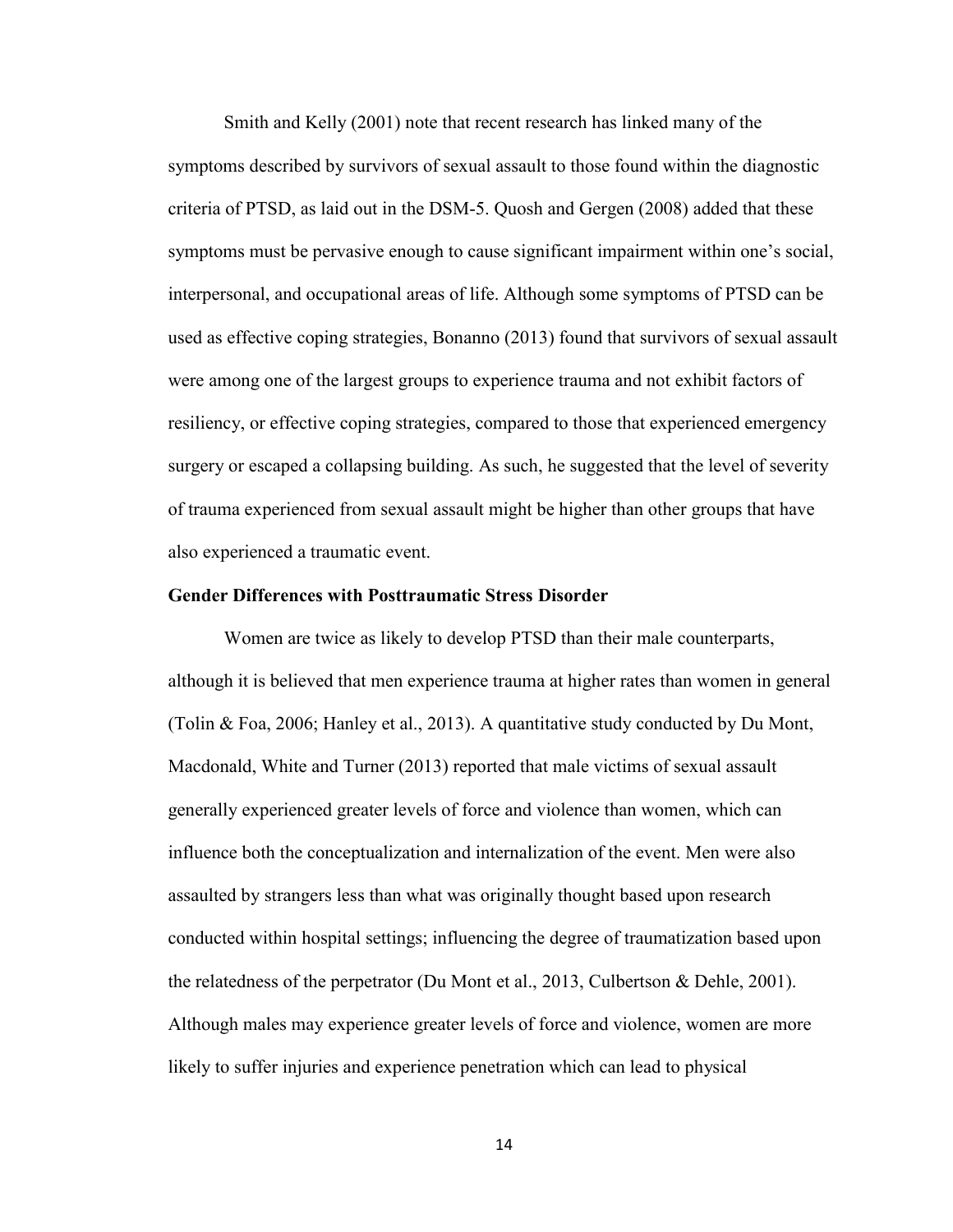Smith and Kelly (2001) note that recent research has linked many of the symptoms described by survivors of sexual assault to those found within the diagnostic criteria of PTSD, as laid out in the DSM-5. Quosh and Gergen (2008) added that these symptoms must be pervasive enough to cause significant impairment within one's social, interpersonal, and occupational areas of life. Although some symptoms of PTSD can be used as effective coping strategies, Bonanno (2013) found that survivors of sexual assault were among one of the largest groups to experience trauma and not exhibit factors of resiliency, or effective coping strategies, compared to those that experienced emergency surgery or escaped a collapsing building. As such, he suggested that the level of severity of trauma experienced from sexual assault might be higher than other groups that have also experienced a traumatic event.

### **Gender Differences with Posttraumatic Stress Disorder**

Women are twice as likely to develop PTSD than their male counterparts, although it is believed that men experience trauma at higher rates than women in general (Tolin & Foa, 2006; Hanley et al., 2013). A quantitative study conducted by Du Mont, Macdonald, White and Turner (2013) reported that male victims of sexual assault generally experienced greater levels of force and violence than women, which can influence both the conceptualization and internalization of the event. Men were also assaulted by strangers less than what was originally thought based upon research conducted within hospital settings; influencing the degree of traumatization based upon the relatedness of the perpetrator (Du Mont et al., 2013, Culbertson & Dehle, 2001). Although males may experience greater levels of force and violence, women are more likely to suffer injuries and experience penetration which can lead to physical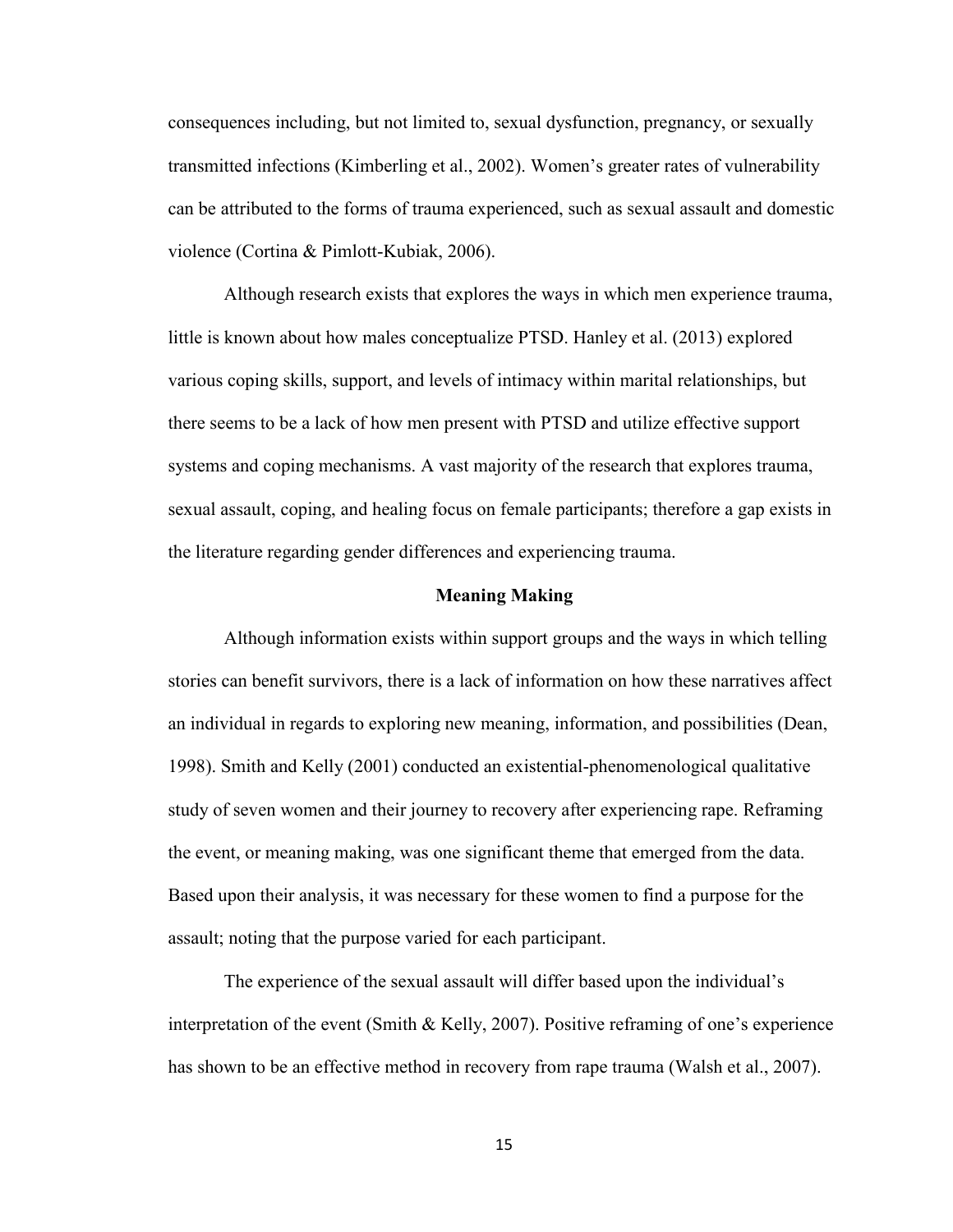consequences including, but not limited to, sexual dysfunction, pregnancy, or sexually transmitted infections (Kimberling et al., 2002). Women's greater rates of vulnerability can be attributed to the forms of trauma experienced, such as sexual assault and domestic violence (Cortina & Pimlott-Kubiak, 2006).

Although research exists that explores the ways in which men experience trauma, little is known about how males conceptualize PTSD. Hanley et al. (2013) explored various coping skills, support, and levels of intimacy within marital relationships, but there seems to be a lack of how men present with PTSD and utilize effective support systems and coping mechanisms. A vast majority of the research that explores trauma, sexual assault, coping, and healing focus on female participants; therefore a gap exists in the literature regarding gender differences and experiencing trauma.

#### **Meaning Making**

Although information exists within support groups and the ways in which telling stories can benefit survivors, there is a lack of information on how these narratives affect an individual in regards to exploring new meaning, information, and possibilities (Dean, 1998). Smith and Kelly (2001) conducted an existential-phenomenological qualitative study of seven women and their journey to recovery after experiencing rape. Reframing the event, or meaning making, was one significant theme that emerged from the data. Based upon their analysis, it was necessary for these women to find a purpose for the assault; noting that the purpose varied for each participant.

The experience of the sexual assault will differ based upon the individual's interpretation of the event (Smith & Kelly, 2007). Positive reframing of one's experience has shown to be an effective method in recovery from rape trauma (Walsh et al., 2007).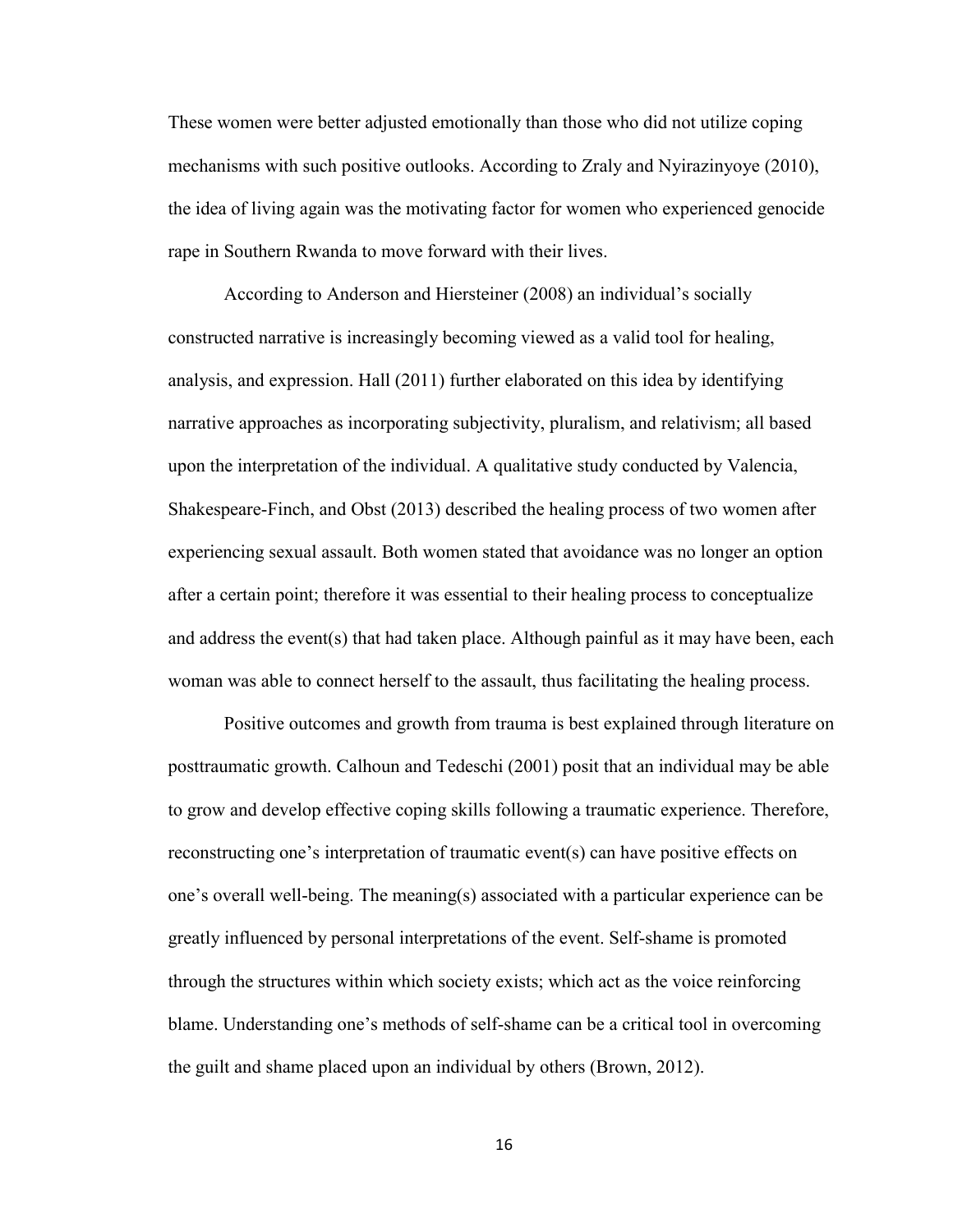These women were better adjusted emotionally than those who did not utilize coping mechanisms with such positive outlooks. According to Zraly and Nyirazinyoye (2010), the idea of living again was the motivating factor for women who experienced genocide rape in Southern Rwanda to move forward with their lives.

According to Anderson and Hiersteiner (2008) an individual's socially constructed narrative is increasingly becoming viewed as a valid tool for healing, analysis, and expression. Hall (2011) further elaborated on this idea by identifying narrative approaches as incorporating subjectivity, pluralism, and relativism; all based upon the interpretation of the individual. A qualitative study conducted by Valencia, Shakespeare-Finch, and Obst (2013) described the healing process of two women after experiencing sexual assault. Both women stated that avoidance was no longer an option after a certain point; therefore it was essential to their healing process to conceptualize and address the event(s) that had taken place. Although painful as it may have been, each woman was able to connect herself to the assault, thus facilitating the healing process.

Positive outcomes and growth from trauma is best explained through literature on posttraumatic growth. Calhoun and Tedeschi (2001) posit that an individual may be able to grow and develop effective coping skills following a traumatic experience. Therefore, reconstructing one's interpretation of traumatic event(s) can have positive effects on one's overall well-being. The meaning(s) associated with a particular experience can be greatly influenced by personal interpretations of the event. Self-shame is promoted through the structures within which society exists; which act as the voice reinforcing blame. Understanding one's methods of self-shame can be a critical tool in overcoming the guilt and shame placed upon an individual by others (Brown, 2012).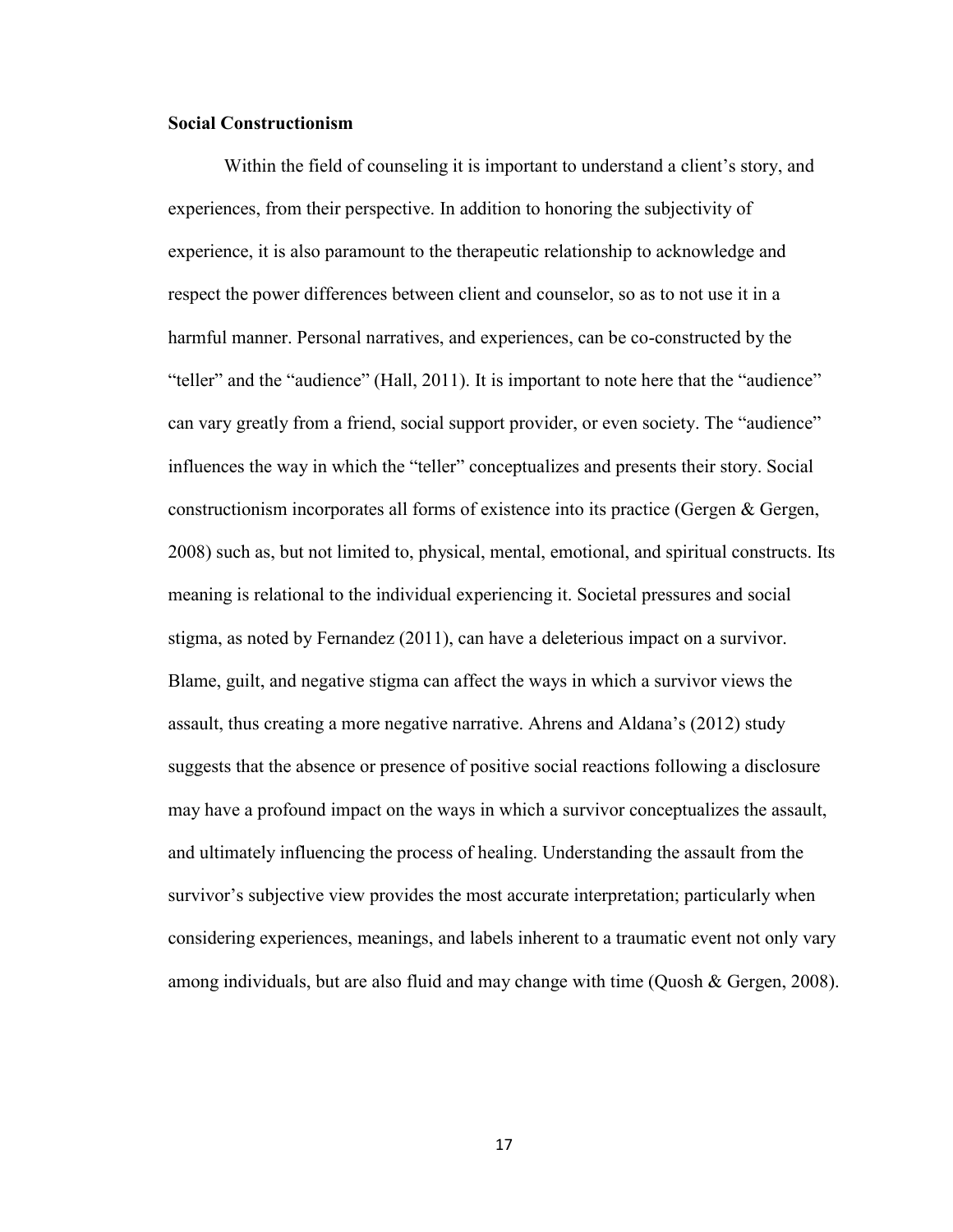## **Social Constructionism**

 Within the field of counseling it is important to understand a client's story, and experiences, from their perspective. In addition to honoring the subjectivity of experience, it is also paramount to the therapeutic relationship to acknowledge and respect the power differences between client and counselor, so as to not use it in a harmful manner. Personal narratives, and experiences, can be co-constructed by the "teller" and the "audience" (Hall, 2011). It is important to note here that the "audience" can vary greatly from a friend, social support provider, or even society. The "audience" influences the way in which the "teller" conceptualizes and presents their story. Social constructionism incorporates all forms of existence into its practice (Gergen & Gergen, 2008) such as, but not limited to, physical, mental, emotional, and spiritual constructs. Its meaning is relational to the individual experiencing it. Societal pressures and social stigma, as noted by Fernandez (2011), can have a deleterious impact on a survivor. Blame, guilt, and negative stigma can affect the ways in which a survivor views the assault, thus creating a more negative narrative. Ahrens and Aldana's (2012) study suggests that the absence or presence of positive social reactions following a disclosure may have a profound impact on the ways in which a survivor conceptualizes the assault, and ultimately influencing the process of healing. Understanding the assault from the survivor's subjective view provides the most accurate interpretation; particularly when considering experiences, meanings, and labels inherent to a traumatic event not only vary among individuals, but are also fluid and may change with time (Quosh & Gergen, 2008).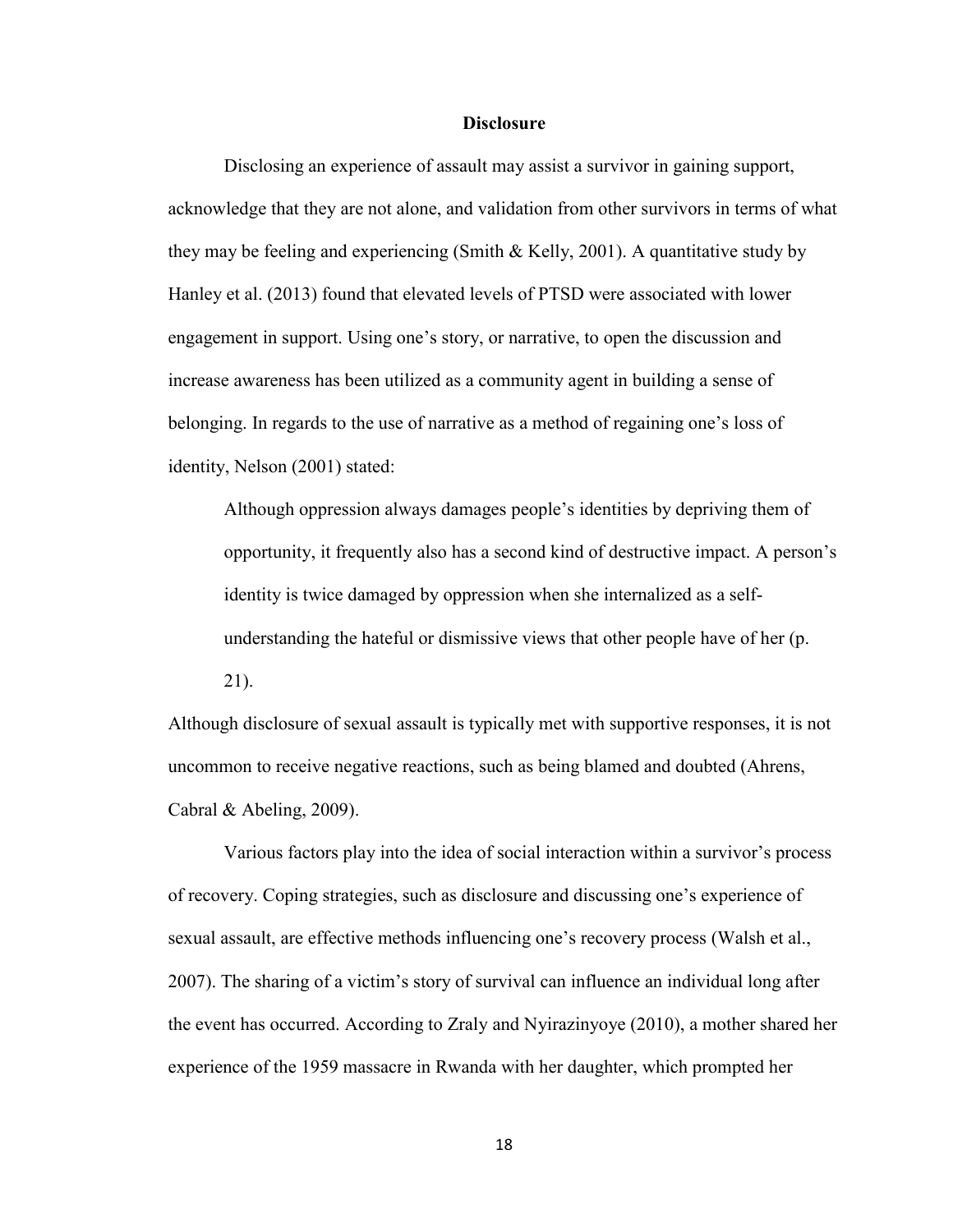#### **Disclosure**

Disclosing an experience of assault may assist a survivor in gaining support, acknowledge that they are not alone, and validation from other survivors in terms of what they may be feeling and experiencing (Smith & Kelly, 2001). A quantitative study by Hanley et al. (2013) found that elevated levels of PTSD were associated with lower engagement in support. Using one's story, or narrative, to open the discussion and increase awareness has been utilized as a community agent in building a sense of belonging. In regards to the use of narrative as a method of regaining one's loss of identity, Nelson (2001) stated:

Although oppression always damages people's identities by depriving them of opportunity, it frequently also has a second kind of destructive impact. A person's identity is twice damaged by oppression when she internalized as a selfunderstanding the hateful or dismissive views that other people have of her (p. 21).

Although disclosure of sexual assault is typically met with supportive responses, it is not uncommon to receive negative reactions, such as being blamed and doubted (Ahrens, Cabral & Abeling, 2009).

Various factors play into the idea of social interaction within a survivor's process of recovery. Coping strategies, such as disclosure and discussing one's experience of sexual assault, are effective methods influencing one's recovery process (Walsh et al., 2007). The sharing of a victim's story of survival can influence an individual long after the event has occurred. According to Zraly and Nyirazinyoye (2010), a mother shared her experience of the 1959 massacre in Rwanda with her daughter, which prompted her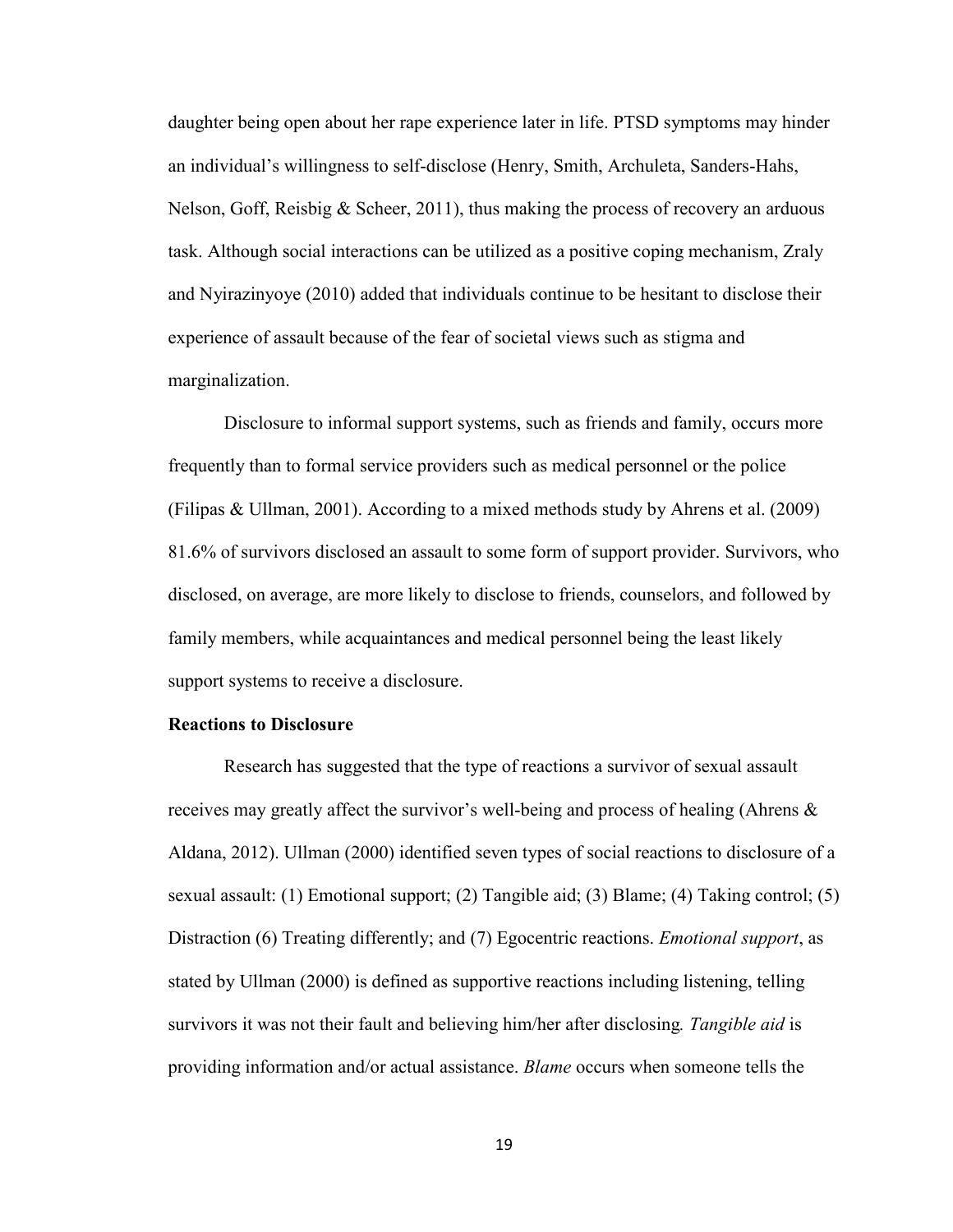daughter being open about her rape experience later in life. PTSD symptoms may hinder an individual's willingness to self-disclose (Henry, Smith, Archuleta, Sanders-Hahs, Nelson, Goff, Reisbig & Scheer, 2011), thus making the process of recovery an arduous task. Although social interactions can be utilized as a positive coping mechanism, Zraly and Nyirazinyoye (2010) added that individuals continue to be hesitant to disclose their experience of assault because of the fear of societal views such as stigma and marginalization.

Disclosure to informal support systems, such as friends and family, occurs more frequently than to formal service providers such as medical personnel or the police (Filipas & Ullman, 2001). According to a mixed methods study by Ahrens et al. (2009) 81.6% of survivors disclosed an assault to some form of support provider. Survivors, who disclosed, on average, are more likely to disclose to friends, counselors, and followed by family members, while acquaintances and medical personnel being the least likely support systems to receive a disclosure.

#### **Reactions to Disclosure**

Research has suggested that the type of reactions a survivor of sexual assault receives may greatly affect the survivor's well-being and process of healing (Ahrens & Aldana, 2012). Ullman (2000) identified seven types of social reactions to disclosure of a sexual assault: (1) Emotional support; (2) Tangible aid; (3) Blame; (4) Taking control; (5) Distraction (6) Treating differently; and (7) Egocentric reactions. *Emotional support*, as stated by Ullman (2000) is defined as supportive reactions including listening, telling survivors it was not their fault and believing him/her after disclosing*. Tangible aid* is providing information and/or actual assistance. *Blame* occurs when someone tells the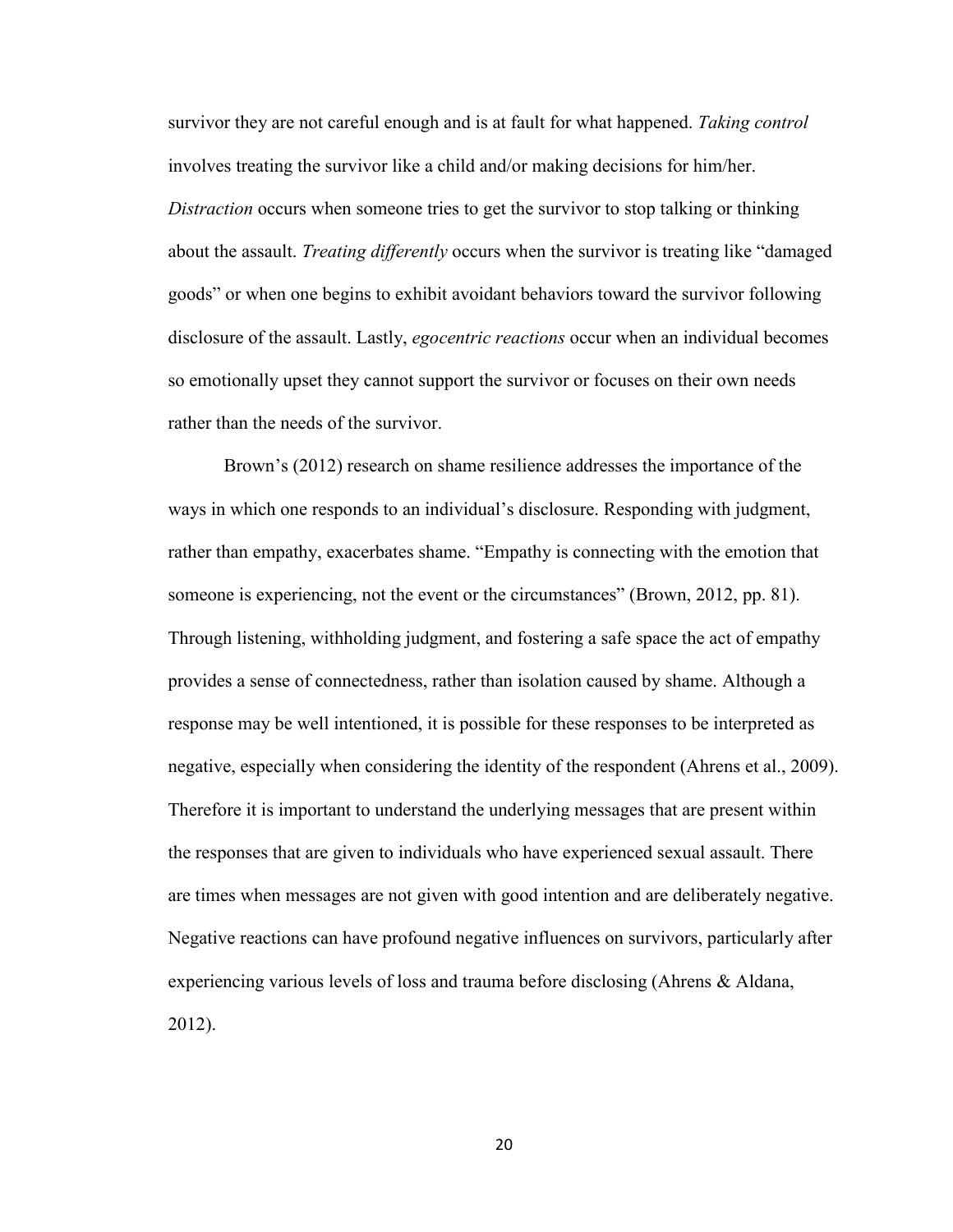survivor they are not careful enough and is at fault for what happened. *Taking control* involves treating the survivor like a child and/or making decisions for him/her. *Distraction* occurs when someone tries to get the survivor to stop talking or thinking about the assault. *Treating differently* occurs when the survivor is treating like "damaged goods" or when one begins to exhibit avoidant behaviors toward the survivor following disclosure of the assault. Lastly, *egocentric reactions* occur when an individual becomes so emotionally upset they cannot support the survivor or focuses on their own needs rather than the needs of the survivor.

Brown's (2012) research on shame resilience addresses the importance of the ways in which one responds to an individual's disclosure. Responding with judgment, rather than empathy, exacerbates shame. "Empathy is connecting with the emotion that someone is experiencing, not the event or the circumstances" (Brown, 2012, pp. 81). Through listening, withholding judgment, and fostering a safe space the act of empathy provides a sense of connectedness, rather than isolation caused by shame. Although a response may be well intentioned, it is possible for these responses to be interpreted as negative, especially when considering the identity of the respondent (Ahrens et al., 2009). Therefore it is important to understand the underlying messages that are present within the responses that are given to individuals who have experienced sexual assault. There are times when messages are not given with good intention and are deliberately negative. Negative reactions can have profound negative influences on survivors, particularly after experiencing various levels of loss and trauma before disclosing (Ahrens & Aldana, 2012).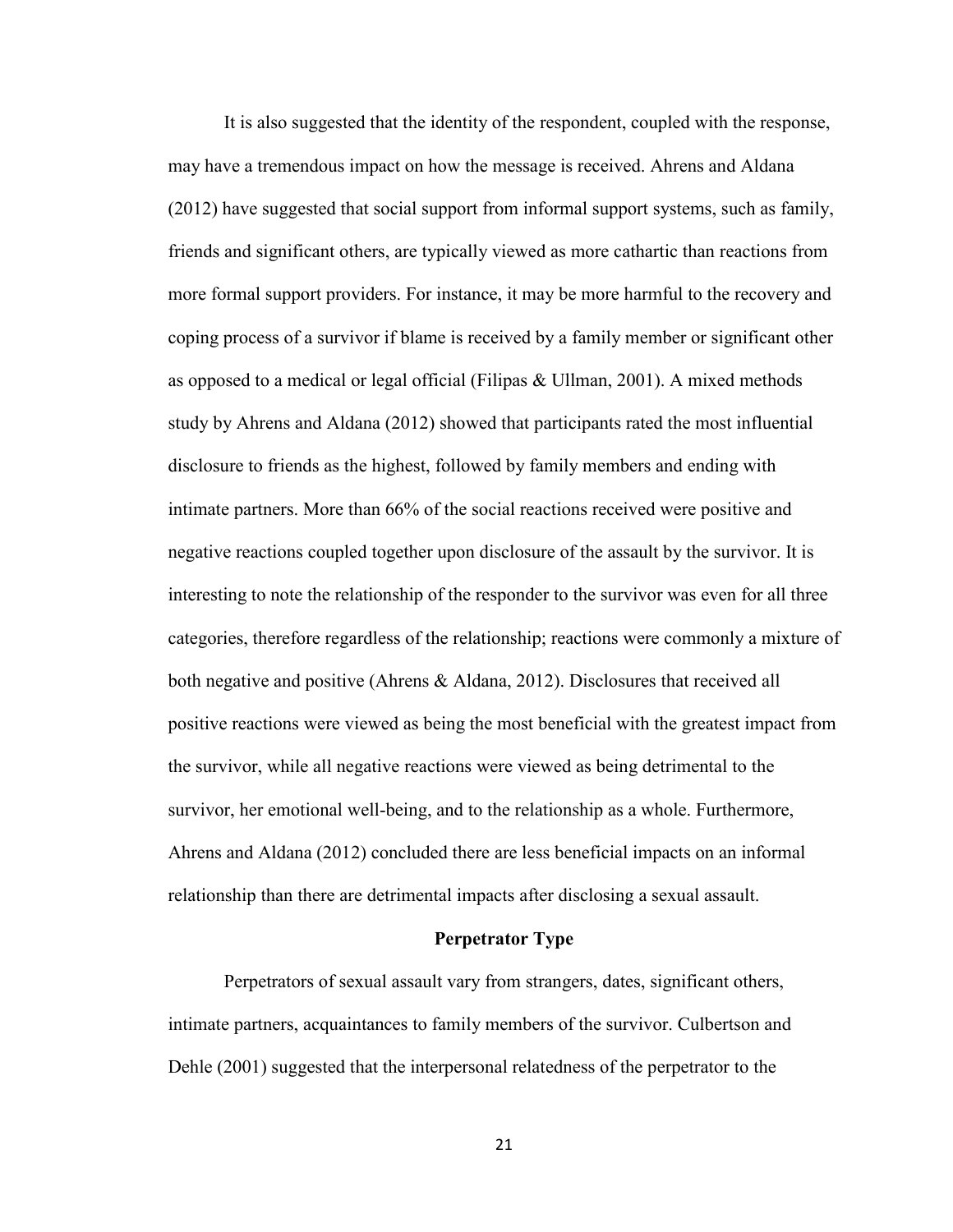It is also suggested that the identity of the respondent, coupled with the response, may have a tremendous impact on how the message is received. Ahrens and Aldana (2012) have suggested that social support from informal support systems, such as family, friends and significant others, are typically viewed as more cathartic than reactions from more formal support providers. For instance, it may be more harmful to the recovery and coping process of a survivor if blame is received by a family member or significant other as opposed to a medical or legal official (Filipas & Ullman, 2001). A mixed methods study by Ahrens and Aldana (2012) showed that participants rated the most influential disclosure to friends as the highest, followed by family members and ending with intimate partners. More than 66% of the social reactions received were positive and negative reactions coupled together upon disclosure of the assault by the survivor. It is interesting to note the relationship of the responder to the survivor was even for all three categories, therefore regardless of the relationship; reactions were commonly a mixture of both negative and positive (Ahrens & Aldana, 2012). Disclosures that received all positive reactions were viewed as being the most beneficial with the greatest impact from the survivor, while all negative reactions were viewed as being detrimental to the survivor, her emotional well-being, and to the relationship as a whole. Furthermore, Ahrens and Aldana (2012) concluded there are less beneficial impacts on an informal relationship than there are detrimental impacts after disclosing a sexual assault.

#### **Perpetrator Type**

Perpetrators of sexual assault vary from strangers, dates, significant others, intimate partners, acquaintances to family members of the survivor. Culbertson and Dehle (2001) suggested that the interpersonal relatedness of the perpetrator to the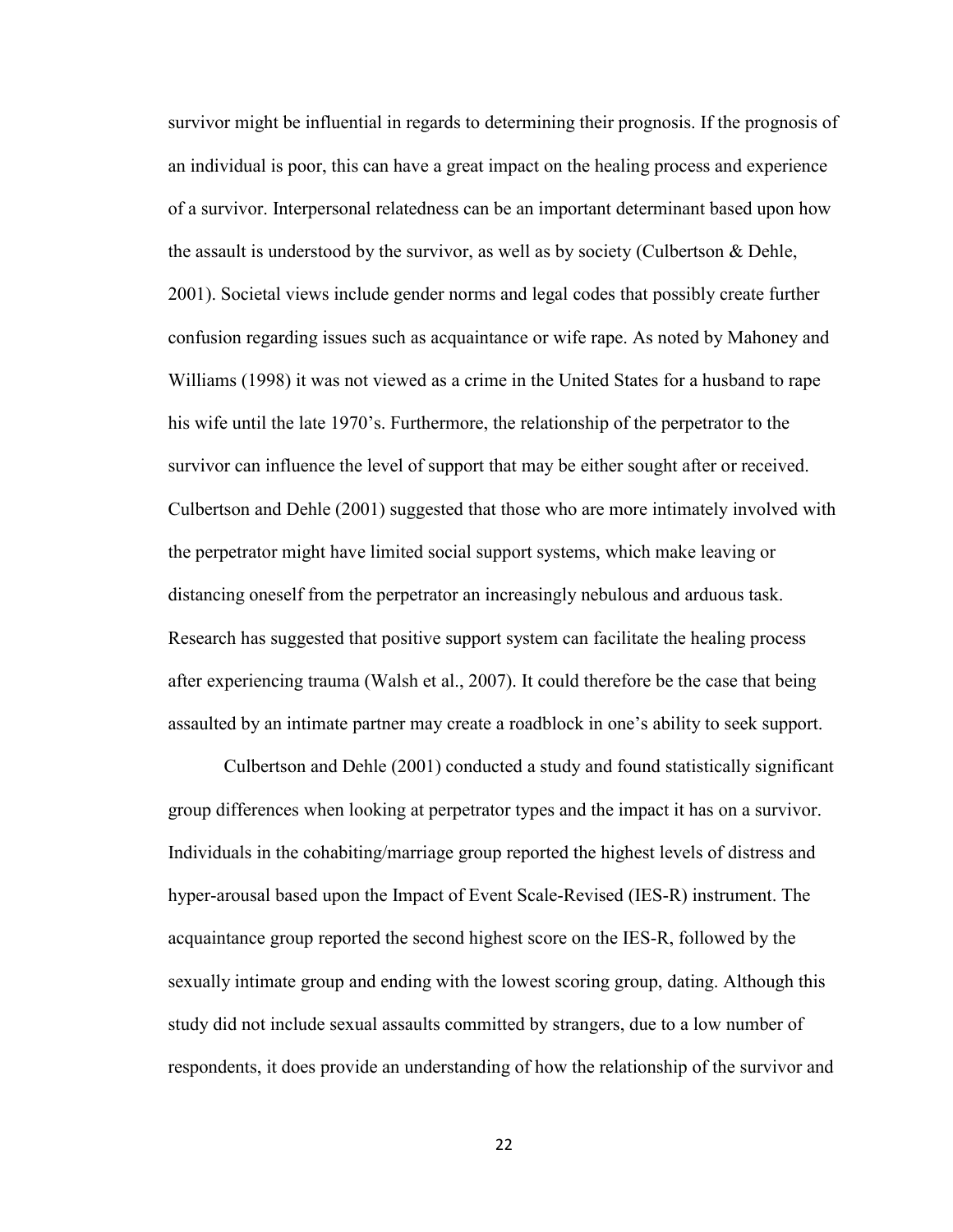survivor might be influential in regards to determining their prognosis. If the prognosis of an individual is poor, this can have a great impact on the healing process and experience of a survivor. Interpersonal relatedness can be an important determinant based upon how the assault is understood by the survivor, as well as by society (Culbertson & Dehle, 2001). Societal views include gender norms and legal codes that possibly create further confusion regarding issues such as acquaintance or wife rape. As noted by Mahoney and Williams (1998) it was not viewed as a crime in the United States for a husband to rape his wife until the late 1970's. Furthermore, the relationship of the perpetrator to the survivor can influence the level of support that may be either sought after or received. Culbertson and Dehle (2001) suggested that those who are more intimately involved with the perpetrator might have limited social support systems, which make leaving or distancing oneself from the perpetrator an increasingly nebulous and arduous task. Research has suggested that positive support system can facilitate the healing process after experiencing trauma (Walsh et al., 2007). It could therefore be the case that being assaulted by an intimate partner may create a roadblock in one's ability to seek support.

 Culbertson and Dehle (2001) conducted a study and found statistically significant group differences when looking at perpetrator types and the impact it has on a survivor. Individuals in the cohabiting/marriage group reported the highest levels of distress and hyper-arousal based upon the Impact of Event Scale-Revised (IES-R) instrument. The acquaintance group reported the second highest score on the IES-R, followed by the sexually intimate group and ending with the lowest scoring group, dating. Although this study did not include sexual assaults committed by strangers, due to a low number of respondents, it does provide an understanding of how the relationship of the survivor and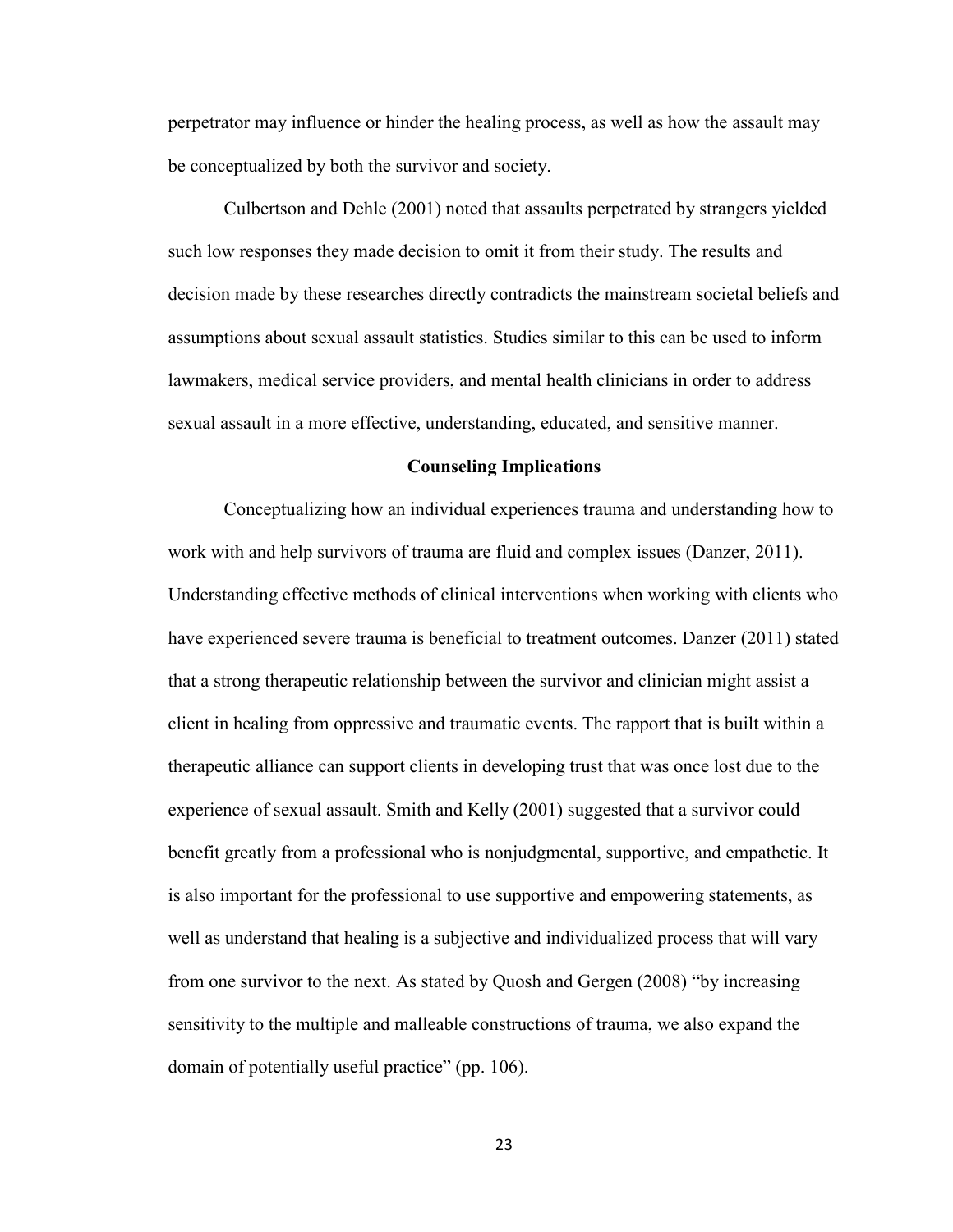perpetrator may influence or hinder the healing process, as well as how the assault may be conceptualized by both the survivor and society.

Culbertson and Dehle (2001) noted that assaults perpetrated by strangers yielded such low responses they made decision to omit it from their study. The results and decision made by these researches directly contradicts the mainstream societal beliefs and assumptions about sexual assault statistics. Studies similar to this can be used to inform lawmakers, medical service providers, and mental health clinicians in order to address sexual assault in a more effective, understanding, educated, and sensitive manner.

## **Counseling Implications**

 Conceptualizing how an individual experiences trauma and understanding how to work with and help survivors of trauma are fluid and complex issues (Danzer, 2011). Understanding effective methods of clinical interventions when working with clients who have experienced severe trauma is beneficial to treatment outcomes. Danzer (2011) stated that a strong therapeutic relationship between the survivor and clinician might assist a client in healing from oppressive and traumatic events. The rapport that is built within a therapeutic alliance can support clients in developing trust that was once lost due to the experience of sexual assault. Smith and Kelly (2001) suggested that a survivor could benefit greatly from a professional who is nonjudgmental, supportive, and empathetic. It is also important for the professional to use supportive and empowering statements, as well as understand that healing is a subjective and individualized process that will vary from one survivor to the next. As stated by Quosh and Gergen (2008) "by increasing sensitivity to the multiple and malleable constructions of trauma, we also expand the domain of potentially useful practice" (pp. 106).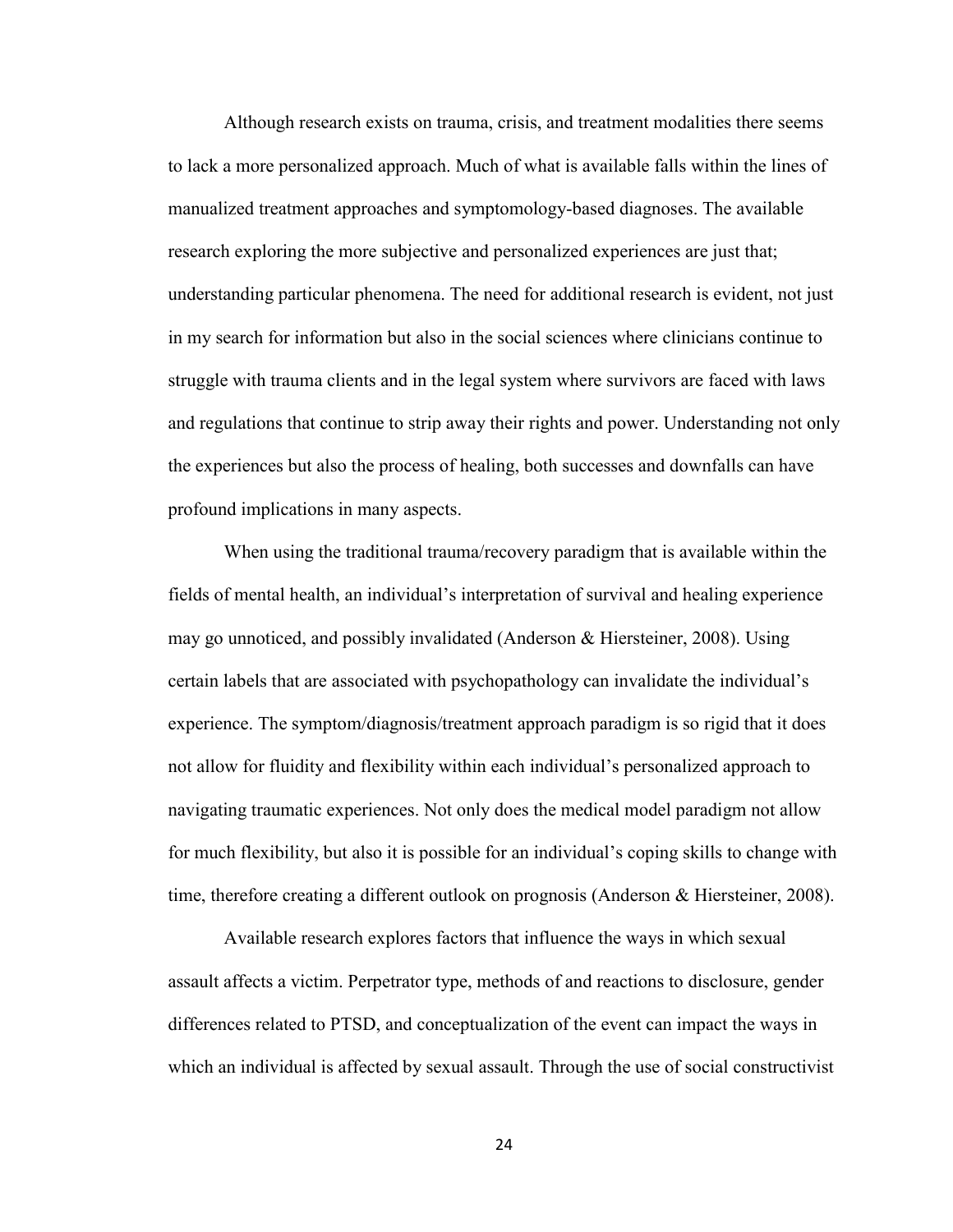Although research exists on trauma, crisis, and treatment modalities there seems to lack a more personalized approach. Much of what is available falls within the lines of manualized treatment approaches and symptomology-based diagnoses. The available research exploring the more subjective and personalized experiences are just that; understanding particular phenomena. The need for additional research is evident, not just in my search for information but also in the social sciences where clinicians continue to struggle with trauma clients and in the legal system where survivors are faced with laws and regulations that continue to strip away their rights and power. Understanding not only the experiences but also the process of healing, both successes and downfalls can have profound implications in many aspects.

When using the traditional trauma/recovery paradigm that is available within the fields of mental health, an individual's interpretation of survival and healing experience may go unnoticed, and possibly invalidated (Anderson & Hiersteiner, 2008). Using certain labels that are associated with psychopathology can invalidate the individual's experience. The symptom/diagnosis/treatment approach paradigm is so rigid that it does not allow for fluidity and flexibility within each individual's personalized approach to navigating traumatic experiences. Not only does the medical model paradigm not allow for much flexibility, but also it is possible for an individual's coping skills to change with time, therefore creating a different outlook on prognosis (Anderson & Hiersteiner, 2008).

Available research explores factors that influence the ways in which sexual assault affects a victim. Perpetrator type, methods of and reactions to disclosure, gender differences related to PTSD, and conceptualization of the event can impact the ways in which an individual is affected by sexual assault. Through the use of social constructivist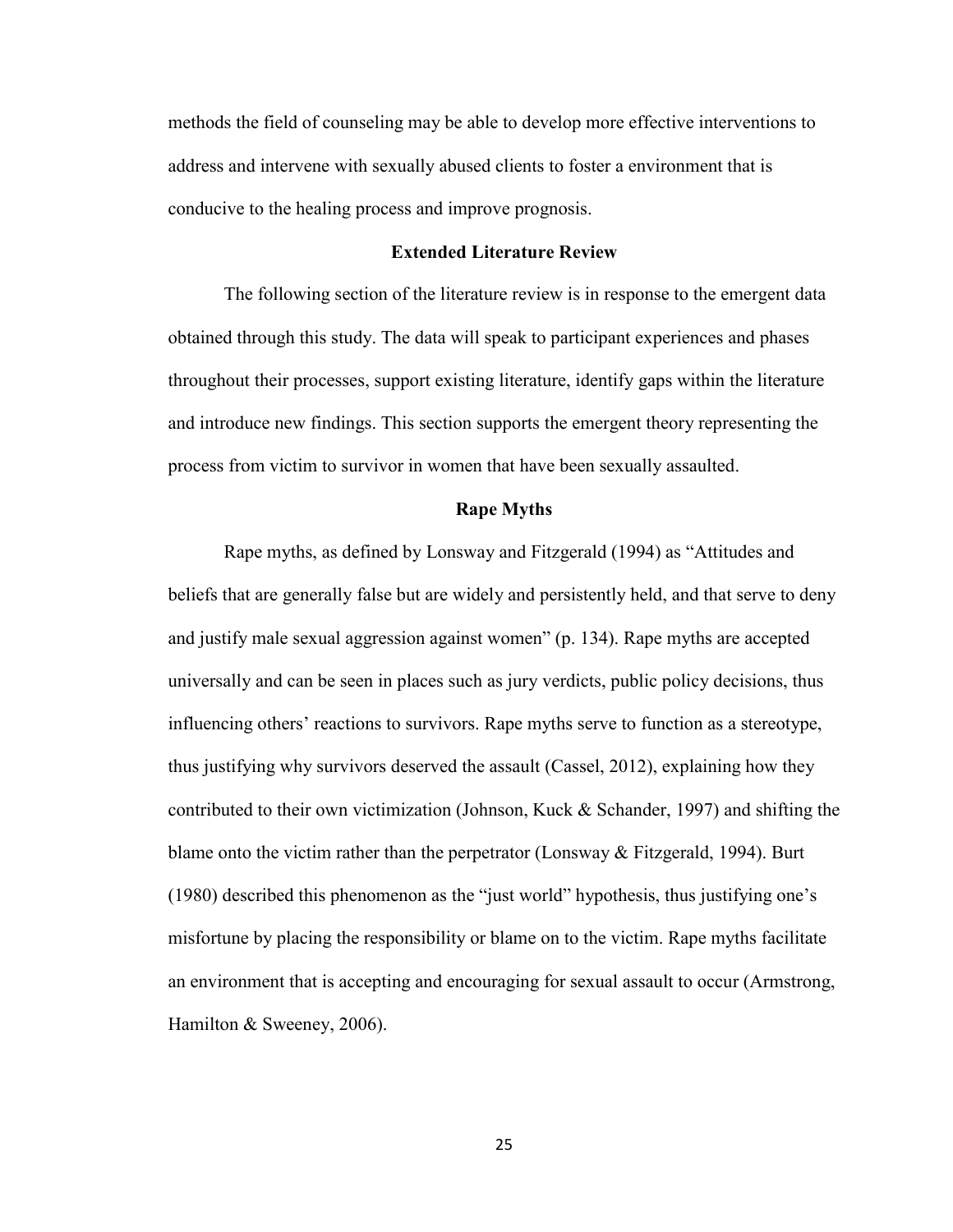methods the field of counseling may be able to develop more effective interventions to address and intervene with sexually abused clients to foster a environment that is conducive to the healing process and improve prognosis.

### **Extended Literature Review**

The following section of the literature review is in response to the emergent data obtained through this study. The data will speak to participant experiences and phases throughout their processes, support existing literature, identify gaps within the literature and introduce new findings. This section supports the emergent theory representing the process from victim to survivor in women that have been sexually assaulted.

#### **Rape Myths**

Rape myths, as defined by Lonsway and Fitzgerald (1994) as "Attitudes and beliefs that are generally false but are widely and persistently held, and that serve to deny and justify male sexual aggression against women" (p. 134). Rape myths are accepted universally and can be seen in places such as jury verdicts, public policy decisions, thus influencing others' reactions to survivors. Rape myths serve to function as a stereotype, thus justifying why survivors deserved the assault (Cassel, 2012), explaining how they contributed to their own victimization (Johnson, Kuck  $\&$  Schander, 1997) and shifting the blame onto the victim rather than the perpetrator (Lonsway  $\&$  Fitzgerald, 1994). Burt (1980) described this phenomenon as the "just world" hypothesis, thus justifying one's misfortune by placing the responsibility or blame on to the victim. Rape myths facilitate an environment that is accepting and encouraging for sexual assault to occur (Armstrong, Hamilton & Sweeney, 2006).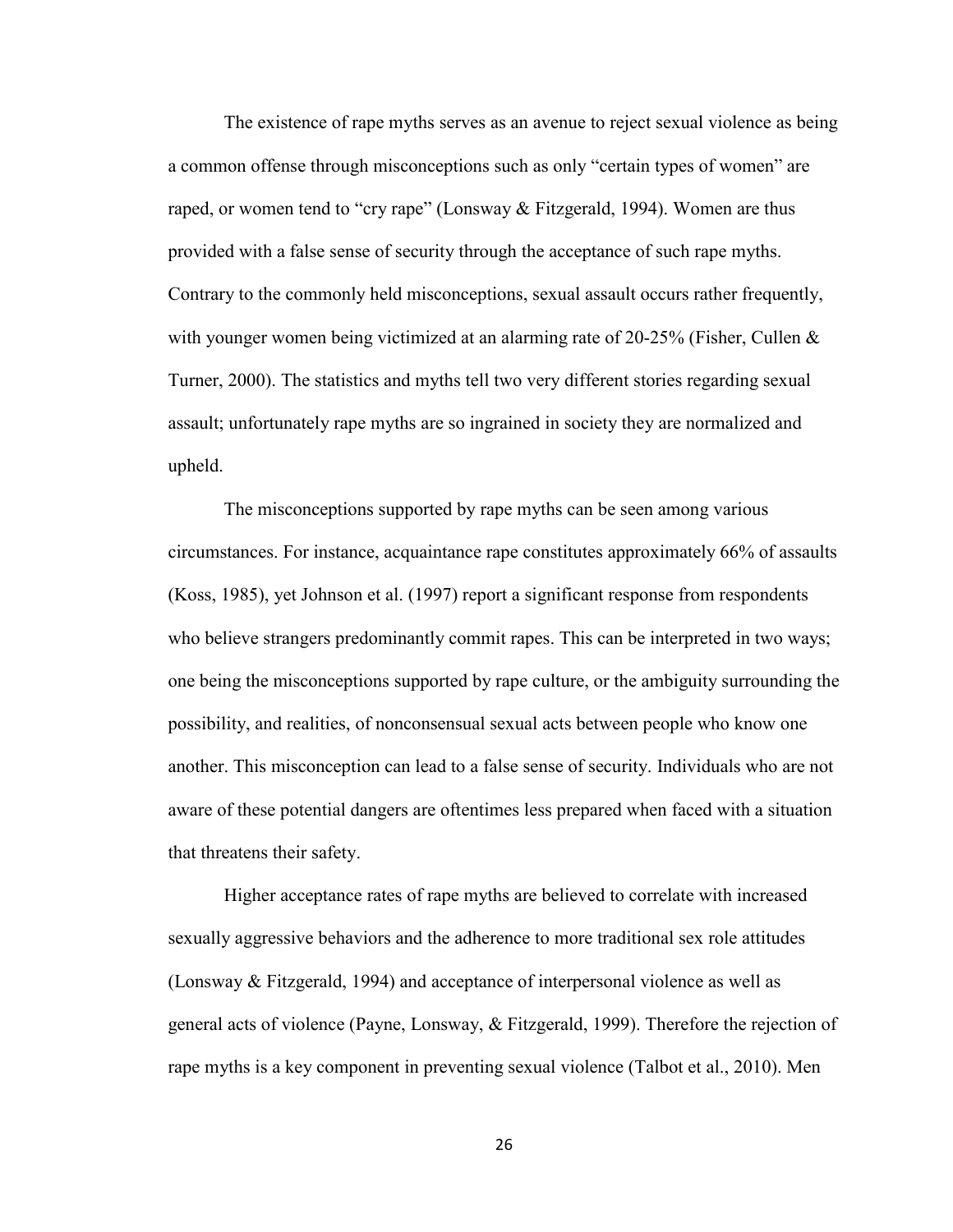The existence of rape myths serves as an avenue to reject sexual violence as being a common offense through misconceptions such as only "certain types of women" are raped, or women tend to "cry rape" (Lonsway  $\&$  Fitzgerald, 1994). Women are thus provided with a false sense of security through the acceptance of such rape myths. Contrary to the commonly held misconceptions, sexual assault occurs rather frequently, with younger women being victimized at an alarming rate of 20-25% (Fisher, Cullen  $\&$ Turner, 2000). The statistics and myths tell two very different stories regarding sexual assault; unfortunately rape myths are so ingrained in society they are normalized and upheld.

The misconceptions supported by rape myths can be seen among various circumstances. For instance, acquaintance rape constitutes approximately 66% of assaults (Koss, 1985), yet Johnson et al. (1997) report a significant response from respondents who believe strangers predominantly commit rapes. This can be interpreted in two ways; one being the misconceptions supported by rape culture, or the ambiguity surrounding the possibility, and realities, of nonconsensual sexual acts between people who know one another. This misconception can lead to a false sense of security. Individuals who are not aware of these potential dangers are oftentimes less prepared when faced with a situation that threatens their safety.

Higher acceptance rates of rape myths are believed to correlate with increased sexually aggressive behaviors and the adherence to more traditional sex role attitudes (Lonsway & Fitzgerald, 1994) and acceptance of interpersonal violence as well as general acts of violence (Payne, Lonsway, & Fitzgerald, 1999). Therefore the rejection of rape myths is a key component in preventing sexual violence (Talbot et al., 2010). Men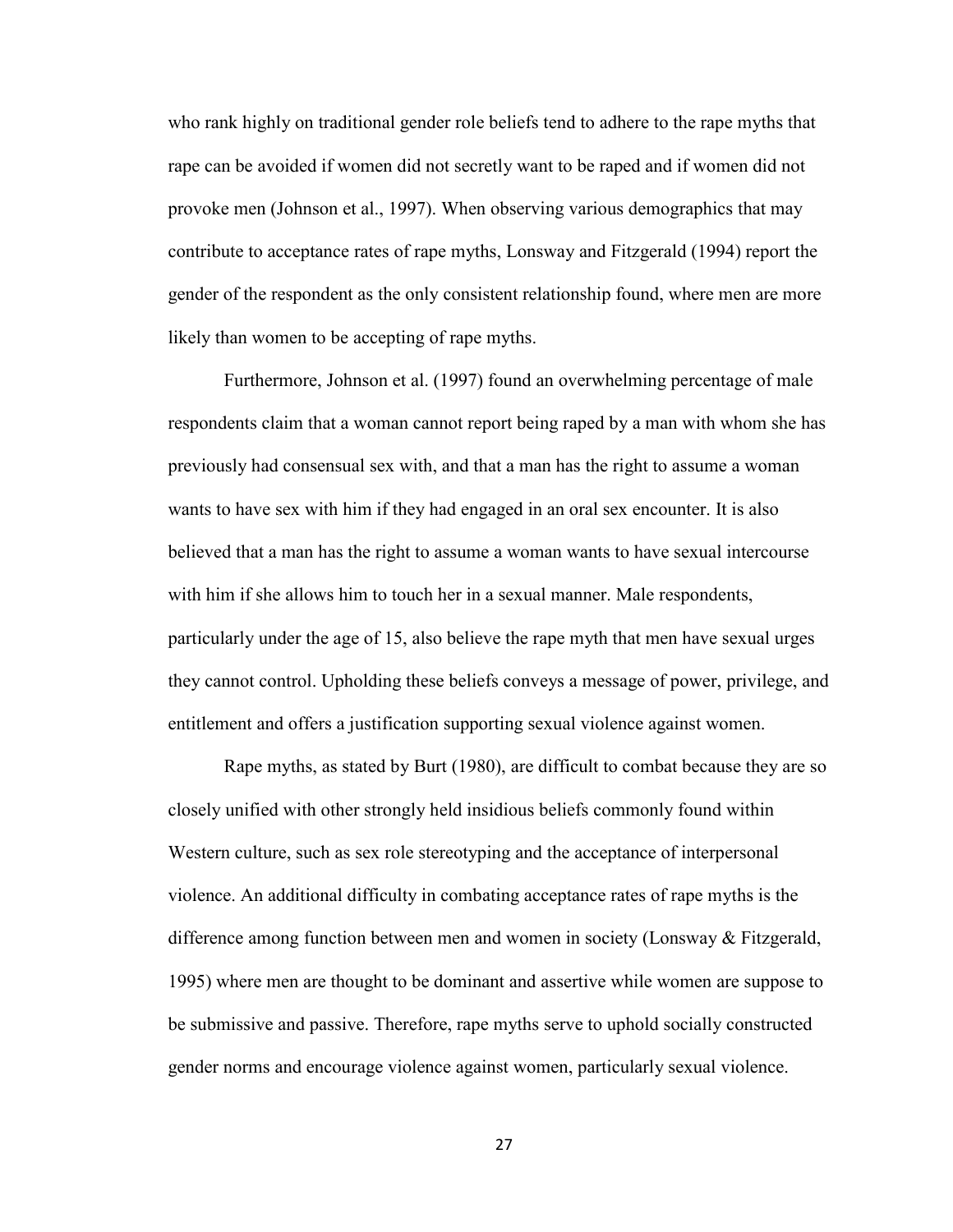who rank highly on traditional gender role beliefs tend to adhere to the rape myths that rape can be avoided if women did not secretly want to be raped and if women did not provoke men (Johnson et al., 1997). When observing various demographics that may contribute to acceptance rates of rape myths, Lonsway and Fitzgerald (1994) report the gender of the respondent as the only consistent relationship found, where men are more likely than women to be accepting of rape myths.

Furthermore, Johnson et al. (1997) found an overwhelming percentage of male respondents claim that a woman cannot report being raped by a man with whom she has previously had consensual sex with, and that a man has the right to assume a woman wants to have sex with him if they had engaged in an oral sex encounter. It is also believed that a man has the right to assume a woman wants to have sexual intercourse with him if she allows him to touch her in a sexual manner. Male respondents, particularly under the age of 15, also believe the rape myth that men have sexual urges they cannot control. Upholding these beliefs conveys a message of power, privilege, and entitlement and offers a justification supporting sexual violence against women.

Rape myths, as stated by Burt (1980), are difficult to combat because they are so closely unified with other strongly held insidious beliefs commonly found within Western culture, such as sex role stereotyping and the acceptance of interpersonal violence. An additional difficulty in combating acceptance rates of rape myths is the difference among function between men and women in society (Lonsway & Fitzgerald, 1995) where men are thought to be dominant and assertive while women are suppose to be submissive and passive. Therefore, rape myths serve to uphold socially constructed gender norms and encourage violence against women, particularly sexual violence.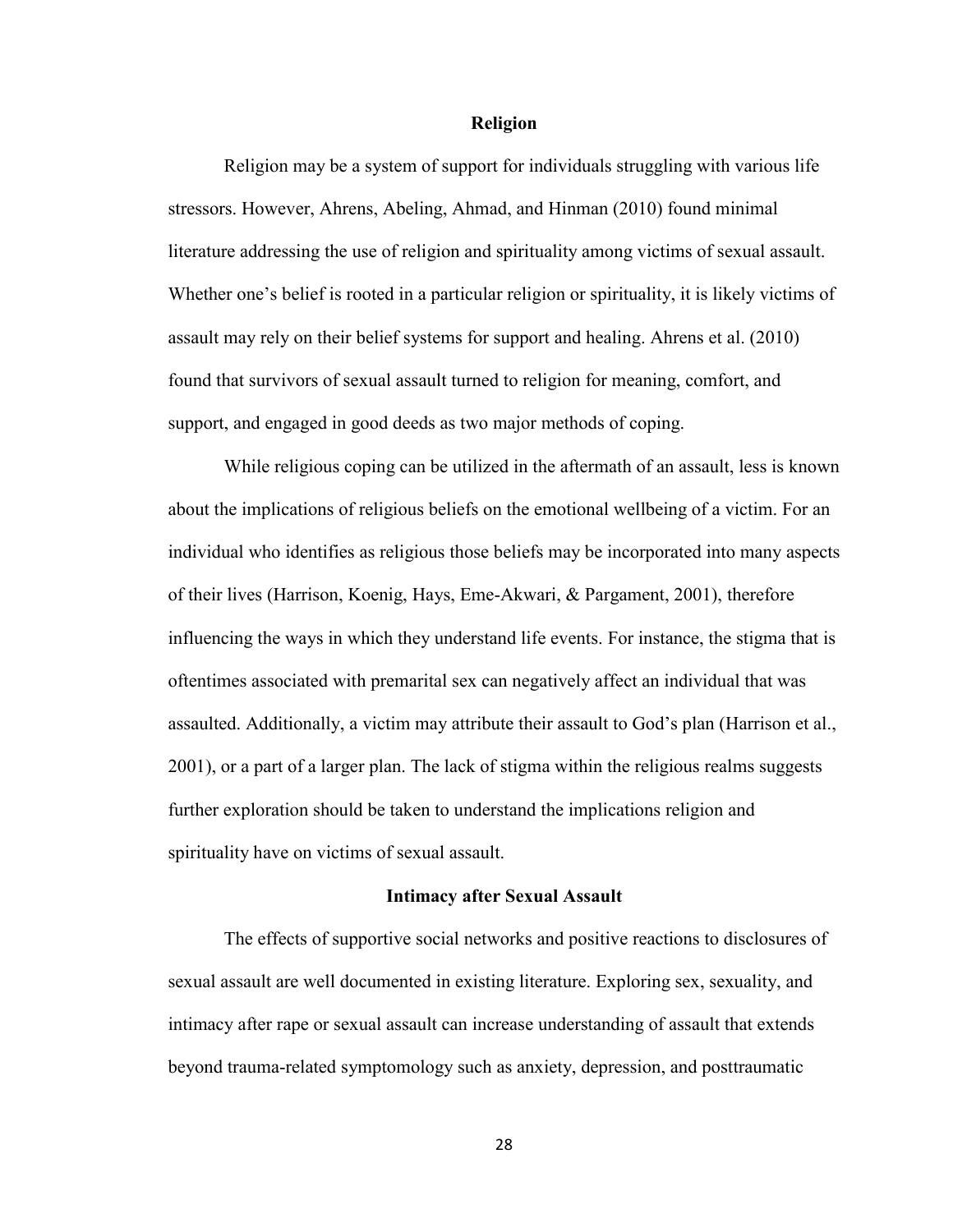#### **Religion**

Religion may be a system of support for individuals struggling with various life stressors. However, Ahrens, Abeling, Ahmad, and Hinman (2010) found minimal literature addressing the use of religion and spirituality among victims of sexual assault. Whether one's belief is rooted in a particular religion or spirituality, it is likely victims of assault may rely on their belief systems for support and healing. Ahrens et al. (2010) found that survivors of sexual assault turned to religion for meaning, comfort, and support, and engaged in good deeds as two major methods of coping.

While religious coping can be utilized in the aftermath of an assault, less is known about the implications of religious beliefs on the emotional wellbeing of a victim. For an individual who identifies as religious those beliefs may be incorporated into many aspects of their lives (Harrison, Koenig, Hays, Eme-Akwari, & Pargament, 2001), therefore influencing the ways in which they understand life events. For instance, the stigma that is oftentimes associated with premarital sex can negatively affect an individual that was assaulted. Additionally, a victim may attribute their assault to God's plan (Harrison et al., 2001), or a part of a larger plan. The lack of stigma within the religious realms suggests further exploration should be taken to understand the implications religion and spirituality have on victims of sexual assault.

#### **Intimacy after Sexual Assault**

The effects of supportive social networks and positive reactions to disclosures of sexual assault are well documented in existing literature. Exploring sex, sexuality, and intimacy after rape or sexual assault can increase understanding of assault that extends beyond trauma-related symptomology such as anxiety, depression, and posttraumatic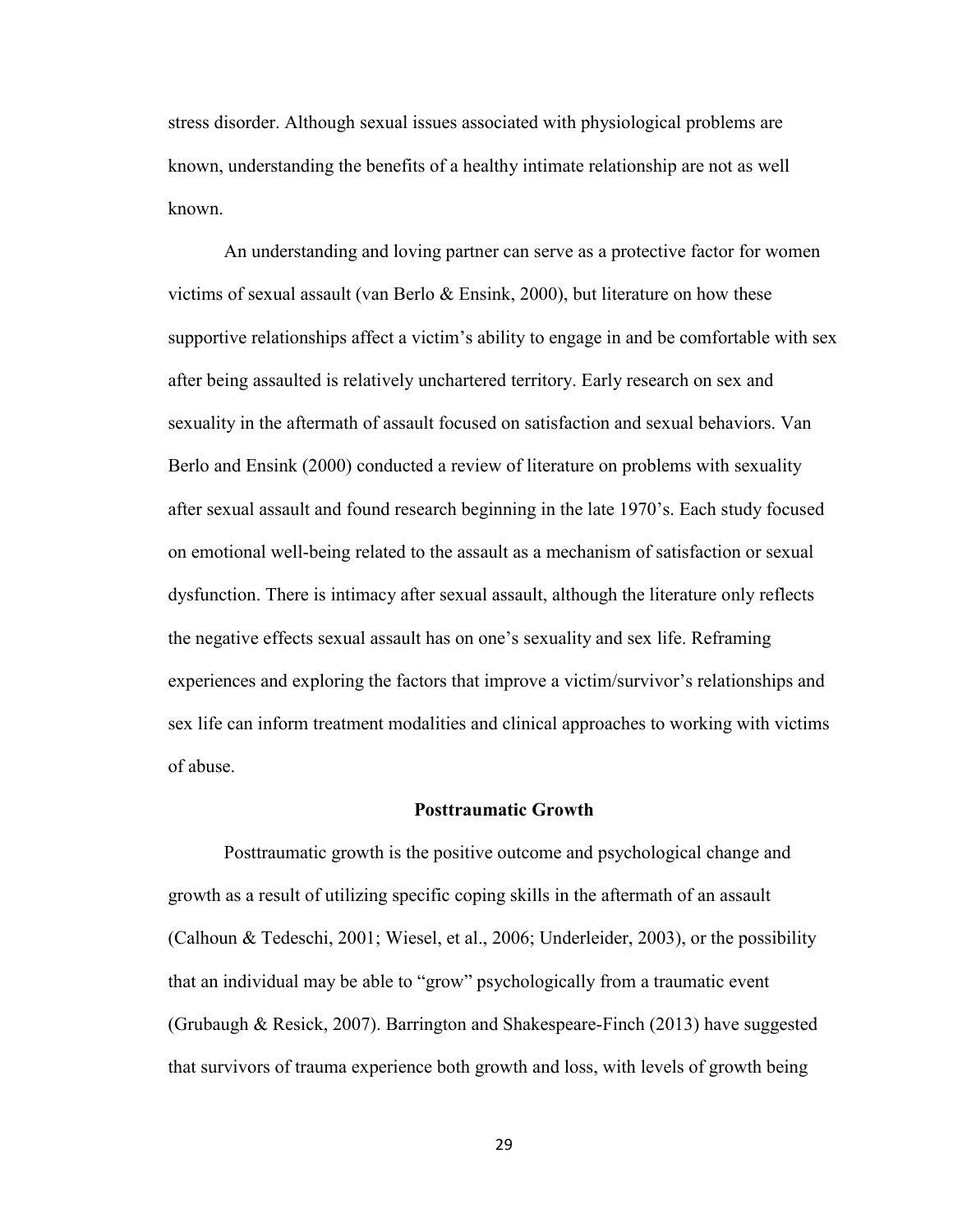stress disorder. Although sexual issues associated with physiological problems are known, understanding the benefits of a healthy intimate relationship are not as well known.

 An understanding and loving partner can serve as a protective factor for women victims of sexual assault (van Berlo & Ensink, 2000), but literature on how these supportive relationships affect a victim's ability to engage in and be comfortable with sex after being assaulted is relatively unchartered territory. Early research on sex and sexuality in the aftermath of assault focused on satisfaction and sexual behaviors. Van Berlo and Ensink (2000) conducted a review of literature on problems with sexuality after sexual assault and found research beginning in the late 1970's. Each study focused on emotional well-being related to the assault as a mechanism of satisfaction or sexual dysfunction. There is intimacy after sexual assault, although the literature only reflects the negative effects sexual assault has on one's sexuality and sex life. Reframing experiences and exploring the factors that improve a victim/survivor's relationships and sex life can inform treatment modalities and clinical approaches to working with victims of abuse.

#### **Posttraumatic Growth**

Posttraumatic growth is the positive outcome and psychological change and growth as a result of utilizing specific coping skills in the aftermath of an assault (Calhoun & Tedeschi, 2001; Wiesel, et al., 2006; Underleider, 2003), or the possibility that an individual may be able to "grow" psychologically from a traumatic event (Grubaugh & Resick, 2007). Barrington and Shakespeare-Finch (2013) have suggested that survivors of trauma experience both growth and loss, with levels of growth being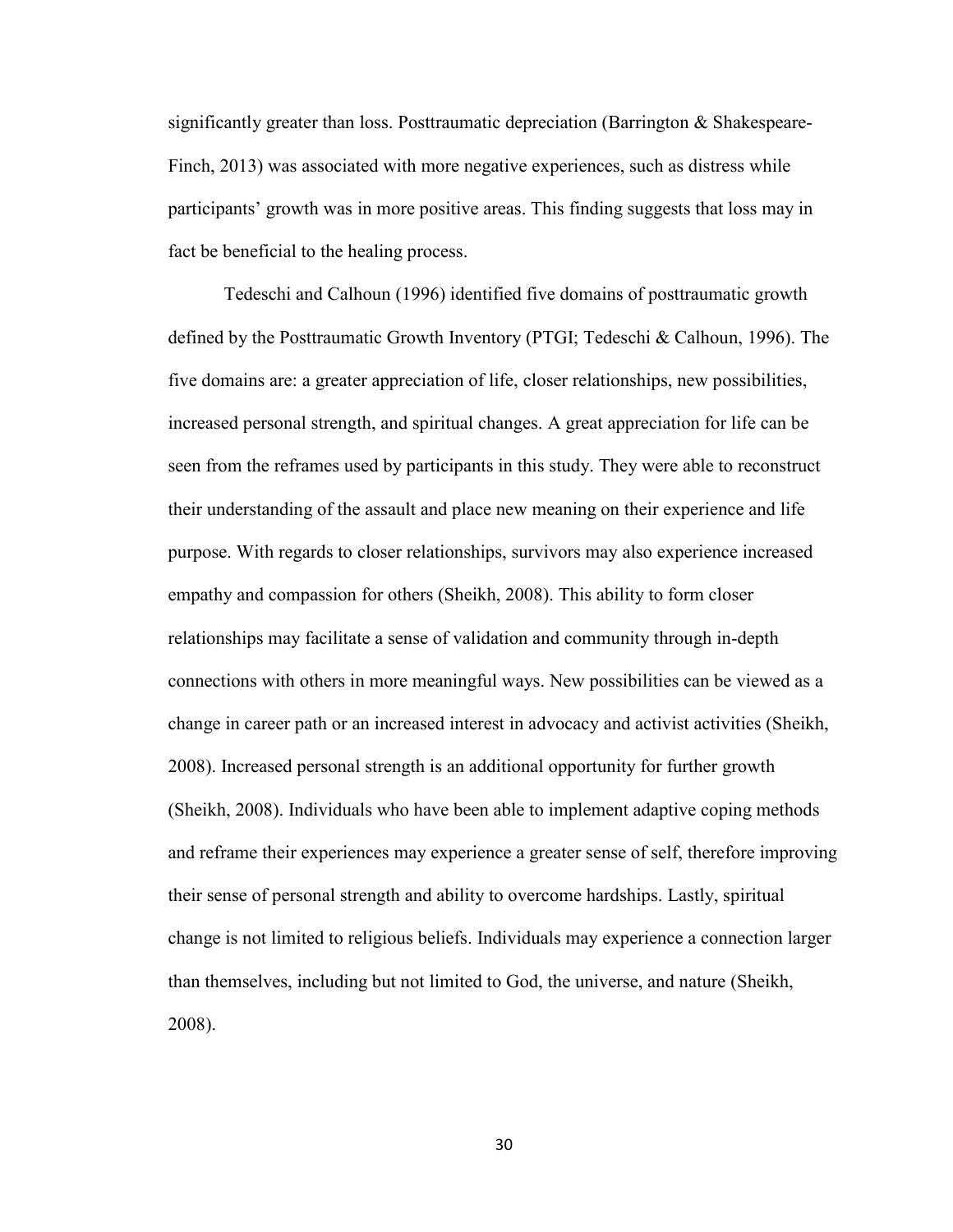significantly greater than loss. Posttraumatic depreciation (Barrington & Shakespeare-Finch, 2013) was associated with more negative experiences, such as distress while participants' growth was in more positive areas. This finding suggests that loss may in fact be beneficial to the healing process.

 Tedeschi and Calhoun (1996) identified five domains of posttraumatic growth defined by the Posttraumatic Growth Inventory (PTGI; Tedeschi & Calhoun, 1996). The five domains are: a greater appreciation of life, closer relationships, new possibilities, increased personal strength, and spiritual changes. A great appreciation for life can be seen from the reframes used by participants in this study. They were able to reconstruct their understanding of the assault and place new meaning on their experience and life purpose. With regards to closer relationships, survivors may also experience increased empathy and compassion for others (Sheikh, 2008). This ability to form closer relationships may facilitate a sense of validation and community through in-depth connections with others in more meaningful ways. New possibilities can be viewed as a change in career path or an increased interest in advocacy and activist activities (Sheikh, 2008). Increased personal strength is an additional opportunity for further growth (Sheikh, 2008). Individuals who have been able to implement adaptive coping methods and reframe their experiences may experience a greater sense of self, therefore improving their sense of personal strength and ability to overcome hardships. Lastly, spiritual change is not limited to religious beliefs. Individuals may experience a connection larger than themselves, including but not limited to God, the universe, and nature (Sheikh, 2008).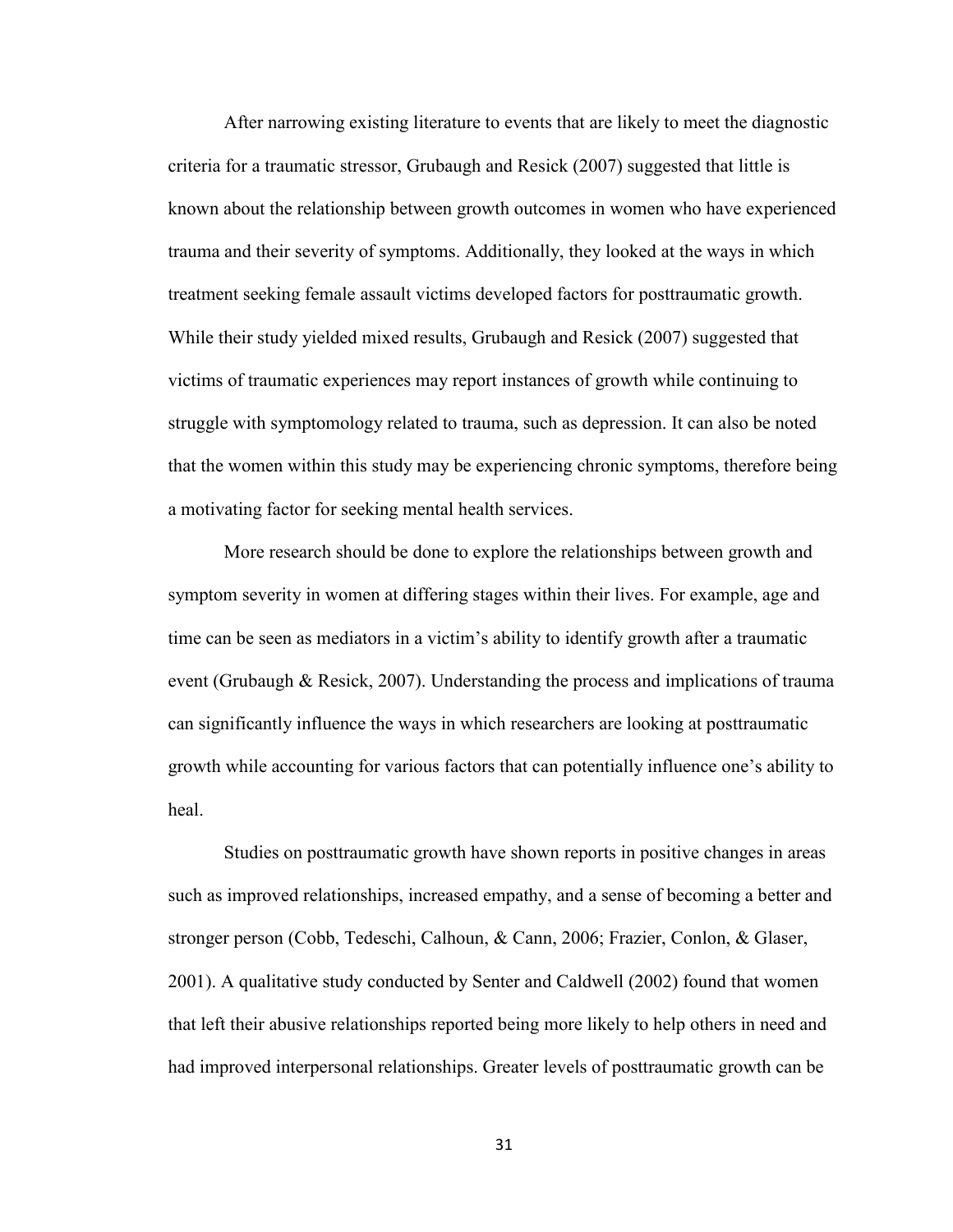After narrowing existing literature to events that are likely to meet the diagnostic criteria for a traumatic stressor, Grubaugh and Resick (2007) suggested that little is known about the relationship between growth outcomes in women who have experienced trauma and their severity of symptoms. Additionally, they looked at the ways in which treatment seeking female assault victims developed factors for posttraumatic growth. While their study yielded mixed results, Grubaugh and Resick (2007) suggested that victims of traumatic experiences may report instances of growth while continuing to struggle with symptomology related to trauma, such as depression. It can also be noted that the women within this study may be experiencing chronic symptoms, therefore being a motivating factor for seeking mental health services.

More research should be done to explore the relationships between growth and symptom severity in women at differing stages within their lives. For example, age and time can be seen as mediators in a victim's ability to identify growth after a traumatic event (Grubaugh & Resick, 2007). Understanding the process and implications of trauma can significantly influence the ways in which researchers are looking at posttraumatic growth while accounting for various factors that can potentially influence one's ability to heal.

Studies on posttraumatic growth have shown reports in positive changes in areas such as improved relationships, increased empathy, and a sense of becoming a better and stronger person (Cobb, Tedeschi, Calhoun, & Cann, 2006; Frazier, Conlon, & Glaser, 2001). A qualitative study conducted by Senter and Caldwell (2002) found that women that left their abusive relationships reported being more likely to help others in need and had improved interpersonal relationships. Greater levels of posttraumatic growth can be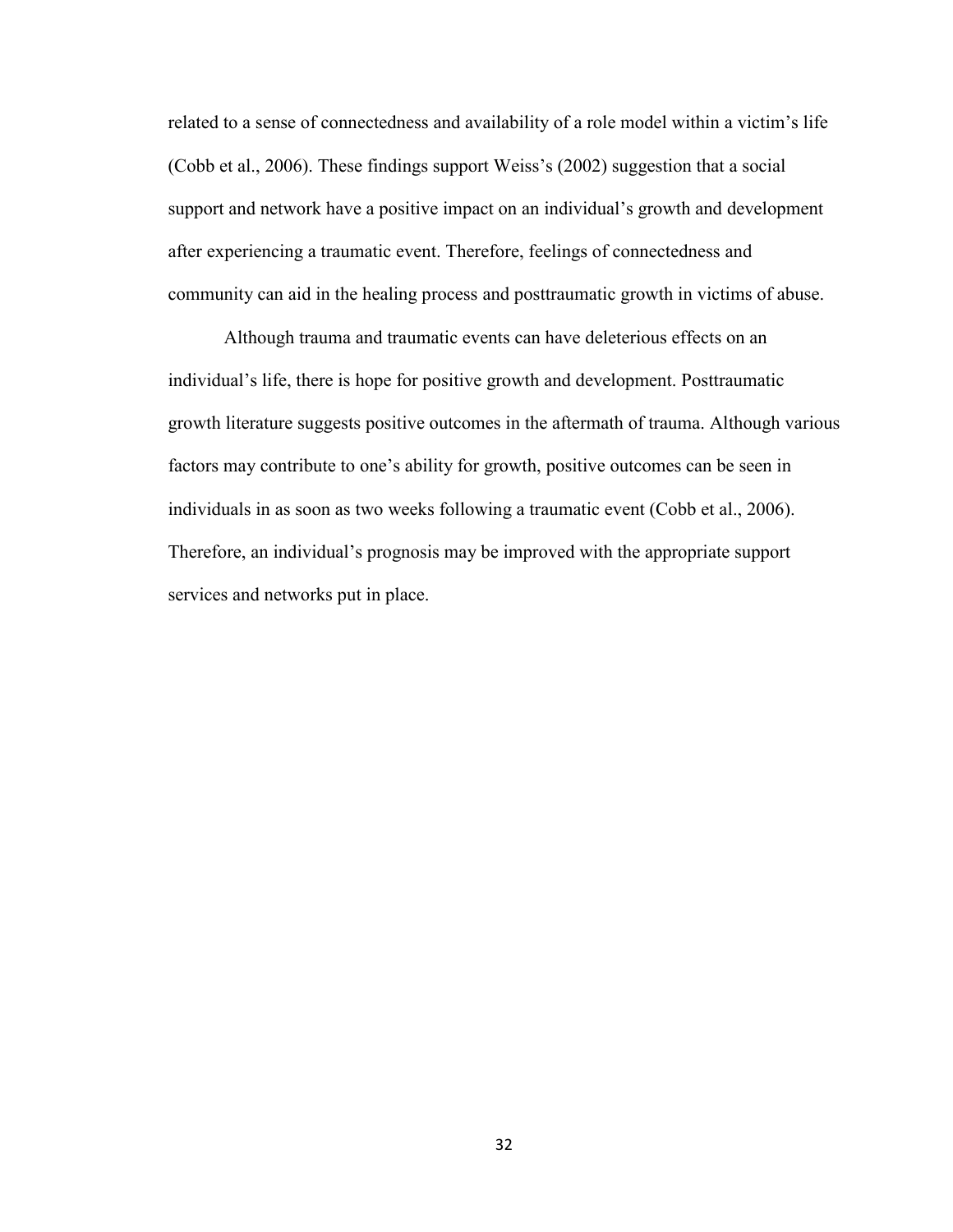related to a sense of connectedness and availability of a role model within a victim's life (Cobb et al., 2006). These findings support Weiss's (2002) suggestion that a social support and network have a positive impact on an individual's growth and development after experiencing a traumatic event. Therefore, feelings of connectedness and community can aid in the healing process and posttraumatic growth in victims of abuse.

Although trauma and traumatic events can have deleterious effects on an individual's life, there is hope for positive growth and development. Posttraumatic growth literature suggests positive outcomes in the aftermath of trauma. Although various factors may contribute to one's ability for growth, positive outcomes can be seen in individuals in as soon as two weeks following a traumatic event (Cobb et al., 2006). Therefore, an individual's prognosis may be improved with the appropriate support services and networks put in place.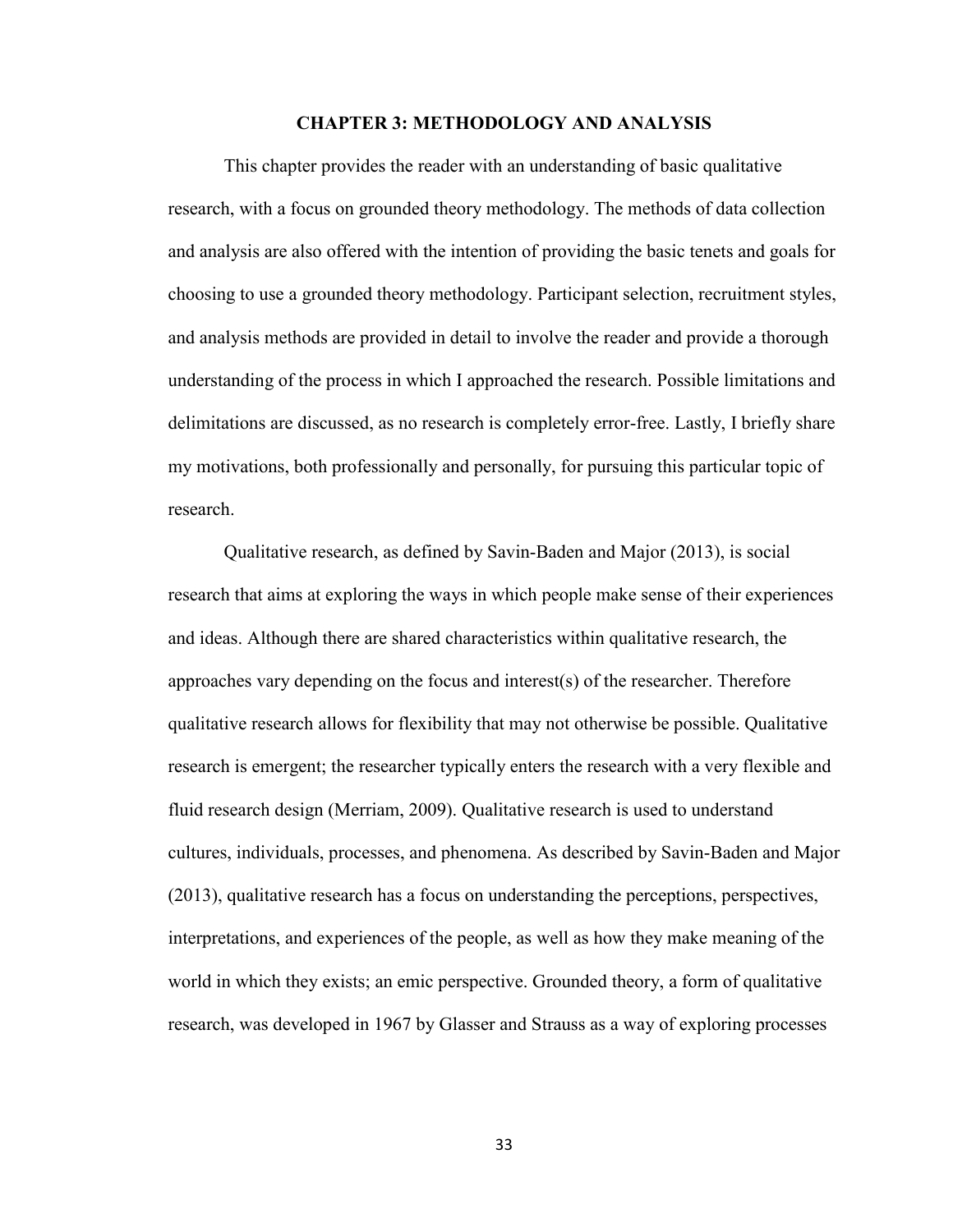#### **CHAPTER 3: METHODOLOGY AND ANALYSIS**

 This chapter provides the reader with an understanding of basic qualitative research, with a focus on grounded theory methodology. The methods of data collection and analysis are also offered with the intention of providing the basic tenets and goals for choosing to use a grounded theory methodology. Participant selection, recruitment styles, and analysis methods are provided in detail to involve the reader and provide a thorough understanding of the process in which I approached the research. Possible limitations and delimitations are discussed, as no research is completely error-free. Lastly, I briefly share my motivations, both professionally and personally, for pursuing this particular topic of research.

Qualitative research, as defined by Savin-Baden and Major (2013), is social research that aims at exploring the ways in which people make sense of their experiences and ideas. Although there are shared characteristics within qualitative research, the approaches vary depending on the focus and interest(s) of the researcher. Therefore qualitative research allows for flexibility that may not otherwise be possible. Qualitative research is emergent; the researcher typically enters the research with a very flexible and fluid research design (Merriam, 2009). Qualitative research is used to understand cultures, individuals, processes, and phenomena. As described by Savin-Baden and Major (2013), qualitative research has a focus on understanding the perceptions, perspectives, interpretations, and experiences of the people, as well as how they make meaning of the world in which they exists; an emic perspective. Grounded theory, a form of qualitative research, was developed in 1967 by Glasser and Strauss as a way of exploring processes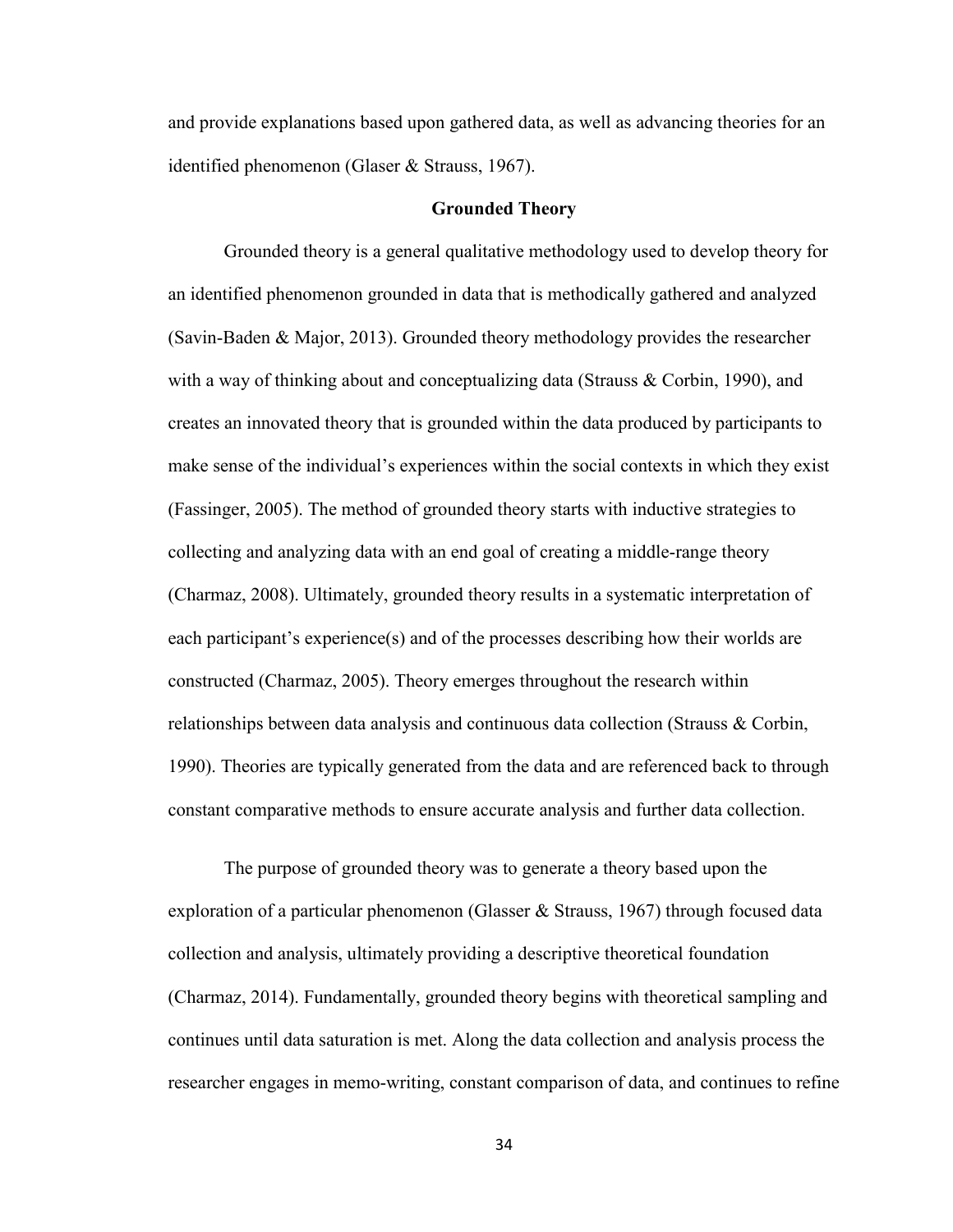and provide explanations based upon gathered data, as well as advancing theories for an identified phenomenon (Glaser & Strauss, 1967).

#### **Grounded Theory**

Grounded theory is a general qualitative methodology used to develop theory for an identified phenomenon grounded in data that is methodically gathered and analyzed (Savin-Baden & Major, 2013). Grounded theory methodology provides the researcher with a way of thinking about and conceptualizing data (Strauss & Corbin, 1990), and creates an innovated theory that is grounded within the data produced by participants to make sense of the individual's experiences within the social contexts in which they exist (Fassinger, 2005). The method of grounded theory starts with inductive strategies to collecting and analyzing data with an end goal of creating a middle-range theory (Charmaz, 2008). Ultimately, grounded theory results in a systematic interpretation of each participant's experience(s) and of the processes describing how their worlds are constructed (Charmaz, 2005). Theory emerges throughout the research within relationships between data analysis and continuous data collection (Strauss & Corbin, 1990). Theories are typically generated from the data and are referenced back to through constant comparative methods to ensure accurate analysis and further data collection.

The purpose of grounded theory was to generate a theory based upon the exploration of a particular phenomenon (Glasser & Strauss, 1967) through focused data collection and analysis, ultimately providing a descriptive theoretical foundation (Charmaz, 2014). Fundamentally, grounded theory begins with theoretical sampling and continues until data saturation is met. Along the data collection and analysis process the researcher engages in memo-writing, constant comparison of data, and continues to refine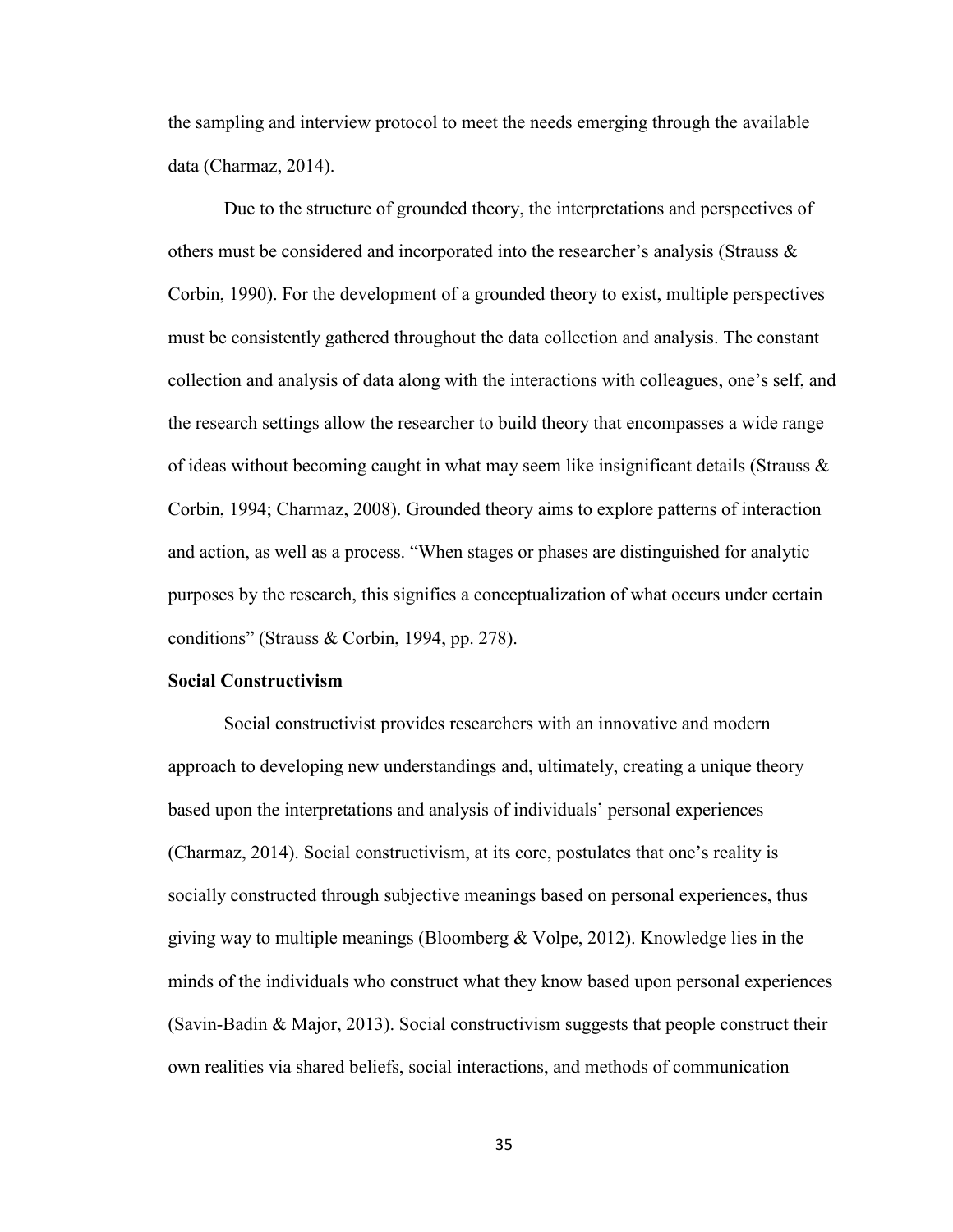the sampling and interview protocol to meet the needs emerging through the available data (Charmaz, 2014).

Due to the structure of grounded theory, the interpretations and perspectives of others must be considered and incorporated into the researcher's analysis (Strauss  $\&$ Corbin, 1990). For the development of a grounded theory to exist, multiple perspectives must be consistently gathered throughout the data collection and analysis. The constant collection and analysis of data along with the interactions with colleagues, one's self, and the research settings allow the researcher to build theory that encompasses a wide range of ideas without becoming caught in what may seem like insignificant details (Strauss  $\&$ Corbin, 1994; Charmaz, 2008). Grounded theory aims to explore patterns of interaction and action, as well as a process. "When stages or phases are distinguished for analytic purposes by the research, this signifies a conceptualization of what occurs under certain conditions" (Strauss & Corbin, 1994, pp. 278).

#### **Social Constructivism**

Social constructivist provides researchers with an innovative and modern approach to developing new understandings and, ultimately, creating a unique theory based upon the interpretations and analysis of individuals' personal experiences (Charmaz, 2014). Social constructivism, at its core, postulates that one's reality is socially constructed through subjective meanings based on personal experiences, thus giving way to multiple meanings (Bloomberg  $& \text{Volpe}, 2012$ ). Knowledge lies in the minds of the individuals who construct what they know based upon personal experiences (Savin-Badin & Major, 2013). Social constructivism suggests that people construct their own realities via shared beliefs, social interactions, and methods of communication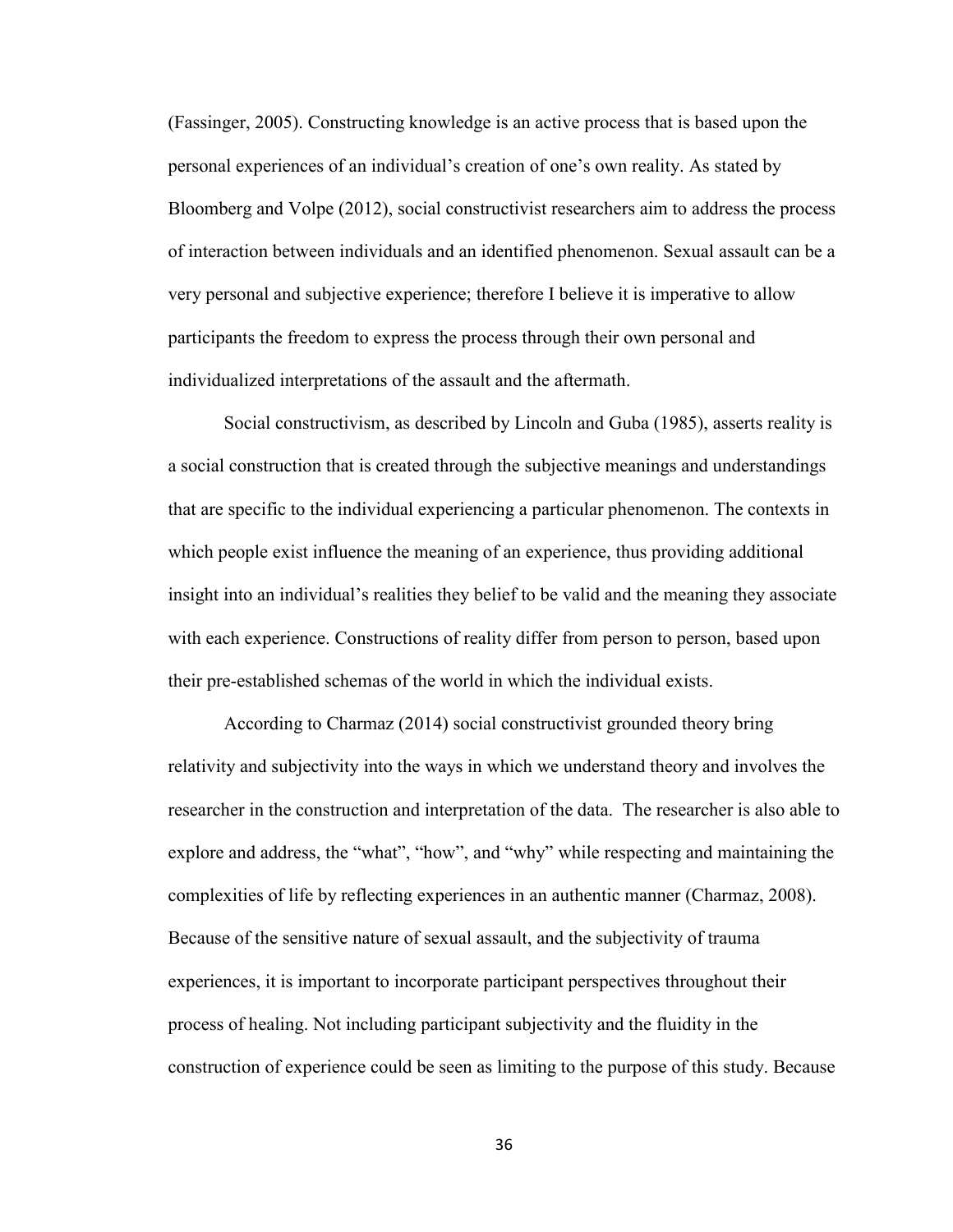(Fassinger, 2005). Constructing knowledge is an active process that is based upon the personal experiences of an individual's creation of one's own reality. As stated by Bloomberg and Volpe (2012), social constructivist researchers aim to address the process of interaction between individuals and an identified phenomenon. Sexual assault can be a very personal and subjective experience; therefore I believe it is imperative to allow participants the freedom to express the process through their own personal and individualized interpretations of the assault and the aftermath.

Social constructivism, as described by Lincoln and Guba (1985), asserts reality is a social construction that is created through the subjective meanings and understandings that are specific to the individual experiencing a particular phenomenon. The contexts in which people exist influence the meaning of an experience, thus providing additional insight into an individual's realities they belief to be valid and the meaning they associate with each experience. Constructions of reality differ from person to person, based upon their pre-established schemas of the world in which the individual exists.

According to Charmaz (2014) social constructivist grounded theory bring relativity and subjectivity into the ways in which we understand theory and involves the researcher in the construction and interpretation of the data. The researcher is also able to explore and address, the "what", "how", and "why" while respecting and maintaining the complexities of life by reflecting experiences in an authentic manner (Charmaz, 2008). Because of the sensitive nature of sexual assault, and the subjectivity of trauma experiences, it is important to incorporate participant perspectives throughout their process of healing. Not including participant subjectivity and the fluidity in the construction of experience could be seen as limiting to the purpose of this study. Because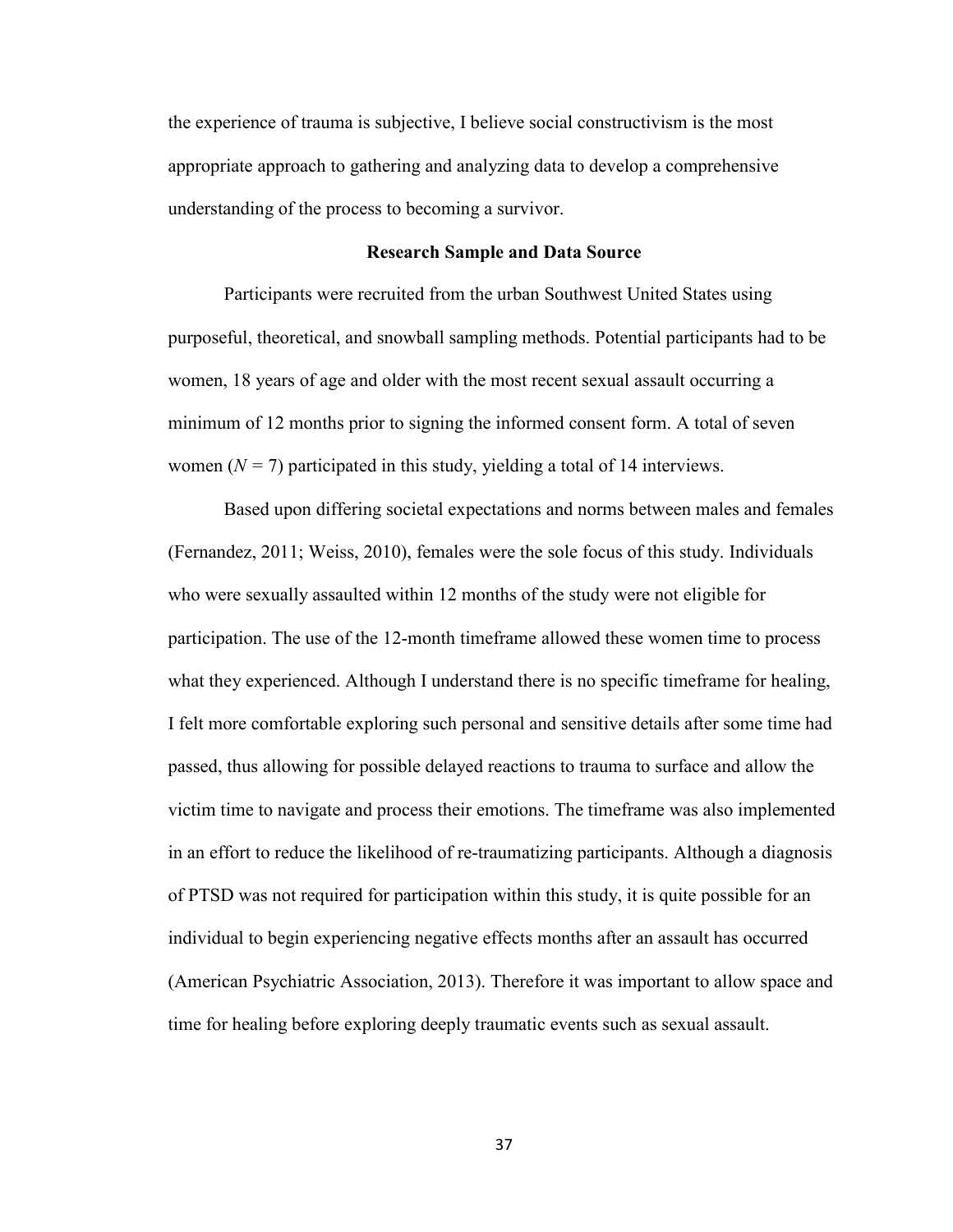the experience of trauma is subjective, I believe social constructivism is the most appropriate approach to gathering and analyzing data to develop a comprehensive understanding of the process to becoming a survivor.

### **Research Sample and Data Source**

Participants were recruited from the urban Southwest United States using purposeful, theoretical, and snowball sampling methods. Potential participants had to be women, 18 years of age and older with the most recent sexual assault occurring a minimum of 12 months prior to signing the informed consent form. A total of seven women  $(N = 7)$  participated in this study, yielding a total of 14 interviews.

Based upon differing societal expectations and norms between males and females (Fernandez, 2011; Weiss, 2010), females were the sole focus of this study. Individuals who were sexually assaulted within 12 months of the study were not eligible for participation. The use of the 12-month timeframe allowed these women time to process what they experienced. Although I understand there is no specific timeframe for healing, I felt more comfortable exploring such personal and sensitive details after some time had passed, thus allowing for possible delayed reactions to trauma to surface and allow the victim time to navigate and process their emotions. The timeframe was also implemented in an effort to reduce the likelihood of re-traumatizing participants. Although a diagnosis of PTSD was not required for participation within this study, it is quite possible for an individual to begin experiencing negative effects months after an assault has occurred (American Psychiatric Association, 2013). Therefore it was important to allow space and time for healing before exploring deeply traumatic events such as sexual assault.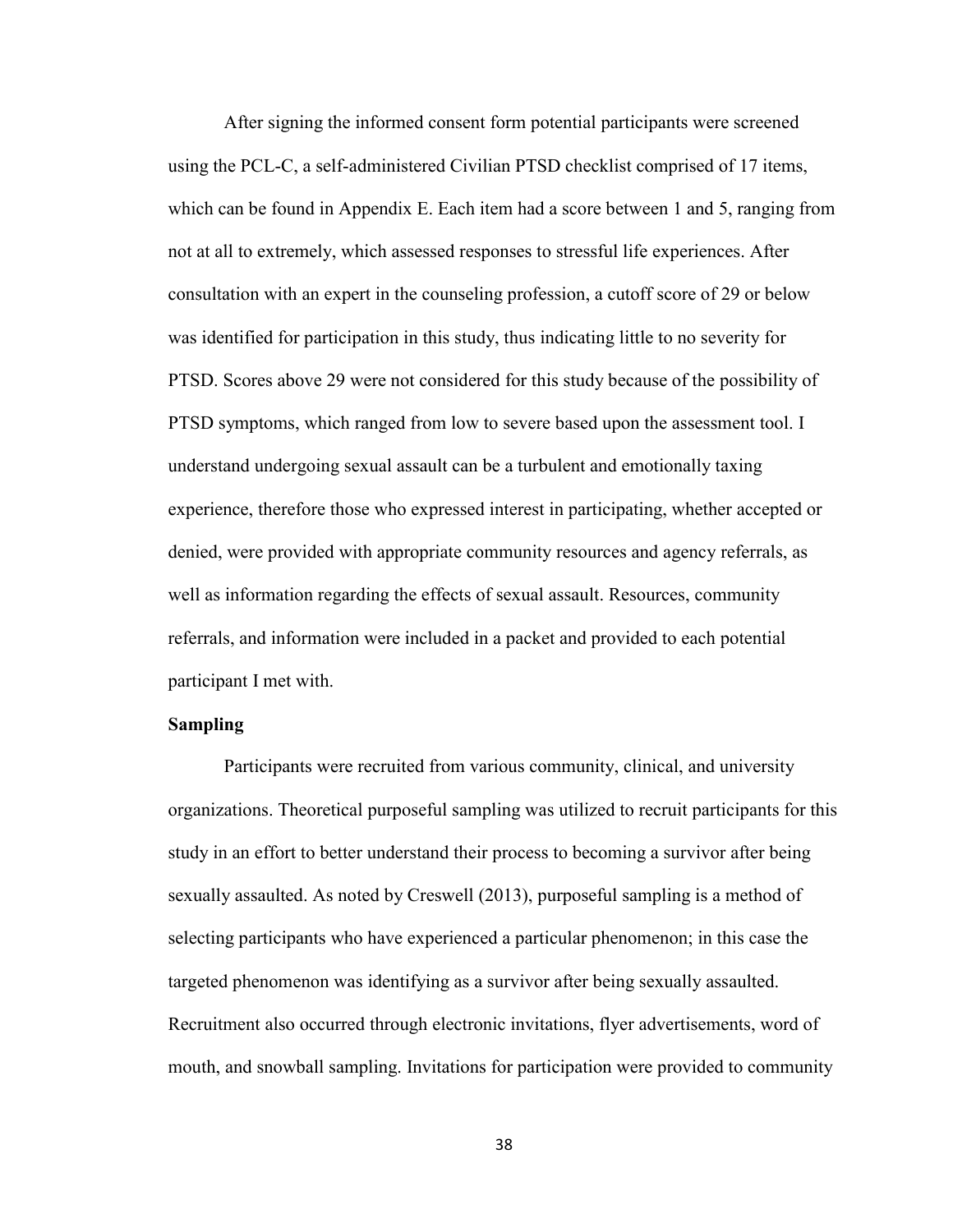After signing the informed consent form potential participants were screened using the PCL-C, a self-administered Civilian PTSD checklist comprised of 17 items, which can be found in Appendix E. Each item had a score between 1 and 5, ranging from not at all to extremely, which assessed responses to stressful life experiences. After consultation with an expert in the counseling profession, a cutoff score of 29 or below was identified for participation in this study, thus indicating little to no severity for PTSD. Scores above 29 were not considered for this study because of the possibility of PTSD symptoms, which ranged from low to severe based upon the assessment tool. I understand undergoing sexual assault can be a turbulent and emotionally taxing experience, therefore those who expressed interest in participating, whether accepted or denied, were provided with appropriate community resources and agency referrals, as well as information regarding the effects of sexual assault. Resources, community referrals, and information were included in a packet and provided to each potential participant I met with.

## **Sampling**

Participants were recruited from various community, clinical, and university organizations. Theoretical purposeful sampling was utilized to recruit participants for this study in an effort to better understand their process to becoming a survivor after being sexually assaulted. As noted by Creswell (2013), purposeful sampling is a method of selecting participants who have experienced a particular phenomenon; in this case the targeted phenomenon was identifying as a survivor after being sexually assaulted. Recruitment also occurred through electronic invitations, flyer advertisements, word of mouth, and snowball sampling. Invitations for participation were provided to community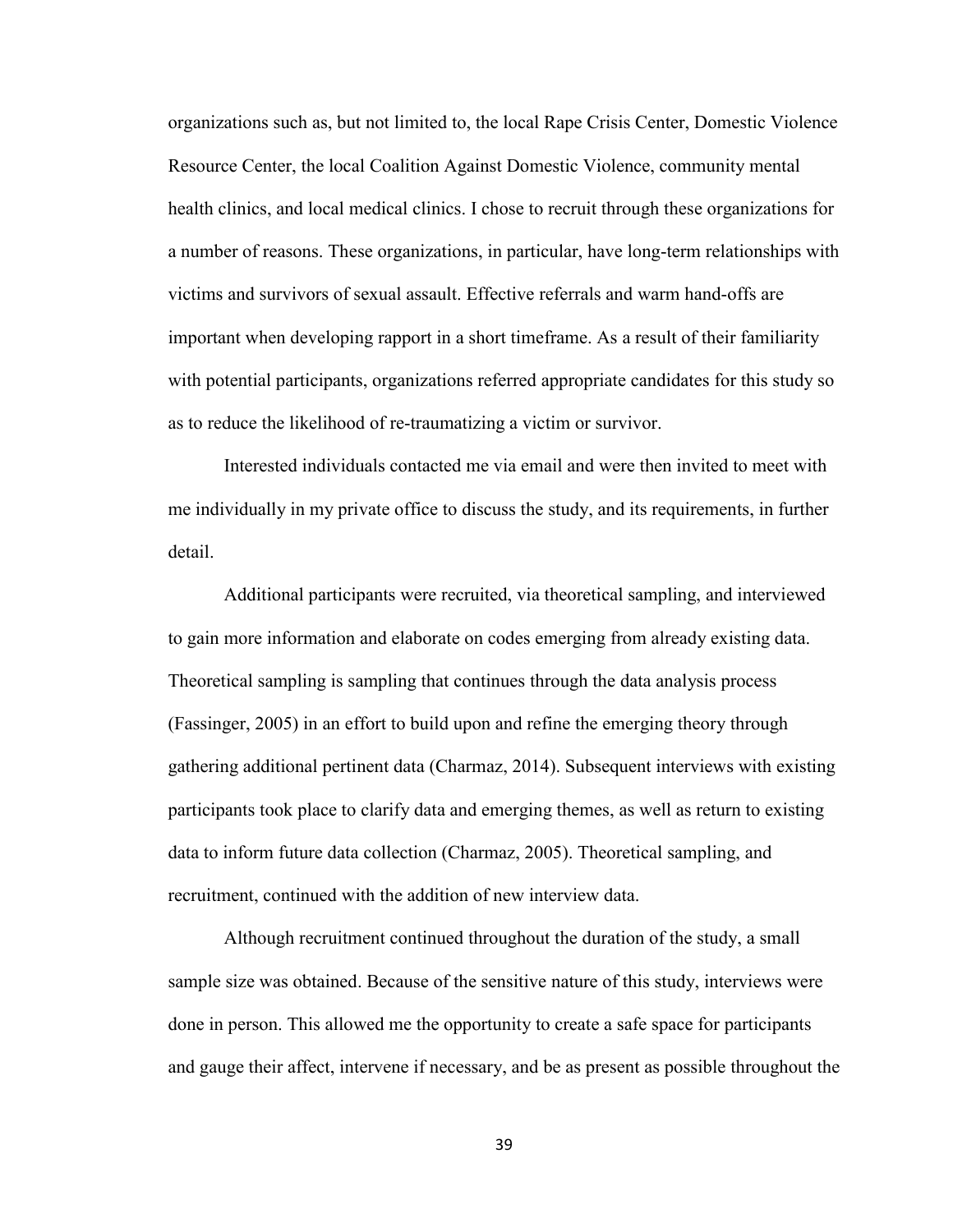organizations such as, but not limited to, the local Rape Crisis Center, Domestic Violence Resource Center, the local Coalition Against Domestic Violence, community mental health clinics, and local medical clinics. I chose to recruit through these organizations for a number of reasons. These organizations, in particular, have long-term relationships with victims and survivors of sexual assault. Effective referrals and warm hand-offs are important when developing rapport in a short timeframe. As a result of their familiarity with potential participants, organizations referred appropriate candidates for this study so as to reduce the likelihood of re-traumatizing a victim or survivor.

Interested individuals contacted me via email and were then invited to meet with me individually in my private office to discuss the study, and its requirements, in further detail.

Additional participants were recruited, via theoretical sampling, and interviewed to gain more information and elaborate on codes emerging from already existing data. Theoretical sampling is sampling that continues through the data analysis process (Fassinger, 2005) in an effort to build upon and refine the emerging theory through gathering additional pertinent data (Charmaz, 2014). Subsequent interviews with existing participants took place to clarify data and emerging themes, as well as return to existing data to inform future data collection (Charmaz, 2005). Theoretical sampling, and recruitment, continued with the addition of new interview data.

Although recruitment continued throughout the duration of the study, a small sample size was obtained. Because of the sensitive nature of this study, interviews were done in person. This allowed me the opportunity to create a safe space for participants and gauge their affect, intervene if necessary, and be as present as possible throughout the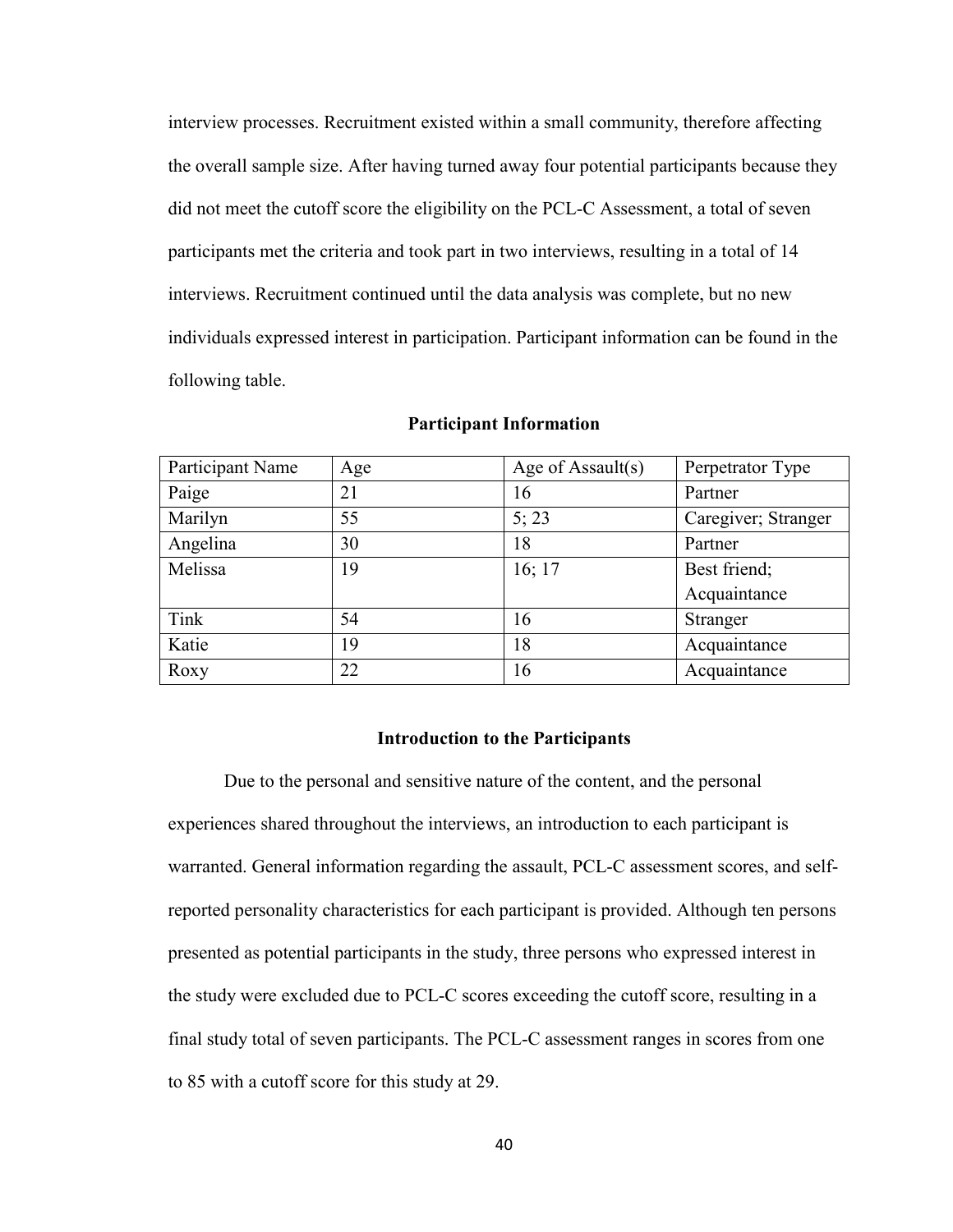interview processes. Recruitment existed within a small community, therefore affecting the overall sample size. After having turned away four potential participants because they did not meet the cutoff score the eligibility on the PCL-C Assessment, a total of seven participants met the criteria and took part in two interviews, resulting in a total of 14 interviews. Recruitment continued until the data analysis was complete, but no new individuals expressed interest in participation. Participant information can be found in the following table.

| Participant Name | Age | Age of Assault $(s)$ | Perpetrator Type    |
|------------------|-----|----------------------|---------------------|
| Paige            | 21  | 16                   | Partner             |
| Marilyn          | 55  | 5:23                 | Caregiver; Stranger |
| Angelina         | 30  | 18                   | Partner             |
| Melissa          | 19  | 16; 17               | Best friend;        |
|                  |     |                      | Acquaintance        |
| Tink             | 54  | 16                   | Stranger            |
| Katie            | 19  | 18                   | Acquaintance        |
| Roxy             | 22  | 16                   | Acquaintance        |

#### **Participant Information**

#### **Introduction to the Participants**

Due to the personal and sensitive nature of the content, and the personal experiences shared throughout the interviews, an introduction to each participant is warranted. General information regarding the assault, PCL-C assessment scores, and selfreported personality characteristics for each participant is provided. Although ten persons presented as potential participants in the study, three persons who expressed interest in the study were excluded due to PCL-C scores exceeding the cutoff score, resulting in a final study total of seven participants. The PCL-C assessment ranges in scores from one to 85 with a cutoff score for this study at 29.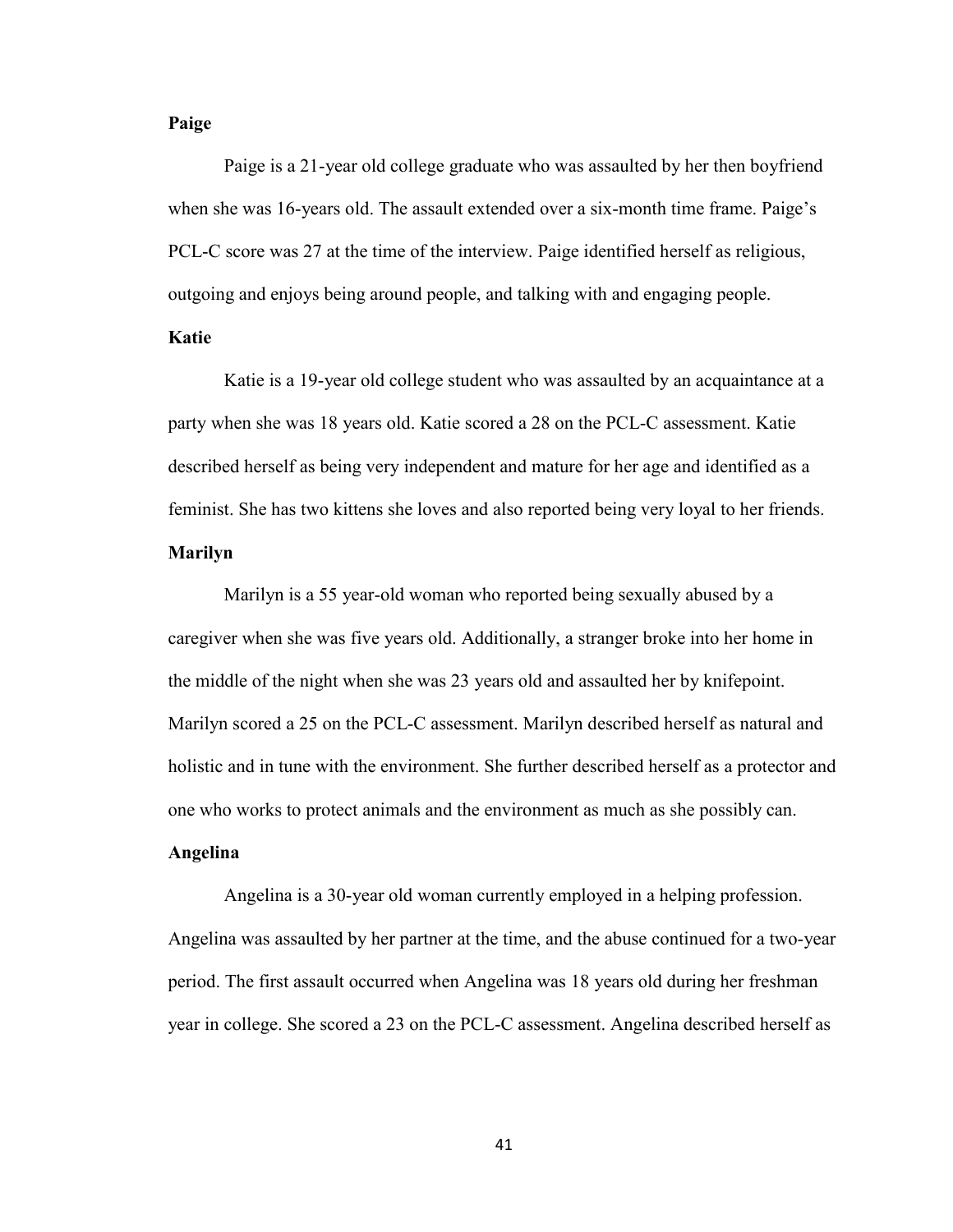## **Paige**

Paige is a 21-year old college graduate who was assaulted by her then boyfriend when she was 16-years old. The assault extended over a six-month time frame. Paige's PCL-C score was 27 at the time of the interview. Paige identified herself as religious, outgoing and enjoys being around people, and talking with and engaging people.

## **Katie**

Katie is a 19-year old college student who was assaulted by an acquaintance at a party when she was 18 years old. Katie scored a 28 on the PCL-C assessment. Katie described herself as being very independent and mature for her age and identified as a feminist. She has two kittens she loves and also reported being very loyal to her friends.

## **Marilyn**

Marilyn is a 55 year-old woman who reported being sexually abused by a caregiver when she was five years old. Additionally, a stranger broke into her home in the middle of the night when she was 23 years old and assaulted her by knifepoint. Marilyn scored a 25 on the PCL-C assessment. Marilyn described herself as natural and holistic and in tune with the environment. She further described herself as a protector and one who works to protect animals and the environment as much as she possibly can.

# **Angelina**

Angelina is a 30-year old woman currently employed in a helping profession. Angelina was assaulted by her partner at the time, and the abuse continued for a two-year period. The first assault occurred when Angelina was 18 years old during her freshman year in college. She scored a 23 on the PCL-C assessment. Angelina described herself as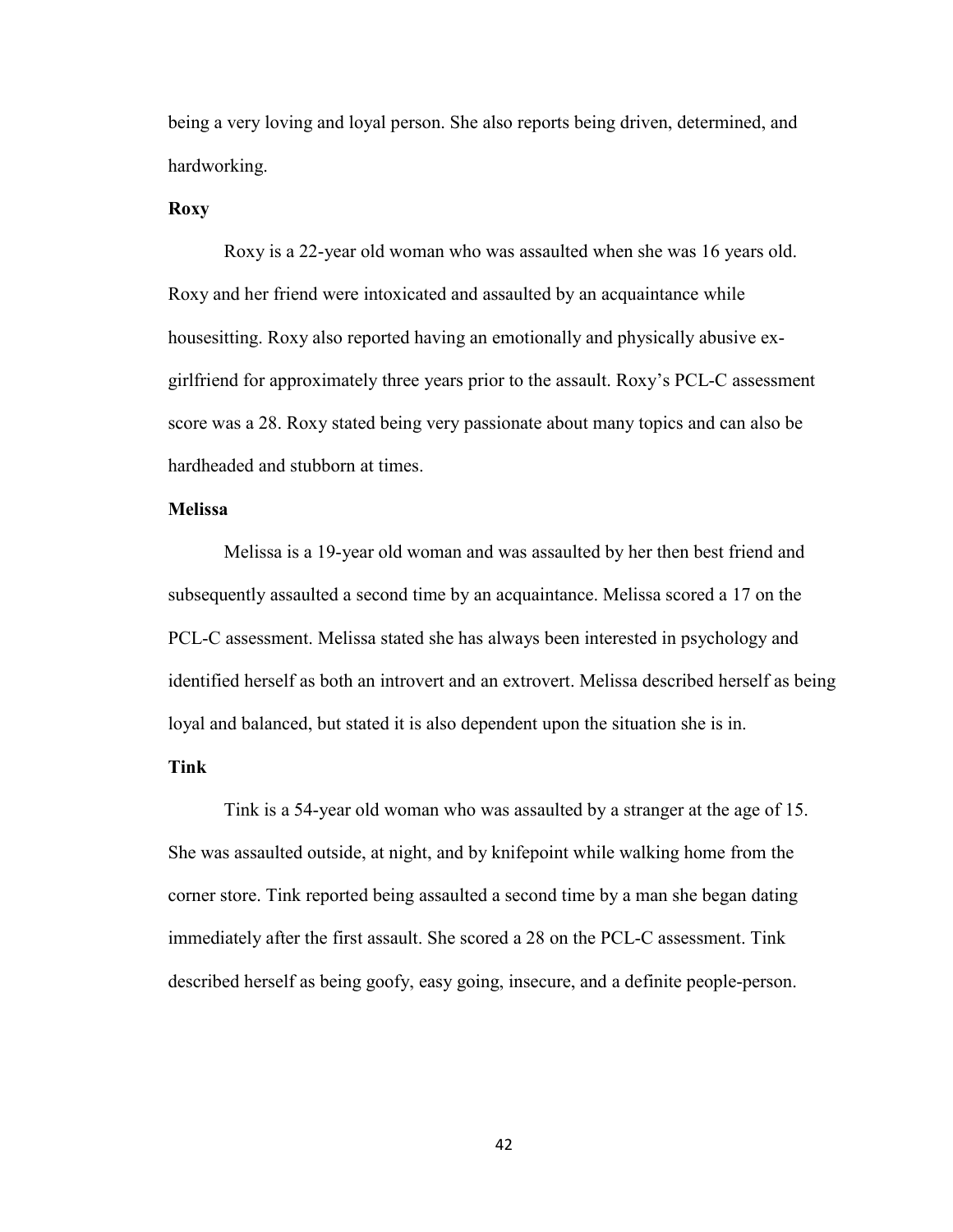being a very loving and loyal person. She also reports being driven, determined, and hardworking.

## **Roxy**

Roxy is a 22-year old woman who was assaulted when she was 16 years old. Roxy and her friend were intoxicated and assaulted by an acquaintance while housesitting. Roxy also reported having an emotionally and physically abusive exgirlfriend for approximately three years prior to the assault. Roxy's PCL-C assessment score was a 28. Roxy stated being very passionate about many topics and can also be hardheaded and stubborn at times.

## **Melissa**

Melissa is a 19-year old woman and was assaulted by her then best friend and subsequently assaulted a second time by an acquaintance. Melissa scored a 17 on the PCL-C assessment. Melissa stated she has always been interested in psychology and identified herself as both an introvert and an extrovert. Melissa described herself as being loyal and balanced, but stated it is also dependent upon the situation she is in.

## **Tink**

Tink is a 54-year old woman who was assaulted by a stranger at the age of 15. She was assaulted outside, at night, and by knifepoint while walking home from the corner store. Tink reported being assaulted a second time by a man she began dating immediately after the first assault. She scored a 28 on the PCL-C assessment. Tink described herself as being goofy, easy going, insecure, and a definite people-person.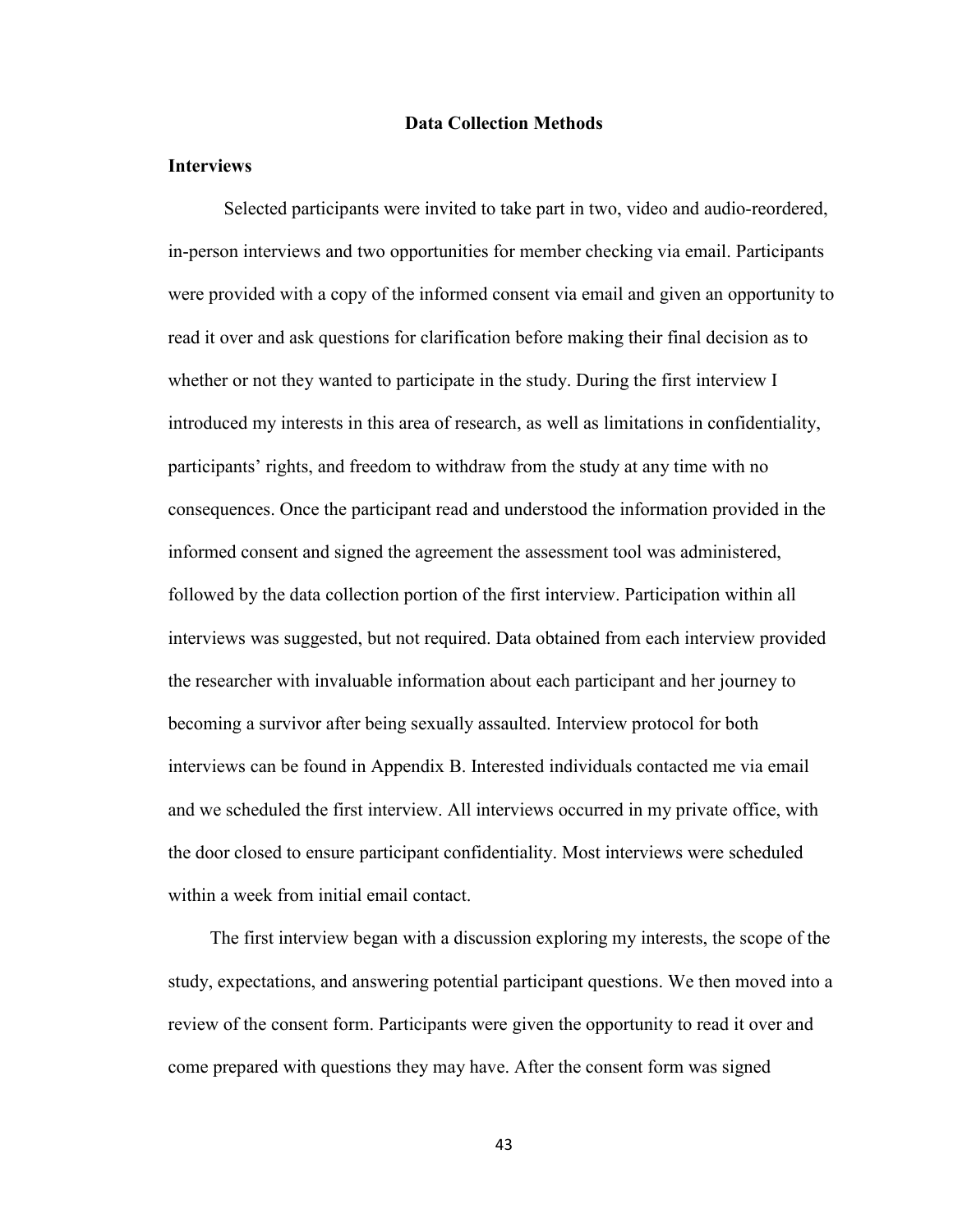#### **Data Collection Methods**

## **Interviews**

 Selected participants were invited to take part in two, video and audio-reordered, in-person interviews and two opportunities for member checking via email. Participants were provided with a copy of the informed consent via email and given an opportunity to read it over and ask questions for clarification before making their final decision as to whether or not they wanted to participate in the study. During the first interview I introduced my interests in this area of research, as well as limitations in confidentiality, participants' rights, and freedom to withdraw from the study at any time with no consequences. Once the participant read and understood the information provided in the informed consent and signed the agreement the assessment tool was administered, followed by the data collection portion of the first interview. Participation within all interviews was suggested, but not required. Data obtained from each interview provided the researcher with invaluable information about each participant and her journey to becoming a survivor after being sexually assaulted. Interview protocol for both interviews can be found in Appendix B. Interested individuals contacted me via email and we scheduled the first interview. All interviews occurred in my private office, with the door closed to ensure participant confidentiality. Most interviews were scheduled within a week from initial email contact.

The first interview began with a discussion exploring my interests, the scope of the study, expectations, and answering potential participant questions. We then moved into a review of the consent form. Participants were given the opportunity to read it over and come prepared with questions they may have. After the consent form was signed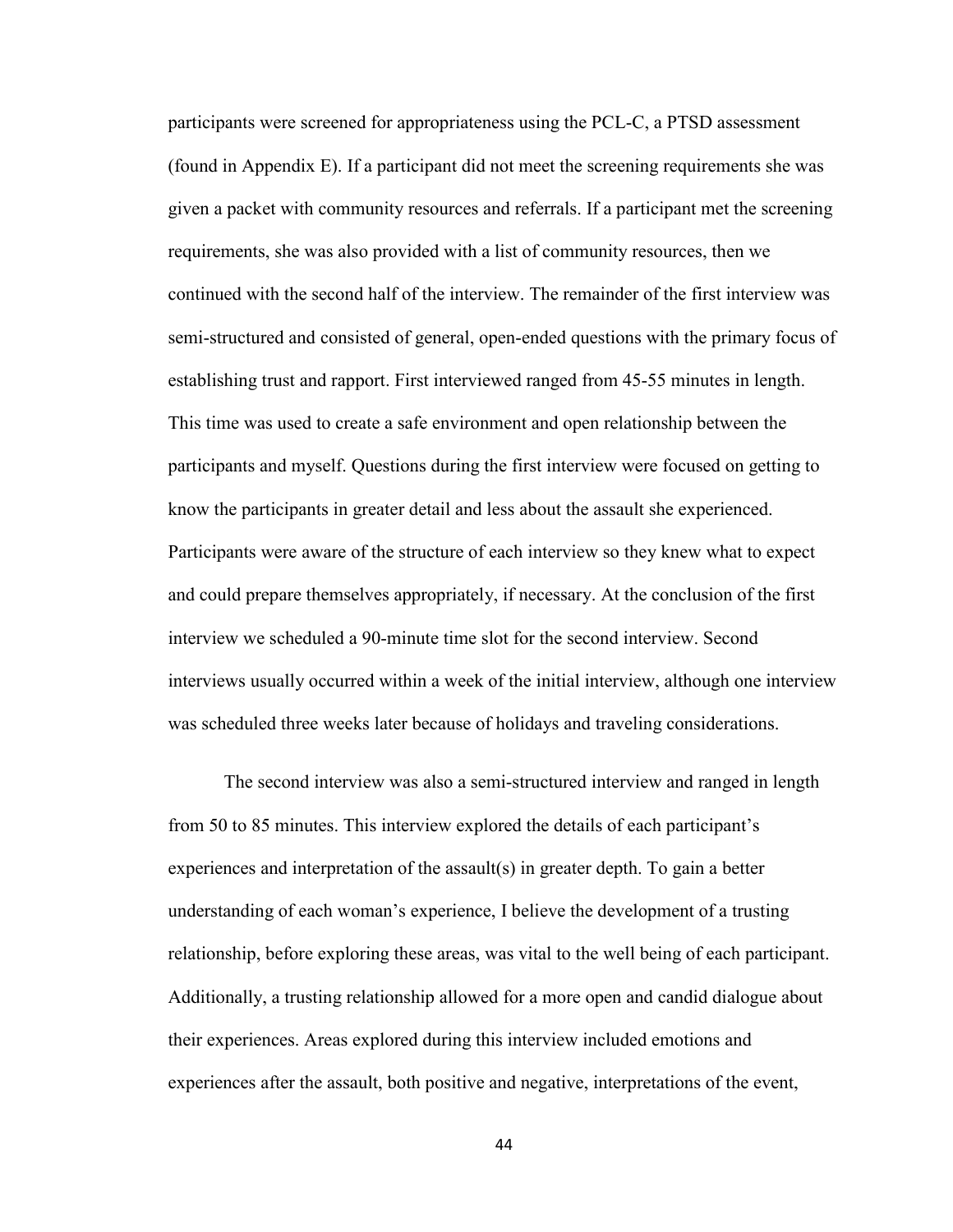participants were screened for appropriateness using the PCL-C, a PTSD assessment (found in Appendix E). If a participant did not meet the screening requirements she was given a packet with community resources and referrals. If a participant met the screening requirements, she was also provided with a list of community resources, then we continued with the second half of the interview. The remainder of the first interview was semi-structured and consisted of general, open-ended questions with the primary focus of establishing trust and rapport. First interviewed ranged from 45-55 minutes in length. This time was used to create a safe environment and open relationship between the participants and myself. Questions during the first interview were focused on getting to know the participants in greater detail and less about the assault she experienced. Participants were aware of the structure of each interview so they knew what to expect and could prepare themselves appropriately, if necessary. At the conclusion of the first interview we scheduled a 90-minute time slot for the second interview. Second interviews usually occurred within a week of the initial interview, although one interview was scheduled three weeks later because of holidays and traveling considerations.

The second interview was also a semi-structured interview and ranged in length from 50 to 85 minutes. This interview explored the details of each participant's experiences and interpretation of the assault(s) in greater depth. To gain a better understanding of each woman's experience, I believe the development of a trusting relationship, before exploring these areas, was vital to the well being of each participant. Additionally, a trusting relationship allowed for a more open and candid dialogue about their experiences. Areas explored during this interview included emotions and experiences after the assault, both positive and negative, interpretations of the event,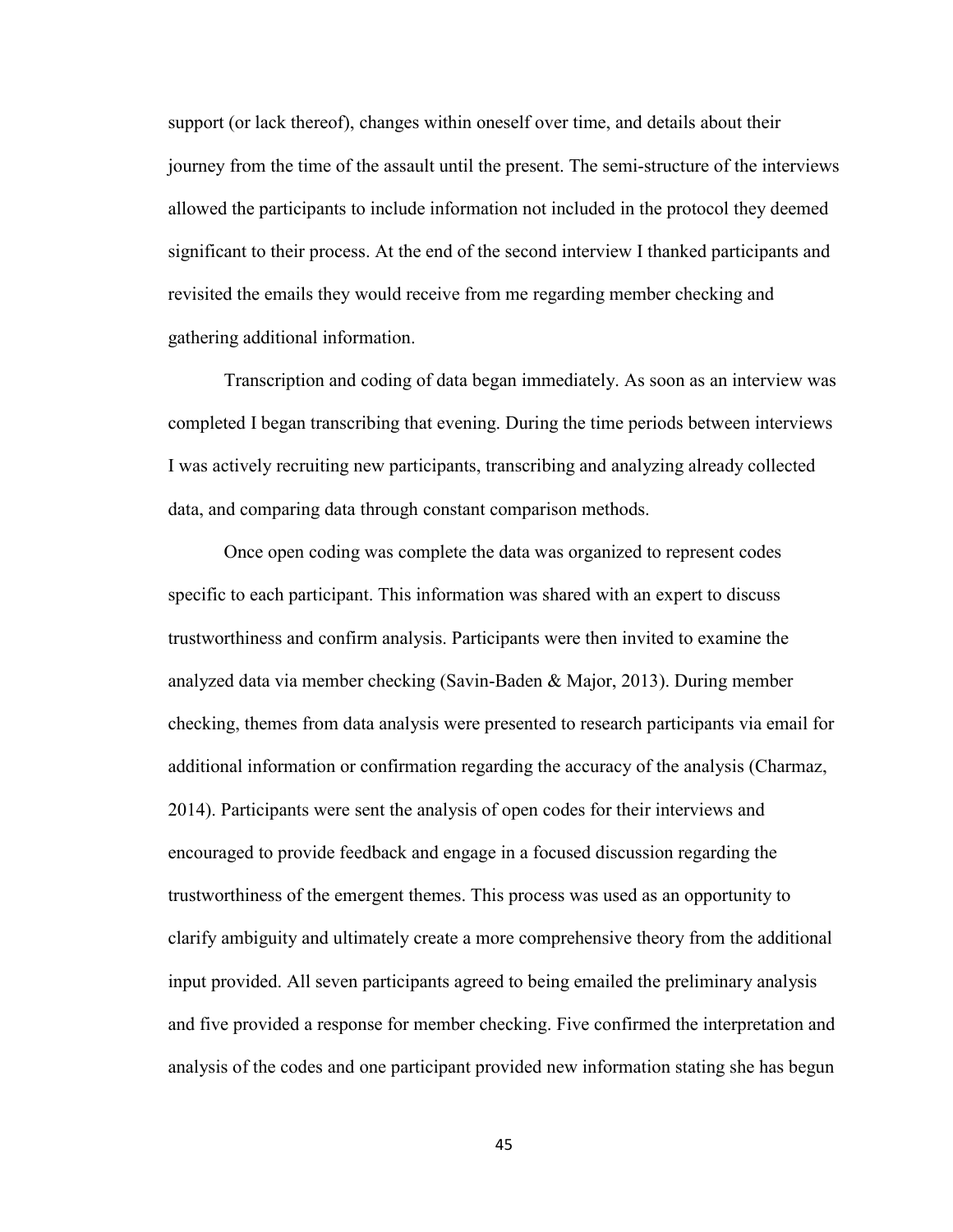support (or lack thereof), changes within oneself over time, and details about their journey from the time of the assault until the present. The semi-structure of the interviews allowed the participants to include information not included in the protocol they deemed significant to their process. At the end of the second interview I thanked participants and revisited the emails they would receive from me regarding member checking and gathering additional information.

 Transcription and coding of data began immediately. As soon as an interview was completed I began transcribing that evening. During the time periods between interviews I was actively recruiting new participants, transcribing and analyzing already collected data, and comparing data through constant comparison methods.

Once open coding was complete the data was organized to represent codes specific to each participant. This information was shared with an expert to discuss trustworthiness and confirm analysis. Participants were then invited to examine the analyzed data via member checking (Savin-Baden & Major, 2013). During member checking, themes from data analysis were presented to research participants via email for additional information or confirmation regarding the accuracy of the analysis (Charmaz, 2014). Participants were sent the analysis of open codes for their interviews and encouraged to provide feedback and engage in a focused discussion regarding the trustworthiness of the emergent themes. This process was used as an opportunity to clarify ambiguity and ultimately create a more comprehensive theory from the additional input provided. All seven participants agreed to being emailed the preliminary analysis and five provided a response for member checking. Five confirmed the interpretation and analysis of the codes and one participant provided new information stating she has begun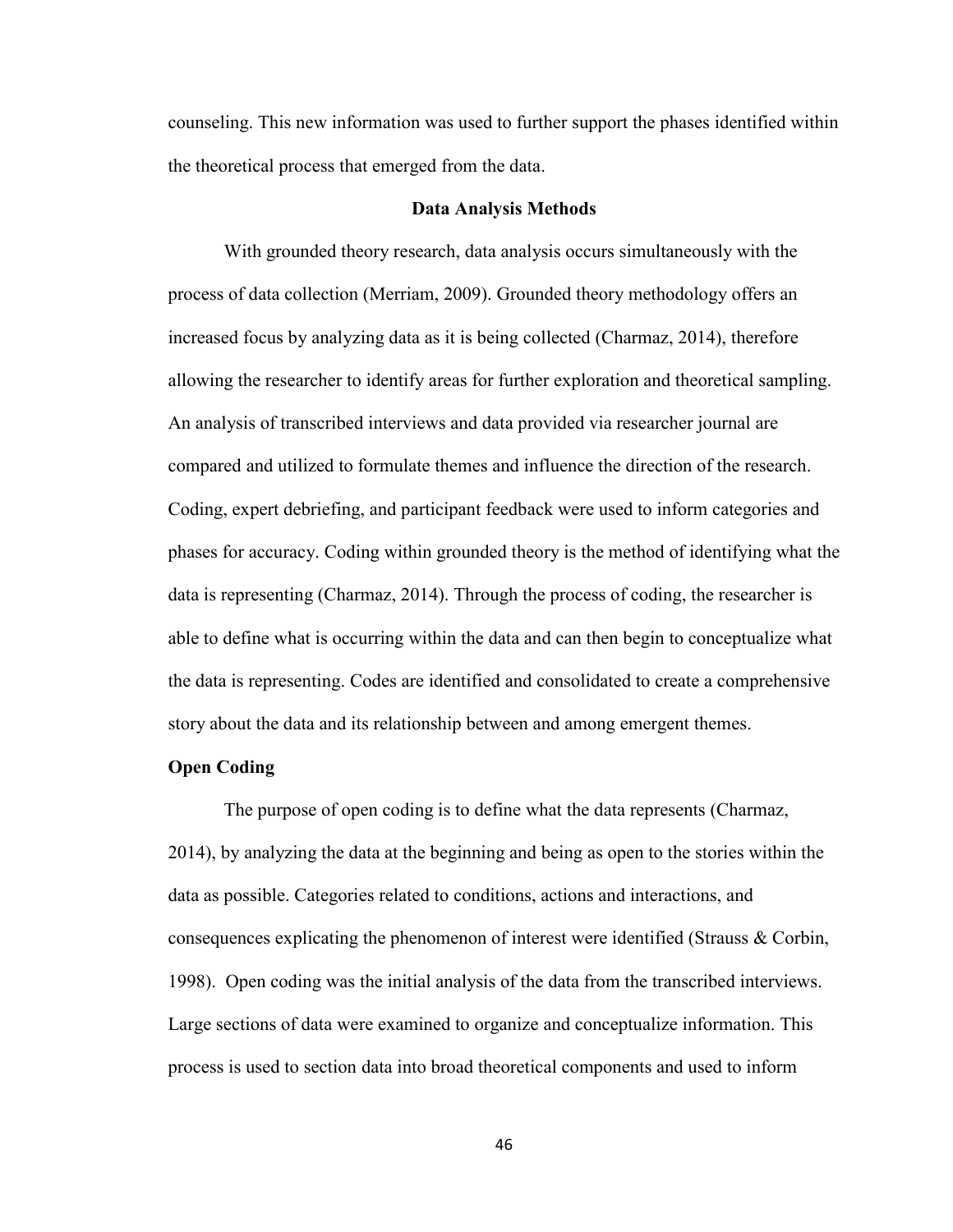counseling. This new information was used to further support the phases identified within the theoretical process that emerged from the data.

## **Data Analysis Methods**

With grounded theory research, data analysis occurs simultaneously with the process of data collection (Merriam, 2009). Grounded theory methodology offers an increased focus by analyzing data as it is being collected (Charmaz, 2014), therefore allowing the researcher to identify areas for further exploration and theoretical sampling. An analysis of transcribed interviews and data provided via researcher journal are compared and utilized to formulate themes and influence the direction of the research. Coding, expert debriefing, and participant feedback were used to inform categories and phases for accuracy. Coding within grounded theory is the method of identifying what the data is representing (Charmaz, 2014). Through the process of coding, the researcher is able to define what is occurring within the data and can then begin to conceptualize what the data is representing. Codes are identified and consolidated to create a comprehensive story about the data and its relationship between and among emergent themes.

## **Open Coding**

 The purpose of open coding is to define what the data represents (Charmaz, 2014), by analyzing the data at the beginning and being as open to the stories within the data as possible. Categories related to conditions, actions and interactions, and consequences explicating the phenomenon of interest were identified (Strauss & Corbin, 1998). Open coding was the initial analysis of the data from the transcribed interviews. Large sections of data were examined to organize and conceptualize information. This process is used to section data into broad theoretical components and used to inform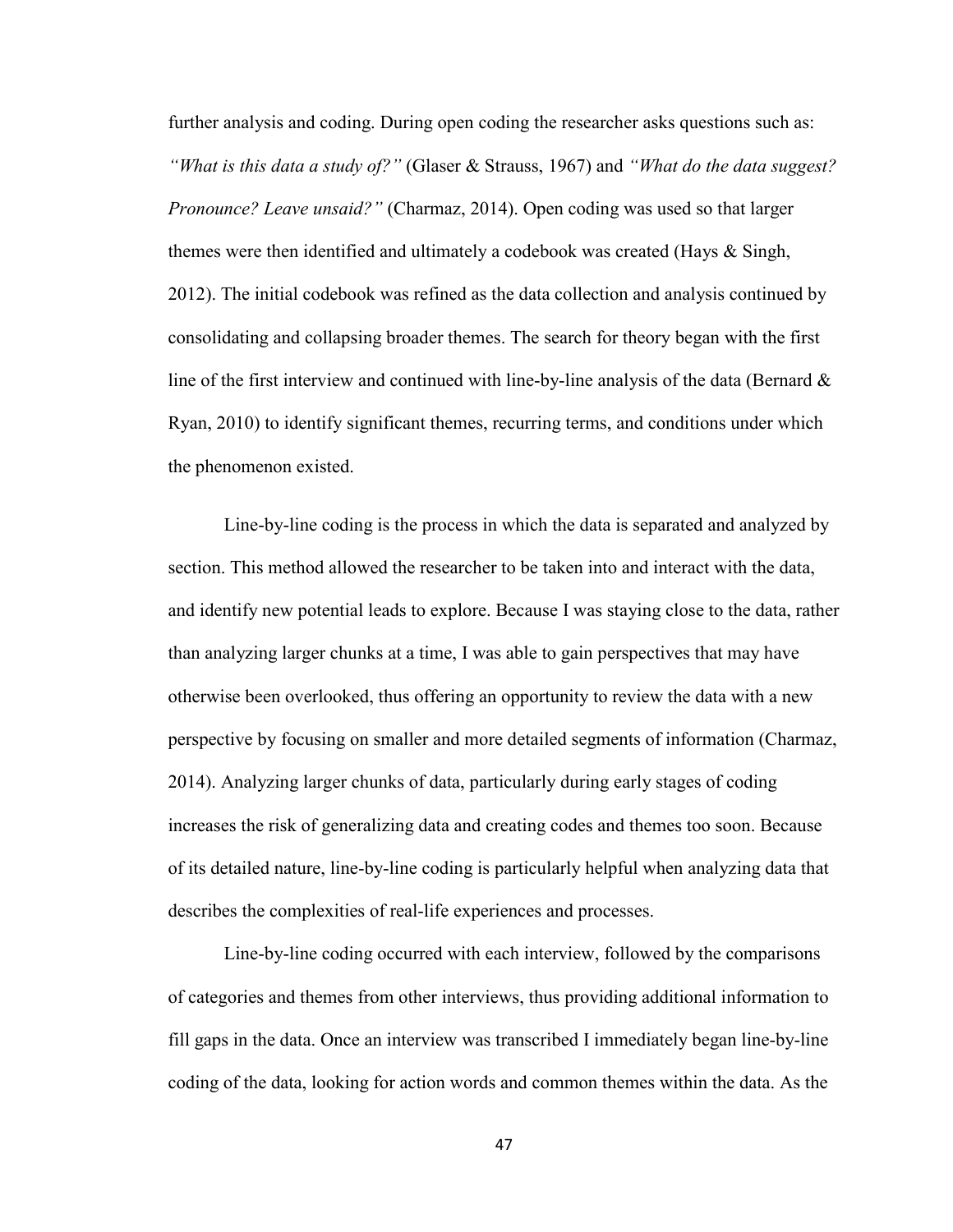further analysis and coding. During open coding the researcher asks questions such as: *"What is this data a study of?"* (Glaser & Strauss, 1967) and *"What do the data suggest? Pronounce? Leave unsaid?"* (Charmaz, 2014). Open coding was used so that larger themes were then identified and ultimately a codebook was created (Hays & Singh, 2012). The initial codebook was refined as the data collection and analysis continued by consolidating and collapsing broader themes. The search for theory began with the first line of the first interview and continued with line-by-line analysis of the data (Bernard  $\&$ Ryan, 2010) to identify significant themes, recurring terms, and conditions under which the phenomenon existed.

Line-by-line coding is the process in which the data is separated and analyzed by section. This method allowed the researcher to be taken into and interact with the data, and identify new potential leads to explore. Because I was staying close to the data, rather than analyzing larger chunks at a time, I was able to gain perspectives that may have otherwise been overlooked, thus offering an opportunity to review the data with a new perspective by focusing on smaller and more detailed segments of information (Charmaz, 2014). Analyzing larger chunks of data, particularly during early stages of coding increases the risk of generalizing data and creating codes and themes too soon. Because of its detailed nature, line-by-line coding is particularly helpful when analyzing data that describes the complexities of real-life experiences and processes.

Line-by-line coding occurred with each interview, followed by the comparisons of categories and themes from other interviews, thus providing additional information to fill gaps in the data. Once an interview was transcribed I immediately began line-by-line coding of the data, looking for action words and common themes within the data. As the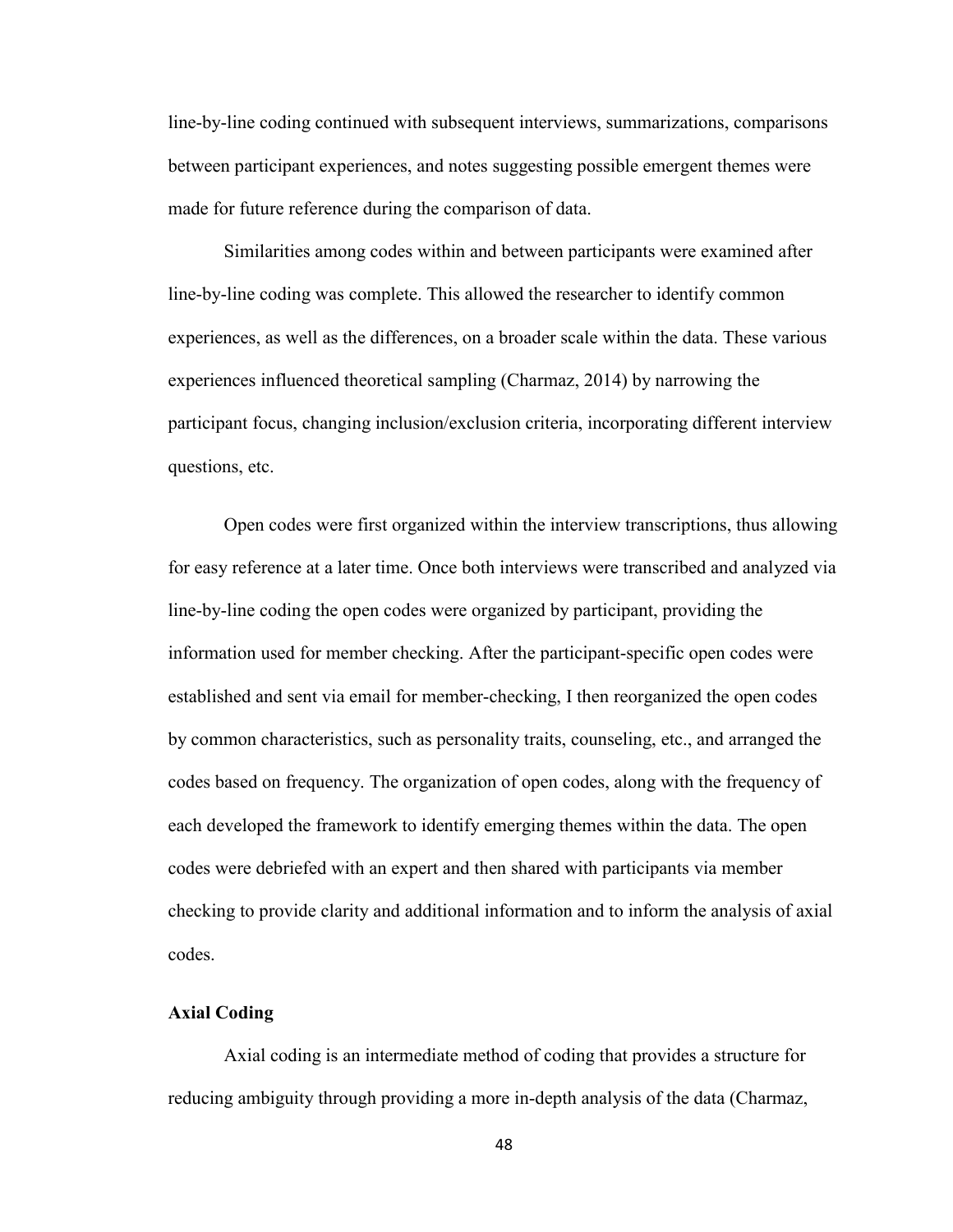line-by-line coding continued with subsequent interviews, summarizations, comparisons between participant experiences, and notes suggesting possible emergent themes were made for future reference during the comparison of data.

Similarities among codes within and between participants were examined after line-by-line coding was complete. This allowed the researcher to identify common experiences, as well as the differences, on a broader scale within the data. These various experiences influenced theoretical sampling (Charmaz, 2014) by narrowing the participant focus, changing inclusion/exclusion criteria, incorporating different interview questions, etc.

Open codes were first organized within the interview transcriptions, thus allowing for easy reference at a later time. Once both interviews were transcribed and analyzed via line-by-line coding the open codes were organized by participant, providing the information used for member checking. After the participant-specific open codes were established and sent via email for member-checking, I then reorganized the open codes by common characteristics, such as personality traits, counseling, etc., and arranged the codes based on frequency. The organization of open codes, along with the frequency of each developed the framework to identify emerging themes within the data. The open codes were debriefed with an expert and then shared with participants via member checking to provide clarity and additional information and to inform the analysis of axial codes.

## **Axial Coding**

Axial coding is an intermediate method of coding that provides a structure for reducing ambiguity through providing a more in-depth analysis of the data (Charmaz,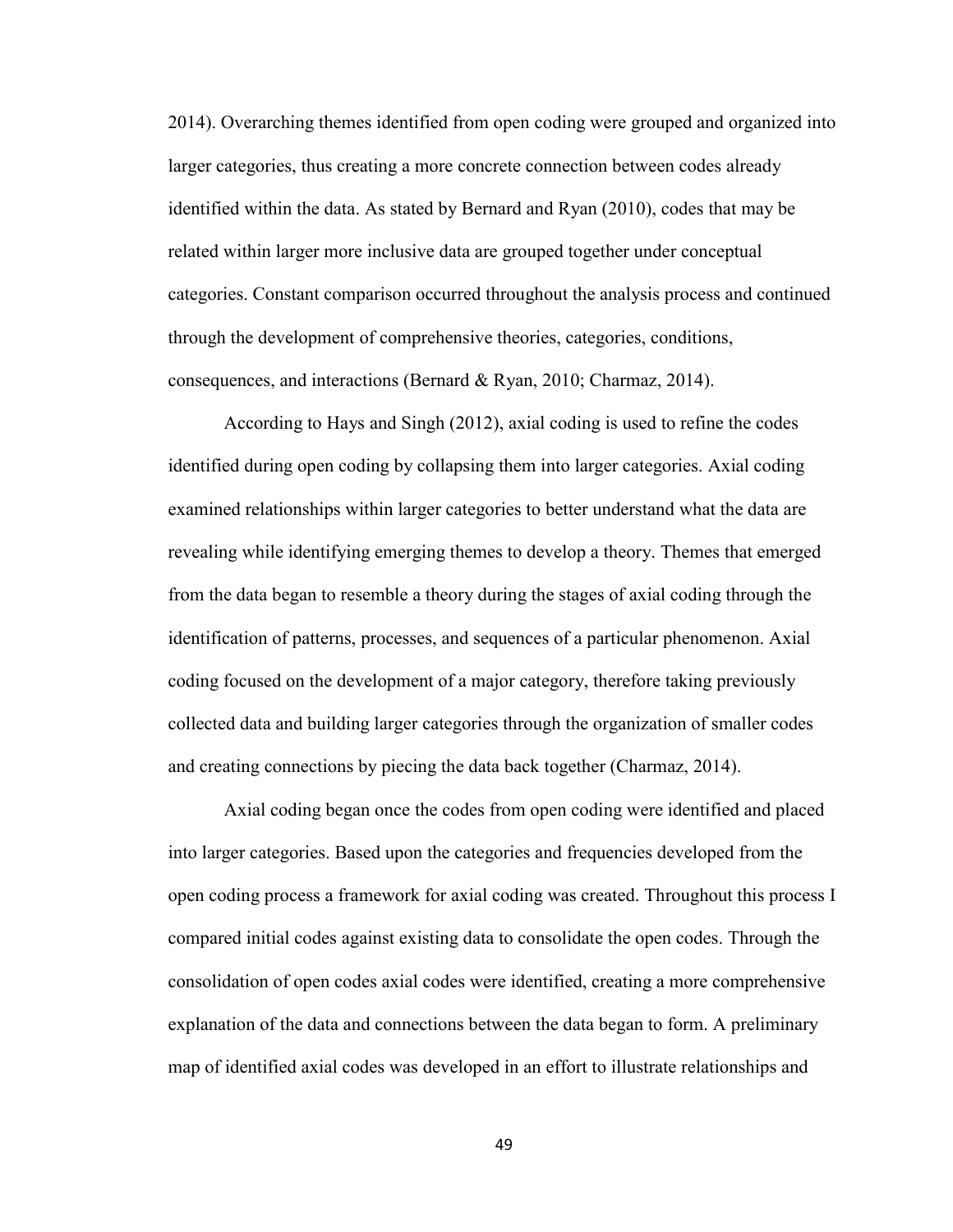2014). Overarching themes identified from open coding were grouped and organized into larger categories, thus creating a more concrete connection between codes already identified within the data. As stated by Bernard and Ryan (2010), codes that may be related within larger more inclusive data are grouped together under conceptual categories. Constant comparison occurred throughout the analysis process and continued through the development of comprehensive theories, categories, conditions, consequences, and interactions (Bernard & Ryan, 2010; Charmaz, 2014).

According to Hays and Singh (2012), axial coding is used to refine the codes identified during open coding by collapsing them into larger categories. Axial coding examined relationships within larger categories to better understand what the data are revealing while identifying emerging themes to develop a theory. Themes that emerged from the data began to resemble a theory during the stages of axial coding through the identification of patterns, processes, and sequences of a particular phenomenon. Axial coding focused on the development of a major category, therefore taking previously collected data and building larger categories through the organization of smaller codes and creating connections by piecing the data back together (Charmaz, 2014).

Axial coding began once the codes from open coding were identified and placed into larger categories. Based upon the categories and frequencies developed from the open coding process a framework for axial coding was created. Throughout this process I compared initial codes against existing data to consolidate the open codes. Through the consolidation of open codes axial codes were identified, creating a more comprehensive explanation of the data and connections between the data began to form. A preliminary map of identified axial codes was developed in an effort to illustrate relationships and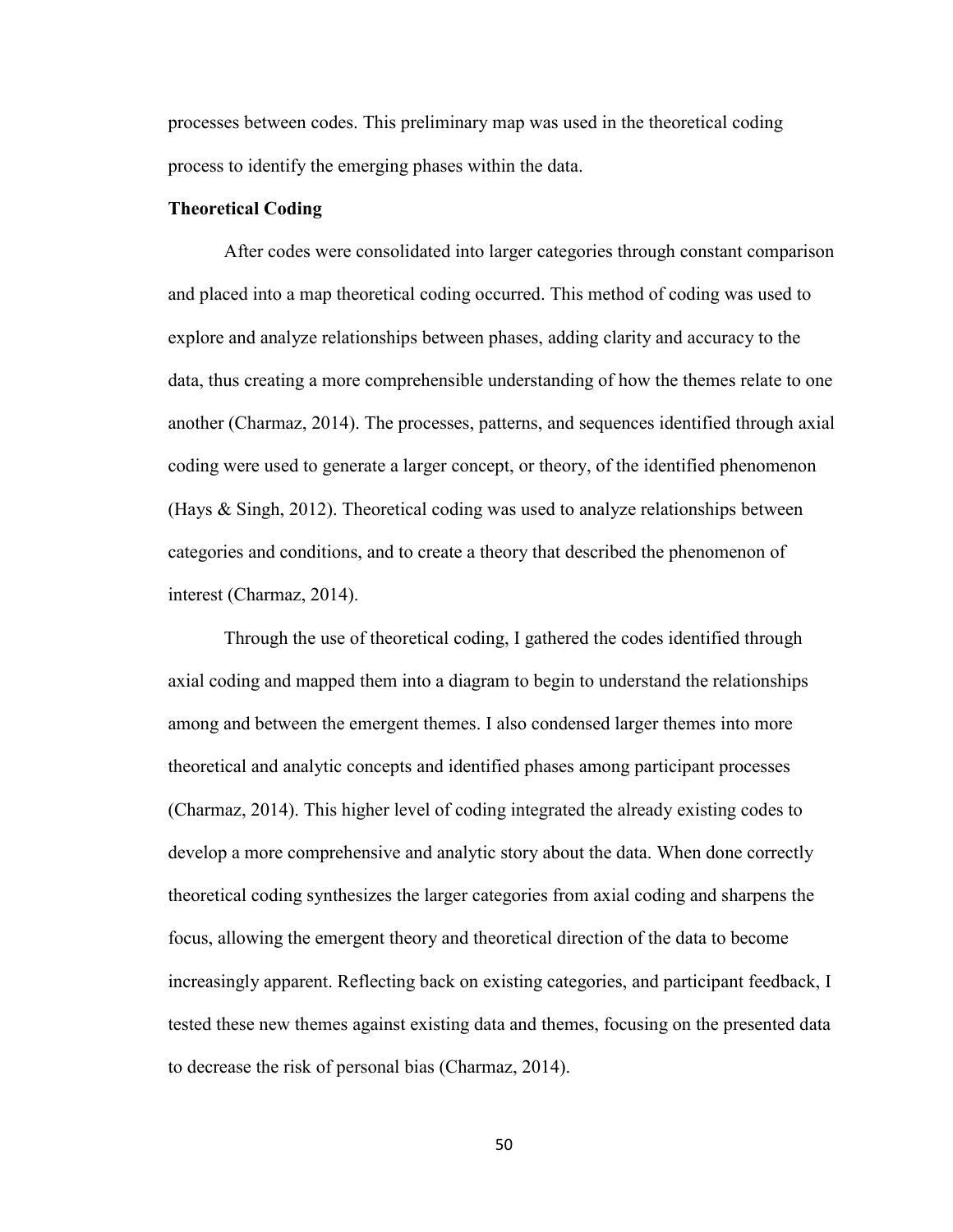processes between codes. This preliminary map was used in the theoretical coding process to identify the emerging phases within the data.

## **Theoretical Coding**

After codes were consolidated into larger categories through constant comparison and placed into a map theoretical coding occurred. This method of coding was used to explore and analyze relationships between phases, adding clarity and accuracy to the data, thus creating a more comprehensible understanding of how the themes relate to one another (Charmaz, 2014). The processes, patterns, and sequences identified through axial coding were used to generate a larger concept, or theory, of the identified phenomenon (Hays & Singh, 2012). Theoretical coding was used to analyze relationships between categories and conditions, and to create a theory that described the phenomenon of interest (Charmaz, 2014).

Through the use of theoretical coding, I gathered the codes identified through axial coding and mapped them into a diagram to begin to understand the relationships among and between the emergent themes. I also condensed larger themes into more theoretical and analytic concepts and identified phases among participant processes (Charmaz, 2014). This higher level of coding integrated the already existing codes to develop a more comprehensive and analytic story about the data. When done correctly theoretical coding synthesizes the larger categories from axial coding and sharpens the focus, allowing the emergent theory and theoretical direction of the data to become increasingly apparent. Reflecting back on existing categories, and participant feedback, I tested these new themes against existing data and themes, focusing on the presented data to decrease the risk of personal bias (Charmaz, 2014).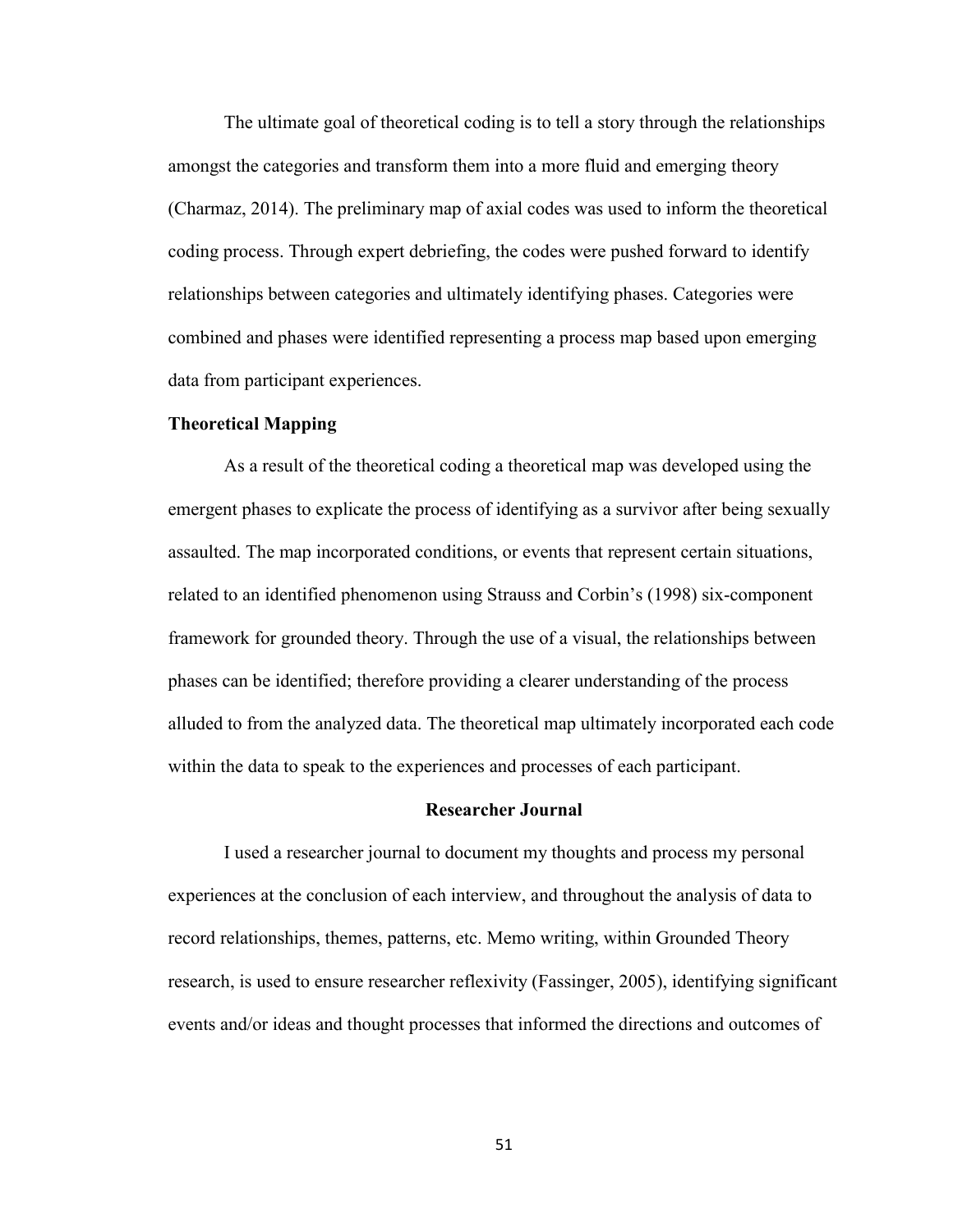The ultimate goal of theoretical coding is to tell a story through the relationships amongst the categories and transform them into a more fluid and emerging theory (Charmaz, 2014). The preliminary map of axial codes was used to inform the theoretical coding process. Through expert debriefing, the codes were pushed forward to identify relationships between categories and ultimately identifying phases. Categories were combined and phases were identified representing a process map based upon emerging data from participant experiences.

## **Theoretical Mapping**

As a result of the theoretical coding a theoretical map was developed using the emergent phases to explicate the process of identifying as a survivor after being sexually assaulted. The map incorporated conditions, or events that represent certain situations, related to an identified phenomenon using Strauss and Corbin's (1998) six-component framework for grounded theory. Through the use of a visual, the relationships between phases can be identified; therefore providing a clearer understanding of the process alluded to from the analyzed data. The theoretical map ultimately incorporated each code within the data to speak to the experiences and processes of each participant.

#### **Researcher Journal**

I used a researcher journal to document my thoughts and process my personal experiences at the conclusion of each interview, and throughout the analysis of data to record relationships, themes, patterns, etc. Memo writing, within Grounded Theory research, is used to ensure researcher reflexivity (Fassinger, 2005), identifying significant events and/or ideas and thought processes that informed the directions and outcomes of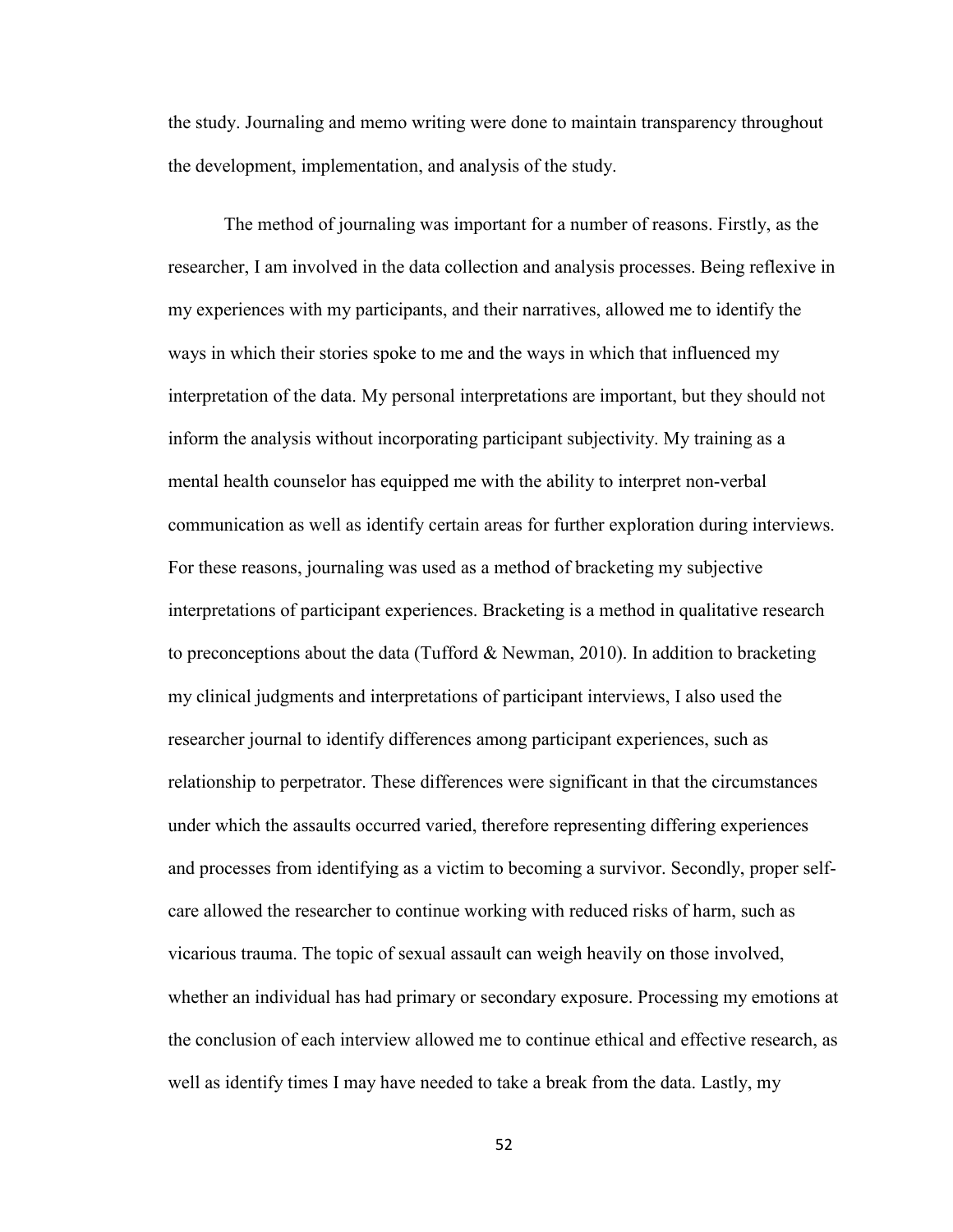the study. Journaling and memo writing were done to maintain transparency throughout the development, implementation, and analysis of the study.

The method of journaling was important for a number of reasons. Firstly, as the researcher, I am involved in the data collection and analysis processes. Being reflexive in my experiences with my participants, and their narratives, allowed me to identify the ways in which their stories spoke to me and the ways in which that influenced my interpretation of the data. My personal interpretations are important, but they should not inform the analysis without incorporating participant subjectivity. My training as a mental health counselor has equipped me with the ability to interpret non-verbal communication as well as identify certain areas for further exploration during interviews. For these reasons, journaling was used as a method of bracketing my subjective interpretations of participant experiences. Bracketing is a method in qualitative research to preconceptions about the data (Tufford  $\&$  Newman, 2010). In addition to bracketing my clinical judgments and interpretations of participant interviews, I also used the researcher journal to identify differences among participant experiences, such as relationship to perpetrator. These differences were significant in that the circumstances under which the assaults occurred varied, therefore representing differing experiences and processes from identifying as a victim to becoming a survivor. Secondly, proper selfcare allowed the researcher to continue working with reduced risks of harm, such as vicarious trauma. The topic of sexual assault can weigh heavily on those involved, whether an individual has had primary or secondary exposure. Processing my emotions at the conclusion of each interview allowed me to continue ethical and effective research, as well as identify times I may have needed to take a break from the data. Lastly, my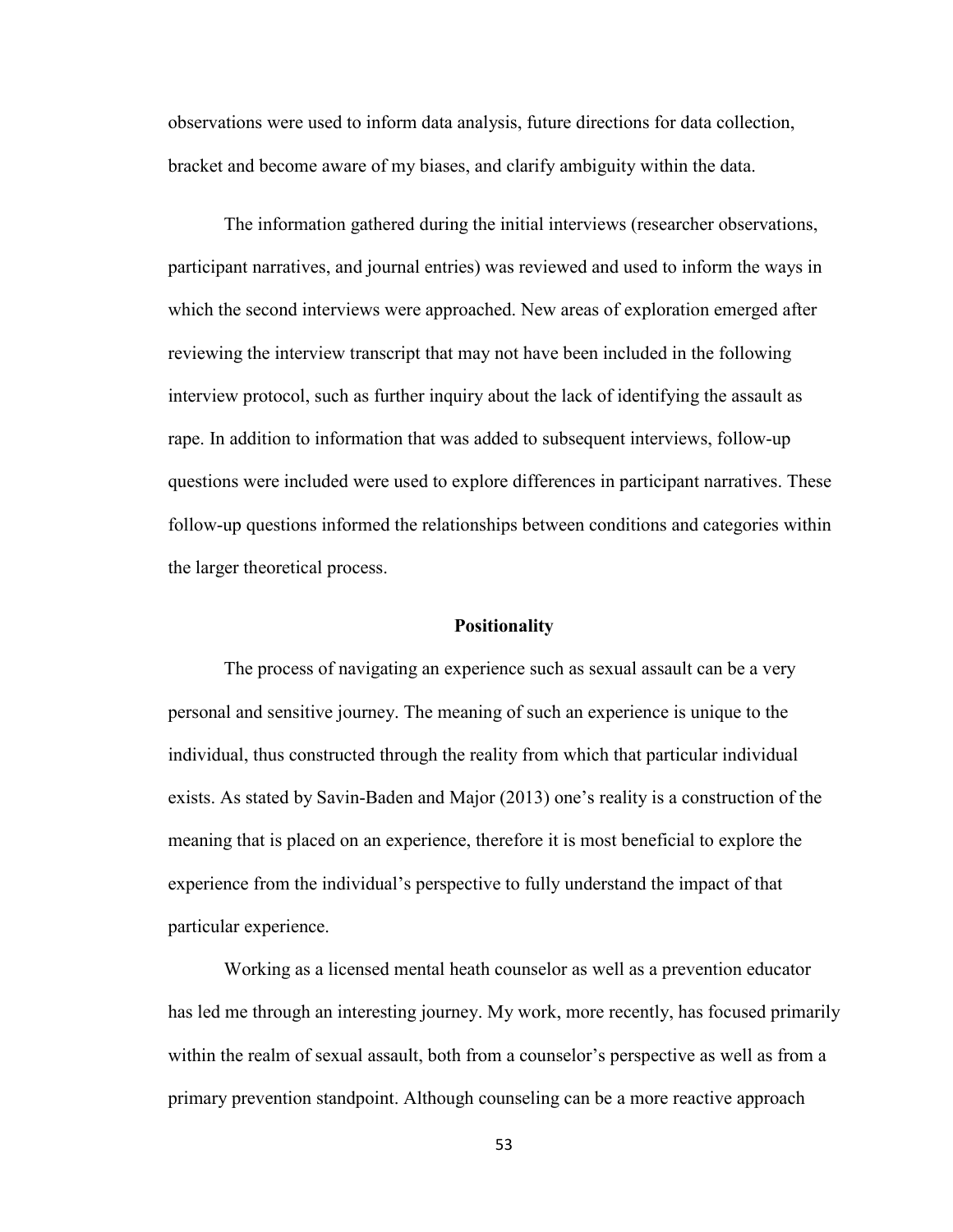observations were used to inform data analysis, future directions for data collection, bracket and become aware of my biases, and clarify ambiguity within the data.

The information gathered during the initial interviews (researcher observations, participant narratives, and journal entries) was reviewed and used to inform the ways in which the second interviews were approached. New areas of exploration emerged after reviewing the interview transcript that may not have been included in the following interview protocol, such as further inquiry about the lack of identifying the assault as rape. In addition to information that was added to subsequent interviews, follow-up questions were included were used to explore differences in participant narratives. These follow-up questions informed the relationships between conditions and categories within the larger theoretical process.

#### **Positionality**

The process of navigating an experience such as sexual assault can be a very personal and sensitive journey. The meaning of such an experience is unique to the individual, thus constructed through the reality from which that particular individual exists. As stated by Savin-Baden and Major (2013) one's reality is a construction of the meaning that is placed on an experience, therefore it is most beneficial to explore the experience from the individual's perspective to fully understand the impact of that particular experience.

Working as a licensed mental heath counselor as well as a prevention educator has led me through an interesting journey. My work, more recently, has focused primarily within the realm of sexual assault, both from a counselor's perspective as well as from a primary prevention standpoint. Although counseling can be a more reactive approach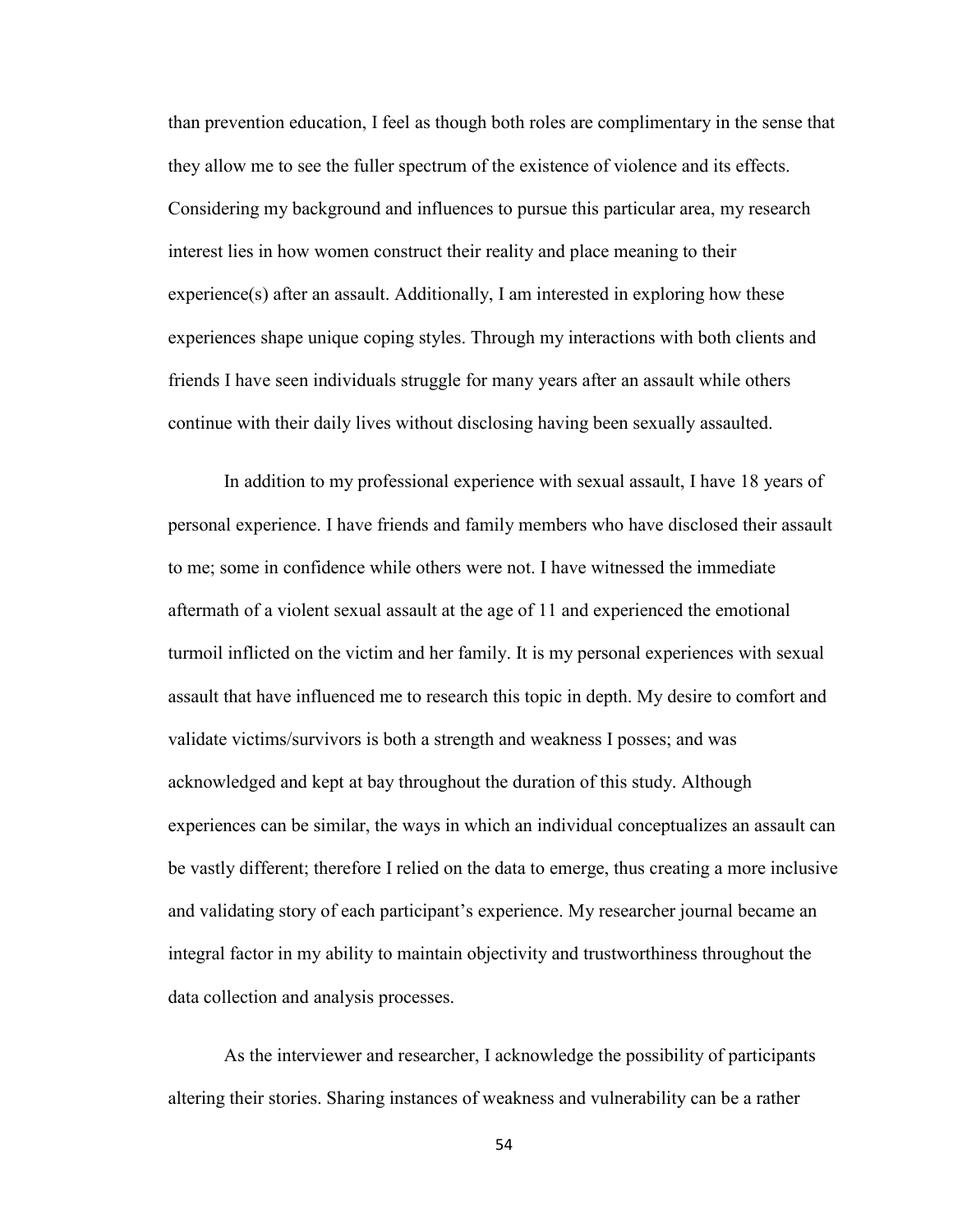than prevention education, I feel as though both roles are complimentary in the sense that they allow me to see the fuller spectrum of the existence of violence and its effects. Considering my background and influences to pursue this particular area, my research interest lies in how women construct their reality and place meaning to their  $experience(s)$  after an assault. Additionally, I am interested in exploring how these experiences shape unique coping styles. Through my interactions with both clients and friends I have seen individuals struggle for many years after an assault while others continue with their daily lives without disclosing having been sexually assaulted.

In addition to my professional experience with sexual assault, I have 18 years of personal experience. I have friends and family members who have disclosed their assault to me; some in confidence while others were not. I have witnessed the immediate aftermath of a violent sexual assault at the age of 11 and experienced the emotional turmoil inflicted on the victim and her family. It is my personal experiences with sexual assault that have influenced me to research this topic in depth. My desire to comfort and validate victims/survivors is both a strength and weakness I posses; and was acknowledged and kept at bay throughout the duration of this study. Although experiences can be similar, the ways in which an individual conceptualizes an assault can be vastly different; therefore I relied on the data to emerge, thus creating a more inclusive and validating story of each participant's experience. My researcher journal became an integral factor in my ability to maintain objectivity and trustworthiness throughout the data collection and analysis processes.

As the interviewer and researcher, I acknowledge the possibility of participants altering their stories. Sharing instances of weakness and vulnerability can be a rather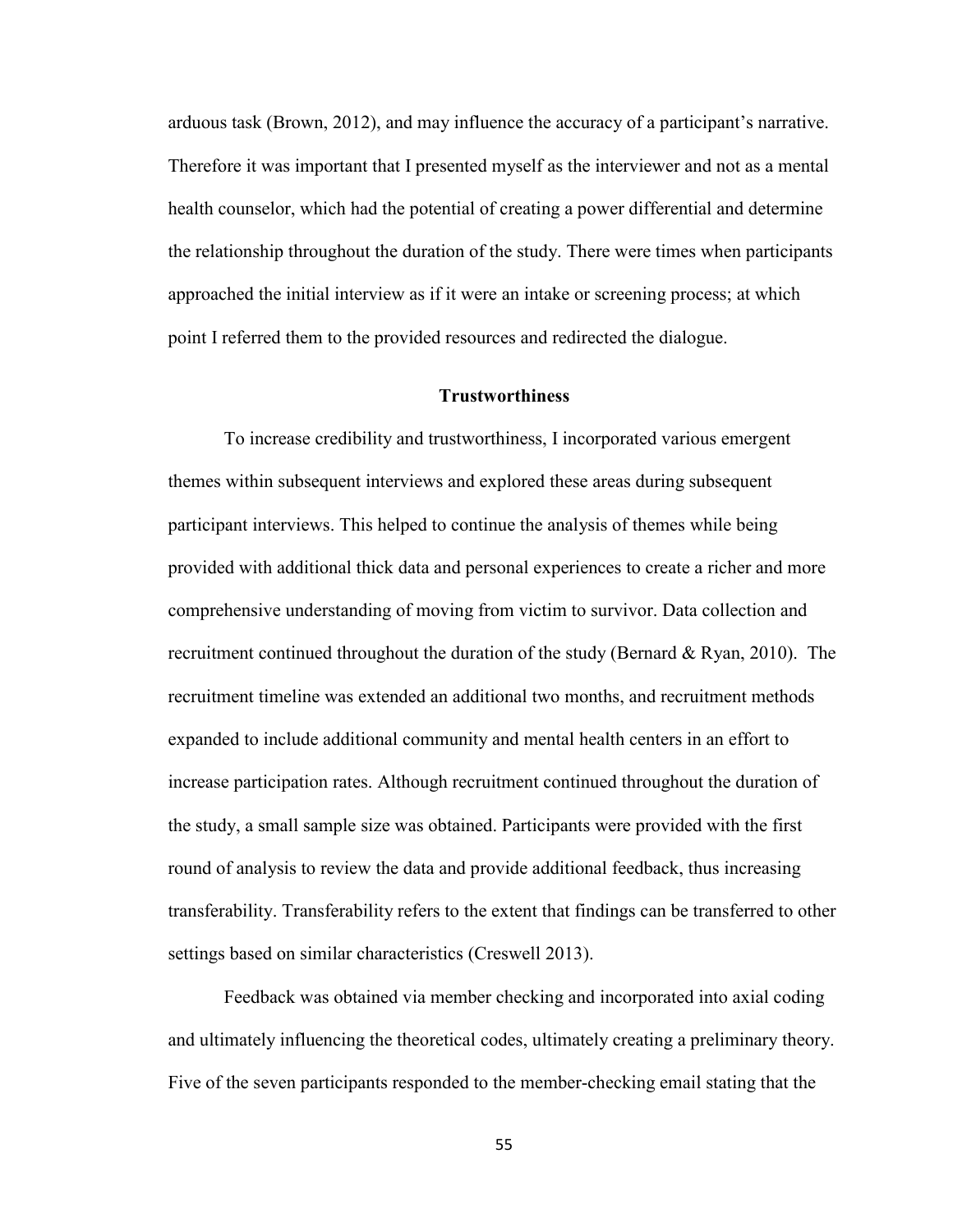arduous task (Brown, 2012), and may influence the accuracy of a participant's narrative. Therefore it was important that I presented myself as the interviewer and not as a mental health counselor, which had the potential of creating a power differential and determine the relationship throughout the duration of the study. There were times when participants approached the initial interview as if it were an intake or screening process; at which point I referred them to the provided resources and redirected the dialogue.

## **Trustworthiness**

To increase credibility and trustworthiness, I incorporated various emergent themes within subsequent interviews and explored these areas during subsequent participant interviews. This helped to continue the analysis of themes while being provided with additional thick data and personal experiences to create a richer and more comprehensive understanding of moving from victim to survivor. Data collection and recruitment continued throughout the duration of the study (Bernard  $\&$  Ryan, 2010). The recruitment timeline was extended an additional two months, and recruitment methods expanded to include additional community and mental health centers in an effort to increase participation rates. Although recruitment continued throughout the duration of the study, a small sample size was obtained. Participants were provided with the first round of analysis to review the data and provide additional feedback, thus increasing transferability. Transferability refers to the extent that findings can be transferred to other settings based on similar characteristics (Creswell 2013).

Feedback was obtained via member checking and incorporated into axial coding and ultimately influencing the theoretical codes, ultimately creating a preliminary theory. Five of the seven participants responded to the member-checking email stating that the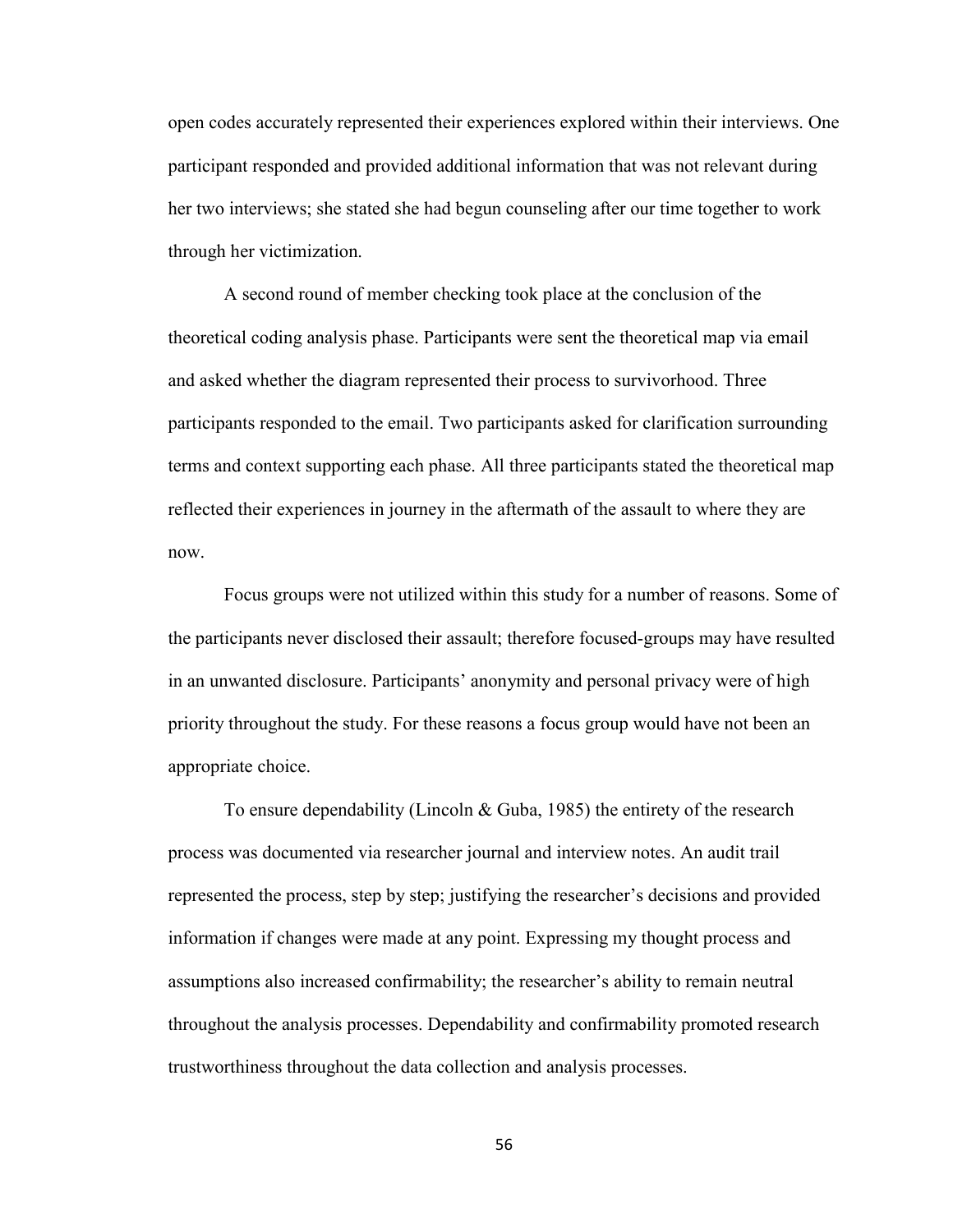open codes accurately represented their experiences explored within their interviews. One participant responded and provided additional information that was not relevant during her two interviews; she stated she had begun counseling after our time together to work through her victimization.

A second round of member checking took place at the conclusion of the theoretical coding analysis phase. Participants were sent the theoretical map via email and asked whether the diagram represented their process to survivorhood. Three participants responded to the email. Two participants asked for clarification surrounding terms and context supporting each phase. All three participants stated the theoretical map reflected their experiences in journey in the aftermath of the assault to where they are now.

Focus groups were not utilized within this study for a number of reasons. Some of the participants never disclosed their assault; therefore focused-groups may have resulted in an unwanted disclosure. Participants' anonymity and personal privacy were of high priority throughout the study. For these reasons a focus group would have not been an appropriate choice.

To ensure dependability (Lincoln & Guba, 1985) the entirety of the research process was documented via researcher journal and interview notes. An audit trail represented the process, step by step; justifying the researcher's decisions and provided information if changes were made at any point. Expressing my thought process and assumptions also increased confirmability; the researcher's ability to remain neutral throughout the analysis processes. Dependability and confirmability promoted research trustworthiness throughout the data collection and analysis processes.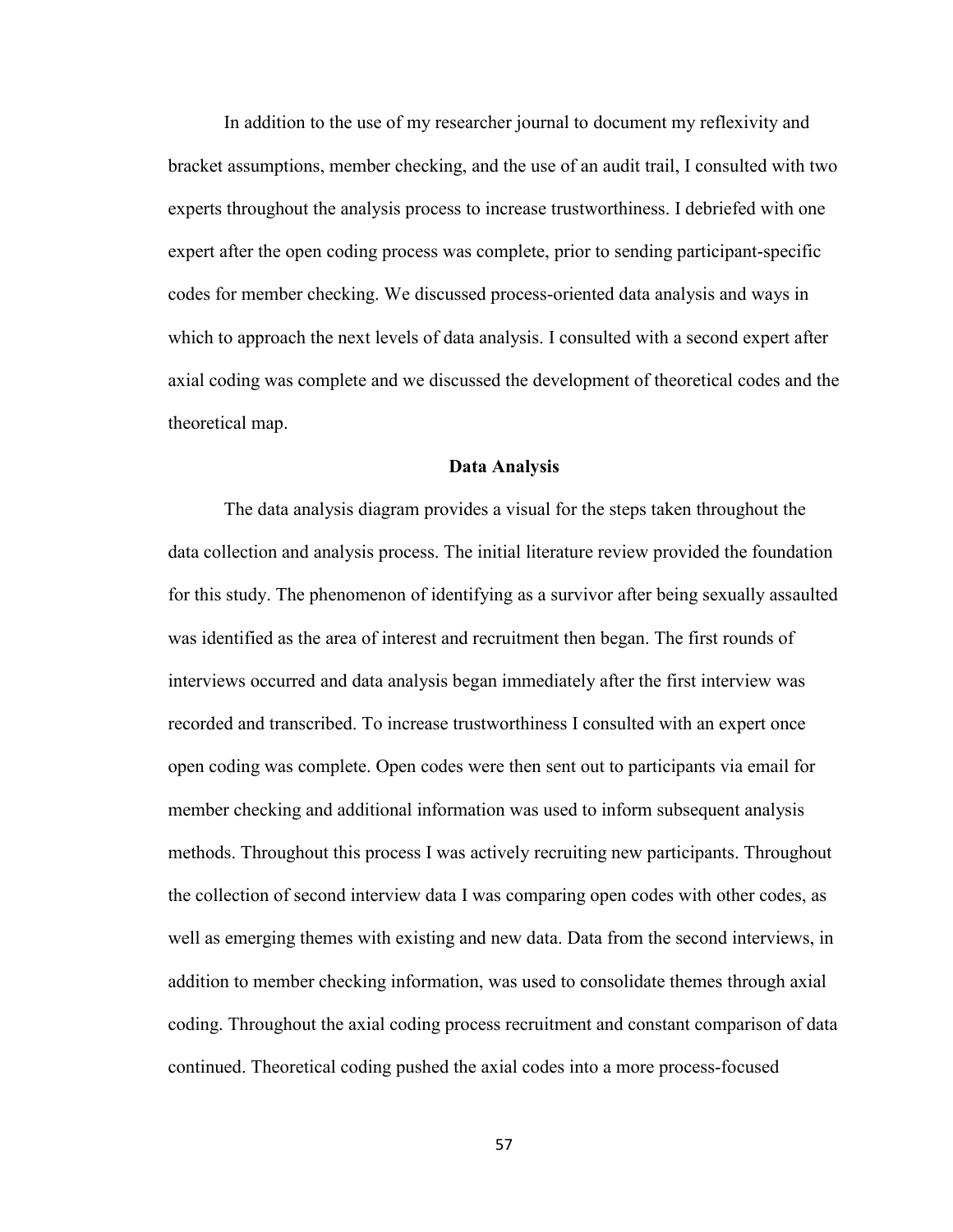In addition to the use of my researcher journal to document my reflexivity and bracket assumptions, member checking, and the use of an audit trail, I consulted with two experts throughout the analysis process to increase trustworthiness. I debriefed with one expert after the open coding process was complete, prior to sending participant-specific codes for member checking. We discussed process-oriented data analysis and ways in which to approach the next levels of data analysis. I consulted with a second expert after axial coding was complete and we discussed the development of theoretical codes and the theoretical map.

#### **Data Analysis**

 The data analysis diagram provides a visual for the steps taken throughout the data collection and analysis process. The initial literature review provided the foundation for this study. The phenomenon of identifying as a survivor after being sexually assaulted was identified as the area of interest and recruitment then began. The first rounds of interviews occurred and data analysis began immediately after the first interview was recorded and transcribed. To increase trustworthiness I consulted with an expert once open coding was complete. Open codes were then sent out to participants via email for member checking and additional information was used to inform subsequent analysis methods. Throughout this process I was actively recruiting new participants. Throughout the collection of second interview data I was comparing open codes with other codes, as well as emerging themes with existing and new data. Data from the second interviews, in addition to member checking information, was used to consolidate themes through axial coding. Throughout the axial coding process recruitment and constant comparison of data continued. Theoretical coding pushed the axial codes into a more process-focused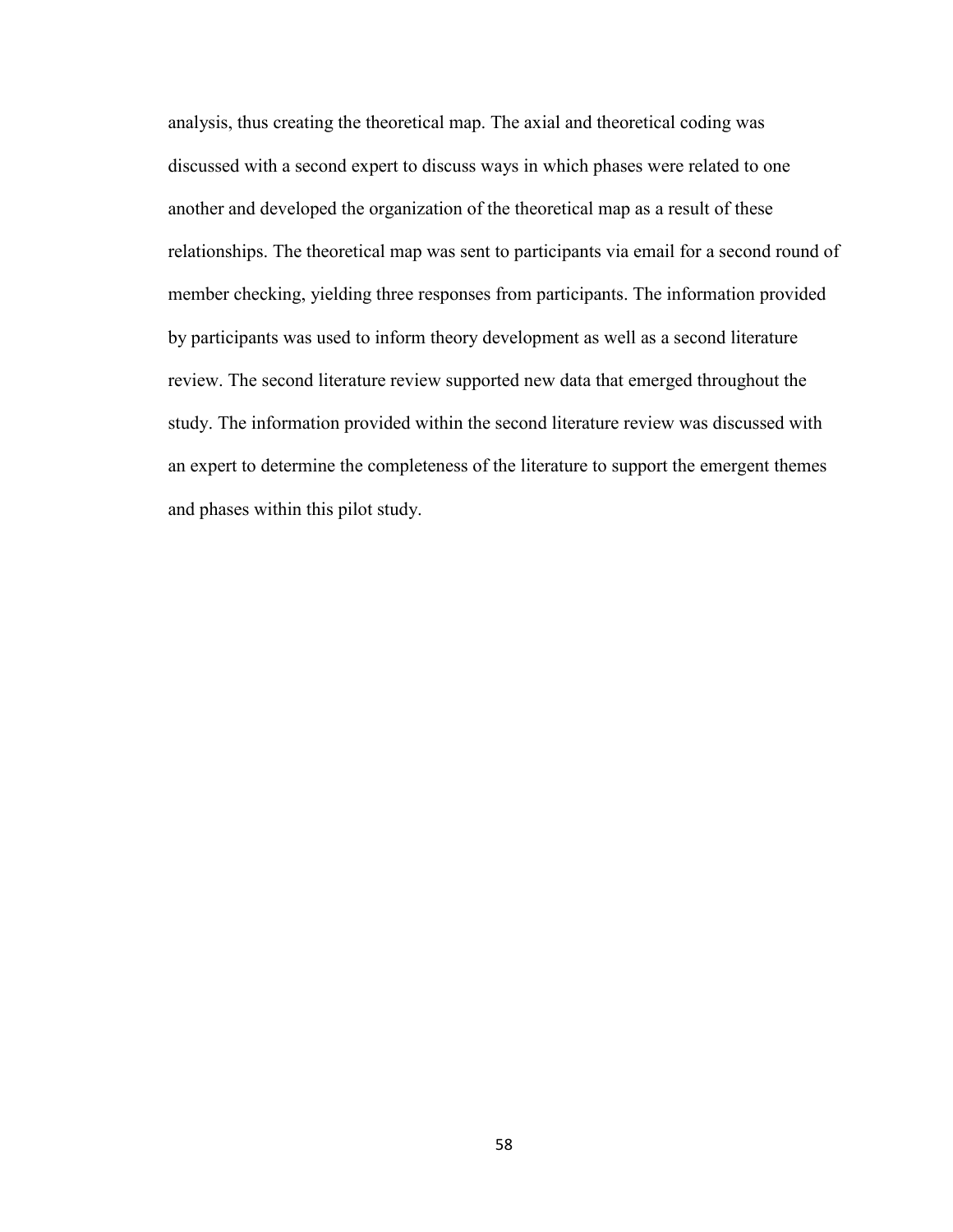analysis, thus creating the theoretical map. The axial and theoretical coding was discussed with a second expert to discuss ways in which phases were related to one another and developed the organization of the theoretical map as a result of these relationships. The theoretical map was sent to participants via email for a second round of member checking, yielding three responses from participants. The information provided by participants was used to inform theory development as well as a second literature review. The second literature review supported new data that emerged throughout the study. The information provided within the second literature review was discussed with an expert to determine the completeness of the literature to support the emergent themes and phases within this pilot study.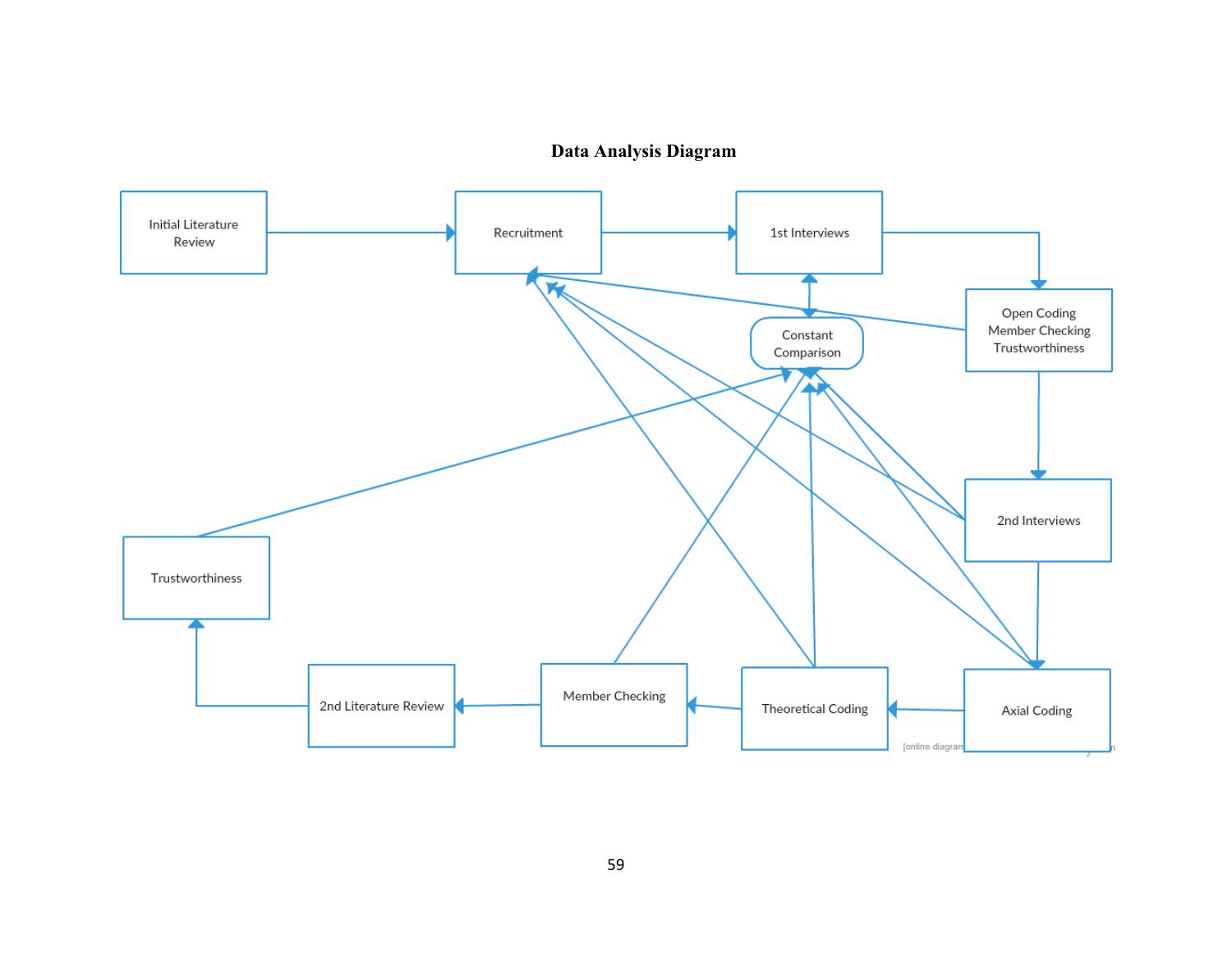# **Data Analysis Diagram**

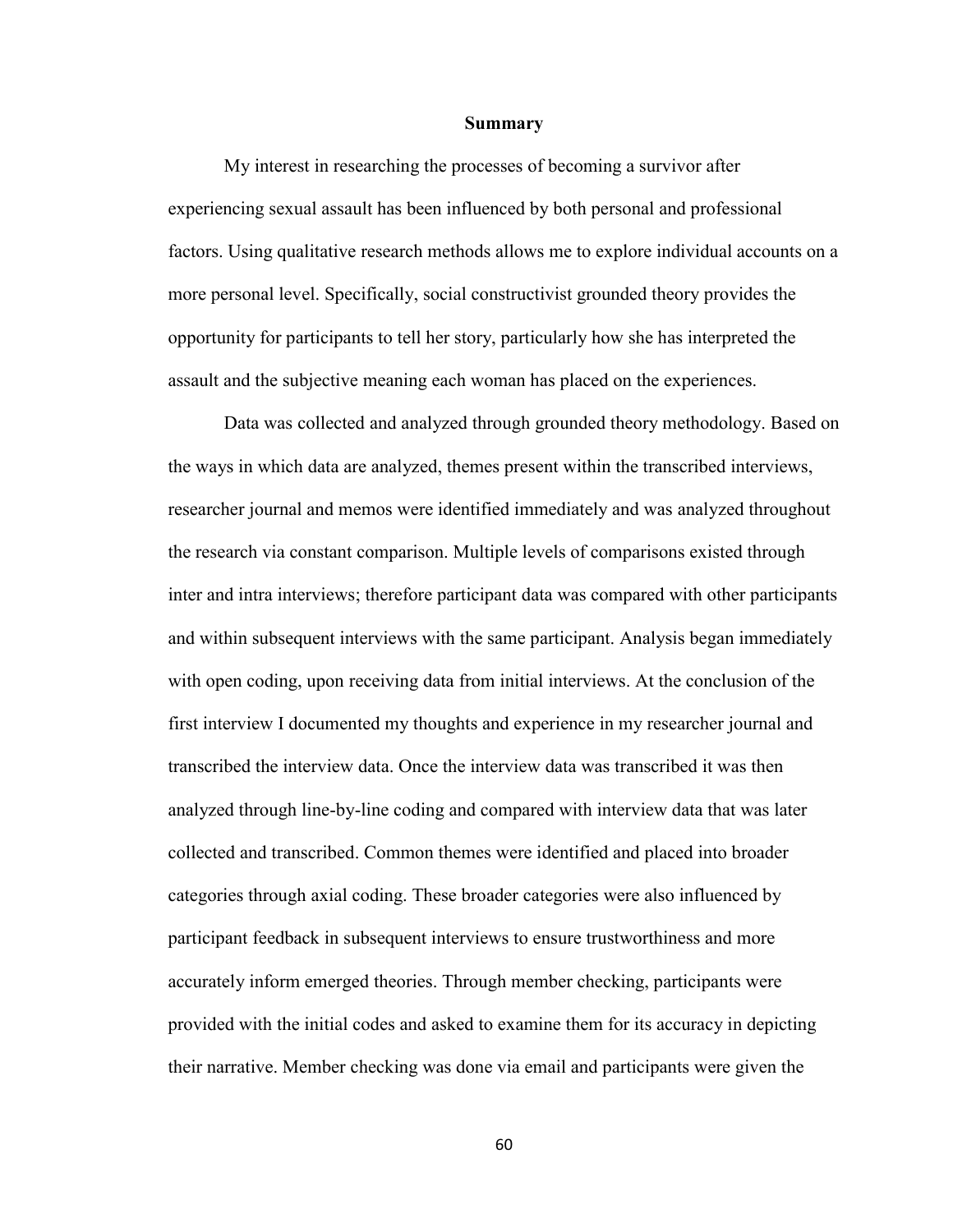#### **Summary**

My interest in researching the processes of becoming a survivor after experiencing sexual assault has been influenced by both personal and professional factors. Using qualitative research methods allows me to explore individual accounts on a more personal level. Specifically, social constructivist grounded theory provides the opportunity for participants to tell her story, particularly how she has interpreted the assault and the subjective meaning each woman has placed on the experiences.

Data was collected and analyzed through grounded theory methodology. Based on the ways in which data are analyzed, themes present within the transcribed interviews, researcher journal and memos were identified immediately and was analyzed throughout the research via constant comparison. Multiple levels of comparisons existed through inter and intra interviews; therefore participant data was compared with other participants and within subsequent interviews with the same participant. Analysis began immediately with open coding, upon receiving data from initial interviews. At the conclusion of the first interview I documented my thoughts and experience in my researcher journal and transcribed the interview data. Once the interview data was transcribed it was then analyzed through line-by-line coding and compared with interview data that was later collected and transcribed. Common themes were identified and placed into broader categories through axial coding. These broader categories were also influenced by participant feedback in subsequent interviews to ensure trustworthiness and more accurately inform emerged theories. Through member checking, participants were provided with the initial codes and asked to examine them for its accuracy in depicting their narrative. Member checking was done via email and participants were given the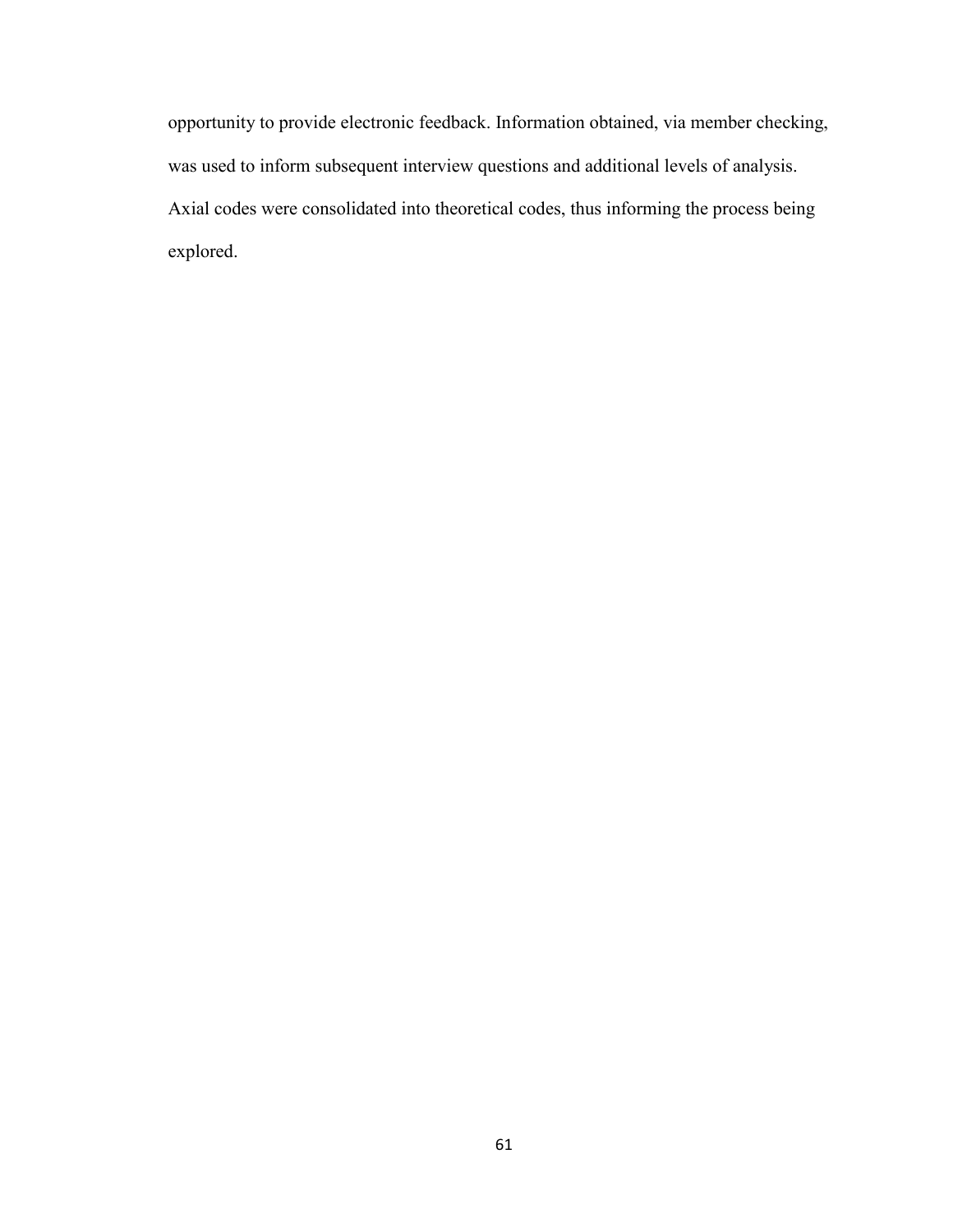opportunity to provide electronic feedback. Information obtained, via member checking, was used to inform subsequent interview questions and additional levels of analysis. Axial codes were consolidated into theoretical codes, thus informing the process being explored.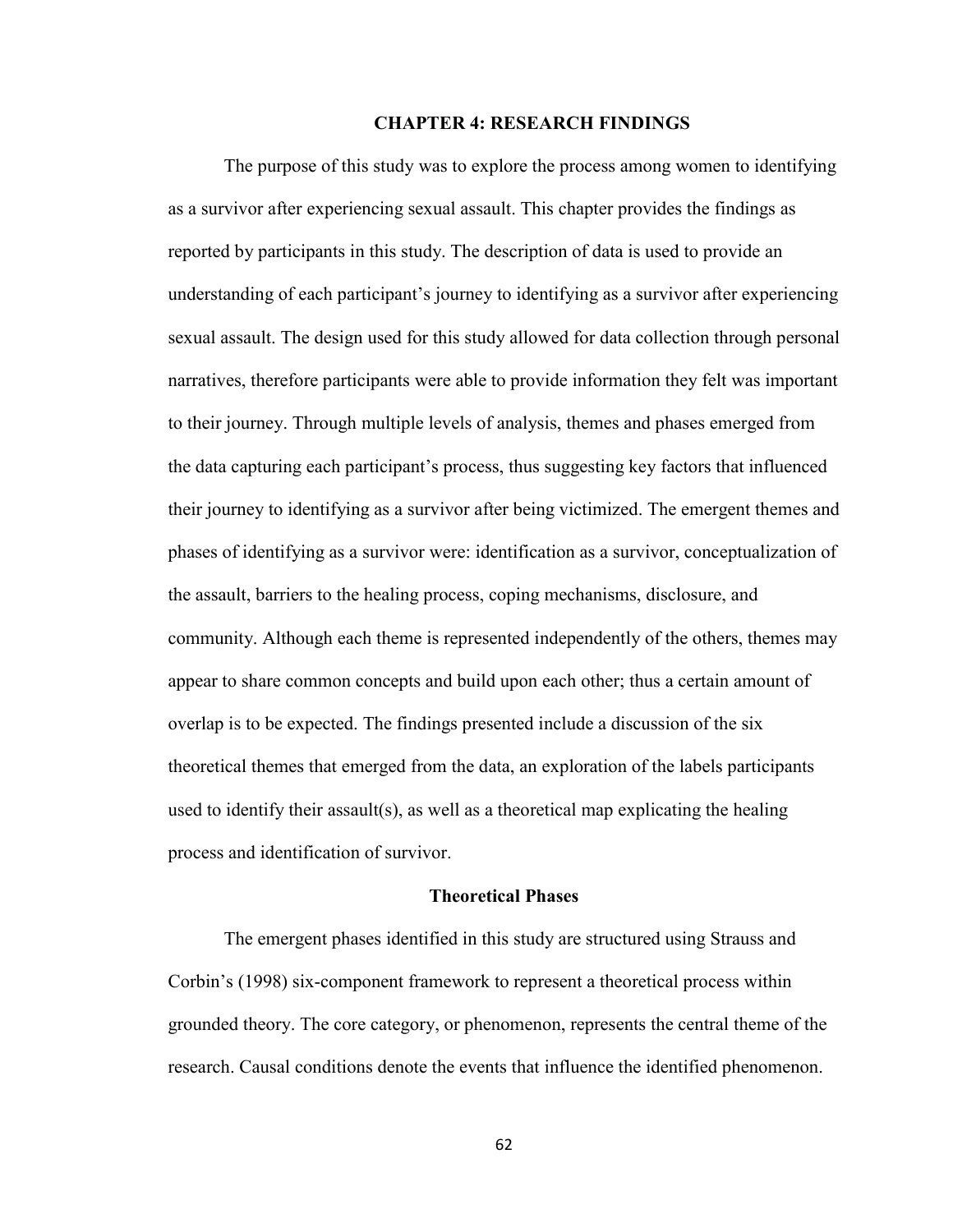#### **CHAPTER 4: RESEARCH FINDINGS**

 The purpose of this study was to explore the process among women to identifying as a survivor after experiencing sexual assault. This chapter provides the findings as reported by participants in this study. The description of data is used to provide an understanding of each participant's journey to identifying as a survivor after experiencing sexual assault. The design used for this study allowed for data collection through personal narratives, therefore participants were able to provide information they felt was important to their journey. Through multiple levels of analysis, themes and phases emerged from the data capturing each participant's process, thus suggesting key factors that influenced their journey to identifying as a survivor after being victimized. The emergent themes and phases of identifying as a survivor were: identification as a survivor, conceptualization of the assault, barriers to the healing process, coping mechanisms, disclosure, and community. Although each theme is represented independently of the others, themes may appear to share common concepts and build upon each other; thus a certain amount of overlap is to be expected. The findings presented include a discussion of the six theoretical themes that emerged from the data, an exploration of the labels participants used to identify their assault(s), as well as a theoretical map explicating the healing process and identification of survivor.

#### **Theoretical Phases**

The emergent phases identified in this study are structured using Strauss and Corbin's (1998) six-component framework to represent a theoretical process within grounded theory. The core category, or phenomenon, represents the central theme of the research. Causal conditions denote the events that influence the identified phenomenon.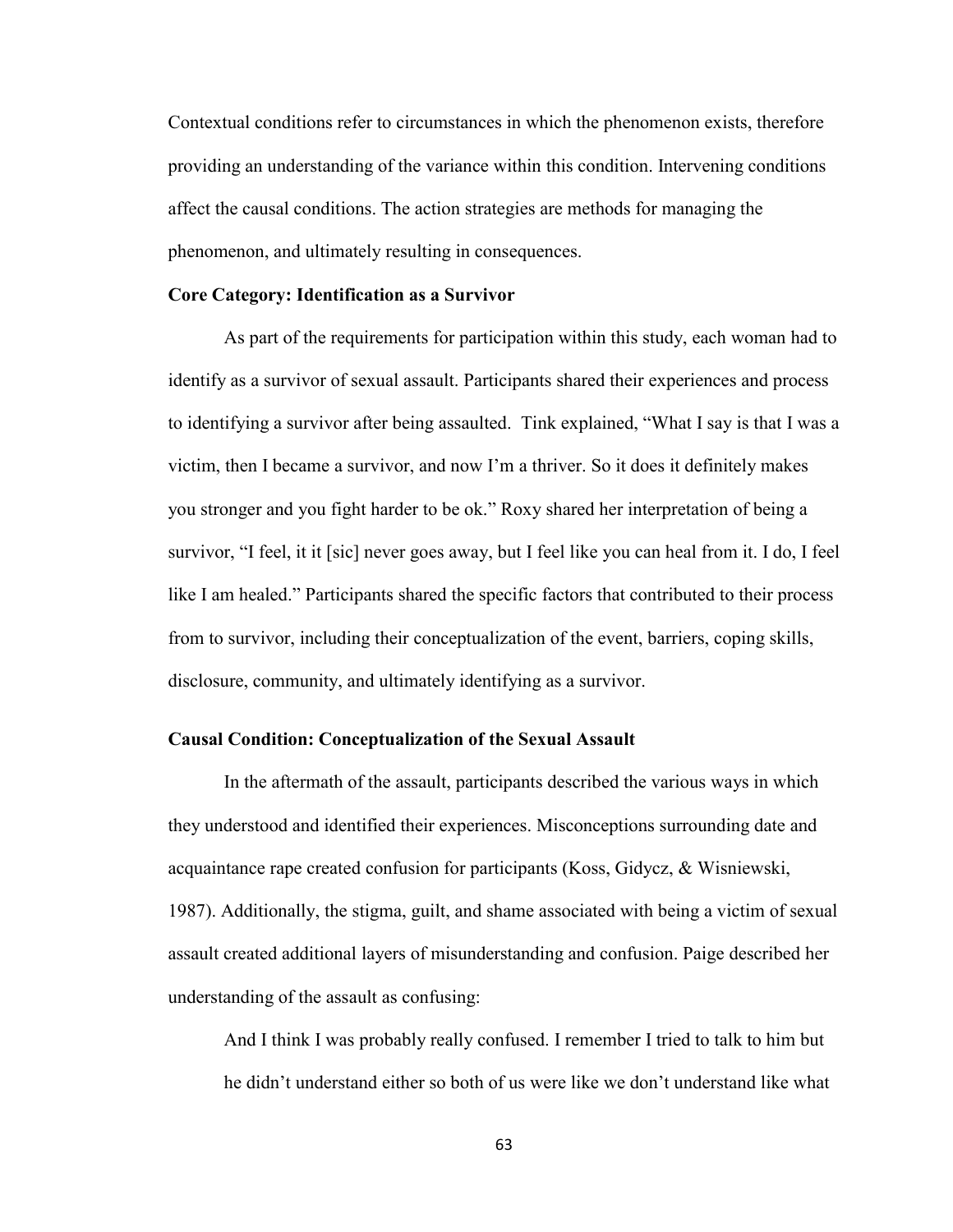Contextual conditions refer to circumstances in which the phenomenon exists, therefore providing an understanding of the variance within this condition. Intervening conditions affect the causal conditions. The action strategies are methods for managing the phenomenon, and ultimately resulting in consequences.

### **Core Category: Identification as a Survivor**

 As part of the requirements for participation within this study, each woman had to identify as a survivor of sexual assault. Participants shared their experiences and process to identifying a survivor after being assaulted. Tink explained, "What I say is that I was a victim, then I became a survivor, and now I'm a thriver. So it does it definitely makes you stronger and you fight harder to be ok." Roxy shared her interpretation of being a survivor, "I feel, it it [sic] never goes away, but I feel like you can heal from it. I do, I feel like I am healed." Participants shared the specific factors that contributed to their process from to survivor, including their conceptualization of the event, barriers, coping skills, disclosure, community, and ultimately identifying as a survivor.

## **Causal Condition: Conceptualization of the Sexual Assault**

 In the aftermath of the assault, participants described the various ways in which they understood and identified their experiences. Misconceptions surrounding date and acquaintance rape created confusion for participants (Koss, Gidycz, & Wisniewski, 1987). Additionally, the stigma, guilt, and shame associated with being a victim of sexual assault created additional layers of misunderstanding and confusion. Paige described her understanding of the assault as confusing:

And I think I was probably really confused. I remember I tried to talk to him but he didn't understand either so both of us were like we don't understand like what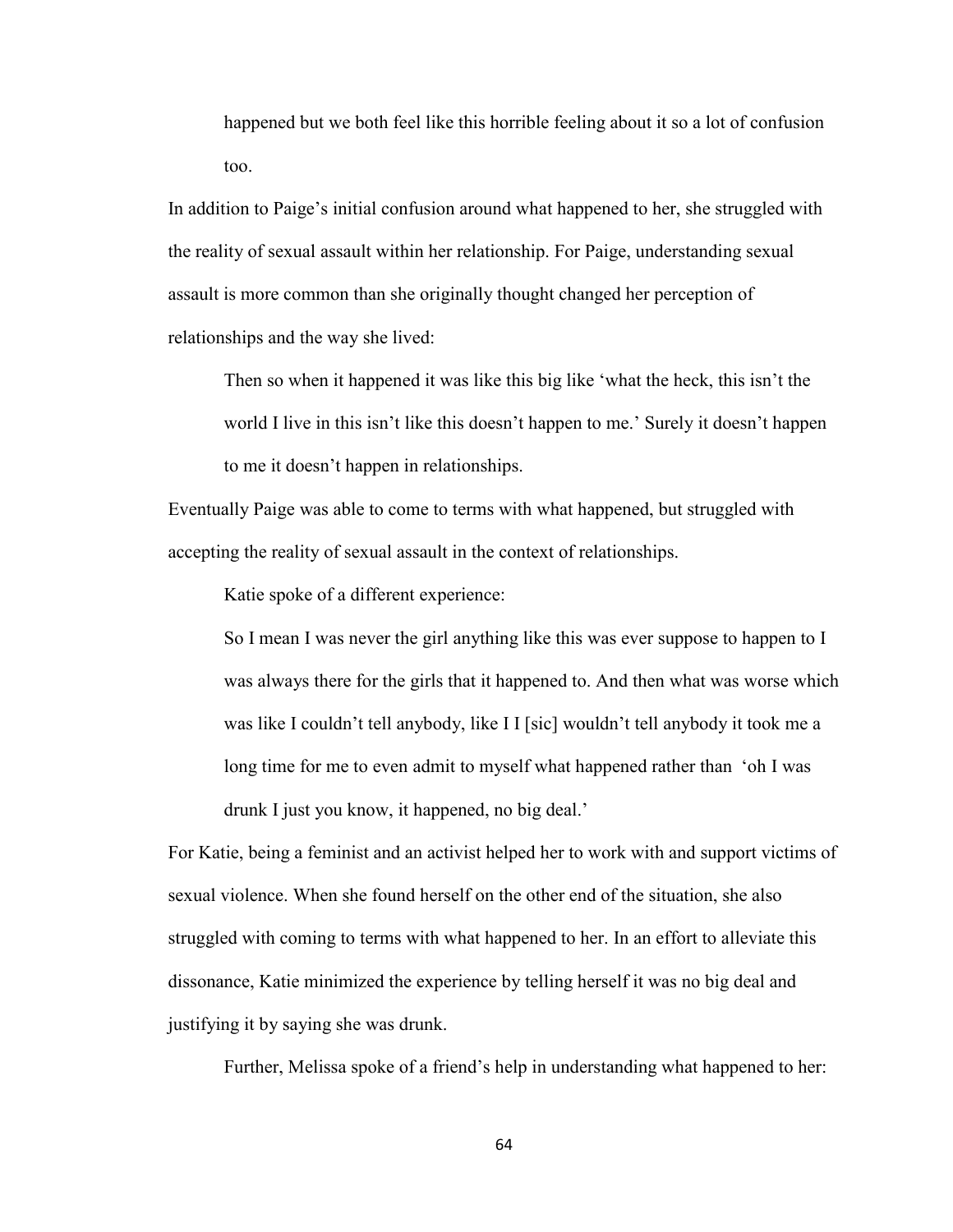happened but we both feel like this horrible feeling about it so a lot of confusion too.

In addition to Paige's initial confusion around what happened to her, she struggled with the reality of sexual assault within her relationship. For Paige, understanding sexual assault is more common than she originally thought changed her perception of relationships and the way she lived:

Then so when it happened it was like this big like 'what the heck, this isn't the world I live in this isn't like this doesn't happen to me.' Surely it doesn't happen to me it doesn't happen in relationships.

Eventually Paige was able to come to terms with what happened, but struggled with accepting the reality of sexual assault in the context of relationships.

Katie spoke of a different experience:

So I mean I was never the girl anything like this was ever suppose to happen to I was always there for the girls that it happened to. And then what was worse which was like I couldn't tell anybody, like I I [sic] wouldn't tell anybody it took me a long time for me to even admit to myself what happened rather than 'oh I was drunk I just you know, it happened, no big deal.'

For Katie, being a feminist and an activist helped her to work with and support victims of sexual violence. When she found herself on the other end of the situation, she also struggled with coming to terms with what happened to her. In an effort to alleviate this dissonance, Katie minimized the experience by telling herself it was no big deal and justifying it by saying she was drunk.

Further, Melissa spoke of a friend's help in understanding what happened to her: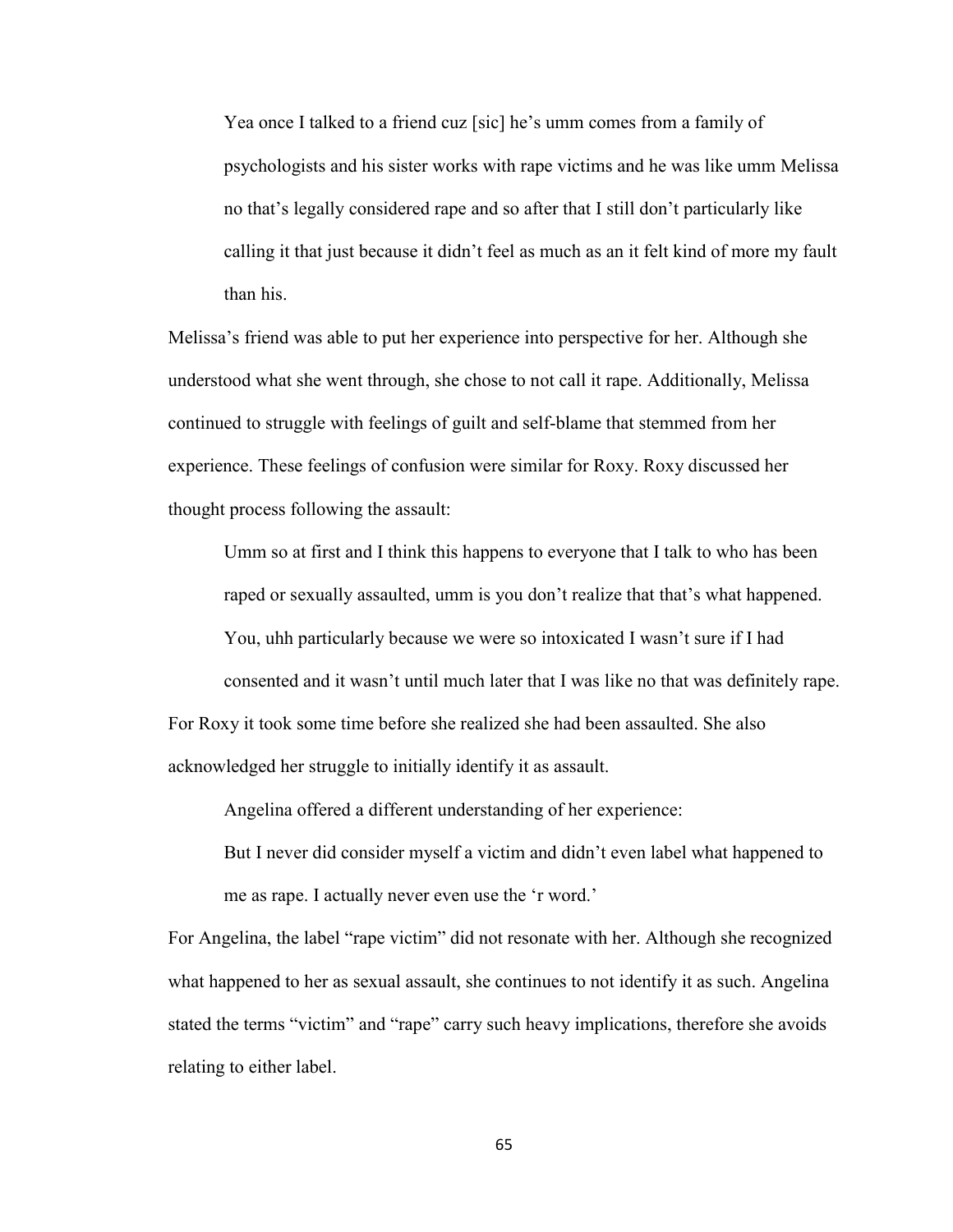Yea once I talked to a friend cuz [sic] he's umm comes from a family of psychologists and his sister works with rape victims and he was like umm Melissa no that's legally considered rape and so after that I still don't particularly like calling it that just because it didn't feel as much as an it felt kind of more my fault than his.

Melissa's friend was able to put her experience into perspective for her. Although she understood what she went through, she chose to not call it rape. Additionally, Melissa continued to struggle with feelings of guilt and self-blame that stemmed from her experience. These feelings of confusion were similar for Roxy. Roxy discussed her thought process following the assault:

Umm so at first and I think this happens to everyone that I talk to who has been raped or sexually assaulted, umm is you don't realize that that's what happened. You, uhh particularly because we were so intoxicated I wasn't sure if I had consented and it wasn't until much later that I was like no that was definitely rape. For Roxy it took some time before she realized she had been assaulted. She also acknowledged her struggle to initially identify it as assault.

Angelina offered a different understanding of her experience:

But I never did consider myself a victim and didn't even label what happened to me as rape. I actually never even use the 'r word.'

For Angelina, the label "rape victim" did not resonate with her. Although she recognized what happened to her as sexual assault, she continues to not identify it as such. Angelina stated the terms "victim" and "rape" carry such heavy implications, therefore she avoids relating to either label.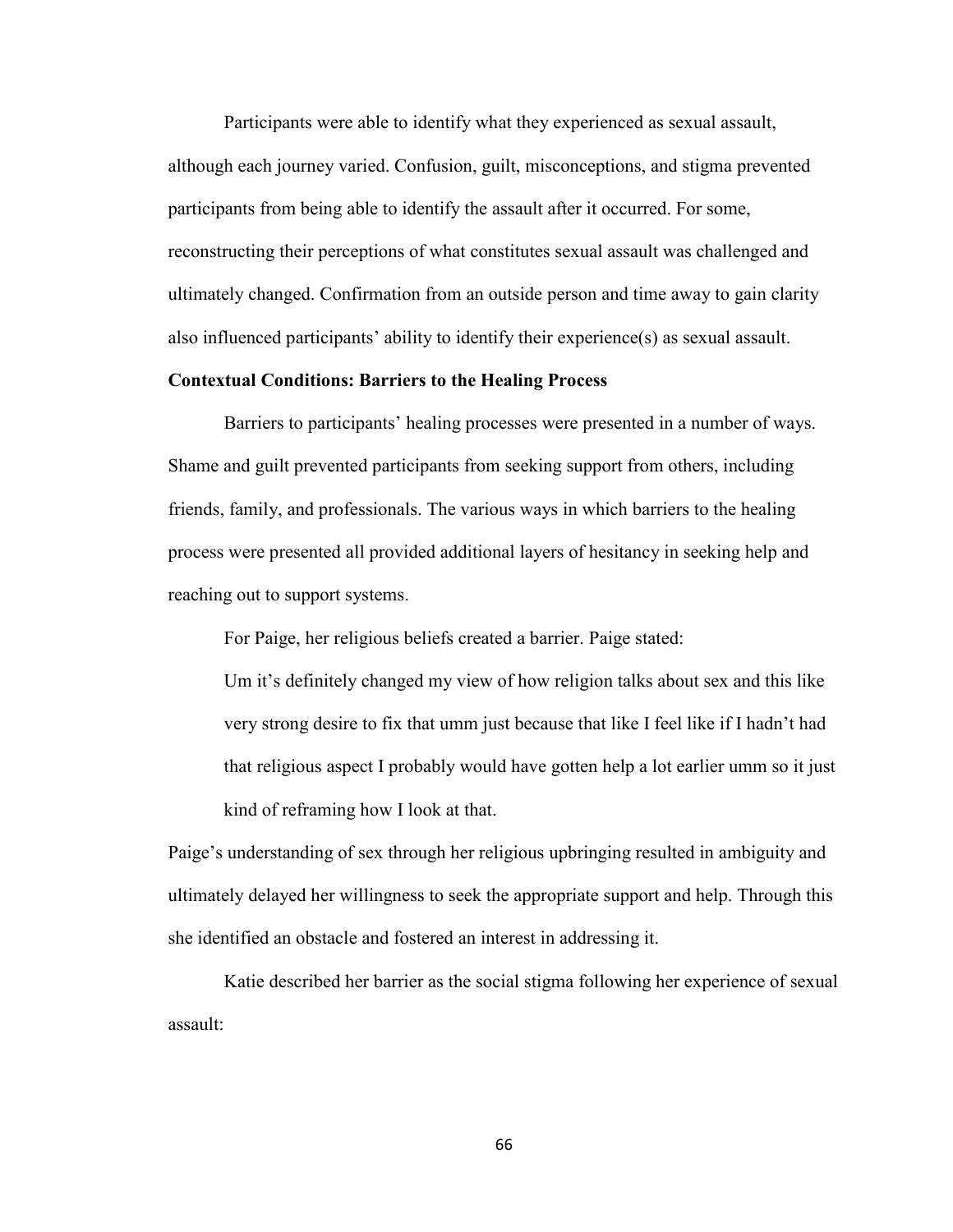Participants were able to identify what they experienced as sexual assault, although each journey varied. Confusion, guilt, misconceptions, and stigma prevented participants from being able to identify the assault after it occurred. For some, reconstructing their perceptions of what constitutes sexual assault was challenged and ultimately changed. Confirmation from an outside person and time away to gain clarity also influenced participants' ability to identify their experience(s) as sexual assault.

## **Contextual Conditions: Barriers to the Healing Process**

Barriers to participants' healing processes were presented in a number of ways. Shame and guilt prevented participants from seeking support from others, including friends, family, and professionals. The various ways in which barriers to the healing process were presented all provided additional layers of hesitancy in seeking help and reaching out to support systems.

For Paige, her religious beliefs created a barrier. Paige stated:

Um it's definitely changed my view of how religion talks about sex and this like very strong desire to fix that umm just because that like I feel like if I hadn't had that religious aspect I probably would have gotten help a lot earlier umm so it just kind of reframing how I look at that.

Paige's understanding of sex through her religious upbringing resulted in ambiguity and ultimately delayed her willingness to seek the appropriate support and help. Through this she identified an obstacle and fostered an interest in addressing it.

Katie described her barrier as the social stigma following her experience of sexual assault: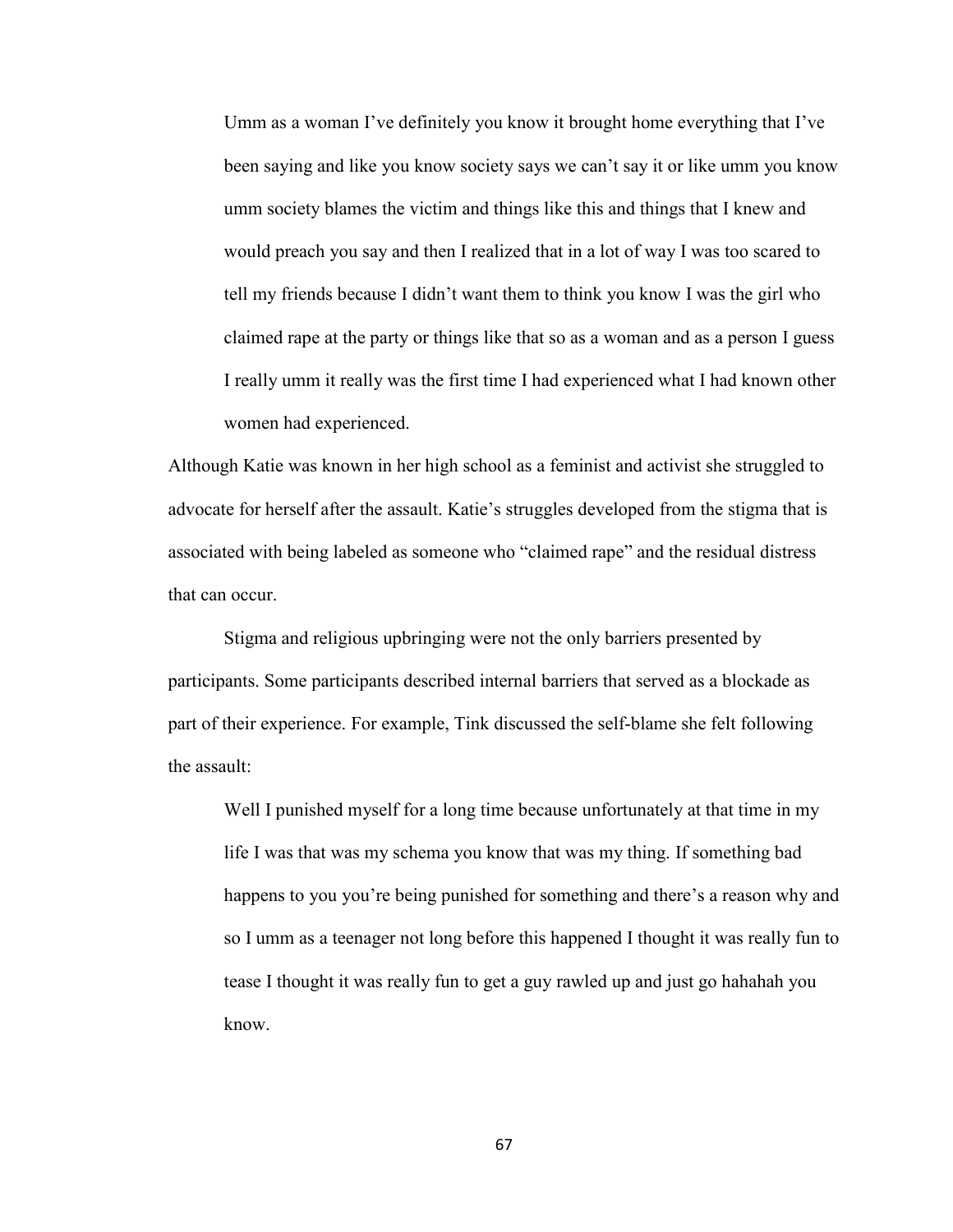Umm as a woman I've definitely you know it brought home everything that I've been saying and like you know society says we can't say it or like umm you know umm society blames the victim and things like this and things that I knew and would preach you say and then I realized that in a lot of way I was too scared to tell my friends because I didn't want them to think you know I was the girl who claimed rape at the party or things like that so as a woman and as a person I guess I really umm it really was the first time I had experienced what I had known other women had experienced.

Although Katie was known in her high school as a feminist and activist she struggled to advocate for herself after the assault. Katie's struggles developed from the stigma that is associated with being labeled as someone who "claimed rape" and the residual distress that can occur.

Stigma and religious upbringing were not the only barriers presented by participants. Some participants described internal barriers that served as a blockade as part of their experience. For example, Tink discussed the self-blame she felt following the assault:

Well I punished myself for a long time because unfortunately at that time in my life I was that was my schema you know that was my thing. If something bad happens to you you're being punished for something and there's a reason why and so I umm as a teenager not long before this happened I thought it was really fun to tease I thought it was really fun to get a guy rawled up and just go hahahah you know.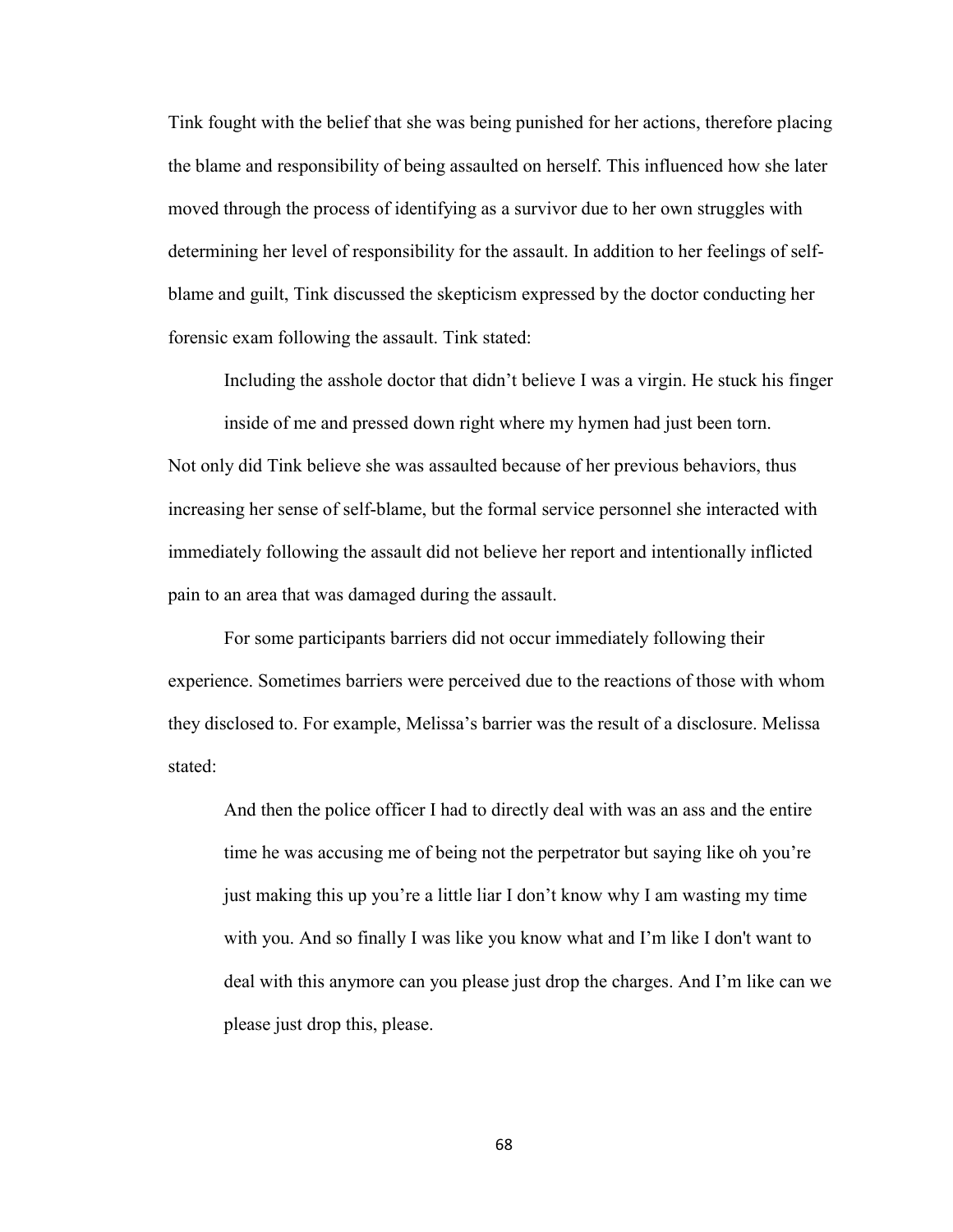Tink fought with the belief that she was being punished for her actions, therefore placing the blame and responsibility of being assaulted on herself. This influenced how she later moved through the process of identifying as a survivor due to her own struggles with determining her level of responsibility for the assault. In addition to her feelings of selfblame and guilt, Tink discussed the skepticism expressed by the doctor conducting her forensic exam following the assault. Tink stated:

Including the asshole doctor that didn't believe I was a virgin. He stuck his finger

inside of me and pressed down right where my hymen had just been torn. Not only did Tink believe she was assaulted because of her previous behaviors, thus increasing her sense of self-blame, but the formal service personnel she interacted with immediately following the assault did not believe her report and intentionally inflicted pain to an area that was damaged during the assault.

For some participants barriers did not occur immediately following their experience. Sometimes barriers were perceived due to the reactions of those with whom they disclosed to. For example, Melissa's barrier was the result of a disclosure. Melissa stated:

And then the police officer I had to directly deal with was an ass and the entire time he was accusing me of being not the perpetrator but saying like oh you're just making this up you're a little liar I don't know why I am wasting my time with you. And so finally I was like you know what and I'm like I don't want to deal with this anymore can you please just drop the charges. And I'm like can we please just drop this, please.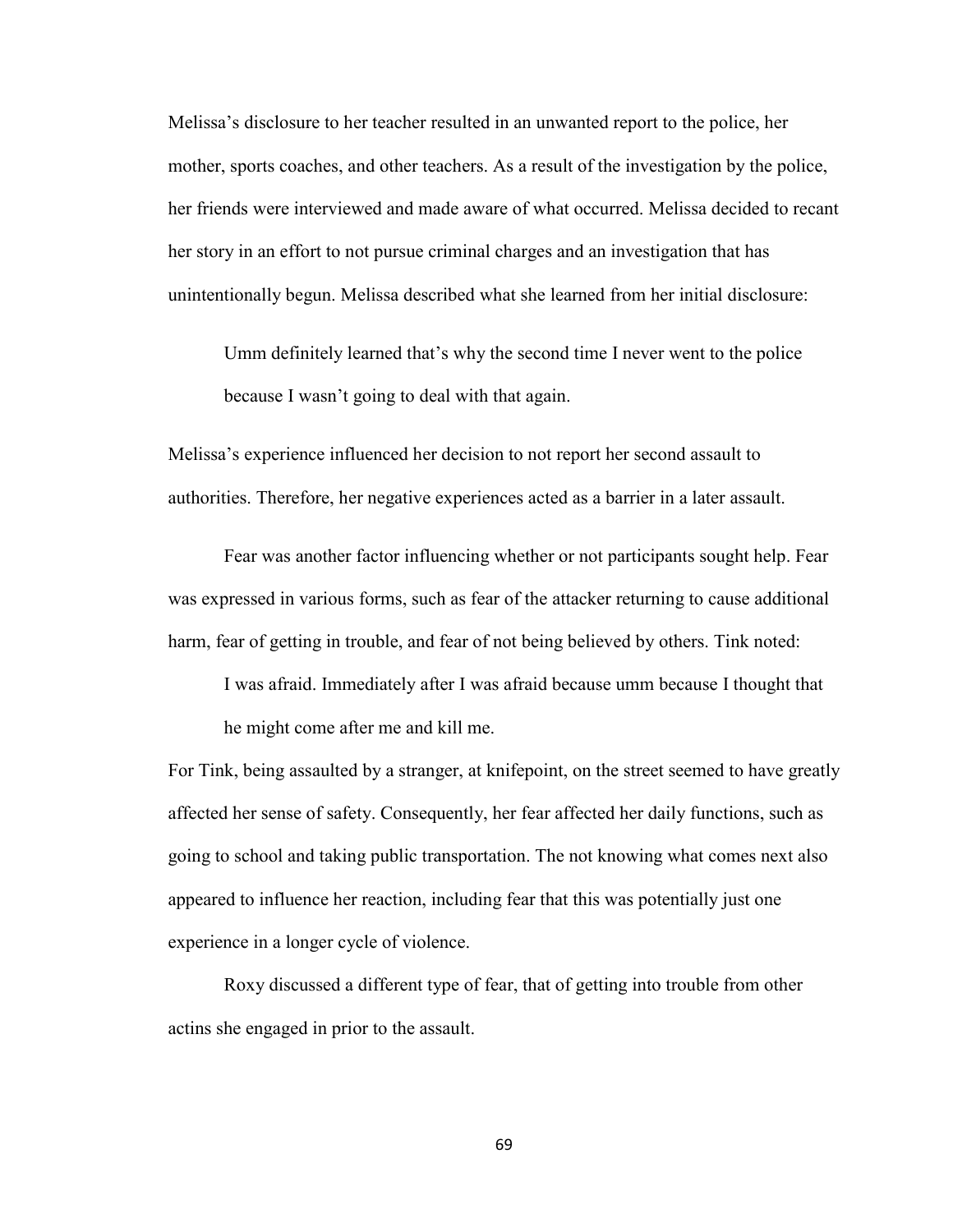Melissa's disclosure to her teacher resulted in an unwanted report to the police, her mother, sports coaches, and other teachers. As a result of the investigation by the police, her friends were interviewed and made aware of what occurred. Melissa decided to recant her story in an effort to not pursue criminal charges and an investigation that has unintentionally begun. Melissa described what she learned from her initial disclosure:

Umm definitely learned that's why the second time I never went to the police because I wasn't going to deal with that again.

Melissa's experience influenced her decision to not report her second assault to authorities. Therefore, her negative experiences acted as a barrier in a later assault.

Fear was another factor influencing whether or not participants sought help. Fear was expressed in various forms, such as fear of the attacker returning to cause additional harm, fear of getting in trouble, and fear of not being believed by others. Tink noted:

I was afraid. Immediately after I was afraid because umm because I thought that he might come after me and kill me.

For Tink, being assaulted by a stranger, at knifepoint, on the street seemed to have greatly affected her sense of safety. Consequently, her fear affected her daily functions, such as going to school and taking public transportation. The not knowing what comes next also appeared to influence her reaction, including fear that this was potentially just one experience in a longer cycle of violence.

Roxy discussed a different type of fear, that of getting into trouble from other actins she engaged in prior to the assault.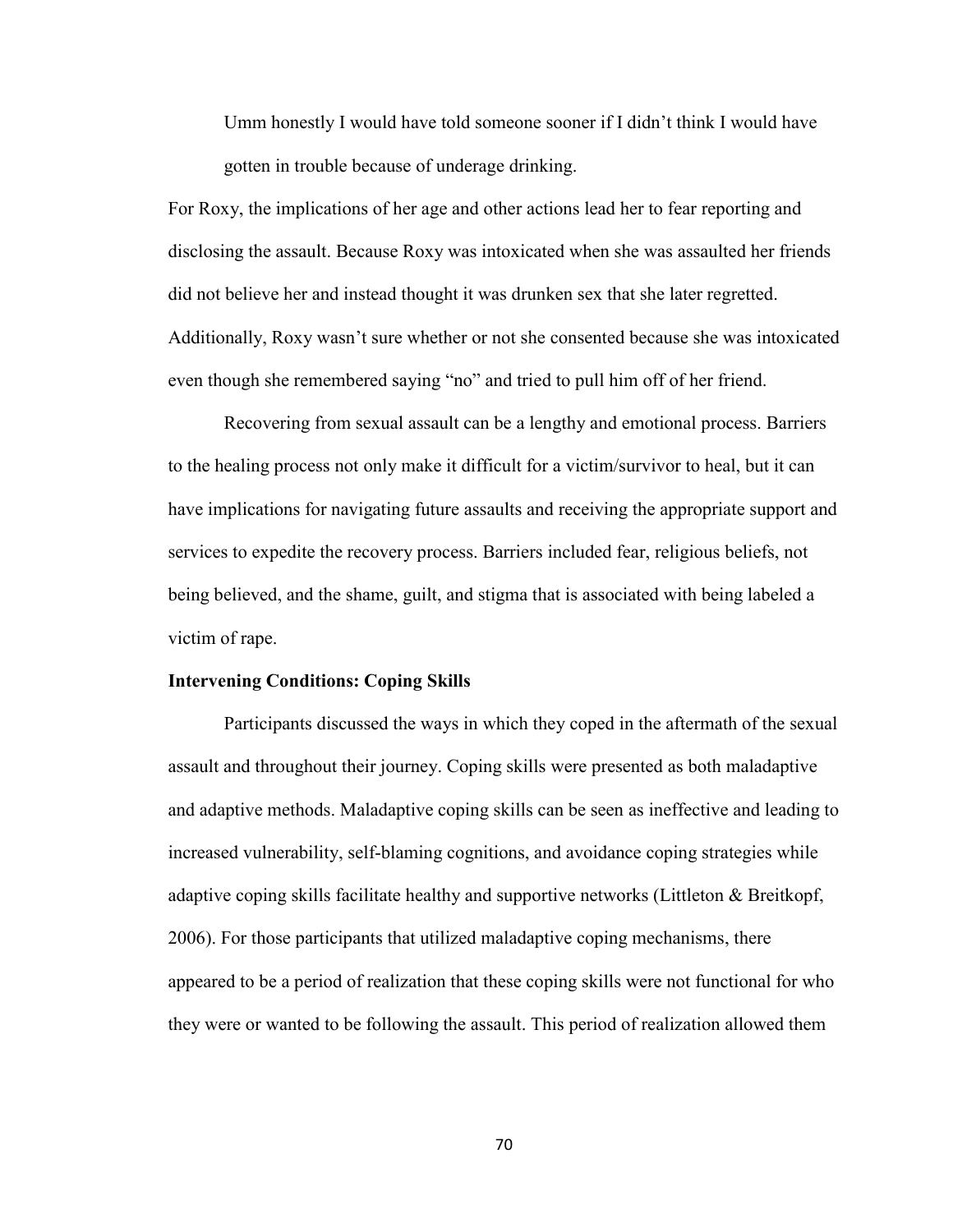Umm honestly I would have told someone sooner if I didn't think I would have gotten in trouble because of underage drinking.

For Roxy, the implications of her age and other actions lead her to fear reporting and disclosing the assault. Because Roxy was intoxicated when she was assaulted her friends did not believe her and instead thought it was drunken sex that she later regretted. Additionally, Roxy wasn't sure whether or not she consented because she was intoxicated even though she remembered saying "no" and tried to pull him off of her friend.

Recovering from sexual assault can be a lengthy and emotional process. Barriers to the healing process not only make it difficult for a victim/survivor to heal, but it can have implications for navigating future assaults and receiving the appropriate support and services to expedite the recovery process. Barriers included fear, religious beliefs, not being believed, and the shame, guilt, and stigma that is associated with being labeled a victim of rape.

## **Intervening Conditions: Coping Skills**

 Participants discussed the ways in which they coped in the aftermath of the sexual assault and throughout their journey. Coping skills were presented as both maladaptive and adaptive methods. Maladaptive coping skills can be seen as ineffective and leading to increased vulnerability, self-blaming cognitions, and avoidance coping strategies while adaptive coping skills facilitate healthy and supportive networks (Littleton & Breitkopf, 2006). For those participants that utilized maladaptive coping mechanisms, there appeared to be a period of realization that these coping skills were not functional for who they were or wanted to be following the assault. This period of realization allowed them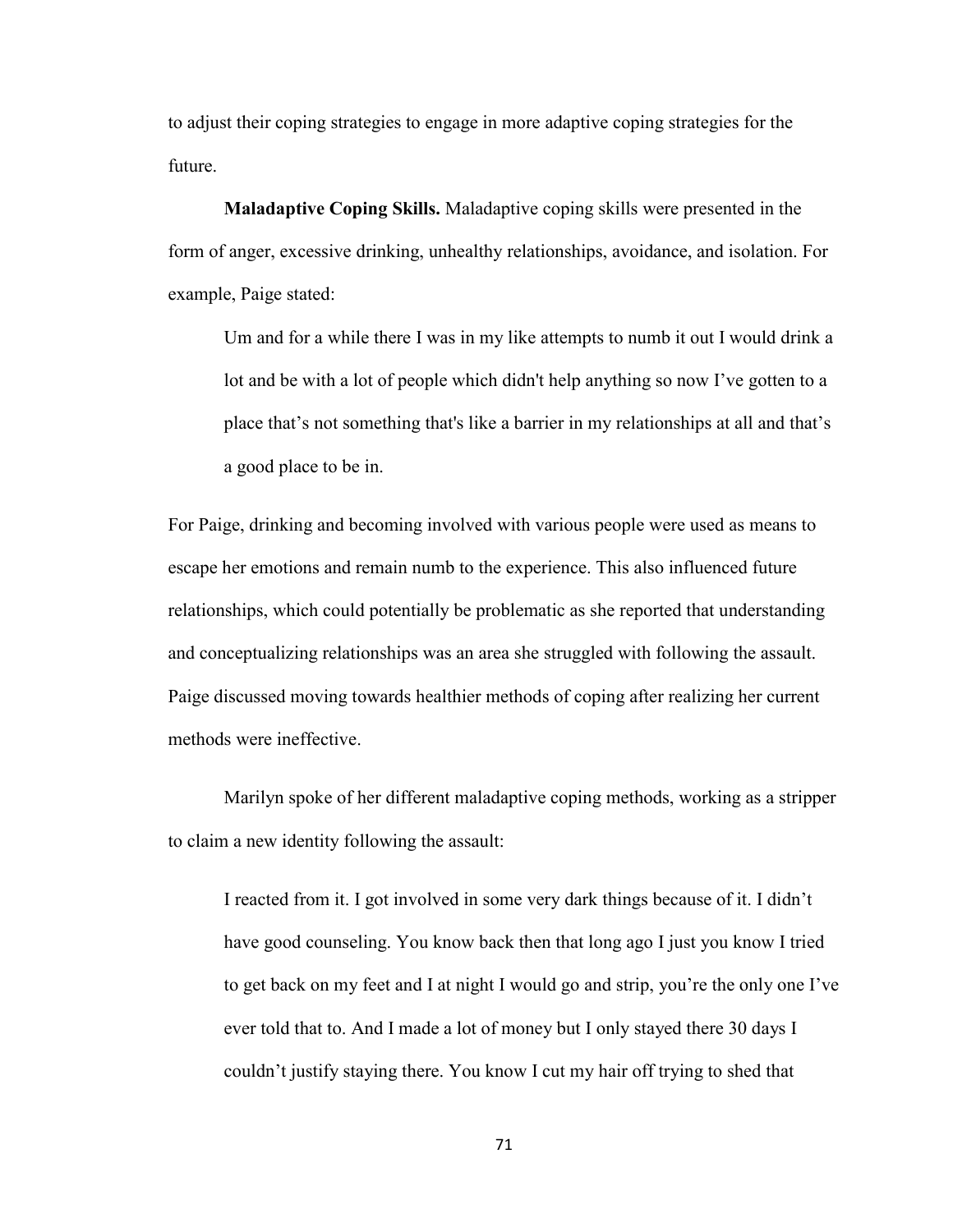to adjust their coping strategies to engage in more adaptive coping strategies for the future.

**Maladaptive Coping Skills.** Maladaptive coping skills were presented in the form of anger, excessive drinking, unhealthy relationships, avoidance, and isolation. For example, Paige stated:

Um and for a while there I was in my like attempts to numb it out I would drink a lot and be with a lot of people which didn't help anything so now I've gotten to a place that's not something that's like a barrier in my relationships at all and that's a good place to be in.

For Paige, drinking and becoming involved with various people were used as means to escape her emotions and remain numb to the experience. This also influenced future relationships, which could potentially be problematic as she reported that understanding and conceptualizing relationships was an area she struggled with following the assault. Paige discussed moving towards healthier methods of coping after realizing her current methods were ineffective.

Marilyn spoke of her different maladaptive coping methods, working as a stripper to claim a new identity following the assault:

I reacted from it. I got involved in some very dark things because of it. I didn't have good counseling. You know back then that long ago I just you know I tried to get back on my feet and I at night I would go and strip, you're the only one I've ever told that to. And I made a lot of money but I only stayed there 30 days I couldn't justify staying there. You know I cut my hair off trying to shed that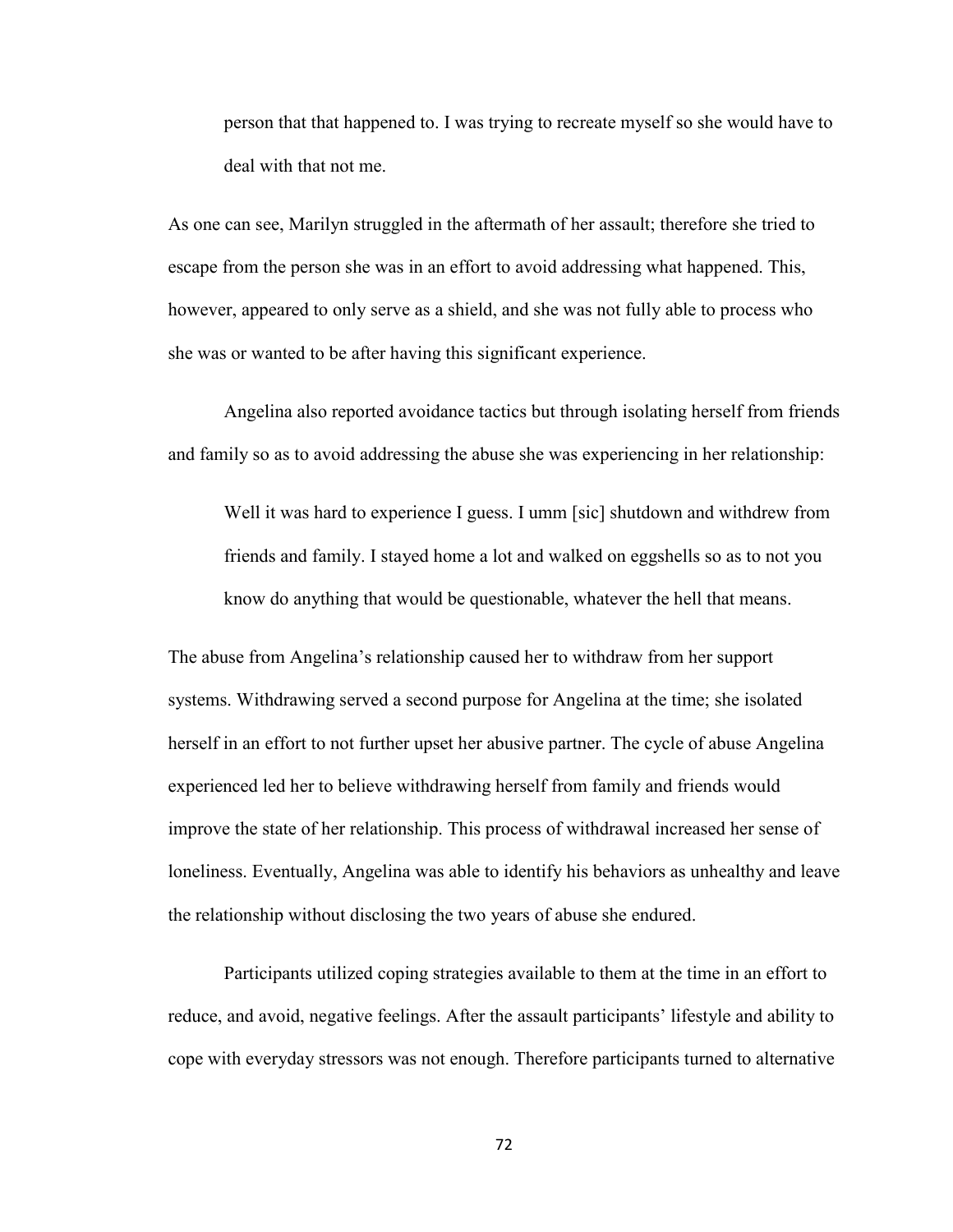person that that happened to. I was trying to recreate myself so she would have to deal with that not me.

As one can see, Marilyn struggled in the aftermath of her assault; therefore she tried to escape from the person she was in an effort to avoid addressing what happened. This, however, appeared to only serve as a shield, and she was not fully able to process who she was or wanted to be after having this significant experience.

Angelina also reported avoidance tactics but through isolating herself from friends and family so as to avoid addressing the abuse she was experiencing in her relationship:

Well it was hard to experience I guess. I umm [sic] shutdown and withdrew from friends and family. I stayed home a lot and walked on eggshells so as to not you know do anything that would be questionable, whatever the hell that means.

The abuse from Angelina's relationship caused her to withdraw from her support systems. Withdrawing served a second purpose for Angelina at the time; she isolated herself in an effort to not further upset her abusive partner. The cycle of abuse Angelina experienced led her to believe withdrawing herself from family and friends would improve the state of her relationship. This process of withdrawal increased her sense of loneliness. Eventually, Angelina was able to identify his behaviors as unhealthy and leave the relationship without disclosing the two years of abuse she endured.

Participants utilized coping strategies available to them at the time in an effort to reduce, and avoid, negative feelings. After the assault participants' lifestyle and ability to cope with everyday stressors was not enough. Therefore participants turned to alternative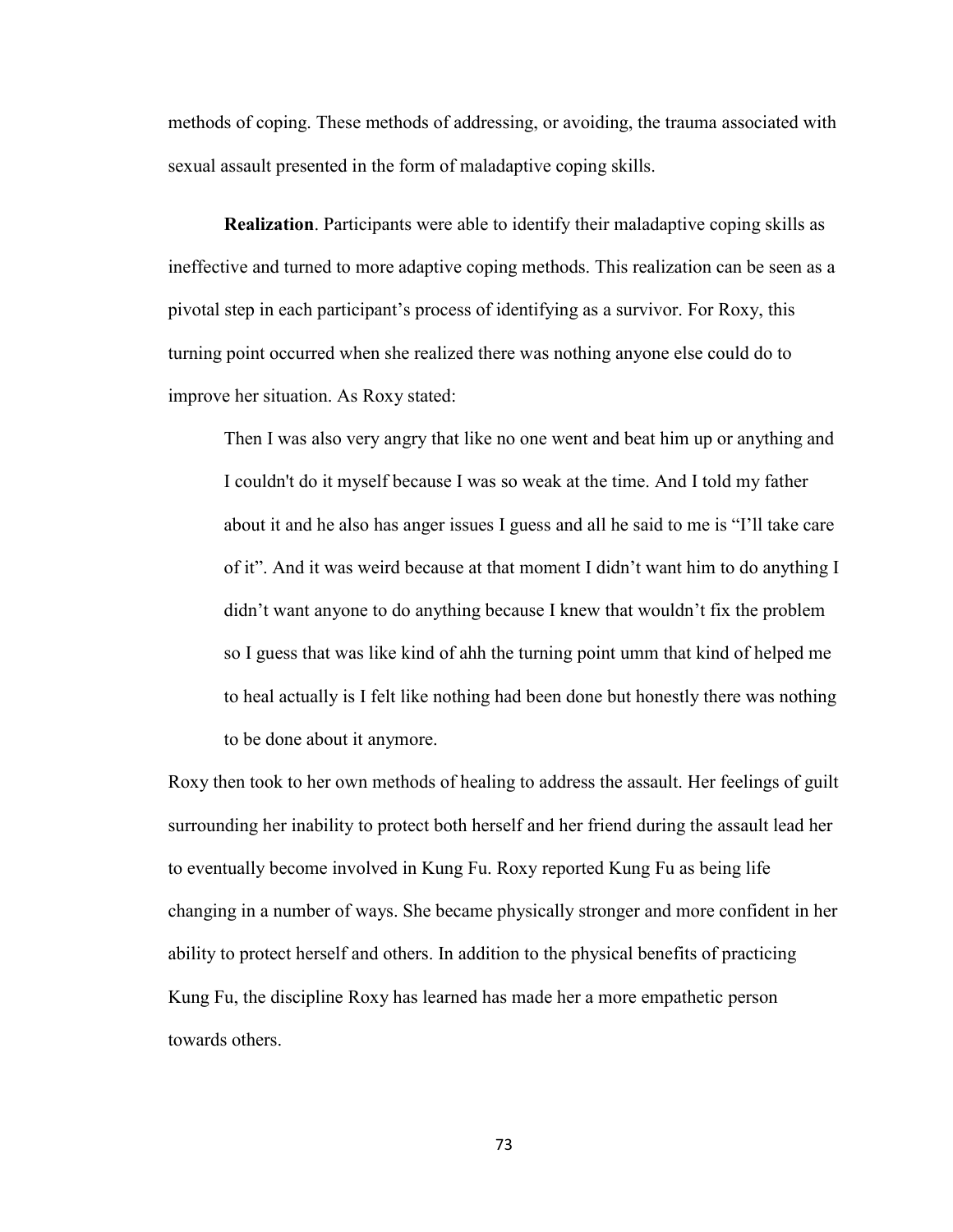methods of coping. These methods of addressing, or avoiding, the trauma associated with sexual assault presented in the form of maladaptive coping skills.

**Realization**. Participants were able to identify their maladaptive coping skills as ineffective and turned to more adaptive coping methods. This realization can be seen as a pivotal step in each participant's process of identifying as a survivor. For Roxy, this turning point occurred when she realized there was nothing anyone else could do to improve her situation. As Roxy stated:

Then I was also very angry that like no one went and beat him up or anything and I couldn't do it myself because I was so weak at the time. And I told my father about it and he also has anger issues I guess and all he said to me is "I'll take care of it". And it was weird because at that moment I didn't want him to do anything I didn't want anyone to do anything because I knew that wouldn't fix the problem so I guess that was like kind of ahh the turning point umm that kind of helped me to heal actually is I felt like nothing had been done but honestly there was nothing to be done about it anymore.

Roxy then took to her own methods of healing to address the assault. Her feelings of guilt surrounding her inability to protect both herself and her friend during the assault lead her to eventually become involved in Kung Fu. Roxy reported Kung Fu as being life changing in a number of ways. She became physically stronger and more confident in her ability to protect herself and others. In addition to the physical benefits of practicing Kung Fu, the discipline Roxy has learned has made her a more empathetic person towards others.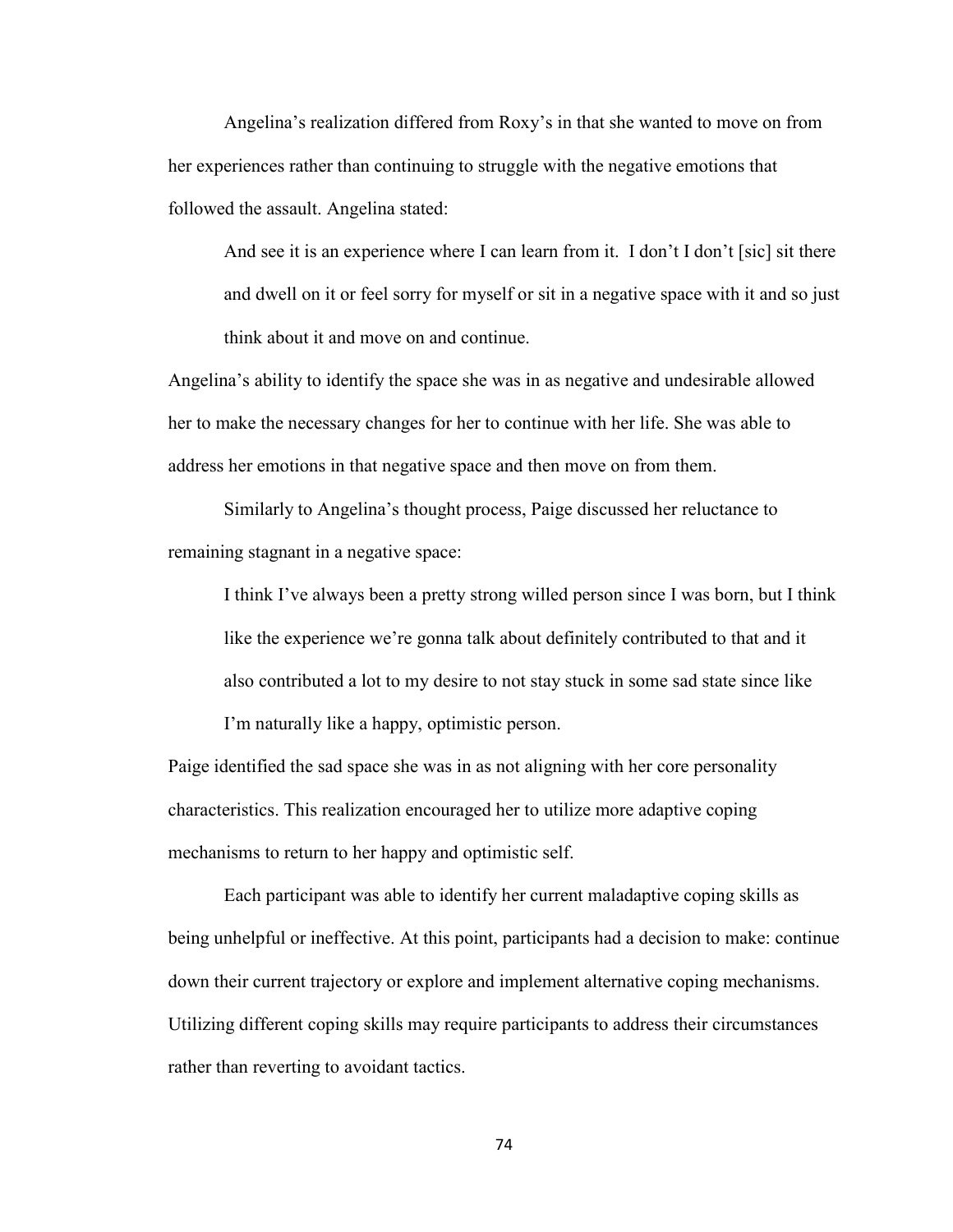Angelina's realization differed from Roxy's in that she wanted to move on from her experiences rather than continuing to struggle with the negative emotions that followed the assault. Angelina stated:

And see it is an experience where I can learn from it. I don't I don't [sic] sit there and dwell on it or feel sorry for myself or sit in a negative space with it and so just think about it and move on and continue.

Angelina's ability to identify the space she was in as negative and undesirable allowed her to make the necessary changes for her to continue with her life. She was able to address her emotions in that negative space and then move on from them.

Similarly to Angelina's thought process, Paige discussed her reluctance to remaining stagnant in a negative space:

I think I've always been a pretty strong willed person since I was born, but I think like the experience we're gonna talk about definitely contributed to that and it also contributed a lot to my desire to not stay stuck in some sad state since like

I'm naturally like a happy, optimistic person.

Paige identified the sad space she was in as not aligning with her core personality characteristics. This realization encouraged her to utilize more adaptive coping mechanisms to return to her happy and optimistic self.

Each participant was able to identify her current maladaptive coping skills as being unhelpful or ineffective. At this point, participants had a decision to make: continue down their current trajectory or explore and implement alternative coping mechanisms. Utilizing different coping skills may require participants to address their circumstances rather than reverting to avoidant tactics.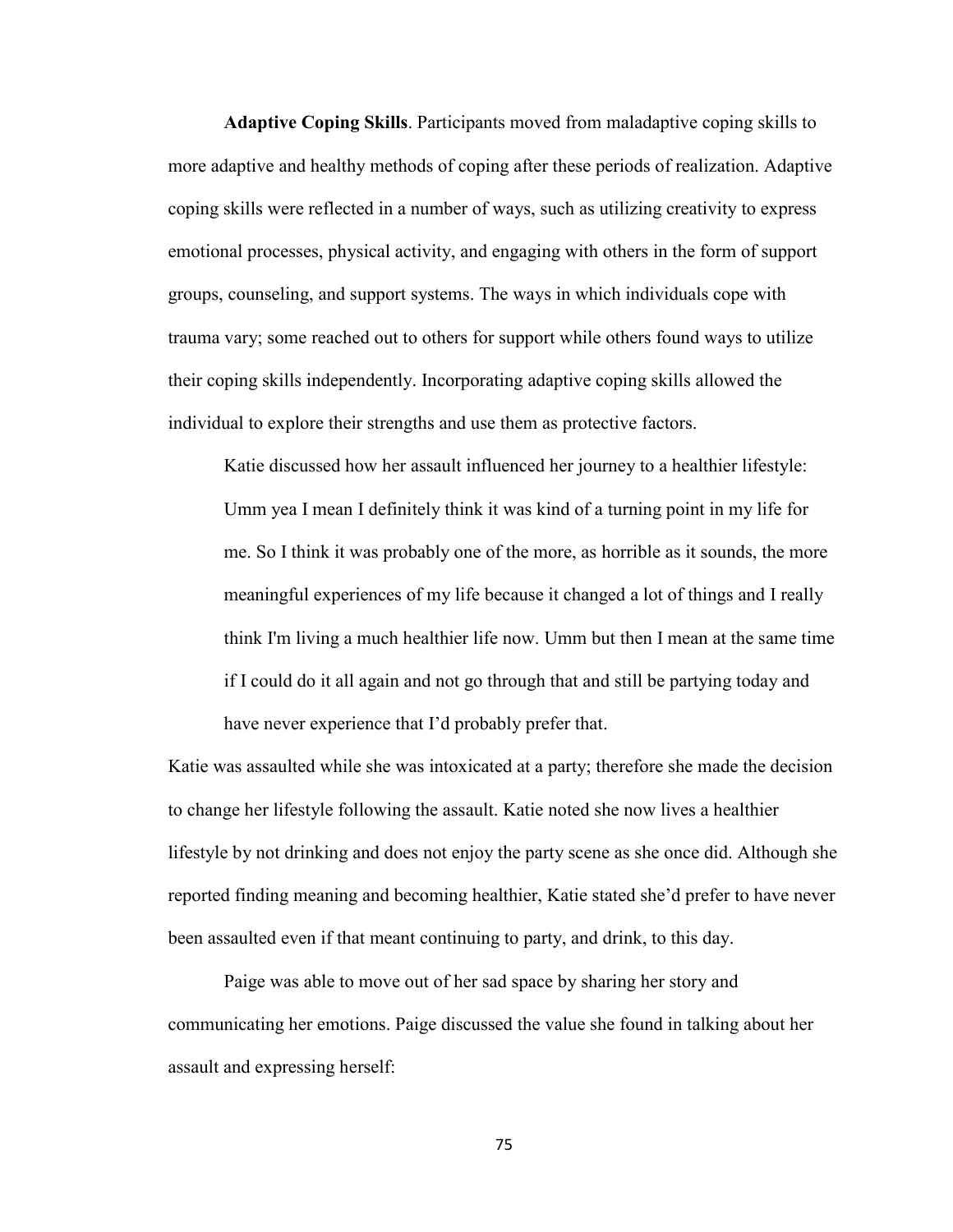**Adaptive Coping Skills**. Participants moved from maladaptive coping skills to more adaptive and healthy methods of coping after these periods of realization. Adaptive coping skills were reflected in a number of ways, such as utilizing creativity to express emotional processes, physical activity, and engaging with others in the form of support groups, counseling, and support systems. The ways in which individuals cope with trauma vary; some reached out to others for support while others found ways to utilize their coping skills independently. Incorporating adaptive coping skills allowed the individual to explore their strengths and use them as protective factors.

Katie discussed how her assault influenced her journey to a healthier lifestyle: Umm yea I mean I definitely think it was kind of a turning point in my life for me. So I think it was probably one of the more, as horrible as it sounds, the more meaningful experiences of my life because it changed a lot of things and I really think I'm living a much healthier life now. Umm but then I mean at the same time if I could do it all again and not go through that and still be partying today and have never experience that I'd probably prefer that.

Katie was assaulted while she was intoxicated at a party; therefore she made the decision to change her lifestyle following the assault. Katie noted she now lives a healthier lifestyle by not drinking and does not enjoy the party scene as she once did. Although she reported finding meaning and becoming healthier, Katie stated she'd prefer to have never been assaulted even if that meant continuing to party, and drink, to this day.

Paige was able to move out of her sad space by sharing her story and communicating her emotions. Paige discussed the value she found in talking about her assault and expressing herself: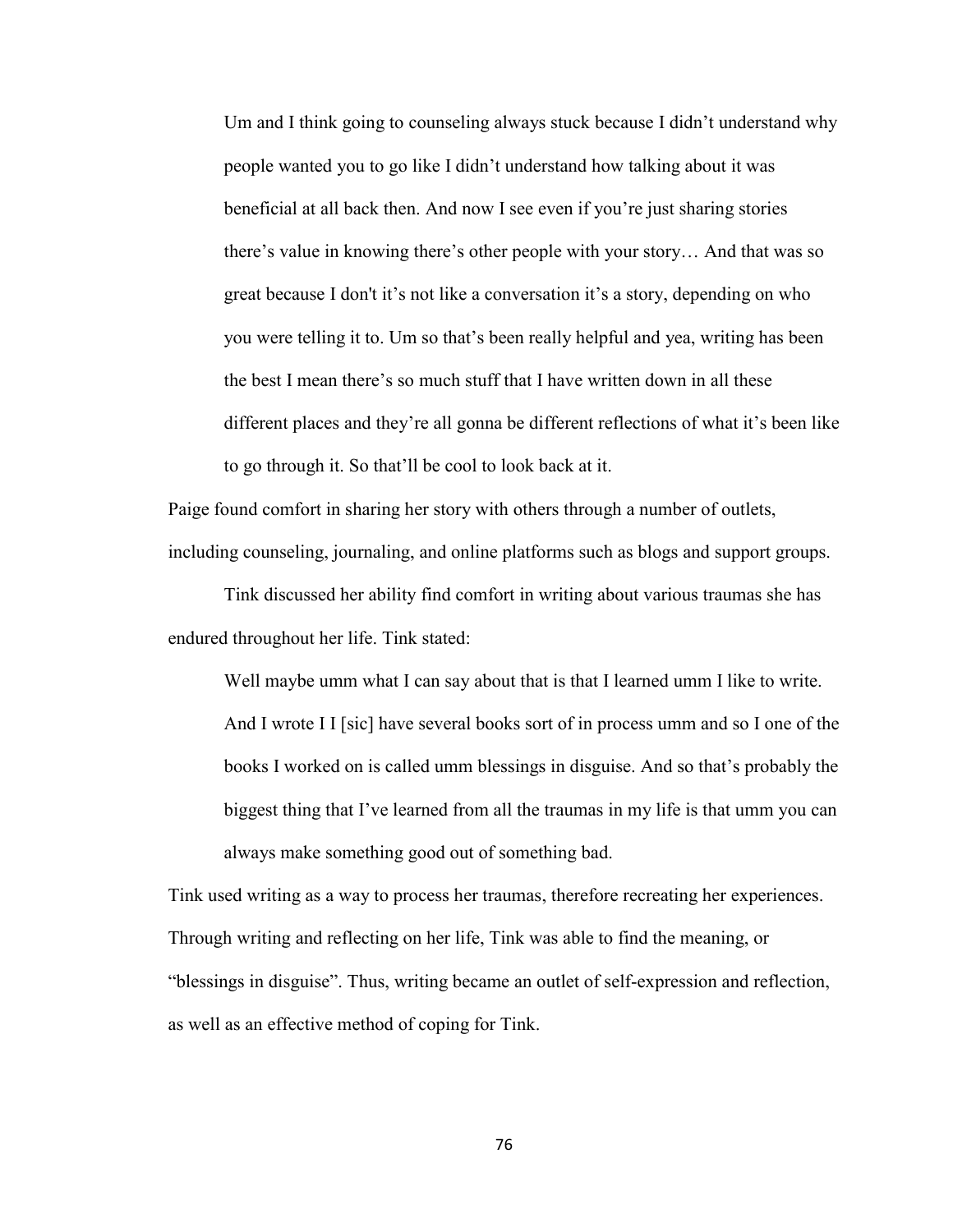Um and I think going to counseling always stuck because I didn't understand why people wanted you to go like I didn't understand how talking about it was beneficial at all back then. And now I see even if you're just sharing stories there's value in knowing there's other people with your story… And that was so great because I don't it's not like a conversation it's a story, depending on who you were telling it to. Um so that's been really helpful and yea, writing has been the best I mean there's so much stuff that I have written down in all these different places and they're all gonna be different reflections of what it's been like to go through it. So that'll be cool to look back at it.

Paige found comfort in sharing her story with others through a number of outlets, including counseling, journaling, and online platforms such as blogs and support groups.

Tink discussed her ability find comfort in writing about various traumas she has endured throughout her life. Tink stated:

Well maybe umm what I can say about that is that I learned umm I like to write. And I wrote I I [sic] have several books sort of in process umm and so I one of the books I worked on is called umm blessings in disguise. And so that's probably the biggest thing that I've learned from all the traumas in my life is that umm you can always make something good out of something bad.

Tink used writing as a way to process her traumas, therefore recreating her experiences. Through writing and reflecting on her life, Tink was able to find the meaning, or "blessings in disguise". Thus, writing became an outlet of self-expression and reflection, as well as an effective method of coping for Tink.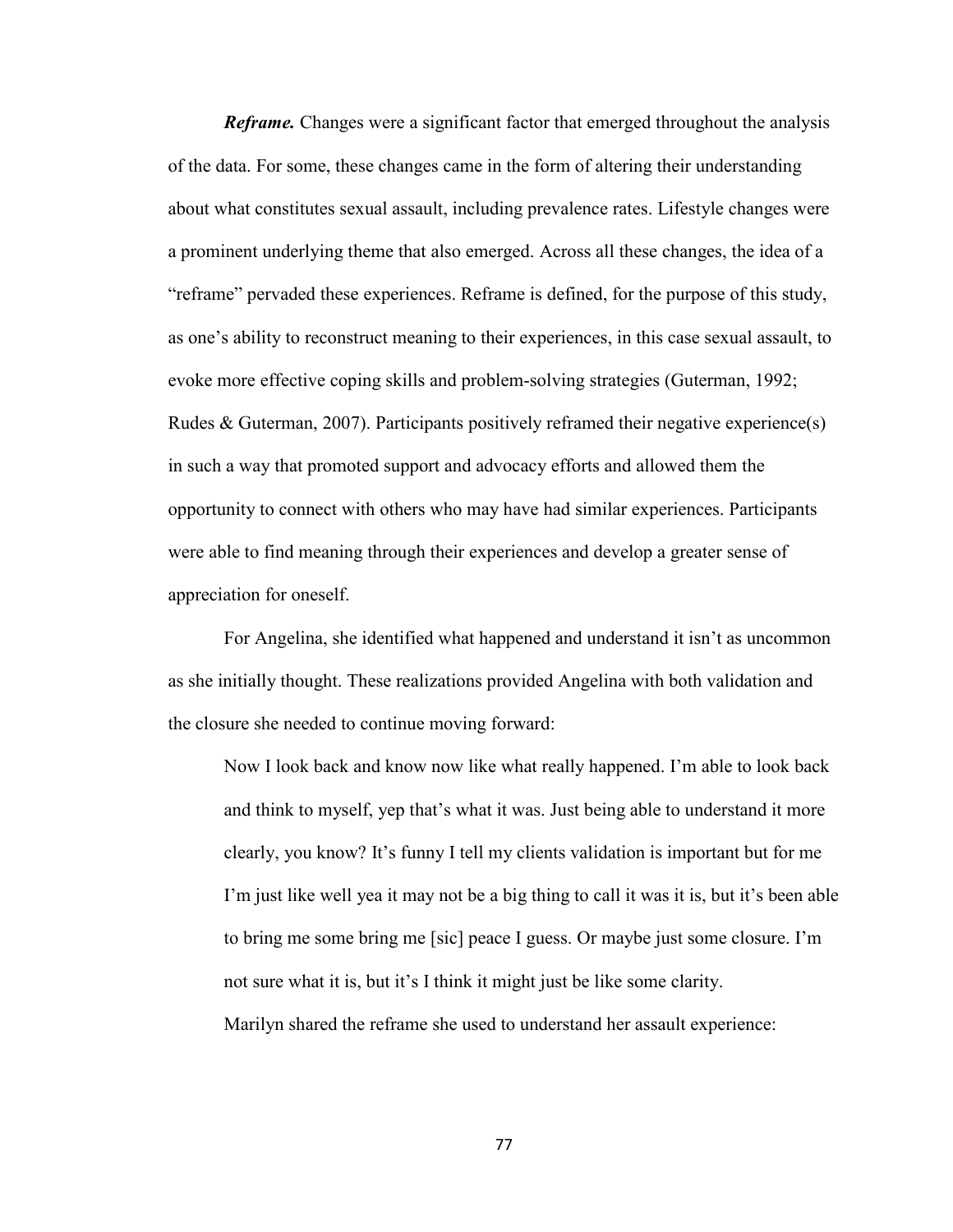*Reframe.* Changes were a significant factor that emerged throughout the analysis of the data. For some, these changes came in the form of altering their understanding about what constitutes sexual assault, including prevalence rates. Lifestyle changes were a prominent underlying theme that also emerged. Across all these changes, the idea of a "reframe" pervaded these experiences. Reframe is defined, for the purpose of this study, as one's ability to reconstruct meaning to their experiences, in this case sexual assault, to evoke more effective coping skills and problem-solving strategies (Guterman, 1992; Rudes & Guterman, 2007). Participants positively reframed their negative experience(s) in such a way that promoted support and advocacy efforts and allowed them the opportunity to connect with others who may have had similar experiences. Participants were able to find meaning through their experiences and develop a greater sense of appreciation for oneself.

For Angelina, she identified what happened and understand it isn't as uncommon as she initially thought. These realizations provided Angelina with both validation and the closure she needed to continue moving forward:

Now I look back and know now like what really happened. I'm able to look back and think to myself, yep that's what it was. Just being able to understand it more clearly, you know? It's funny I tell my clients validation is important but for me I'm just like well yea it may not be a big thing to call it was it is, but it's been able to bring me some bring me [sic] peace I guess. Or maybe just some closure. I'm not sure what it is, but it's I think it might just be like some clarity.

Marilyn shared the reframe she used to understand her assault experience: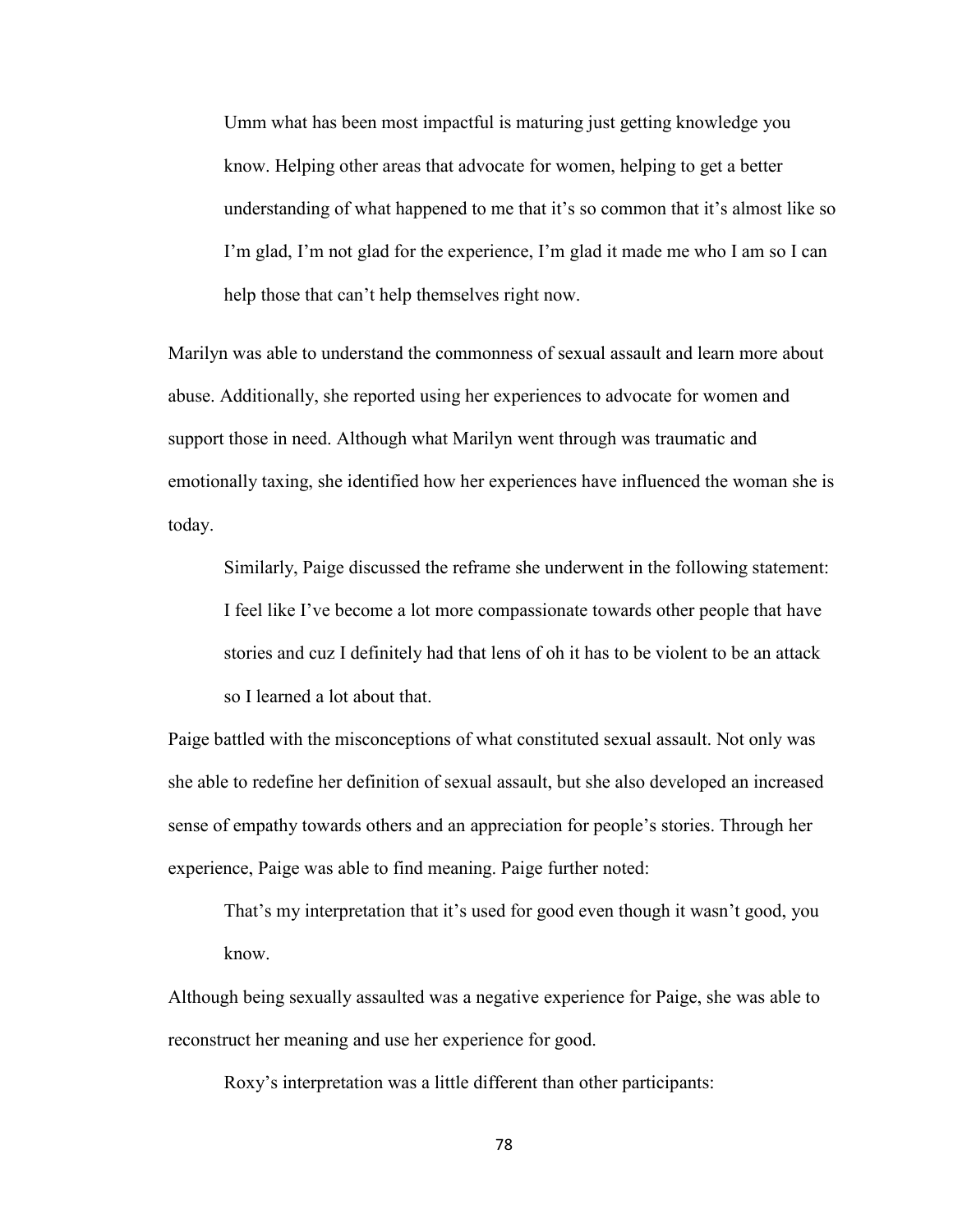Umm what has been most impactful is maturing just getting knowledge you know. Helping other areas that advocate for women, helping to get a better understanding of what happened to me that it's so common that it's almost like so I'm glad, I'm not glad for the experience, I'm glad it made me who I am so I can help those that can't help themselves right now.

Marilyn was able to understand the commonness of sexual assault and learn more about abuse. Additionally, she reported using her experiences to advocate for women and support those in need. Although what Marilyn went through was traumatic and emotionally taxing, she identified how her experiences have influenced the woman she is today.

Similarly, Paige discussed the reframe she underwent in the following statement: I feel like I've become a lot more compassionate towards other people that have stories and cuz I definitely had that lens of oh it has to be violent to be an attack so I learned a lot about that.

Paige battled with the misconceptions of what constituted sexual assault. Not only was she able to redefine her definition of sexual assault, but she also developed an increased sense of empathy towards others and an appreciation for people's stories. Through her experience, Paige was able to find meaning. Paige further noted:

That's my interpretation that it's used for good even though it wasn't good, you know.

Although being sexually assaulted was a negative experience for Paige, she was able to reconstruct her meaning and use her experience for good.

Roxy's interpretation was a little different than other participants: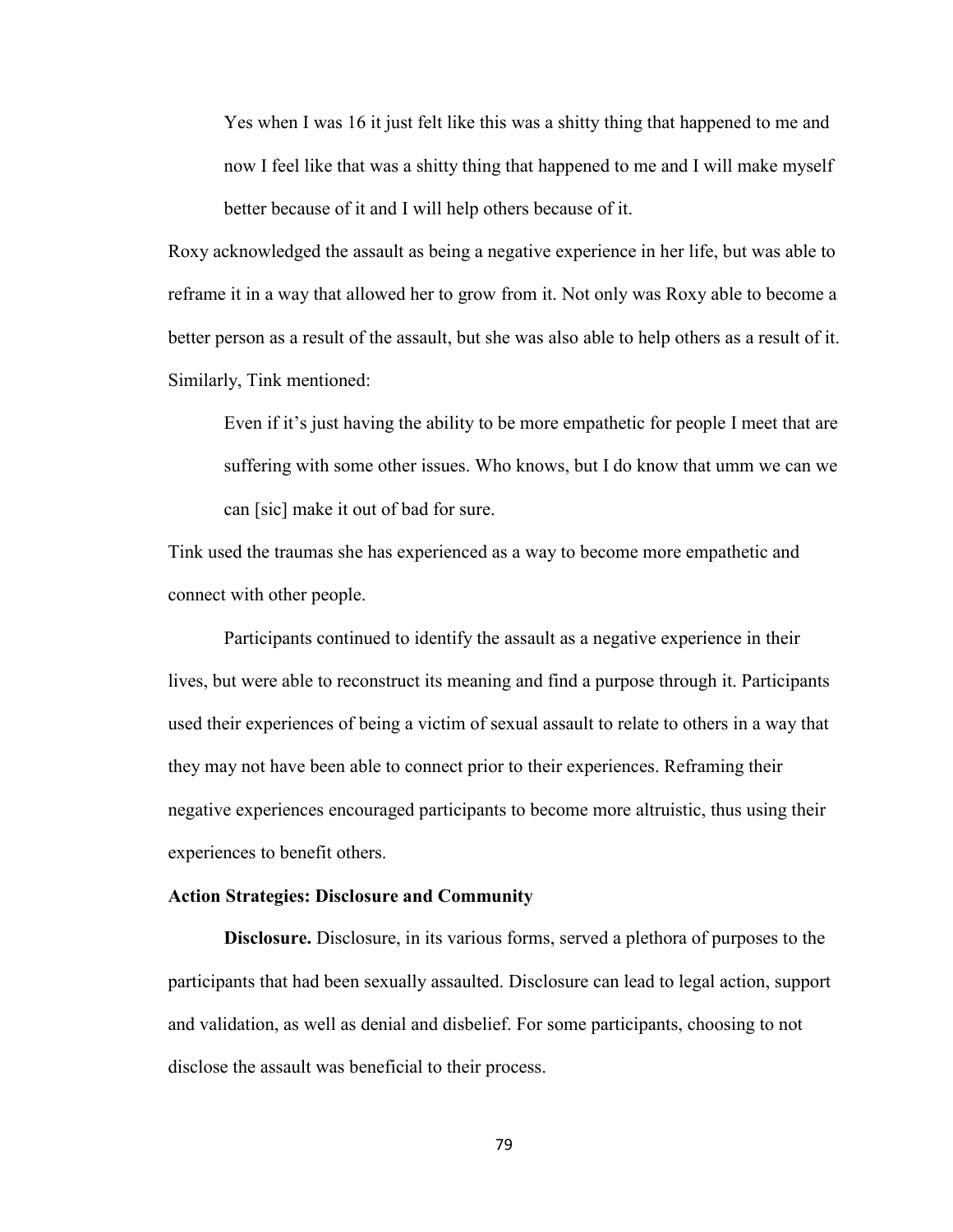Yes when I was 16 it just felt like this was a shitty thing that happened to me and now I feel like that was a shitty thing that happened to me and I will make myself better because of it and I will help others because of it.

Roxy acknowledged the assault as being a negative experience in her life, but was able to reframe it in a way that allowed her to grow from it. Not only was Roxy able to become a better person as a result of the assault, but she was also able to help others as a result of it. Similarly, Tink mentioned:

Even if it's just having the ability to be more empathetic for people I meet that are suffering with some other issues. Who knows, but I do know that umm we can we can [sic] make it out of bad for sure.

Tink used the traumas she has experienced as a way to become more empathetic and connect with other people.

Participants continued to identify the assault as a negative experience in their lives, but were able to reconstruct its meaning and find a purpose through it. Participants used their experiences of being a victim of sexual assault to relate to others in a way that they may not have been able to connect prior to their experiences. Reframing their negative experiences encouraged participants to become more altruistic, thus using their experiences to benefit others.

#### **Action Strategies: Disclosure and Community**

**Disclosure.** Disclosure, in its various forms, served a plethora of purposes to the participants that had been sexually assaulted. Disclosure can lead to legal action, support and validation, as well as denial and disbelief. For some participants, choosing to not disclose the assault was beneficial to their process.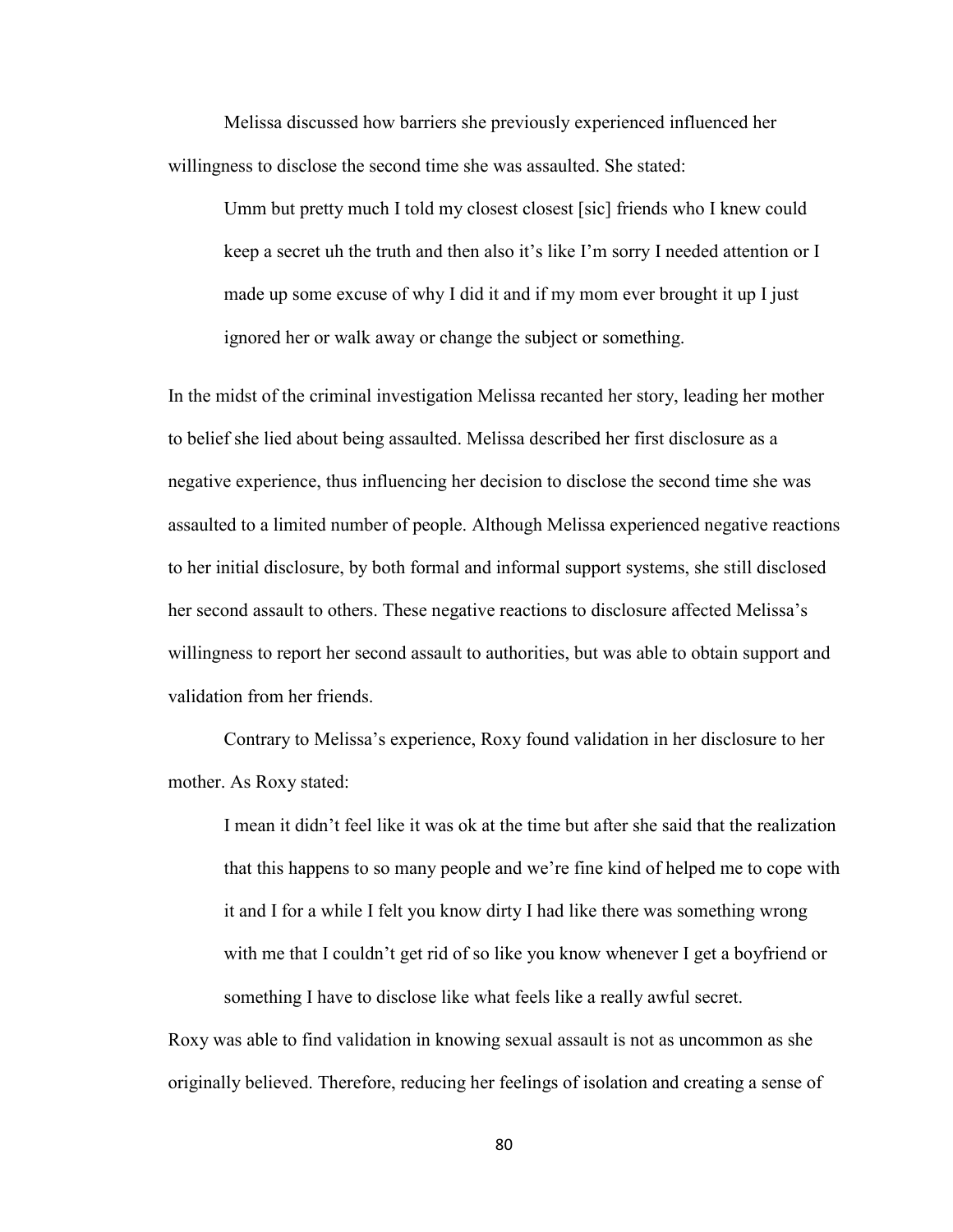Melissa discussed how barriers she previously experienced influenced her willingness to disclose the second time she was assaulted. She stated:

Umm but pretty much I told my closest closest [sic] friends who I knew could keep a secret uh the truth and then also it's like I'm sorry I needed attention or I made up some excuse of why I did it and if my mom ever brought it up I just ignored her or walk away or change the subject or something.

In the midst of the criminal investigation Melissa recanted her story, leading her mother to belief she lied about being assaulted. Melissa described her first disclosure as a negative experience, thus influencing her decision to disclose the second time she was assaulted to a limited number of people. Although Melissa experienced negative reactions to her initial disclosure, by both formal and informal support systems, she still disclosed her second assault to others. These negative reactions to disclosure affected Melissa's willingness to report her second assault to authorities, but was able to obtain support and validation from her friends.

Contrary to Melissa's experience, Roxy found validation in her disclosure to her mother. As Roxy stated:

I mean it didn't feel like it was ok at the time but after she said that the realization that this happens to so many people and we're fine kind of helped me to cope with it and I for a while I felt you know dirty I had like there was something wrong with me that I couldn't get rid of so like you know whenever I get a boyfriend or something I have to disclose like what feels like a really awful secret.

Roxy was able to find validation in knowing sexual assault is not as uncommon as she originally believed. Therefore, reducing her feelings of isolation and creating a sense of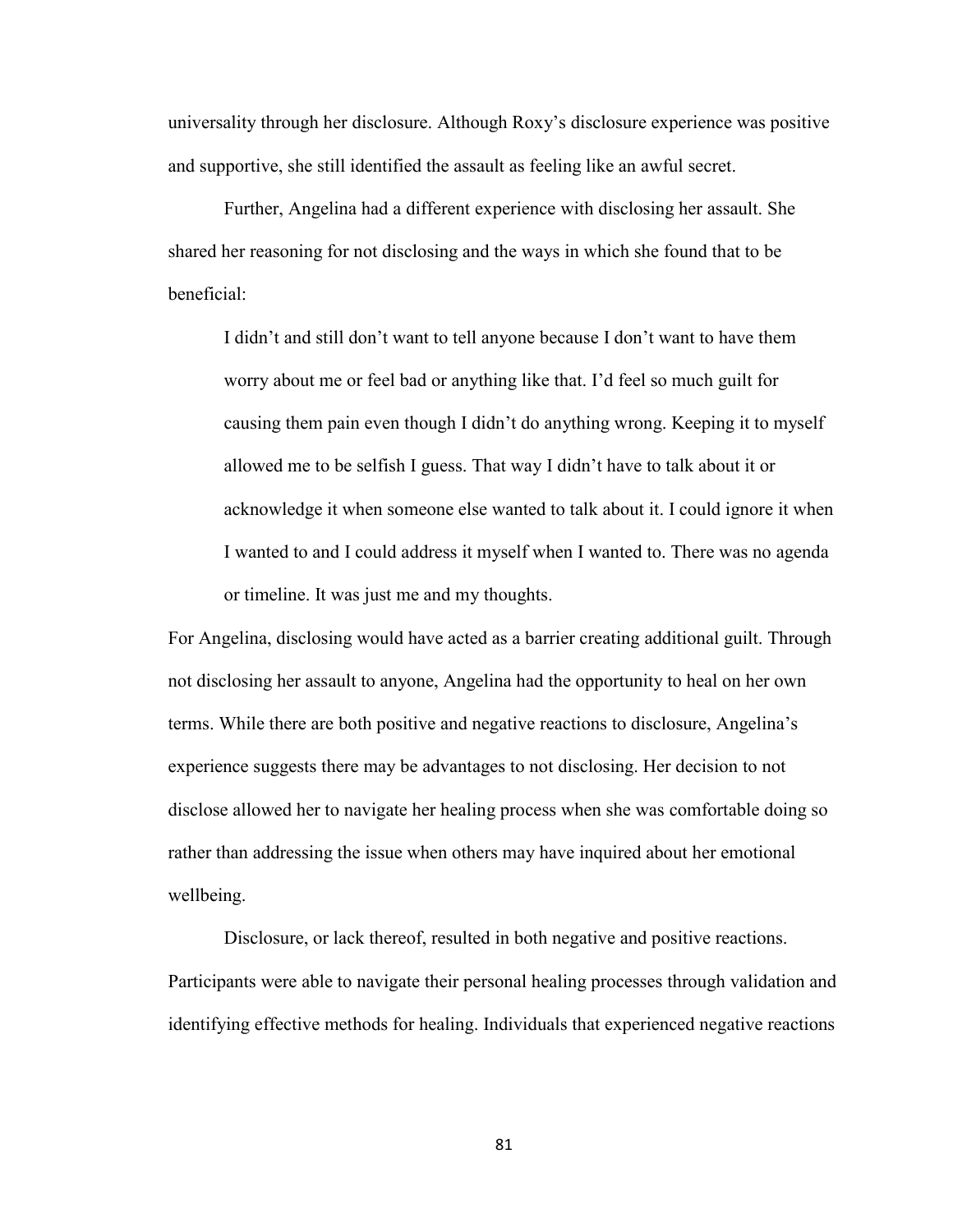universality through her disclosure. Although Roxy's disclosure experience was positive and supportive, she still identified the assault as feeling like an awful secret.

Further, Angelina had a different experience with disclosing her assault. She shared her reasoning for not disclosing and the ways in which she found that to be beneficial:

I didn't and still don't want to tell anyone because I don't want to have them worry about me or feel bad or anything like that. I'd feel so much guilt for causing them pain even though I didn't do anything wrong. Keeping it to myself allowed me to be selfish I guess. That way I didn't have to talk about it or acknowledge it when someone else wanted to talk about it. I could ignore it when I wanted to and I could address it myself when I wanted to. There was no agenda or timeline. It was just me and my thoughts.

For Angelina, disclosing would have acted as a barrier creating additional guilt. Through not disclosing her assault to anyone, Angelina had the opportunity to heal on her own terms. While there are both positive and negative reactions to disclosure, Angelina's experience suggests there may be advantages to not disclosing. Her decision to not disclose allowed her to navigate her healing process when she was comfortable doing so rather than addressing the issue when others may have inquired about her emotional wellbeing.

 Disclosure, or lack thereof, resulted in both negative and positive reactions. Participants were able to navigate their personal healing processes through validation and identifying effective methods for healing. Individuals that experienced negative reactions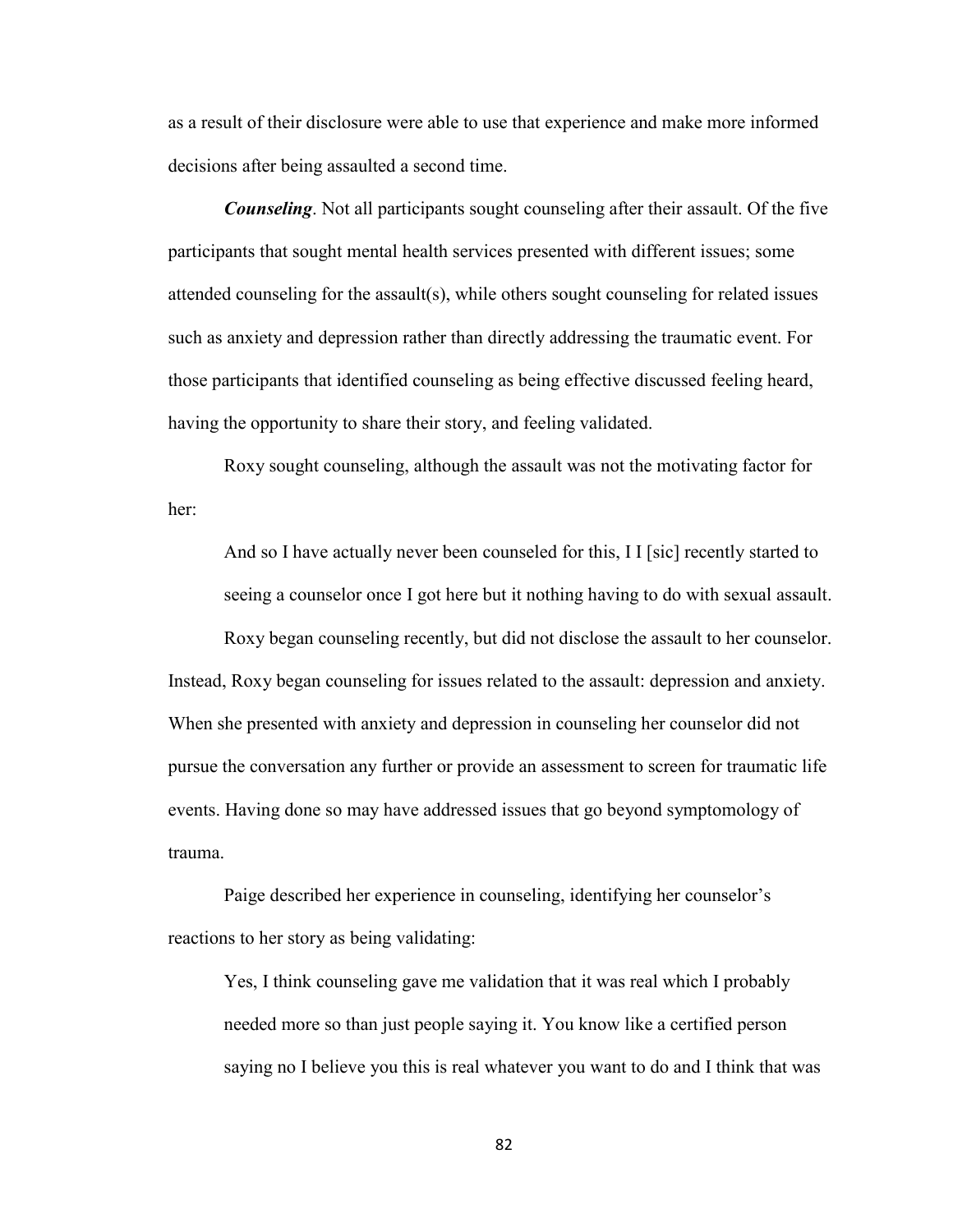as a result of their disclosure were able to use that experience and make more informed decisions after being assaulted a second time.

*Counseling*. Not all participants sought counseling after their assault. Of the five participants that sought mental health services presented with different issues; some attended counseling for the assault(s), while others sought counseling for related issues such as anxiety and depression rather than directly addressing the traumatic event. For those participants that identified counseling as being effective discussed feeling heard, having the opportunity to share their story, and feeling validated.

Roxy sought counseling, although the assault was not the motivating factor for her:

And so I have actually never been counseled for this, I I [sic] recently started to seeing a counselor once I got here but it nothing having to do with sexual assault.

Roxy began counseling recently, but did not disclose the assault to her counselor. Instead, Roxy began counseling for issues related to the assault: depression and anxiety. When she presented with anxiety and depression in counseling her counselor did not pursue the conversation any further or provide an assessment to screen for traumatic life events. Having done so may have addressed issues that go beyond symptomology of trauma.

Paige described her experience in counseling, identifying her counselor's reactions to her story as being validating:

Yes, I think counseling gave me validation that it was real which I probably needed more so than just people saying it. You know like a certified person saying no I believe you this is real whatever you want to do and I think that was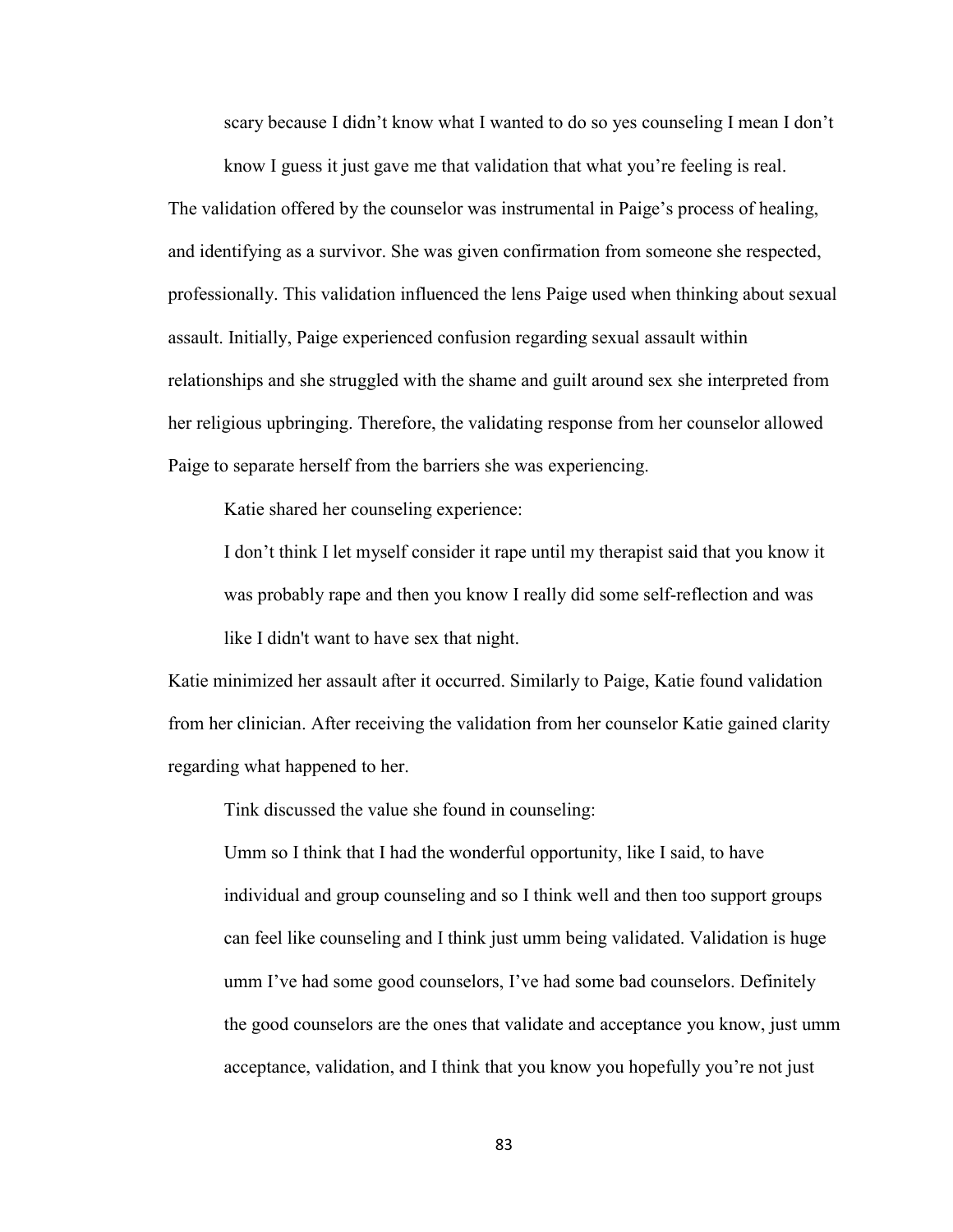scary because I didn't know what I wanted to do so yes counseling I mean I don't

know I guess it just gave me that validation that what you're feeling is real. The validation offered by the counselor was instrumental in Paige's process of healing, and identifying as a survivor. She was given confirmation from someone she respected, professionally. This validation influenced the lens Paige used when thinking about sexual assault. Initially, Paige experienced confusion regarding sexual assault within relationships and she struggled with the shame and guilt around sex she interpreted from her religious upbringing. Therefore, the validating response from her counselor allowed Paige to separate herself from the barriers she was experiencing.

Katie shared her counseling experience:

I don't think I let myself consider it rape until my therapist said that you know it was probably rape and then you know I really did some self-reflection and was like I didn't want to have sex that night.

Katie minimized her assault after it occurred. Similarly to Paige, Katie found validation from her clinician. After receiving the validation from her counselor Katie gained clarity regarding what happened to her.

Tink discussed the value she found in counseling:

Umm so I think that I had the wonderful opportunity, like I said, to have individual and group counseling and so I think well and then too support groups can feel like counseling and I think just umm being validated. Validation is huge umm I've had some good counselors, I've had some bad counselors. Definitely the good counselors are the ones that validate and acceptance you know, just umm acceptance, validation, and I think that you know you hopefully you're not just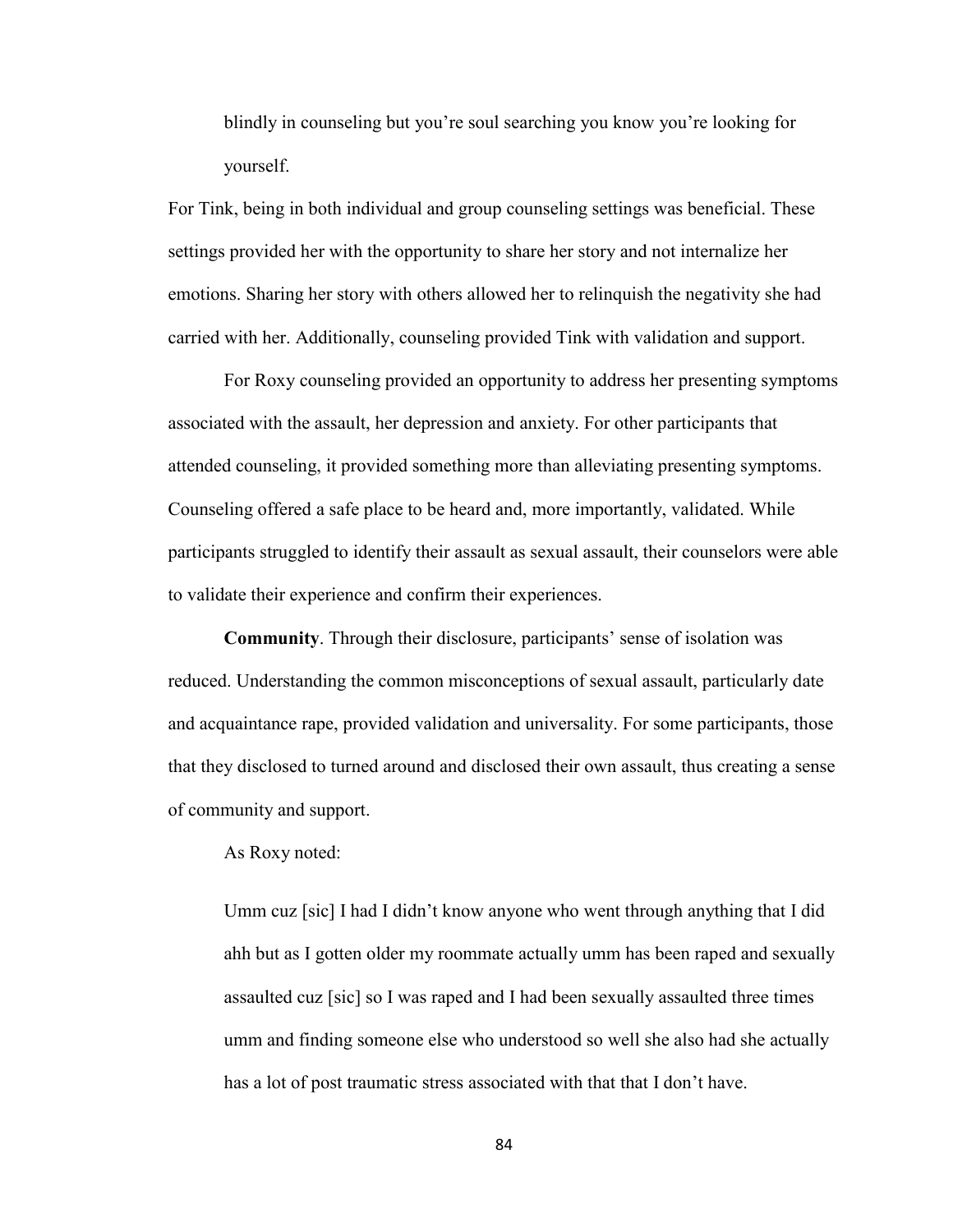blindly in counseling but you're soul searching you know you're looking for yourself.

For Tink, being in both individual and group counseling settings was beneficial. These settings provided her with the opportunity to share her story and not internalize her emotions. Sharing her story with others allowed her to relinquish the negativity she had carried with her. Additionally, counseling provided Tink with validation and support.

 For Roxy counseling provided an opportunity to address her presenting symptoms associated with the assault, her depression and anxiety. For other participants that attended counseling, it provided something more than alleviating presenting symptoms. Counseling offered a safe place to be heard and, more importantly, validated. While participants struggled to identify their assault as sexual assault, their counselors were able to validate their experience and confirm their experiences.

**Community**. Through their disclosure, participants' sense of isolation was reduced. Understanding the common misconceptions of sexual assault, particularly date and acquaintance rape, provided validation and universality. For some participants, those that they disclosed to turned around and disclosed their own assault, thus creating a sense of community and support.

As Roxy noted:

Umm cuz [sic] I had I didn't know anyone who went through anything that I did ahh but as I gotten older my roommate actually umm has been raped and sexually assaulted cuz [sic] so I was raped and I had been sexually assaulted three times umm and finding someone else who understood so well she also had she actually has a lot of post traumatic stress associated with that that I don't have.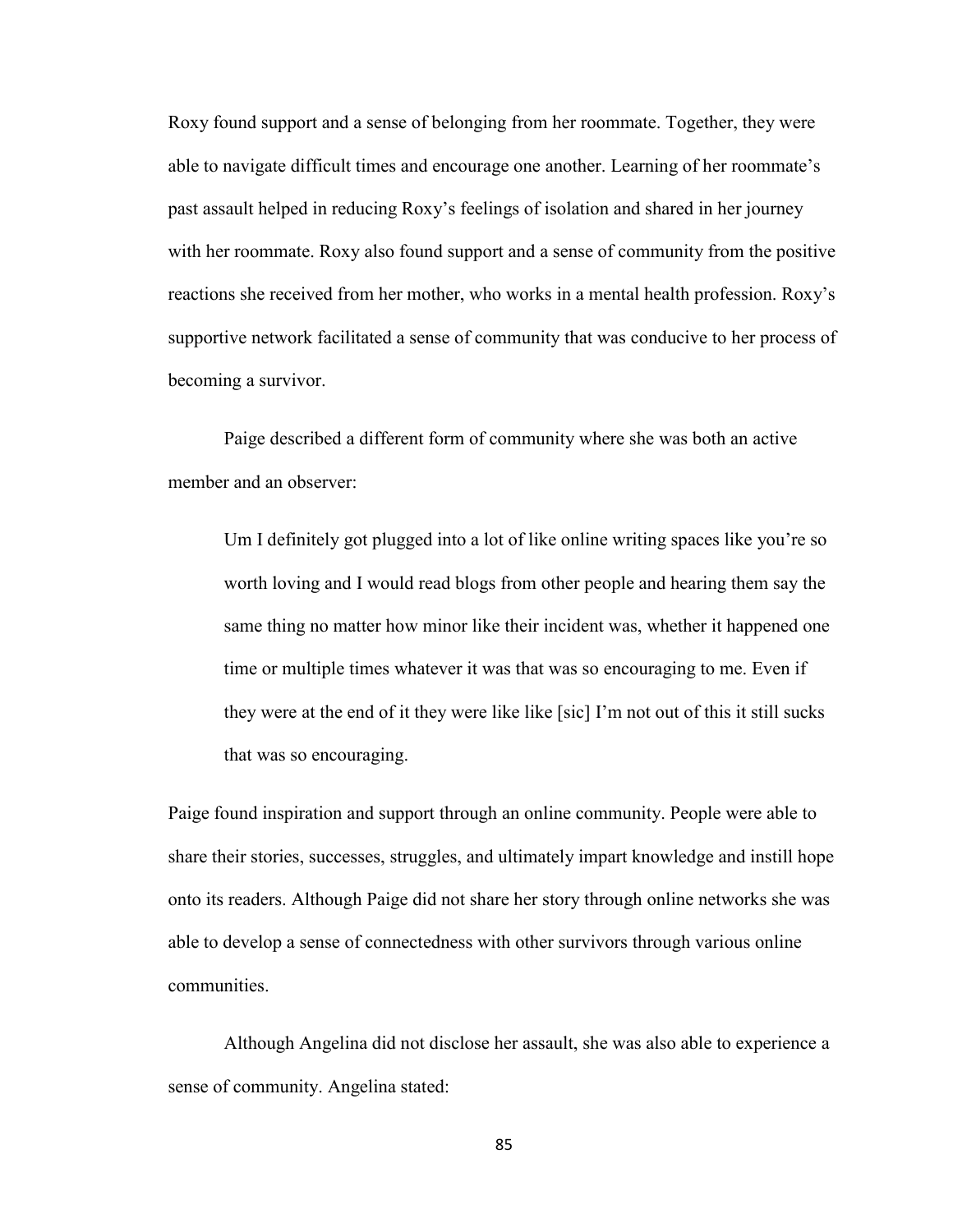Roxy found support and a sense of belonging from her roommate. Together, they were able to navigate difficult times and encourage one another. Learning of her roommate's past assault helped in reducing Roxy's feelings of isolation and shared in her journey with her roommate. Roxy also found support and a sense of community from the positive reactions she received from her mother, who works in a mental health profession. Roxy's supportive network facilitated a sense of community that was conducive to her process of becoming a survivor.

Paige described a different form of community where she was both an active member and an observer:

Um I definitely got plugged into a lot of like online writing spaces like you're so worth loving and I would read blogs from other people and hearing them say the same thing no matter how minor like their incident was, whether it happened one time or multiple times whatever it was that was so encouraging to me. Even if they were at the end of it they were like like [sic] I'm not out of this it still sucks that was so encouraging.

Paige found inspiration and support through an online community. People were able to share their stories, successes, struggles, and ultimately impart knowledge and instill hope onto its readers. Although Paige did not share her story through online networks she was able to develop a sense of connectedness with other survivors through various online communities.

Although Angelina did not disclose her assault, she was also able to experience a sense of community. Angelina stated: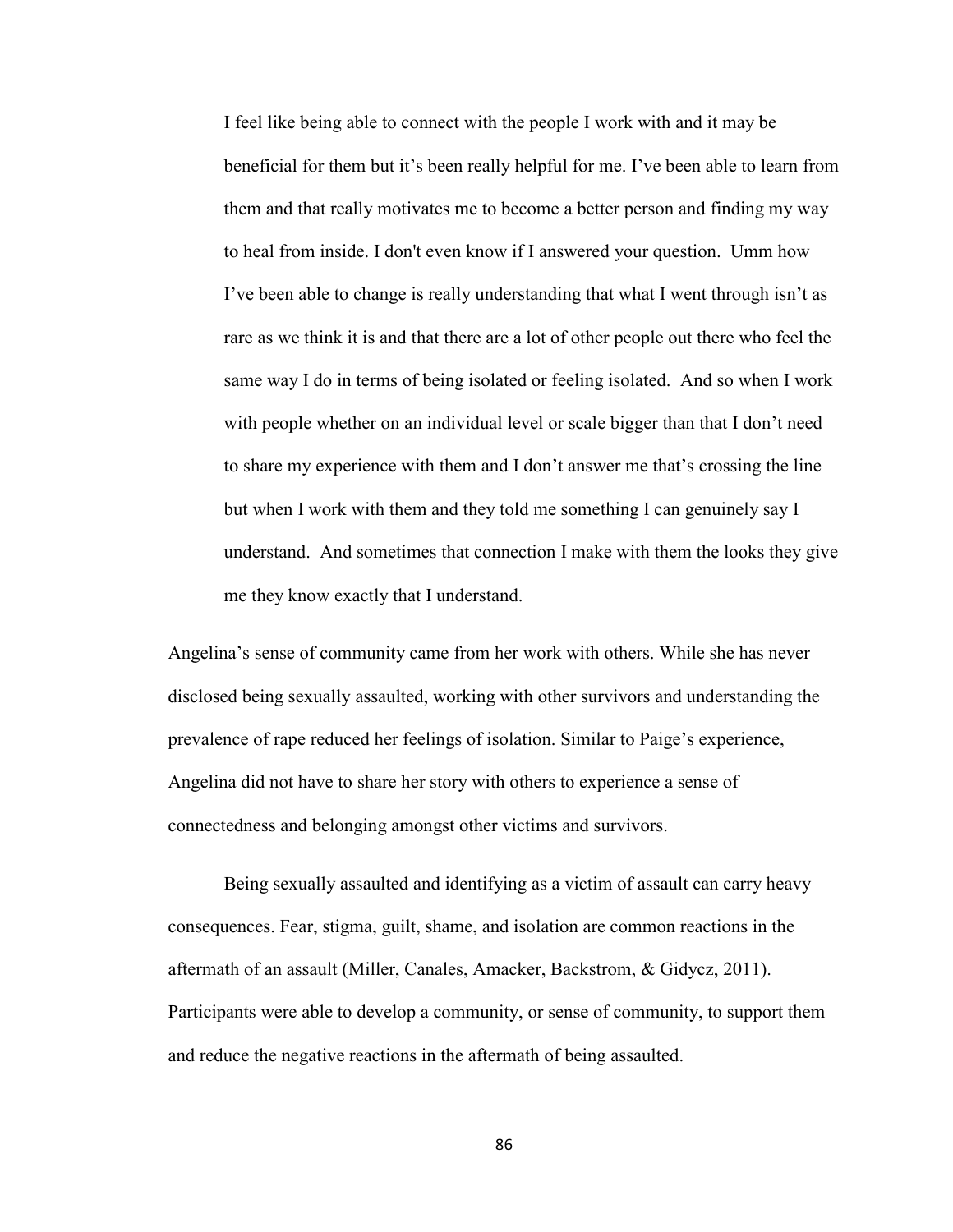I feel like being able to connect with the people I work with and it may be beneficial for them but it's been really helpful for me. I've been able to learn from them and that really motivates me to become a better person and finding my way to heal from inside. I don't even know if I answered your question. Umm how I've been able to change is really understanding that what I went through isn't as rare as we think it is and that there are a lot of other people out there who feel the same way I do in terms of being isolated or feeling isolated. And so when I work with people whether on an individual level or scale bigger than that I don't need to share my experience with them and I don't answer me that's crossing the line but when I work with them and they told me something I can genuinely say I understand. And sometimes that connection I make with them the looks they give me they know exactly that I understand.

Angelina's sense of community came from her work with others. While she has never disclosed being sexually assaulted, working with other survivors and understanding the prevalence of rape reduced her feelings of isolation. Similar to Paige's experience, Angelina did not have to share her story with others to experience a sense of connectedness and belonging amongst other victims and survivors.

Being sexually assaulted and identifying as a victim of assault can carry heavy consequences. Fear, stigma, guilt, shame, and isolation are common reactions in the aftermath of an assault (Miller, Canales, Amacker, Backstrom, & Gidycz, 2011). Participants were able to develop a community, or sense of community, to support them and reduce the negative reactions in the aftermath of being assaulted.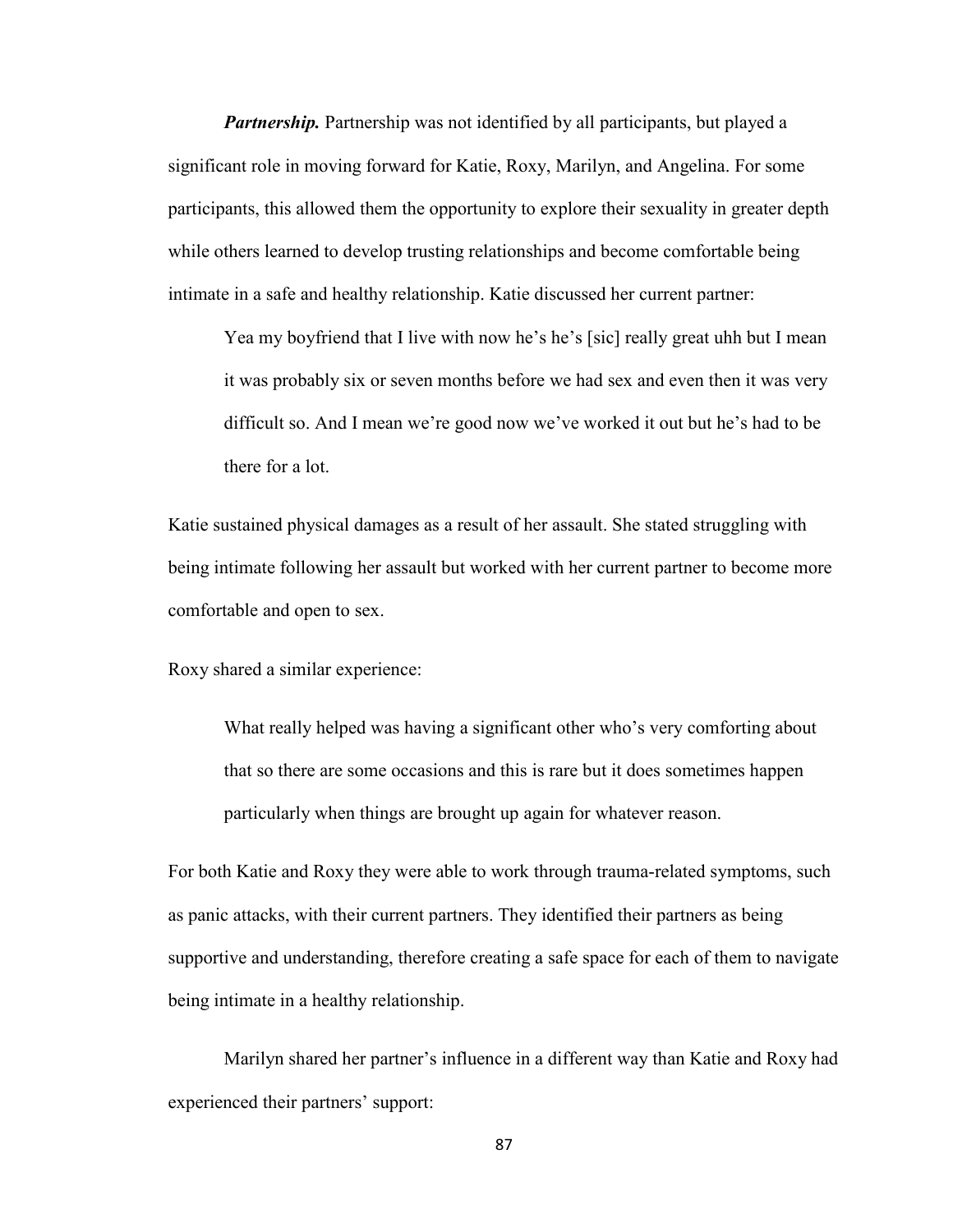*Partnership.* Partnership was not identified by all participants, but played a significant role in moving forward for Katie, Roxy, Marilyn, and Angelina. For some participants, this allowed them the opportunity to explore their sexuality in greater depth while others learned to develop trusting relationships and become comfortable being intimate in a safe and healthy relationship. Katie discussed her current partner:

Yea my boyfriend that I live with now he's he's [sic] really great uhh but I mean it was probably six or seven months before we had sex and even then it was very difficult so. And I mean we're good now we've worked it out but he's had to be there for a lot.

Katie sustained physical damages as a result of her assault. She stated struggling with being intimate following her assault but worked with her current partner to become more comfortable and open to sex.

Roxy shared a similar experience:

What really helped was having a significant other who's very comforting about that so there are some occasions and this is rare but it does sometimes happen particularly when things are brought up again for whatever reason.

For both Katie and Roxy they were able to work through trauma-related symptoms, such as panic attacks, with their current partners. They identified their partners as being supportive and understanding, therefore creating a safe space for each of them to navigate being intimate in a healthy relationship.

Marilyn shared her partner's influence in a different way than Katie and Roxy had experienced their partners' support: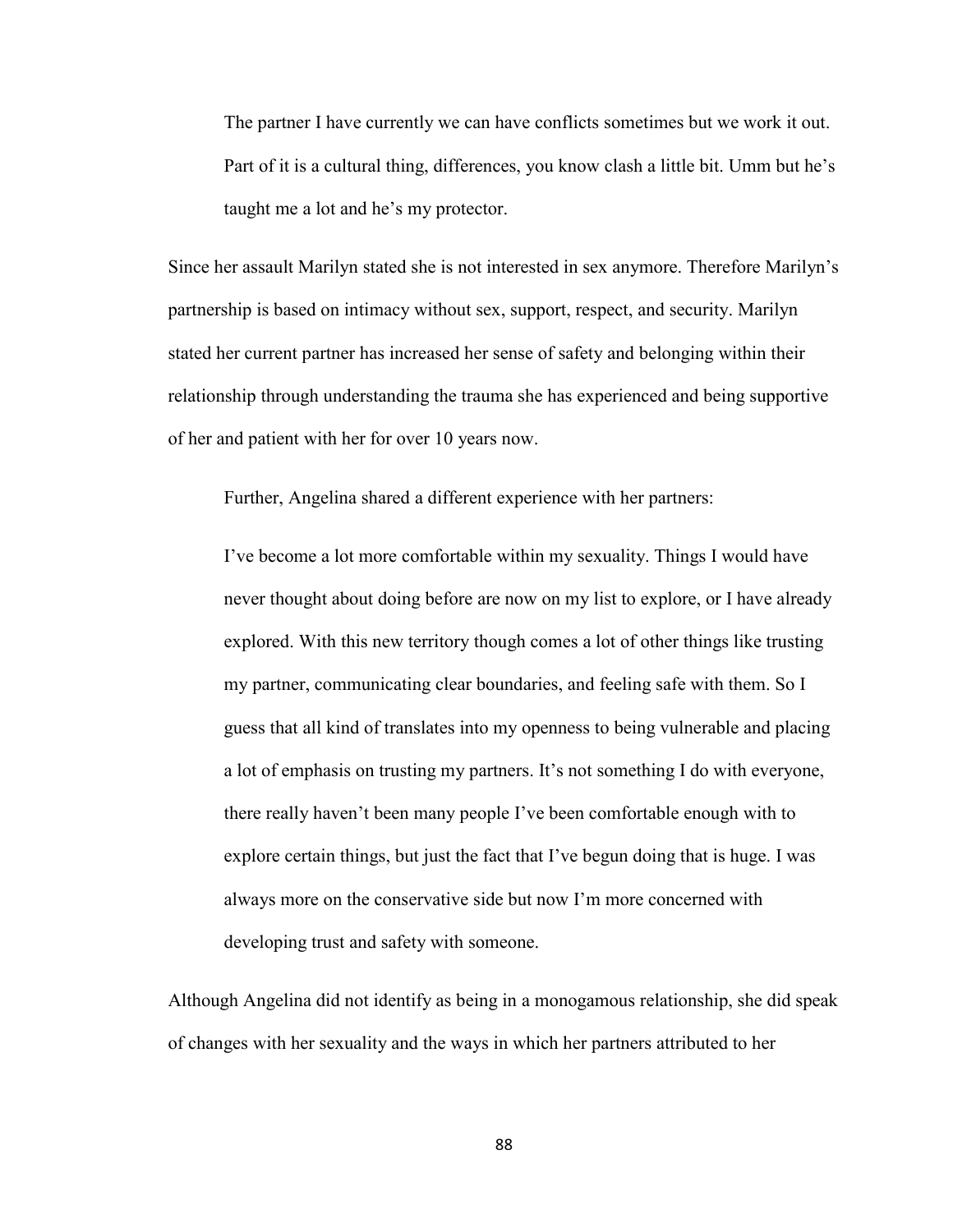The partner I have currently we can have conflicts sometimes but we work it out. Part of it is a cultural thing, differences, you know clash a little bit. Umm but he's taught me a lot and he's my protector.

Since her assault Marilyn stated she is not interested in sex anymore. Therefore Marilyn's partnership is based on intimacy without sex, support, respect, and security. Marilyn stated her current partner has increased her sense of safety and belonging within their relationship through understanding the trauma she has experienced and being supportive of her and patient with her for over 10 years now.

Further, Angelina shared a different experience with her partners:

I've become a lot more comfortable within my sexuality. Things I would have never thought about doing before are now on my list to explore, or I have already explored. With this new territory though comes a lot of other things like trusting my partner, communicating clear boundaries, and feeling safe with them. So I guess that all kind of translates into my openness to being vulnerable and placing a lot of emphasis on trusting my partners. It's not something I do with everyone, there really haven't been many people I've been comfortable enough with to explore certain things, but just the fact that I've begun doing that is huge. I was always more on the conservative side but now I'm more concerned with developing trust and safety with someone.

Although Angelina did not identify as being in a monogamous relationship, she did speak of changes with her sexuality and the ways in which her partners attributed to her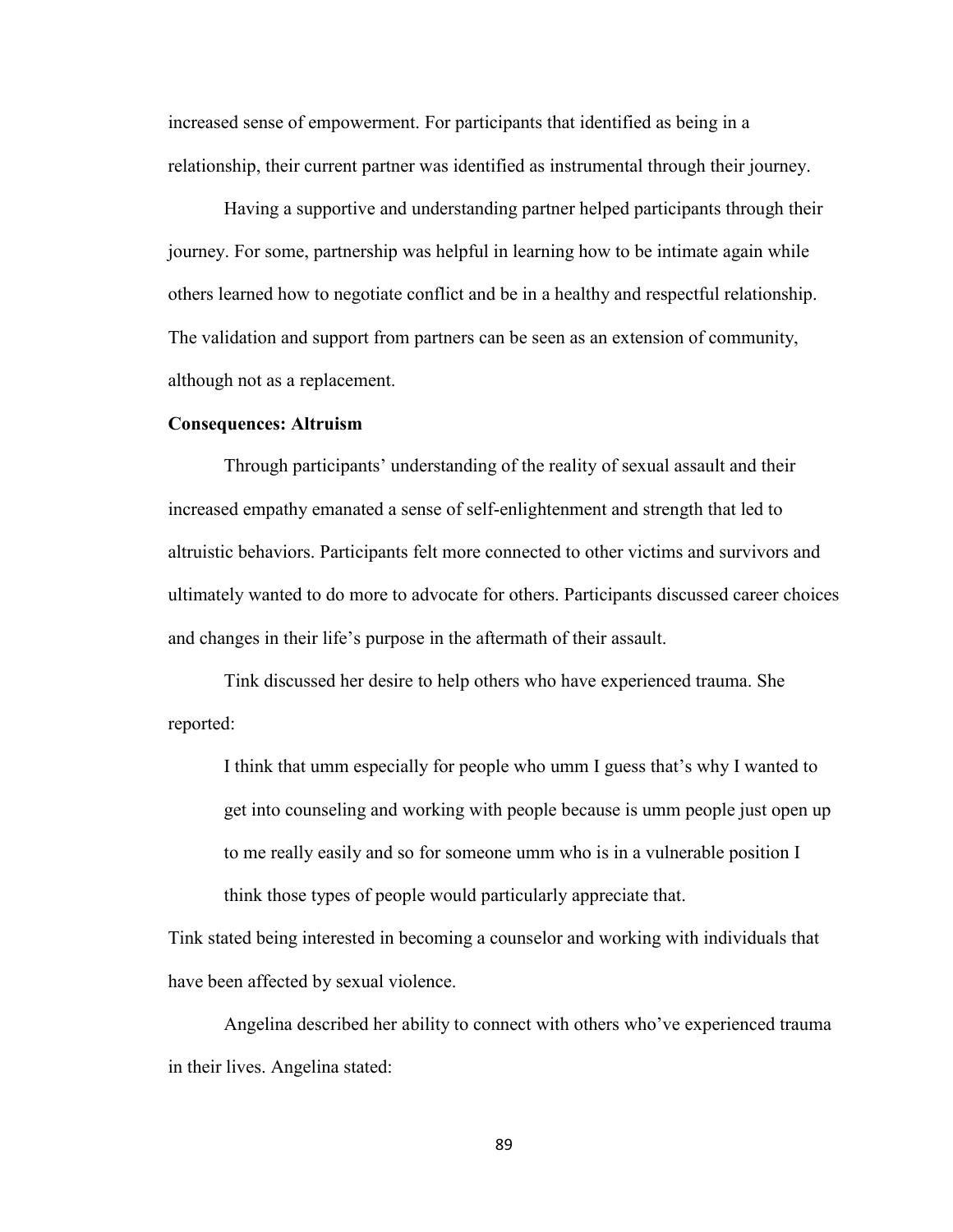increased sense of empowerment. For participants that identified as being in a relationship, their current partner was identified as instrumental through their journey.

 Having a supportive and understanding partner helped participants through their journey. For some, partnership was helpful in learning how to be intimate again while others learned how to negotiate conflict and be in a healthy and respectful relationship. The validation and support from partners can be seen as an extension of community, although not as a replacement.

#### **Consequences: Altruism**

Through participants' understanding of the reality of sexual assault and their increased empathy emanated a sense of self-enlightenment and strength that led to altruistic behaviors. Participants felt more connected to other victims and survivors and ultimately wanted to do more to advocate for others. Participants discussed career choices and changes in their life's purpose in the aftermath of their assault.

Tink discussed her desire to help others who have experienced trauma. She reported:

I think that umm especially for people who umm I guess that's why I wanted to get into counseling and working with people because is umm people just open up to me really easily and so for someone umm who is in a vulnerable position I think those types of people would particularly appreciate that.

Tink stated being interested in becoming a counselor and working with individuals that have been affected by sexual violence.

 Angelina described her ability to connect with others who've experienced trauma in their lives. Angelina stated: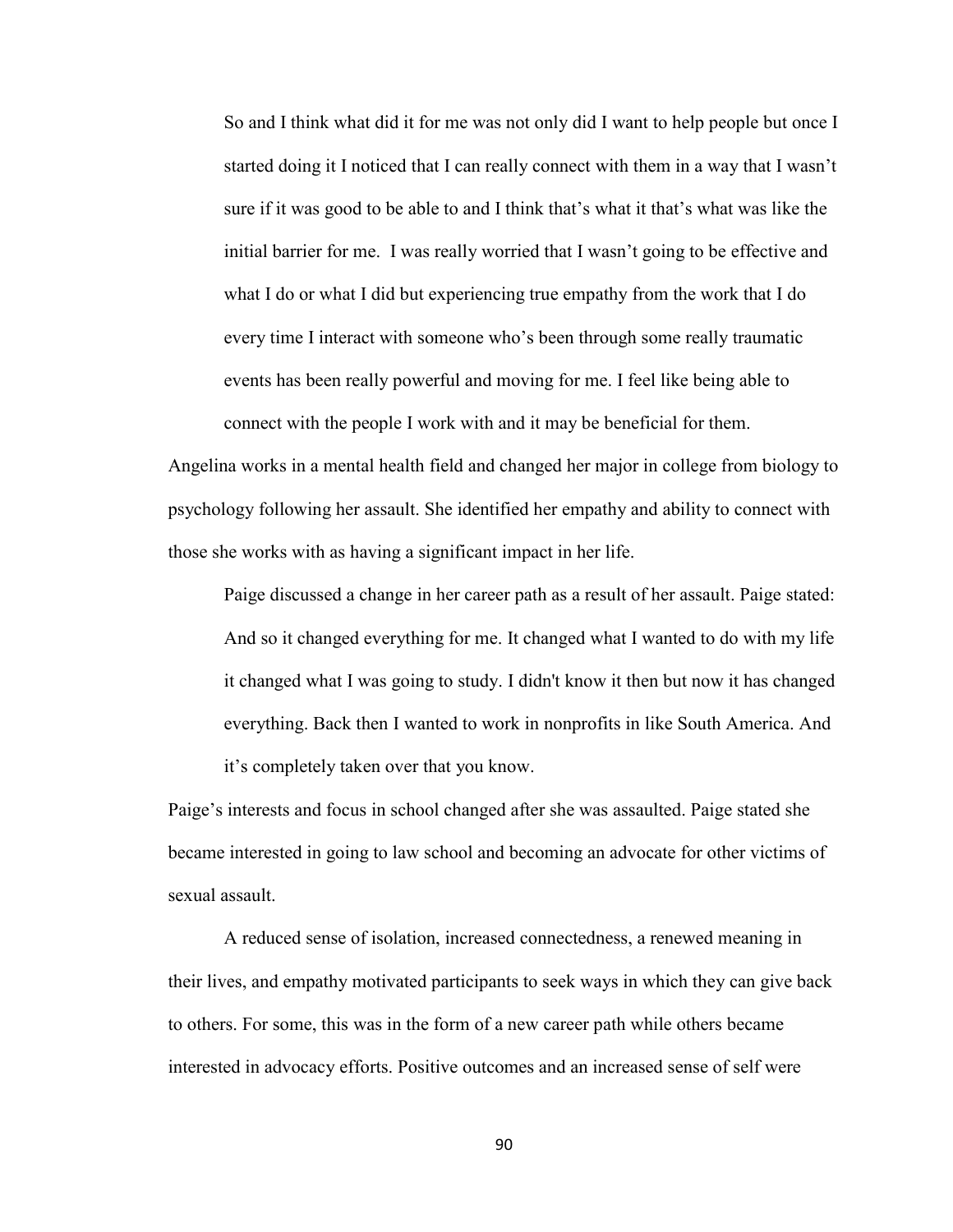So and I think what did it for me was not only did I want to help people but once I started doing it I noticed that I can really connect with them in a way that I wasn't sure if it was good to be able to and I think that's what it that's what was like the initial barrier for me. I was really worried that I wasn't going to be effective and what I do or what I did but experiencing true empathy from the work that I do every time I interact with someone who's been through some really traumatic events has been really powerful and moving for me. I feel like being able to connect with the people I work with and it may be beneficial for them.

Angelina works in a mental health field and changed her major in college from biology to psychology following her assault. She identified her empathy and ability to connect with those she works with as having a significant impact in her life.

Paige discussed a change in her career path as a result of her assault. Paige stated: And so it changed everything for me. It changed what I wanted to do with my life it changed what I was going to study. I didn't know it then but now it has changed everything. Back then I wanted to work in nonprofits in like South America. And it's completely taken over that you know.

Paige's interests and focus in school changed after she was assaulted. Paige stated she became interested in going to law school and becoming an advocate for other victims of sexual assault.

A reduced sense of isolation, increased connectedness, a renewed meaning in their lives, and empathy motivated participants to seek ways in which they can give back to others. For some, this was in the form of a new career path while others became interested in advocacy efforts. Positive outcomes and an increased sense of self were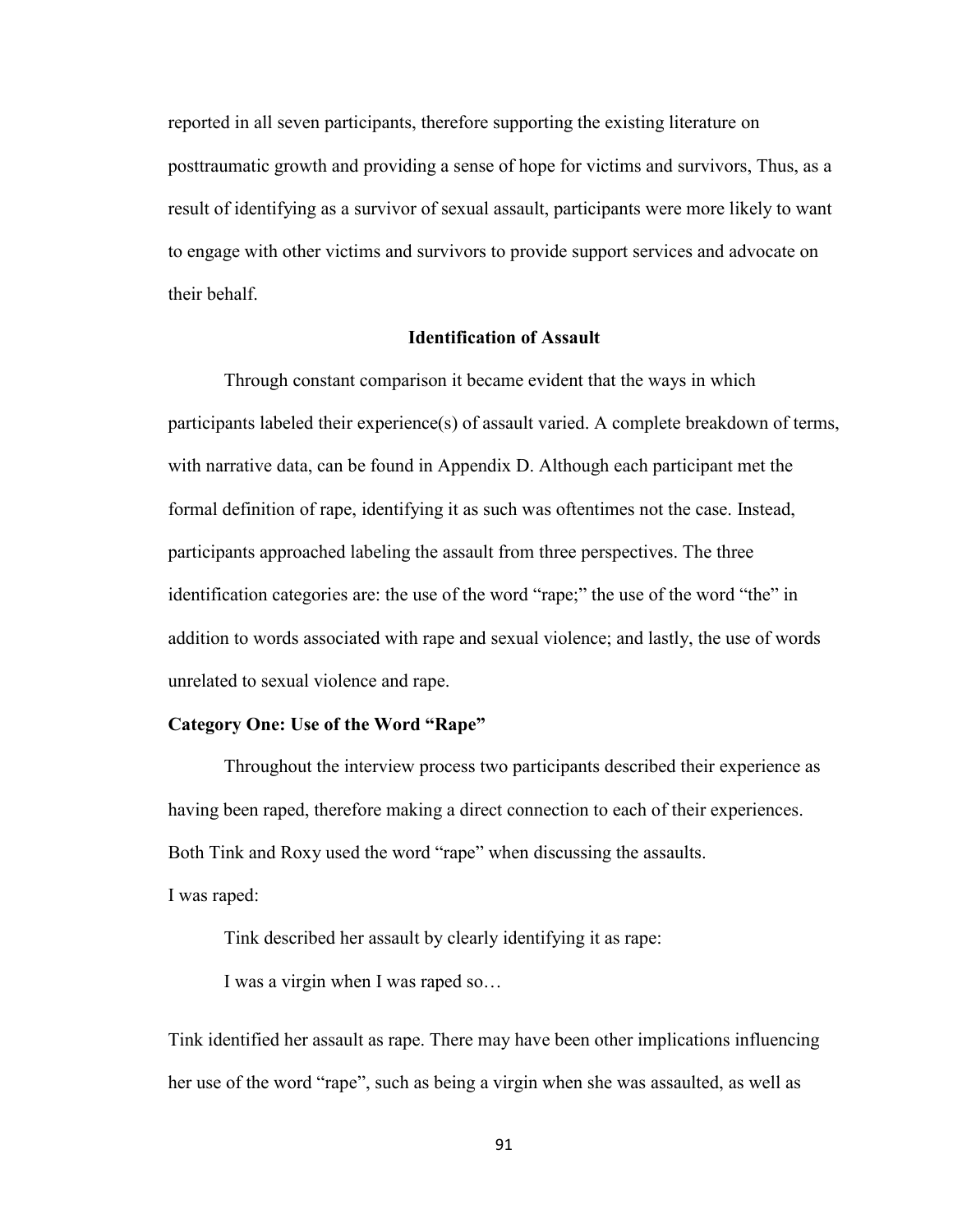reported in all seven participants, therefore supporting the existing literature on posttraumatic growth and providing a sense of hope for victims and survivors, Thus, as a result of identifying as a survivor of sexual assault, participants were more likely to want to engage with other victims and survivors to provide support services and advocate on their behalf.

## **Identification of Assault**

 Through constant comparison it became evident that the ways in which participants labeled their experience(s) of assault varied. A complete breakdown of terms, with narrative data, can be found in Appendix D. Although each participant met the formal definition of rape, identifying it as such was oftentimes not the case. Instead, participants approached labeling the assault from three perspectives. The three identification categories are: the use of the word "rape;" the use of the word "the" in addition to words associated with rape and sexual violence; and lastly, the use of words unrelated to sexual violence and rape.

### **Category One: Use of the Word "Rape"**

Throughout the interview process two participants described their experience as having been raped, therefore making a direct connection to each of their experiences. Both Tink and Roxy used the word "rape" when discussing the assaults. I was raped:

Tink described her assault by clearly identifying it as rape:

I was a virgin when I was raped so…

Tink identified her assault as rape. There may have been other implications influencing her use of the word "rape", such as being a virgin when she was assaulted, as well as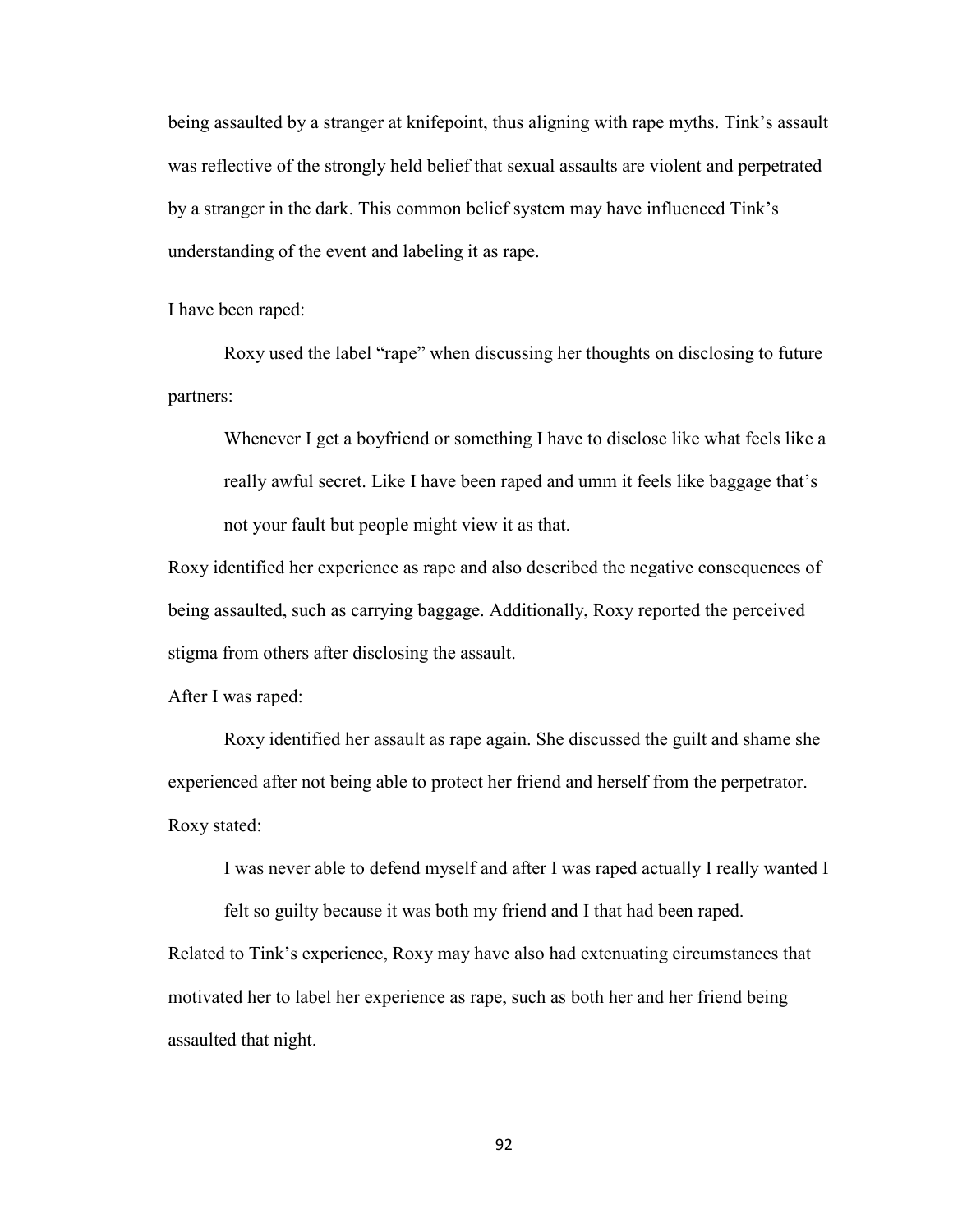being assaulted by a stranger at knifepoint, thus aligning with rape myths. Tink's assault was reflective of the strongly held belief that sexual assaults are violent and perpetrated by a stranger in the dark. This common belief system may have influenced Tink's understanding of the event and labeling it as rape.

I have been raped:

Roxy used the label "rape" when discussing her thoughts on disclosing to future partners:

Whenever I get a boyfriend or something I have to disclose like what feels like a really awful secret. Like I have been raped and umm it feels like baggage that's not your fault but people might view it as that.

Roxy identified her experience as rape and also described the negative consequences of being assaulted, such as carrying baggage. Additionally, Roxy reported the perceived stigma from others after disclosing the assault.

After I was raped:

Roxy identified her assault as rape again. She discussed the guilt and shame she experienced after not being able to protect her friend and herself from the perpetrator. Roxy stated:

I was never able to defend myself and after I was raped actually I really wanted I

felt so guilty because it was both my friend and I that had been raped.

Related to Tink's experience, Roxy may have also had extenuating circumstances that motivated her to label her experience as rape, such as both her and her friend being assaulted that night.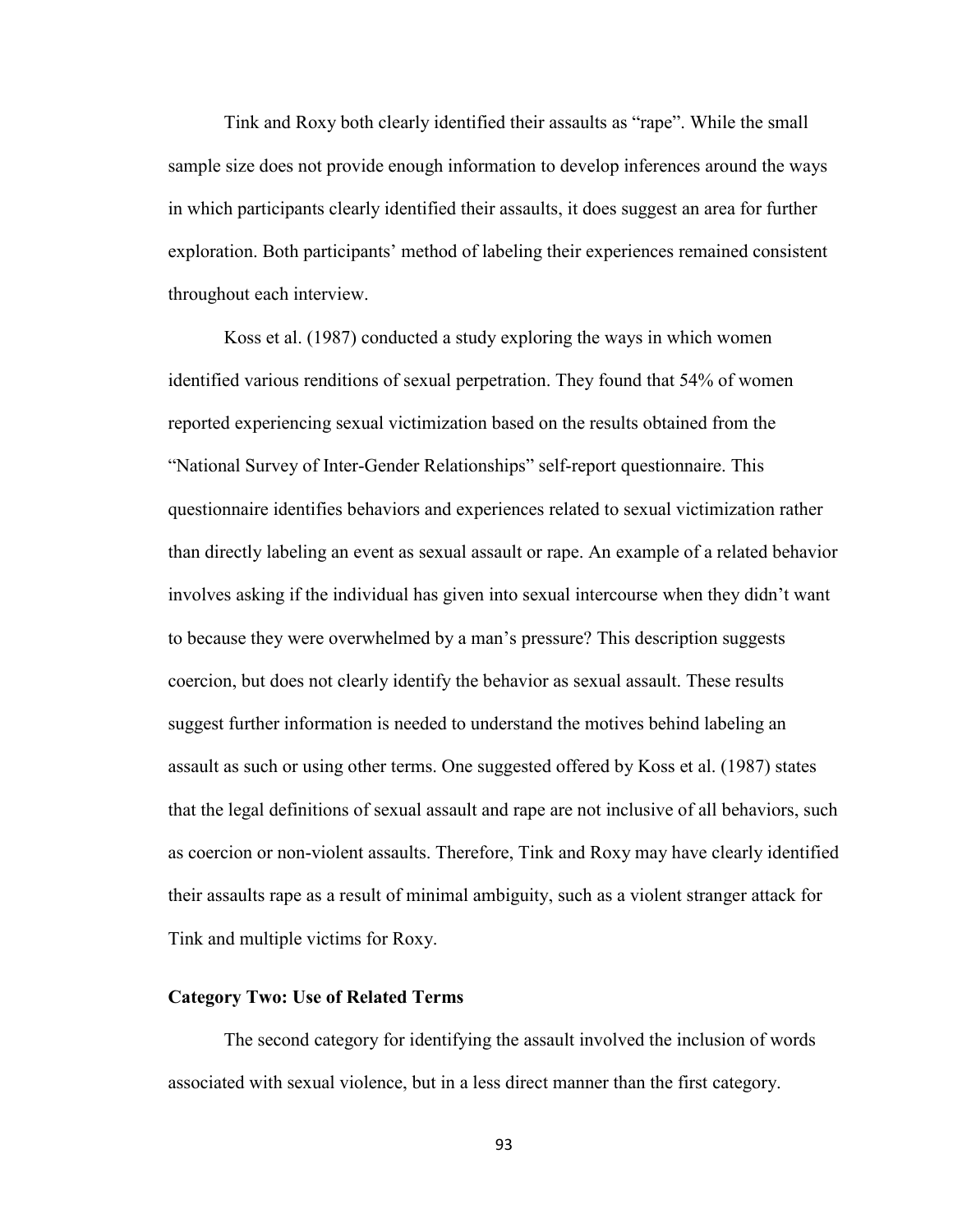Tink and Roxy both clearly identified their assaults as "rape". While the small sample size does not provide enough information to develop inferences around the ways in which participants clearly identified their assaults, it does suggest an area for further exploration. Both participants' method of labeling their experiences remained consistent throughout each interview.

 Koss et al. (1987) conducted a study exploring the ways in which women identified various renditions of sexual perpetration. They found that 54% of women reported experiencing sexual victimization based on the results obtained from the "National Survey of Inter-Gender Relationships" self-report questionnaire. This questionnaire identifies behaviors and experiences related to sexual victimization rather than directly labeling an event as sexual assault or rape. An example of a related behavior involves asking if the individual has given into sexual intercourse when they didn't want to because they were overwhelmed by a man's pressure? This description suggests coercion, but does not clearly identify the behavior as sexual assault. These results suggest further information is needed to understand the motives behind labeling an assault as such or using other terms. One suggested offered by Koss et al. (1987) states that the legal definitions of sexual assault and rape are not inclusive of all behaviors, such as coercion or non-violent assaults. Therefore, Tink and Roxy may have clearly identified their assaults rape as a result of minimal ambiguity, such as a violent stranger attack for Tink and multiple victims for Roxy.

# **Category Two: Use of Related Terms**

The second category for identifying the assault involved the inclusion of words associated with sexual violence, but in a less direct manner than the first category.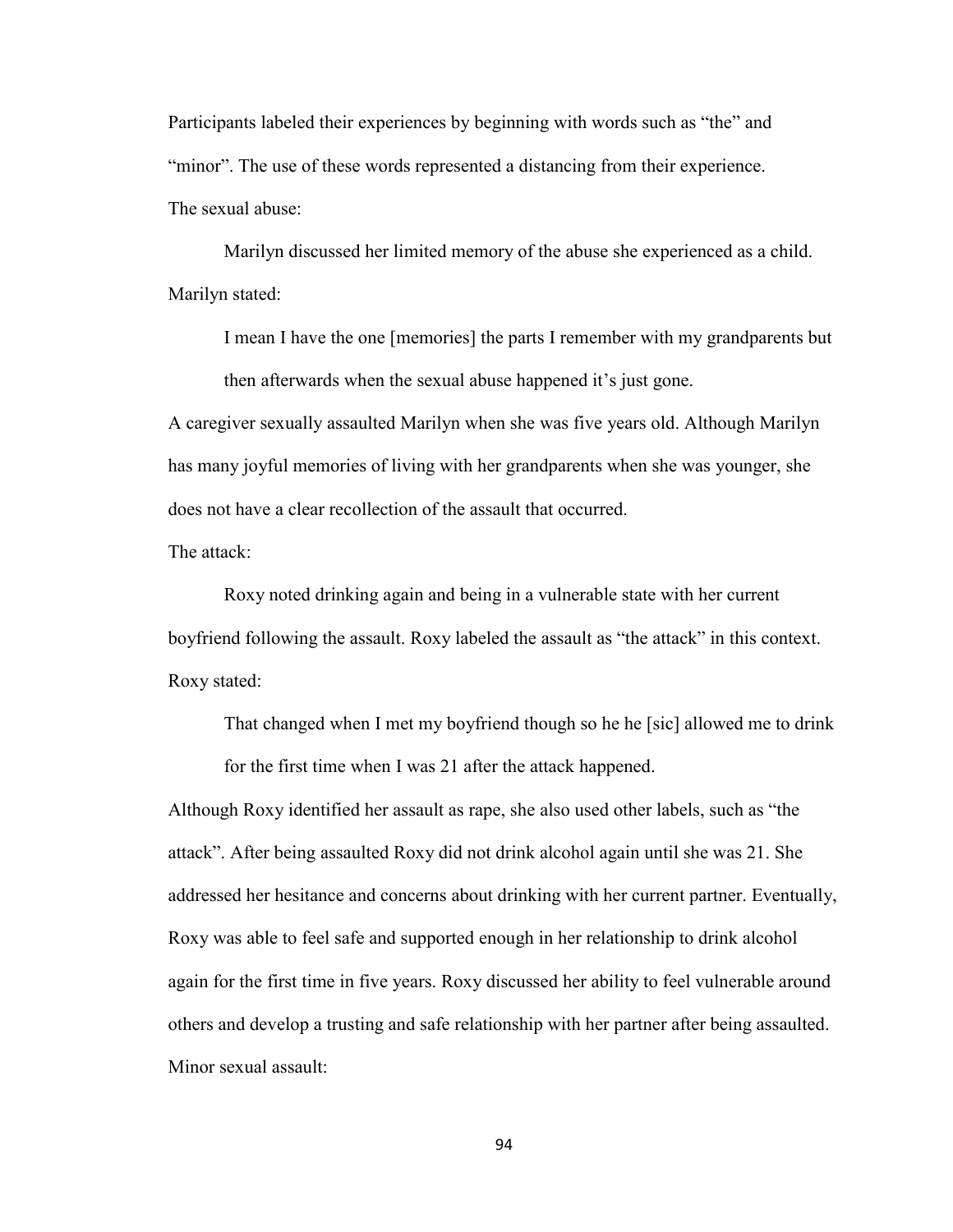Participants labeled their experiences by beginning with words such as "the" and "minor". The use of these words represented a distancing from their experience. The sexual abuse:

Marilyn discussed her limited memory of the abuse she experienced as a child. Marilyn stated:

I mean I have the one [memories] the parts I remember with my grandparents but then afterwards when the sexual abuse happened it's just gone.

A caregiver sexually assaulted Marilyn when she was five years old. Although Marilyn has many joyful memories of living with her grandparents when she was younger, she does not have a clear recollection of the assault that occurred.

The attack:

Roxy noted drinking again and being in a vulnerable state with her current boyfriend following the assault. Roxy labeled the assault as "the attack" in this context. Roxy stated:

That changed when I met my boyfriend though so he he [sic] allowed me to drink for the first time when I was 21 after the attack happened.

Although Roxy identified her assault as rape, she also used other labels, such as "the attack". After being assaulted Roxy did not drink alcohol again until she was 21. She addressed her hesitance and concerns about drinking with her current partner. Eventually, Roxy was able to feel safe and supported enough in her relationship to drink alcohol again for the first time in five years. Roxy discussed her ability to feel vulnerable around others and develop a trusting and safe relationship with her partner after being assaulted. Minor sexual assault: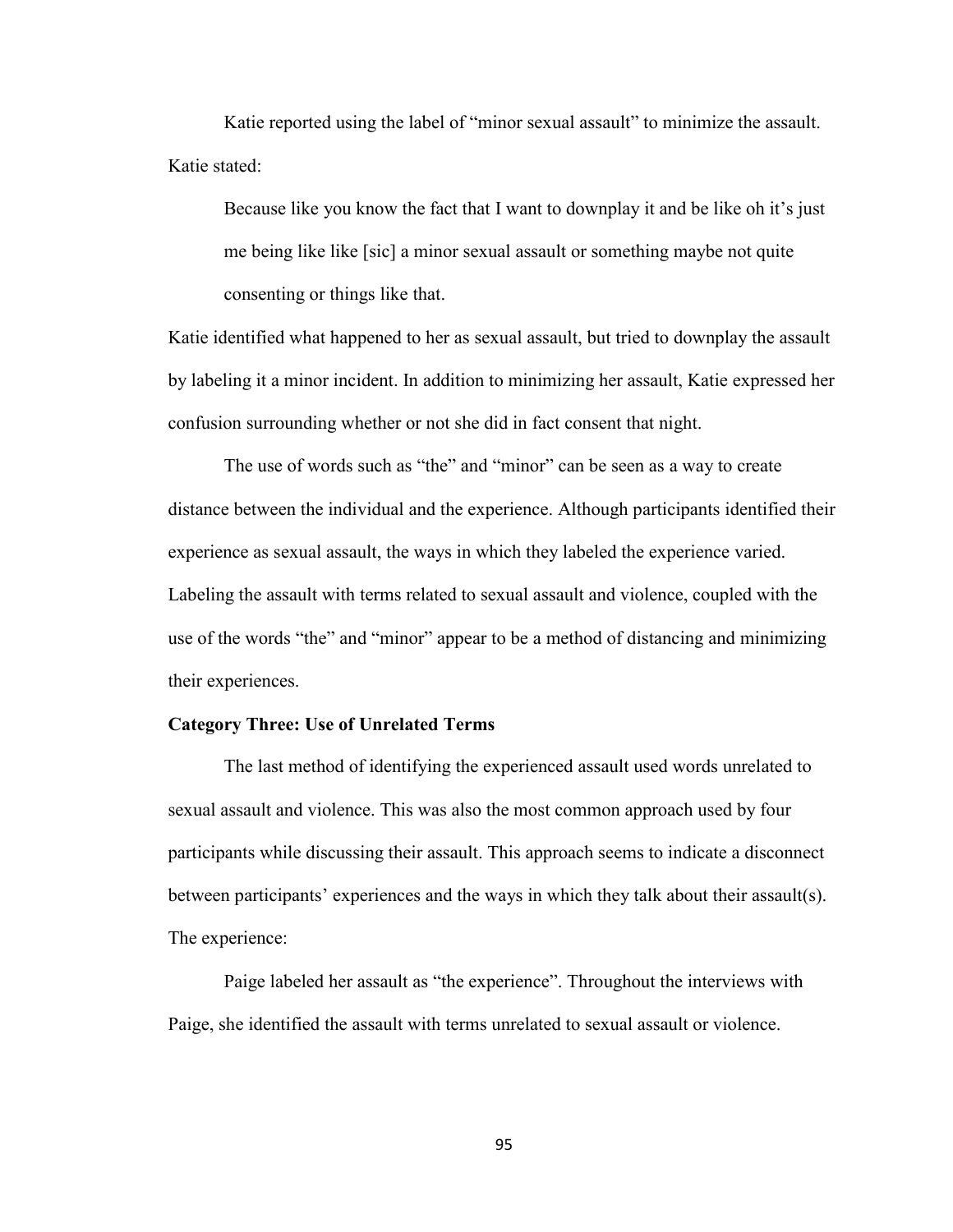Katie reported using the label of "minor sexual assault" to minimize the assault. Katie stated:

Because like you know the fact that I want to downplay it and be like oh it's just me being like like [sic] a minor sexual assault or something maybe not quite consenting or things like that.

Katie identified what happened to her as sexual assault, but tried to downplay the assault by labeling it a minor incident. In addition to minimizing her assault, Katie expressed her confusion surrounding whether or not she did in fact consent that night.

The use of words such as "the" and "minor" can be seen as a way to create distance between the individual and the experience. Although participants identified their experience as sexual assault, the ways in which they labeled the experience varied. Labeling the assault with terms related to sexual assault and violence, coupled with the use of the words "the" and "minor" appear to be a method of distancing and minimizing their experiences.

### **Category Three: Use of Unrelated Terms**

 The last method of identifying the experienced assault used words unrelated to sexual assault and violence. This was also the most common approach used by four participants while discussing their assault. This approach seems to indicate a disconnect between participants' experiences and the ways in which they talk about their assault(s). The experience:

Paige labeled her assault as "the experience". Throughout the interviews with Paige, she identified the assault with terms unrelated to sexual assault or violence.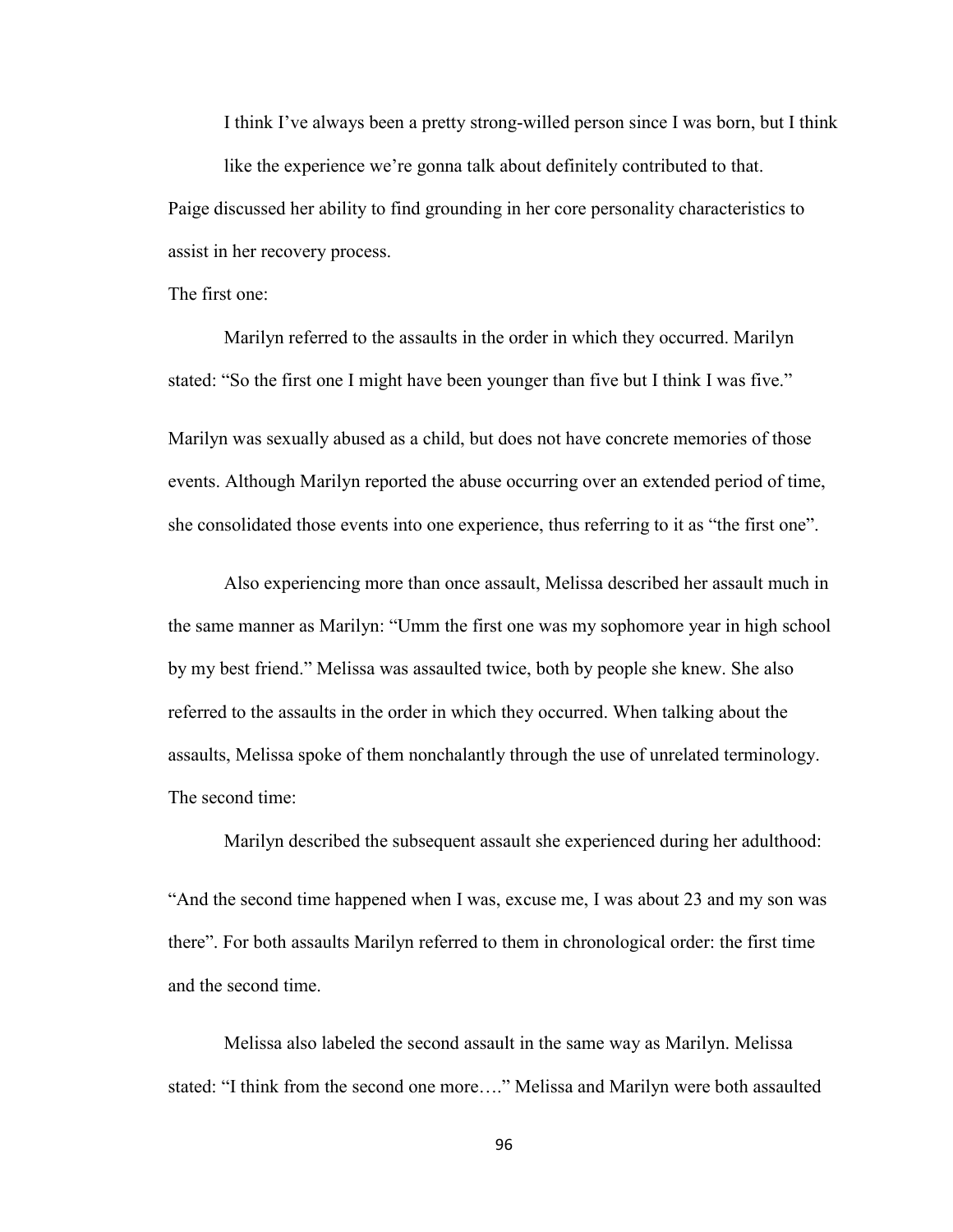I think I've always been a pretty strong-willed person since I was born, but I think like the experience we're gonna talk about definitely contributed to that. Paige discussed her ability to find grounding in her core personality characteristics to assist in her recovery process.

The first one:

Marilyn referred to the assaults in the order in which they occurred. Marilyn stated: "So the first one I might have been younger than five but I think I was five."

Marilyn was sexually abused as a child, but does not have concrete memories of those events. Although Marilyn reported the abuse occurring over an extended period of time, she consolidated those events into one experience, thus referring to it as "the first one".

Also experiencing more than once assault, Melissa described her assault much in the same manner as Marilyn: "Umm the first one was my sophomore year in high school by my best friend." Melissa was assaulted twice, both by people she knew. She also referred to the assaults in the order in which they occurred. When talking about the assaults, Melissa spoke of them nonchalantly through the use of unrelated terminology. The second time:

Marilyn described the subsequent assault she experienced during her adulthood:

"And the second time happened when I was, excuse me, I was about 23 and my son was there". For both assaults Marilyn referred to them in chronological order: the first time and the second time.

Melissa also labeled the second assault in the same way as Marilyn. Melissa stated: "I think from the second one more…." Melissa and Marilyn were both assaulted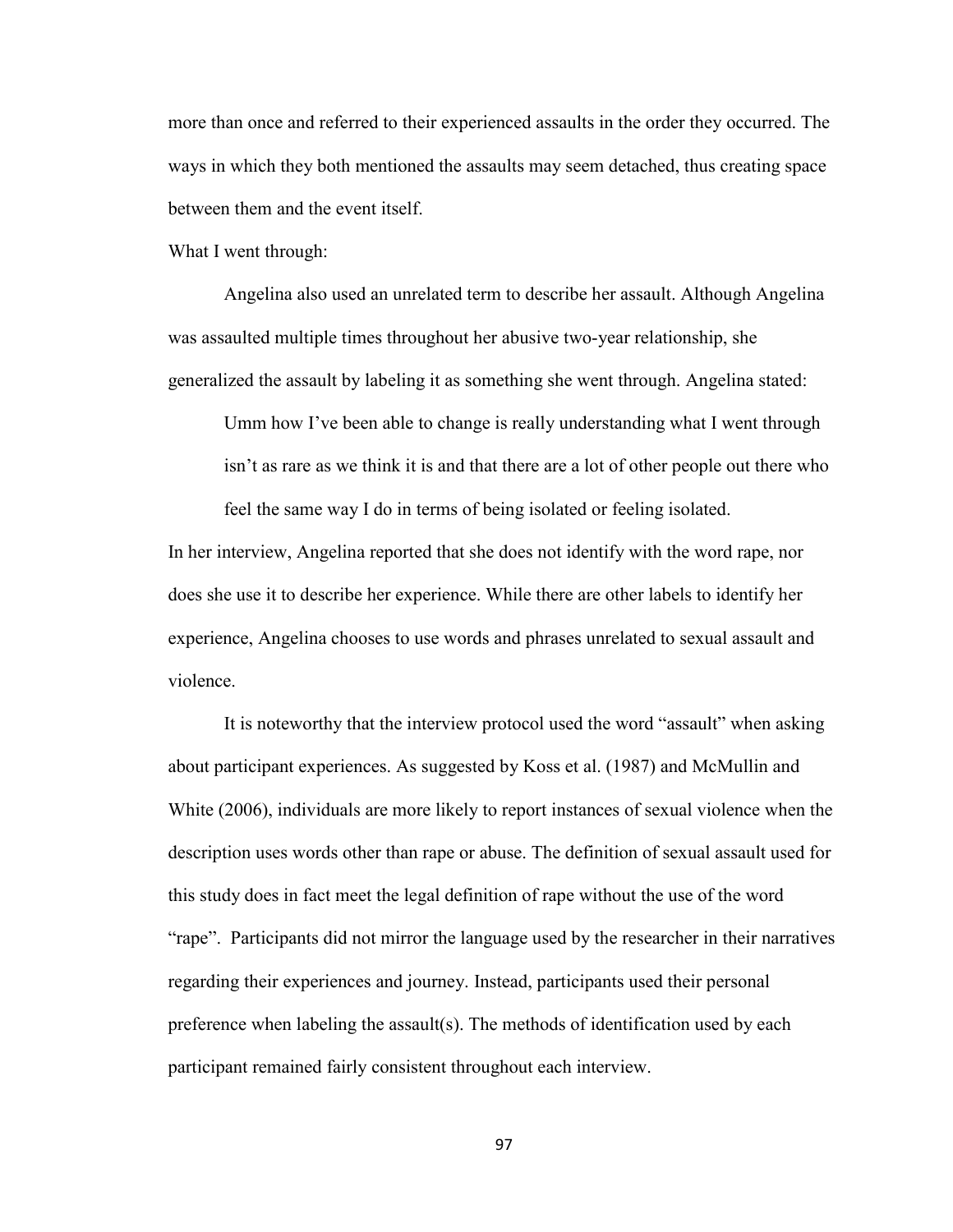more than once and referred to their experienced assaults in the order they occurred. The ways in which they both mentioned the assaults may seem detached, thus creating space between them and the event itself.

What I went through:

Angelina also used an unrelated term to describe her assault. Although Angelina was assaulted multiple times throughout her abusive two-year relationship, she generalized the assault by labeling it as something she went through. Angelina stated:

Umm how I've been able to change is really understanding what I went through isn't as rare as we think it is and that there are a lot of other people out there who feel the same way I do in terms of being isolated or feeling isolated.

In her interview, Angelina reported that she does not identify with the word rape, nor does she use it to describe her experience. While there are other labels to identify her experience, Angelina chooses to use words and phrases unrelated to sexual assault and violence.

It is noteworthy that the interview protocol used the word "assault" when asking about participant experiences. As suggested by Koss et al. (1987) and McMullin and White (2006), individuals are more likely to report instances of sexual violence when the description uses words other than rape or abuse. The definition of sexual assault used for this study does in fact meet the legal definition of rape without the use of the word "rape". Participants did not mirror the language used by the researcher in their narratives regarding their experiences and journey. Instead, participants used their personal preference when labeling the assault(s). The methods of identification used by each participant remained fairly consistent throughout each interview.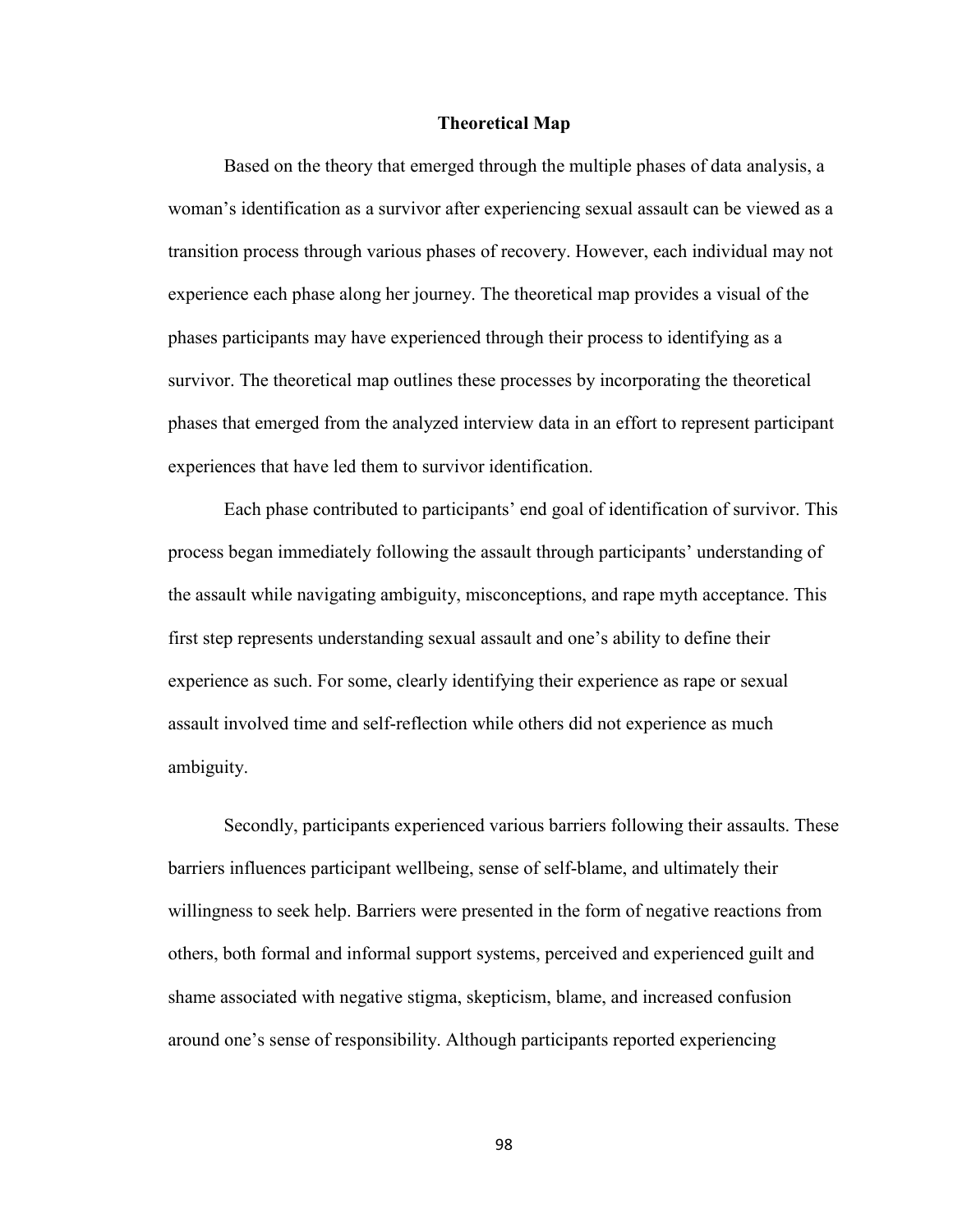### **Theoretical Map**

 Based on the theory that emerged through the multiple phases of data analysis, a woman's identification as a survivor after experiencing sexual assault can be viewed as a transition process through various phases of recovery. However, each individual may not experience each phase along her journey. The theoretical map provides a visual of the phases participants may have experienced through their process to identifying as a survivor. The theoretical map outlines these processes by incorporating the theoretical phases that emerged from the analyzed interview data in an effort to represent participant experiences that have led them to survivor identification.

Each phase contributed to participants' end goal of identification of survivor. This process began immediately following the assault through participants' understanding of the assault while navigating ambiguity, misconceptions, and rape myth acceptance. This first step represents understanding sexual assault and one's ability to define their experience as such. For some, clearly identifying their experience as rape or sexual assault involved time and self-reflection while others did not experience as much ambiguity.

Secondly, participants experienced various barriers following their assaults. These barriers influences participant wellbeing, sense of self-blame, and ultimately their willingness to seek help. Barriers were presented in the form of negative reactions from others, both formal and informal support systems, perceived and experienced guilt and shame associated with negative stigma, skepticism, blame, and increased confusion around one's sense of responsibility. Although participants reported experiencing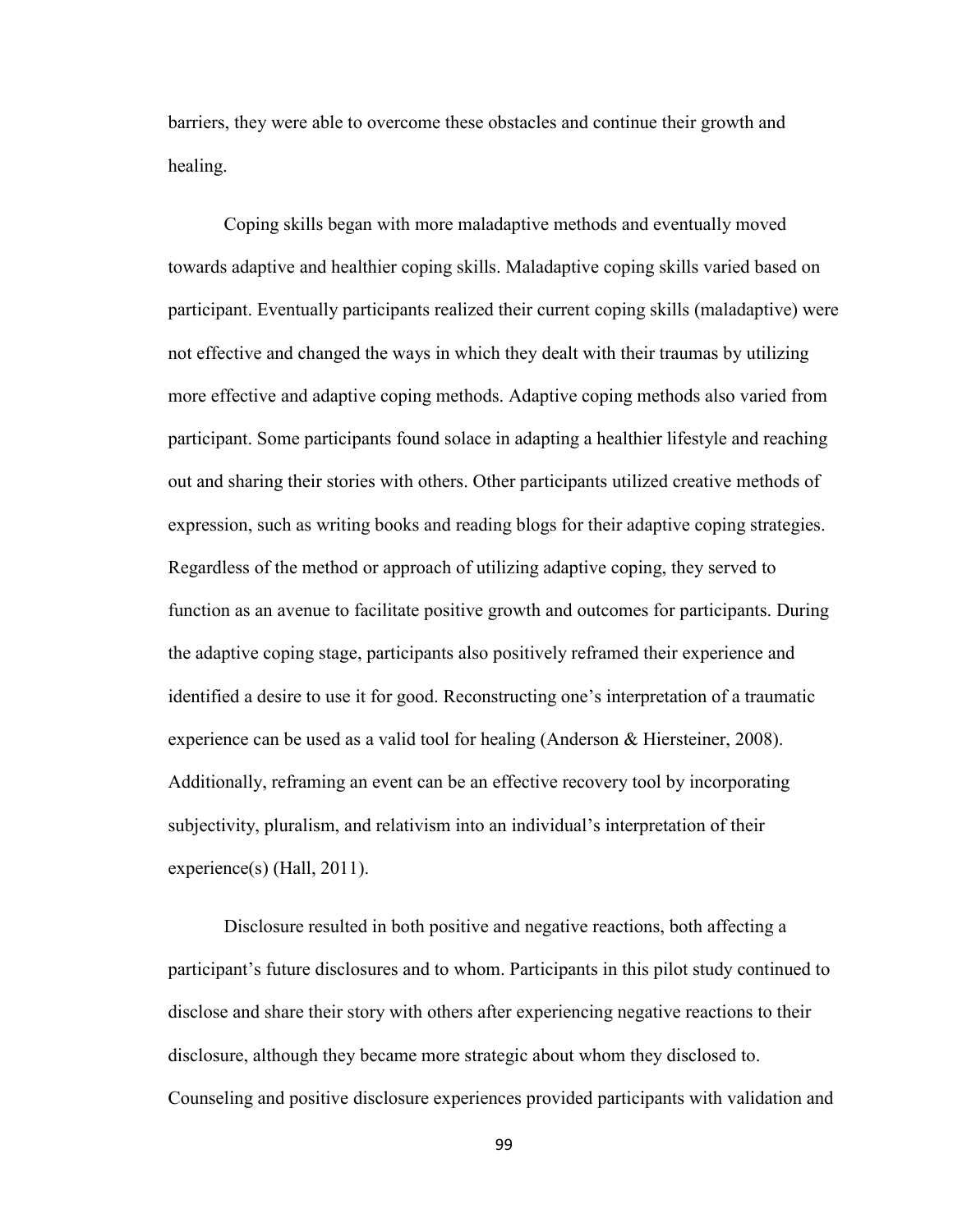barriers, they were able to overcome these obstacles and continue their growth and healing.

Coping skills began with more maladaptive methods and eventually moved towards adaptive and healthier coping skills. Maladaptive coping skills varied based on participant. Eventually participants realized their current coping skills (maladaptive) were not effective and changed the ways in which they dealt with their traumas by utilizing more effective and adaptive coping methods. Adaptive coping methods also varied from participant. Some participants found solace in adapting a healthier lifestyle and reaching out and sharing their stories with others. Other participants utilized creative methods of expression, such as writing books and reading blogs for their adaptive coping strategies. Regardless of the method or approach of utilizing adaptive coping, they served to function as an avenue to facilitate positive growth and outcomes for participants. During the adaptive coping stage, participants also positively reframed their experience and identified a desire to use it for good. Reconstructing one's interpretation of a traumatic experience can be used as a valid tool for healing (Anderson & Hiersteiner, 2008). Additionally, reframing an event can be an effective recovery tool by incorporating subjectivity, pluralism, and relativism into an individual's interpretation of their experience(s) (Hall, 2011).

Disclosure resulted in both positive and negative reactions, both affecting a participant's future disclosures and to whom. Participants in this pilot study continued to disclose and share their story with others after experiencing negative reactions to their disclosure, although they became more strategic about whom they disclosed to. Counseling and positive disclosure experiences provided participants with validation and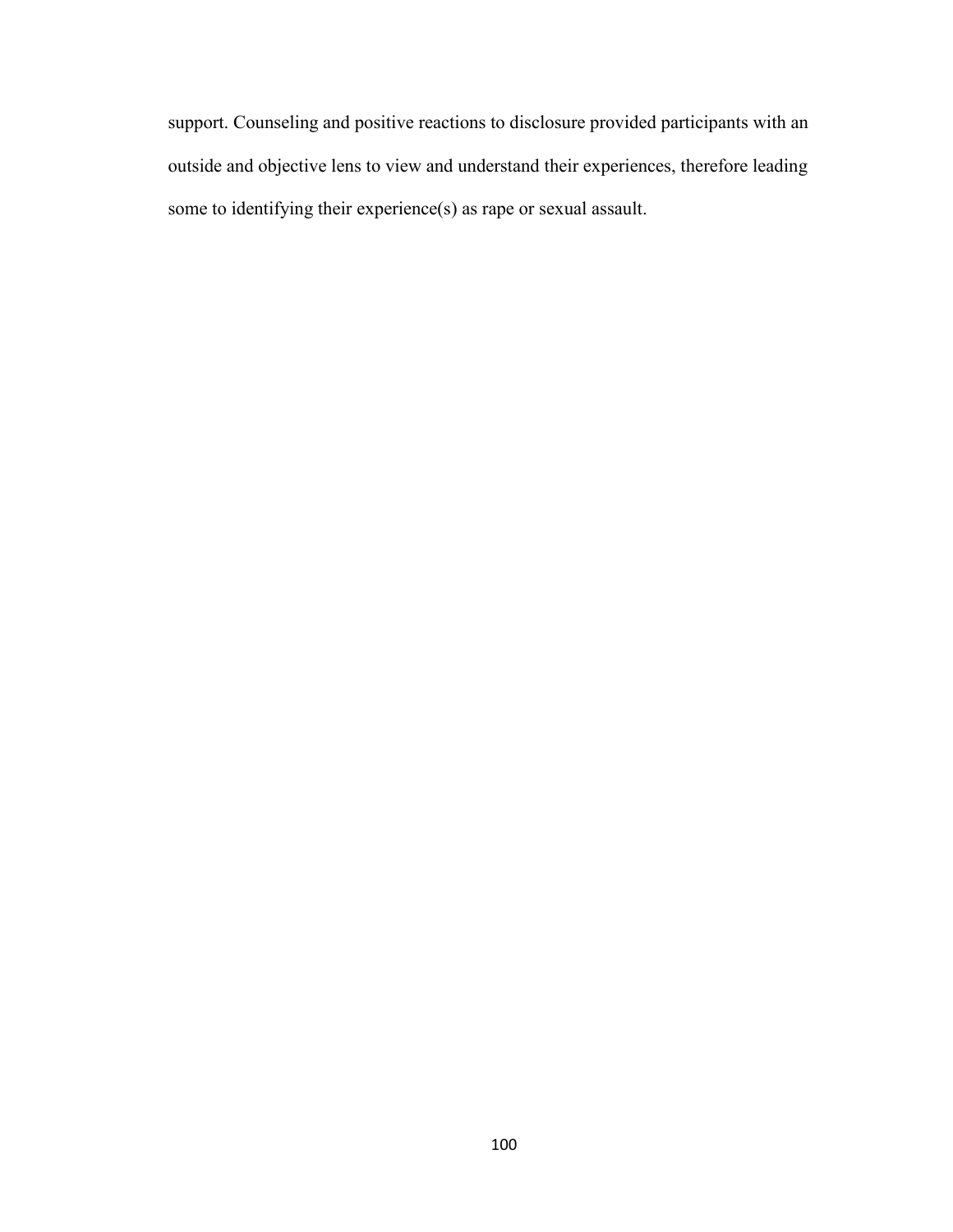support. Counseling and positive reactions to disclosure provided participants with an outside and objective lens to view and understand their experiences, therefore leading some to identifying their experience(s) as rape or sexual assault.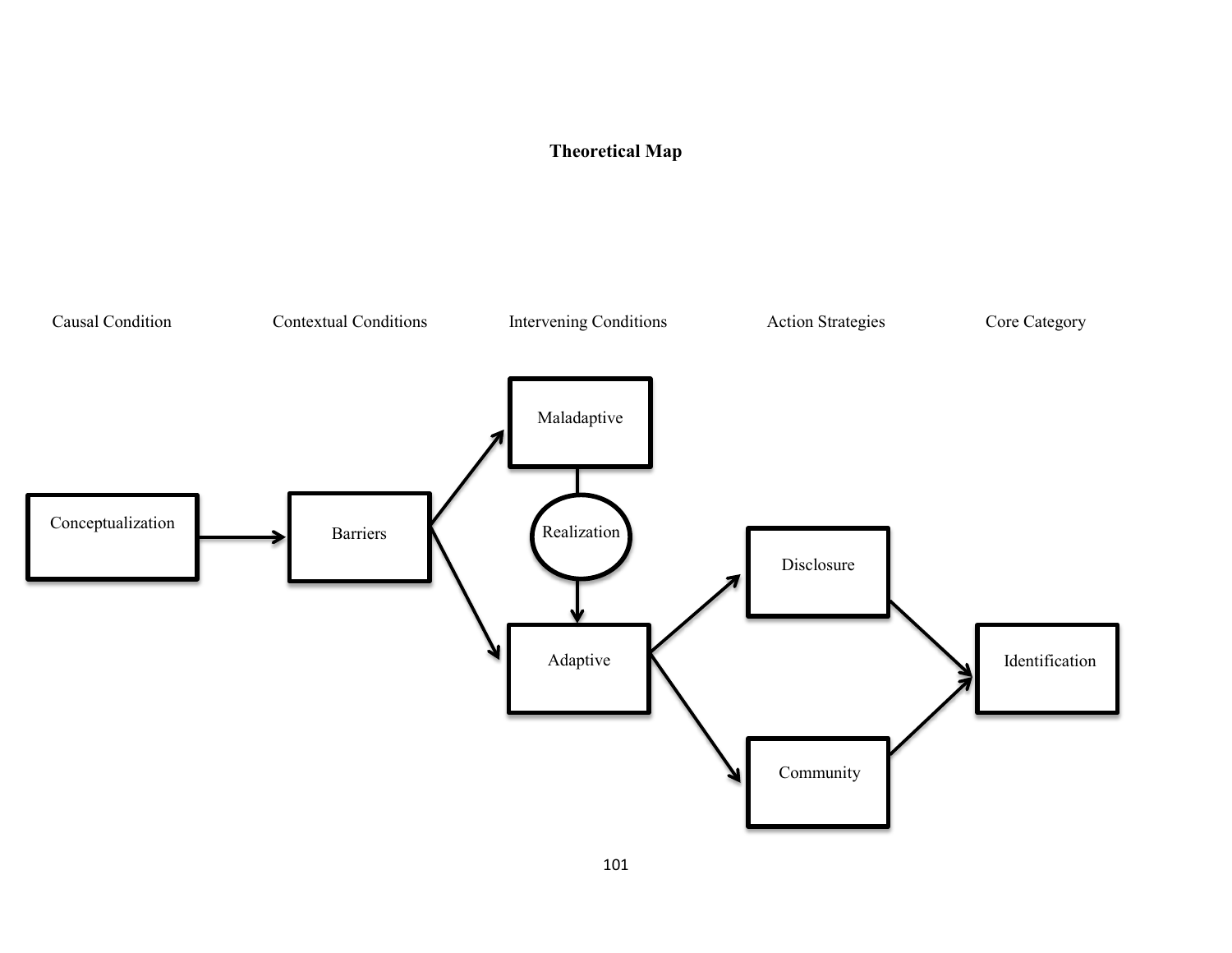# **Theoretical Map**

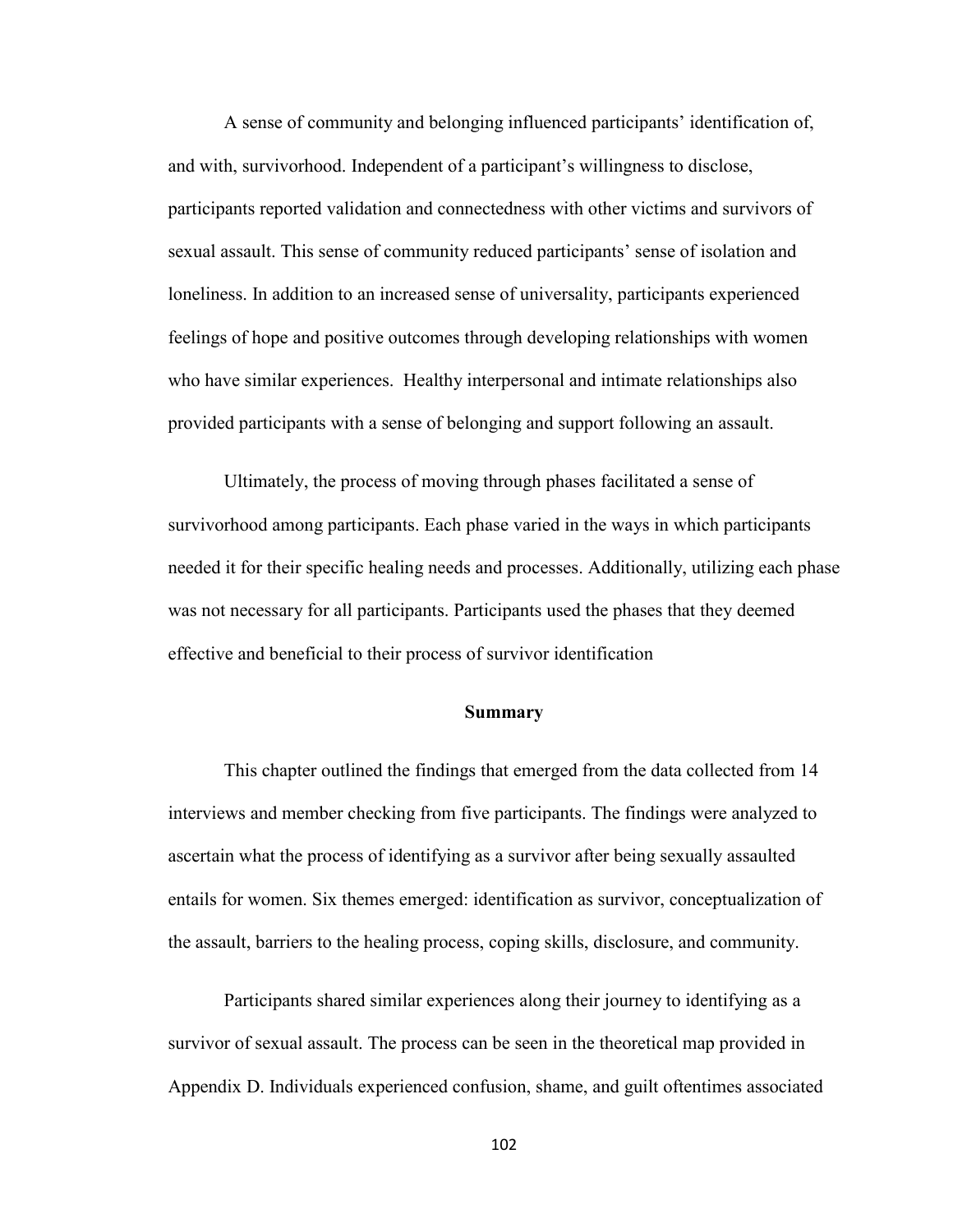A sense of community and belonging influenced participants' identification of, and with, survivorhood. Independent of a participant's willingness to disclose, participants reported validation and connectedness with other victims and survivors of sexual assault. This sense of community reduced participants' sense of isolation and loneliness. In addition to an increased sense of universality, participants experienced feelings of hope and positive outcomes through developing relationships with women who have similar experiences. Healthy interpersonal and intimate relationships also provided participants with a sense of belonging and support following an assault.

Ultimately, the process of moving through phases facilitated a sense of survivorhood among participants. Each phase varied in the ways in which participants needed it for their specific healing needs and processes. Additionally, utilizing each phase was not necessary for all participants. Participants used the phases that they deemed effective and beneficial to their process of survivor identification

### **Summary**

This chapter outlined the findings that emerged from the data collected from 14 interviews and member checking from five participants. The findings were analyzed to ascertain what the process of identifying as a survivor after being sexually assaulted entails for women. Six themes emerged: identification as survivor, conceptualization of the assault, barriers to the healing process, coping skills, disclosure, and community.

Participants shared similar experiences along their journey to identifying as a survivor of sexual assault. The process can be seen in the theoretical map provided in Appendix D. Individuals experienced confusion, shame, and guilt oftentimes associated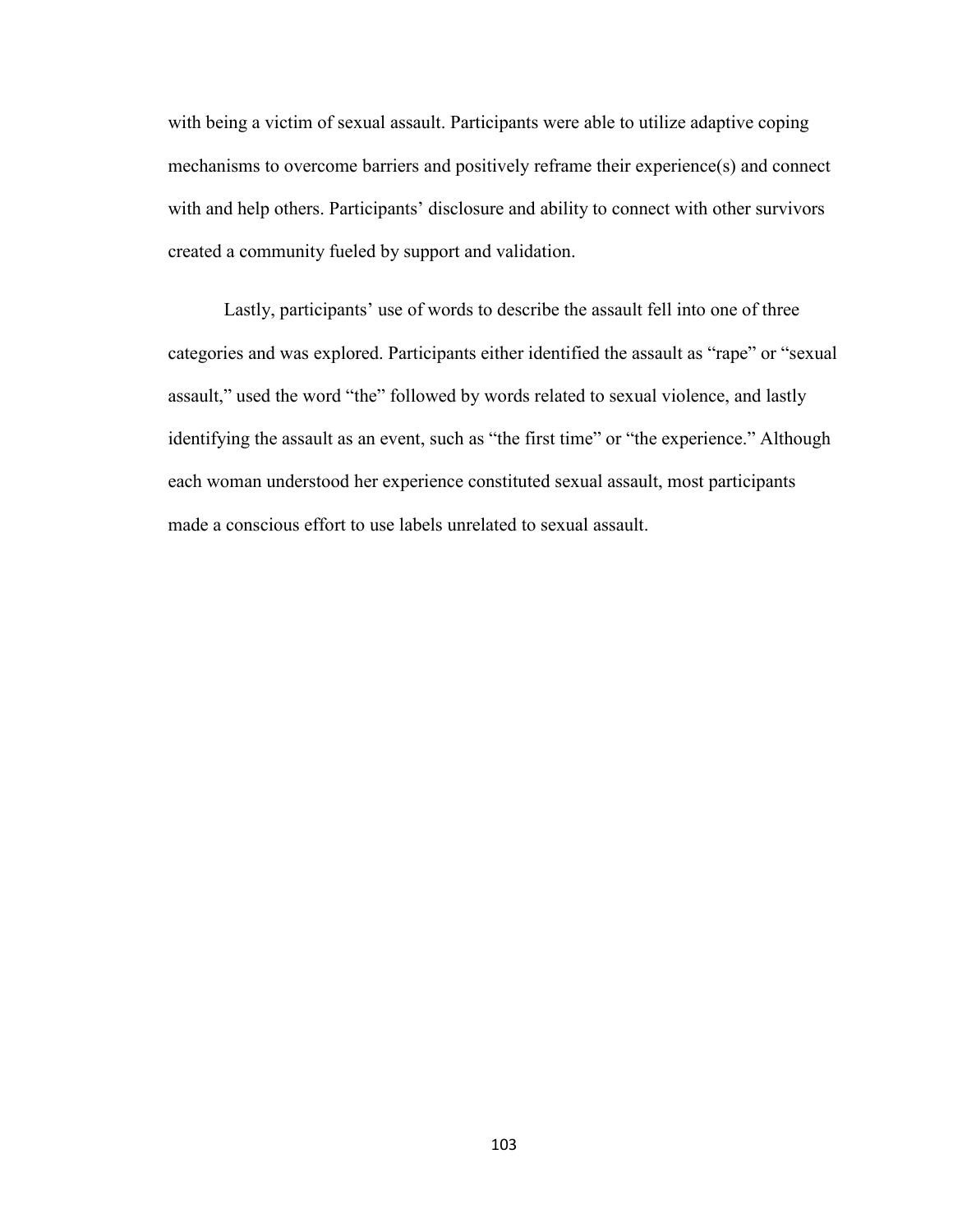with being a victim of sexual assault. Participants were able to utilize adaptive coping mechanisms to overcome barriers and positively reframe their experience(s) and connect with and help others. Participants' disclosure and ability to connect with other survivors created a community fueled by support and validation.

Lastly, participants' use of words to describe the assault fell into one of three categories and was explored. Participants either identified the assault as "rape" or "sexual assault," used the word "the" followed by words related to sexual violence, and lastly identifying the assault as an event, such as "the first time" or "the experience." Although each woman understood her experience constituted sexual assault, most participants made a conscious effort to use labels unrelated to sexual assault.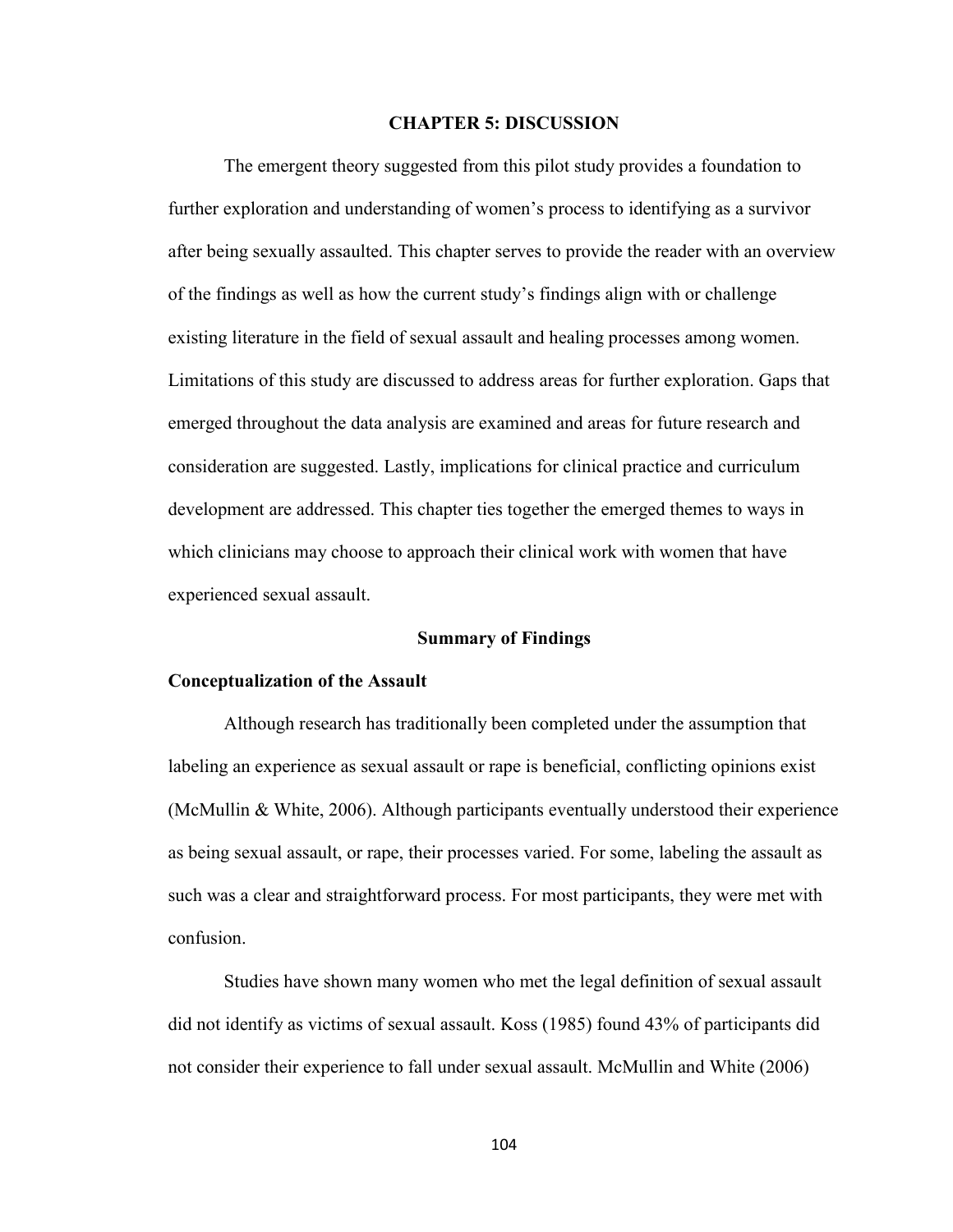### **CHAPTER 5: DISCUSSION**

 The emergent theory suggested from this pilot study provides a foundation to further exploration and understanding of women's process to identifying as a survivor after being sexually assaulted. This chapter serves to provide the reader with an overview of the findings as well as how the current study's findings align with or challenge existing literature in the field of sexual assault and healing processes among women. Limitations of this study are discussed to address areas for further exploration. Gaps that emerged throughout the data analysis are examined and areas for future research and consideration are suggested. Lastly, implications for clinical practice and curriculum development are addressed. This chapter ties together the emerged themes to ways in which clinicians may choose to approach their clinical work with women that have experienced sexual assault.

#### **Summary of Findings**

#### **Conceptualization of the Assault**

Although research has traditionally been completed under the assumption that labeling an experience as sexual assault or rape is beneficial, conflicting opinions exist (McMullin & White, 2006). Although participants eventually understood their experience as being sexual assault, or rape, their processes varied. For some, labeling the assault as such was a clear and straightforward process. For most participants, they were met with confusion.

Studies have shown many women who met the legal definition of sexual assault did not identify as victims of sexual assault. Koss (1985) found 43% of participants did not consider their experience to fall under sexual assault. McMullin and White (2006)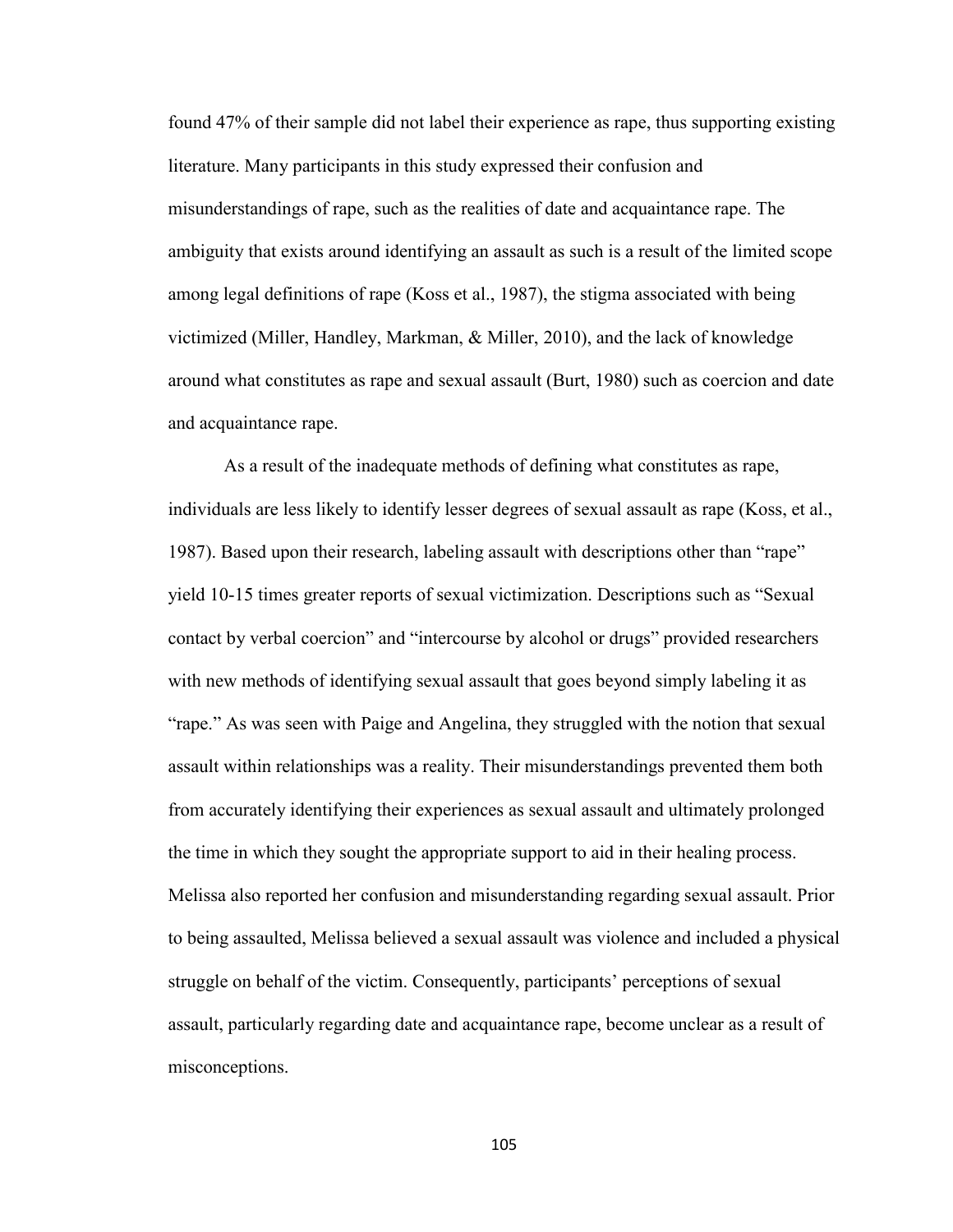found 47% of their sample did not label their experience as rape, thus supporting existing literature. Many participants in this study expressed their confusion and misunderstandings of rape, such as the realities of date and acquaintance rape. The ambiguity that exists around identifying an assault as such is a result of the limited scope among legal definitions of rape (Koss et al., 1987), the stigma associated with being victimized (Miller, Handley, Markman, & Miller, 2010), and the lack of knowledge around what constitutes as rape and sexual assault (Burt, 1980) such as coercion and date and acquaintance rape.

As a result of the inadequate methods of defining what constitutes as rape, individuals are less likely to identify lesser degrees of sexual assault as rape (Koss, et al., 1987). Based upon their research, labeling assault with descriptions other than "rape" yield 10-15 times greater reports of sexual victimization. Descriptions such as "Sexual contact by verbal coercion" and "intercourse by alcohol or drugs" provided researchers with new methods of identifying sexual assault that goes beyond simply labeling it as "rape." As was seen with Paige and Angelina, they struggled with the notion that sexual assault within relationships was a reality. Their misunderstandings prevented them both from accurately identifying their experiences as sexual assault and ultimately prolonged the time in which they sought the appropriate support to aid in their healing process. Melissa also reported her confusion and misunderstanding regarding sexual assault. Prior to being assaulted, Melissa believed a sexual assault was violence and included a physical struggle on behalf of the victim. Consequently, participants' perceptions of sexual assault, particularly regarding date and acquaintance rape, become unclear as a result of misconceptions.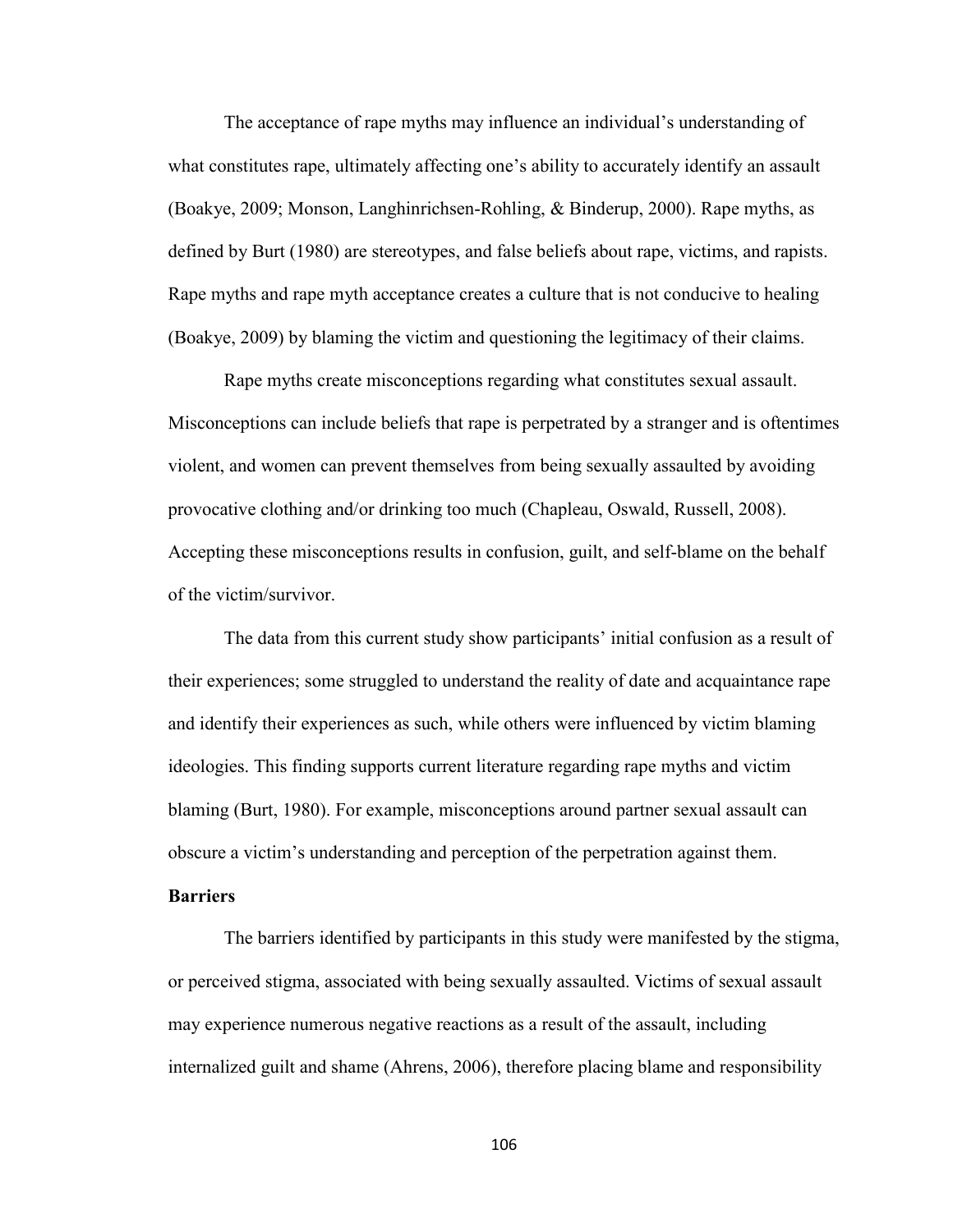The acceptance of rape myths may influence an individual's understanding of what constitutes rape, ultimately affecting one's ability to accurately identify an assault (Boakye, 2009; Monson, Langhinrichsen-Rohling, & Binderup, 2000). Rape myths, as defined by Burt (1980) are stereotypes, and false beliefs about rape, victims, and rapists. Rape myths and rape myth acceptance creates a culture that is not conducive to healing (Boakye, 2009) by blaming the victim and questioning the legitimacy of their claims.

Rape myths create misconceptions regarding what constitutes sexual assault. Misconceptions can include beliefs that rape is perpetrated by a stranger and is oftentimes violent, and women can prevent themselves from being sexually assaulted by avoiding provocative clothing and/or drinking too much (Chapleau, Oswald, Russell, 2008). Accepting these misconceptions results in confusion, guilt, and self-blame on the behalf of the victim/survivor.

The data from this current study show participants' initial confusion as a result of their experiences; some struggled to understand the reality of date and acquaintance rape and identify their experiences as such, while others were influenced by victim blaming ideologies. This finding supports current literature regarding rape myths and victim blaming (Burt, 1980). For example, misconceptions around partner sexual assault can obscure a victim's understanding and perception of the perpetration against them.

### **Barriers**

The barriers identified by participants in this study were manifested by the stigma, or perceived stigma, associated with being sexually assaulted. Victims of sexual assault may experience numerous negative reactions as a result of the assault, including internalized guilt and shame (Ahrens, 2006), therefore placing blame and responsibility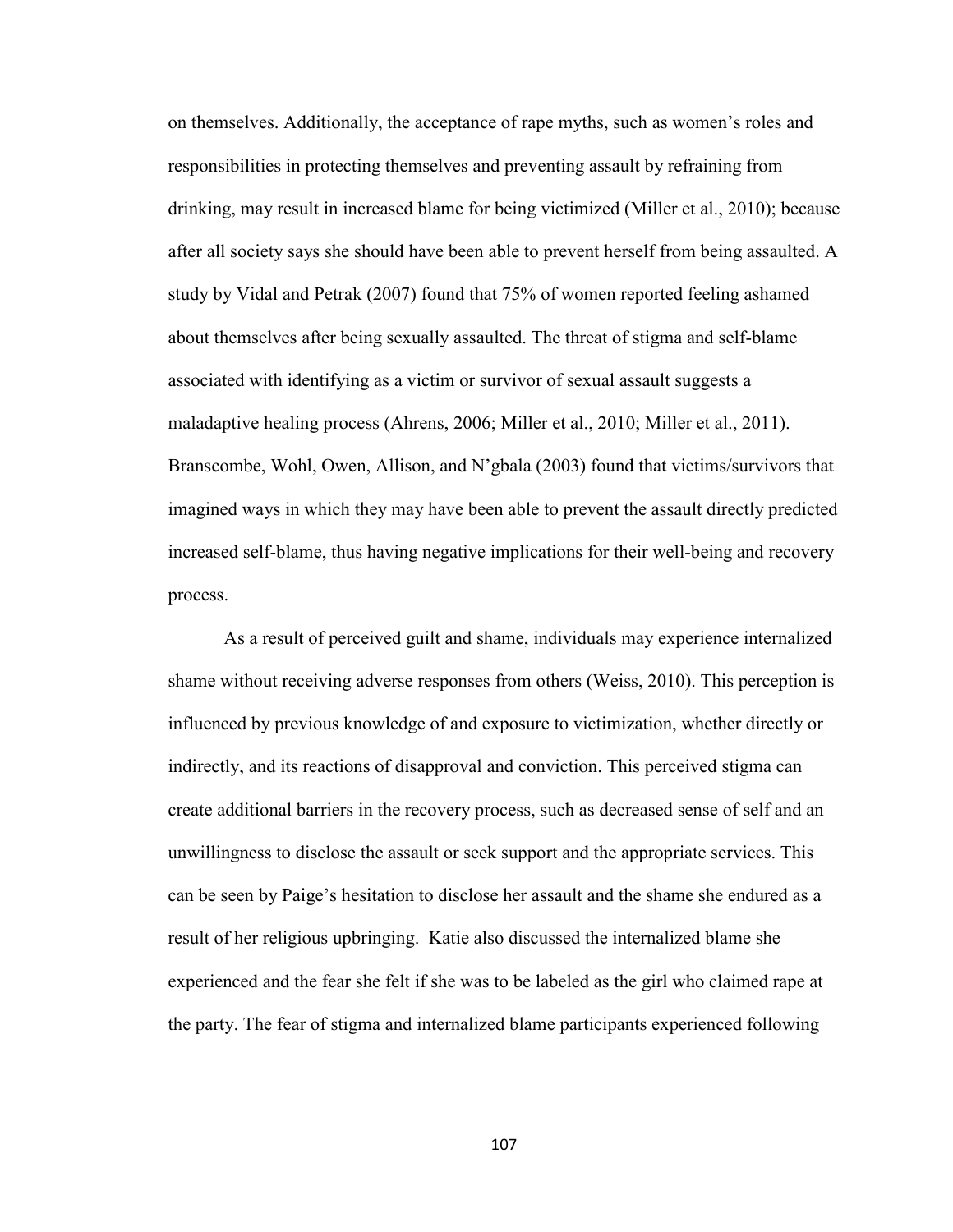on themselves. Additionally, the acceptance of rape myths, such as women's roles and responsibilities in protecting themselves and preventing assault by refraining from drinking, may result in increased blame for being victimized (Miller et al., 2010); because after all society says she should have been able to prevent herself from being assaulted. A study by Vidal and Petrak (2007) found that 75% of women reported feeling ashamed about themselves after being sexually assaulted. The threat of stigma and self-blame associated with identifying as a victim or survivor of sexual assault suggests a maladaptive healing process (Ahrens, 2006; Miller et al., 2010; Miller et al., 2011). Branscombe, Wohl, Owen, Allison, and N'gbala (2003) found that victims/survivors that imagined ways in which they may have been able to prevent the assault directly predicted increased self-blame, thus having negative implications for their well-being and recovery process.

 As a result of perceived guilt and shame, individuals may experience internalized shame without receiving adverse responses from others (Weiss, 2010). This perception is influenced by previous knowledge of and exposure to victimization, whether directly or indirectly, and its reactions of disapproval and conviction. This perceived stigma can create additional barriers in the recovery process, such as decreased sense of self and an unwillingness to disclose the assault or seek support and the appropriate services. This can be seen by Paige's hesitation to disclose her assault and the shame she endured as a result of her religious upbringing. Katie also discussed the internalized blame she experienced and the fear she felt if she was to be labeled as the girl who claimed rape at the party. The fear of stigma and internalized blame participants experienced following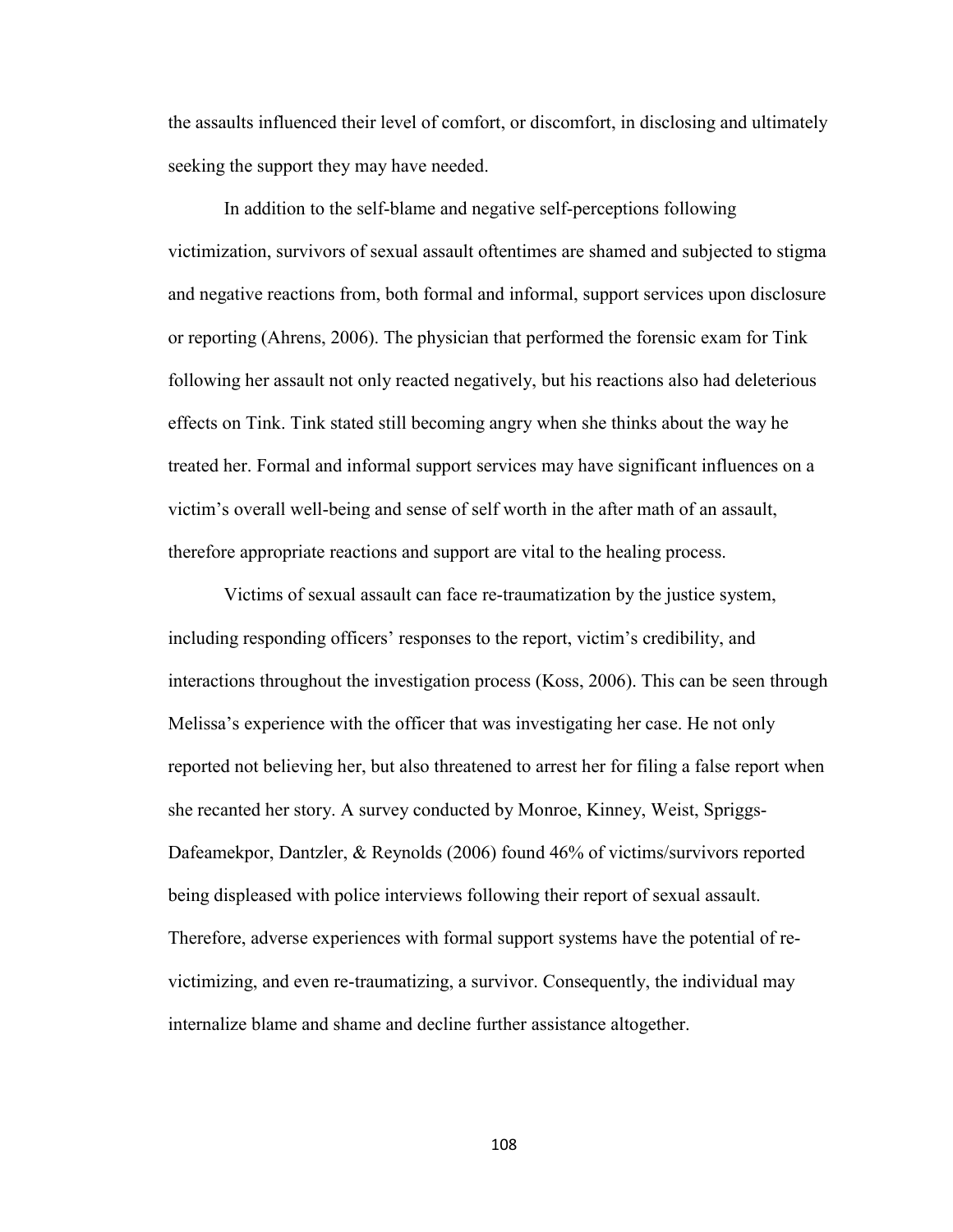the assaults influenced their level of comfort, or discomfort, in disclosing and ultimately seeking the support they may have needed.

In addition to the self-blame and negative self-perceptions following victimization, survivors of sexual assault oftentimes are shamed and subjected to stigma and negative reactions from, both formal and informal, support services upon disclosure or reporting (Ahrens, 2006). The physician that performed the forensic exam for Tink following her assault not only reacted negatively, but his reactions also had deleterious effects on Tink. Tink stated still becoming angry when she thinks about the way he treated her. Formal and informal support services may have significant influences on a victim's overall well-being and sense of self worth in the after math of an assault, therefore appropriate reactions and support are vital to the healing process.

Victims of sexual assault can face re-traumatization by the justice system, including responding officers' responses to the report, victim's credibility, and interactions throughout the investigation process (Koss, 2006). This can be seen through Melissa's experience with the officer that was investigating her case. He not only reported not believing her, but also threatened to arrest her for filing a false report when she recanted her story. A survey conducted by Monroe, Kinney, Weist, Spriggs-Dafeamekpor, Dantzler, & Reynolds (2006) found 46% of victims/survivors reported being displeased with police interviews following their report of sexual assault. Therefore, adverse experiences with formal support systems have the potential of revictimizing, and even re-traumatizing, a survivor. Consequently, the individual may internalize blame and shame and decline further assistance altogether.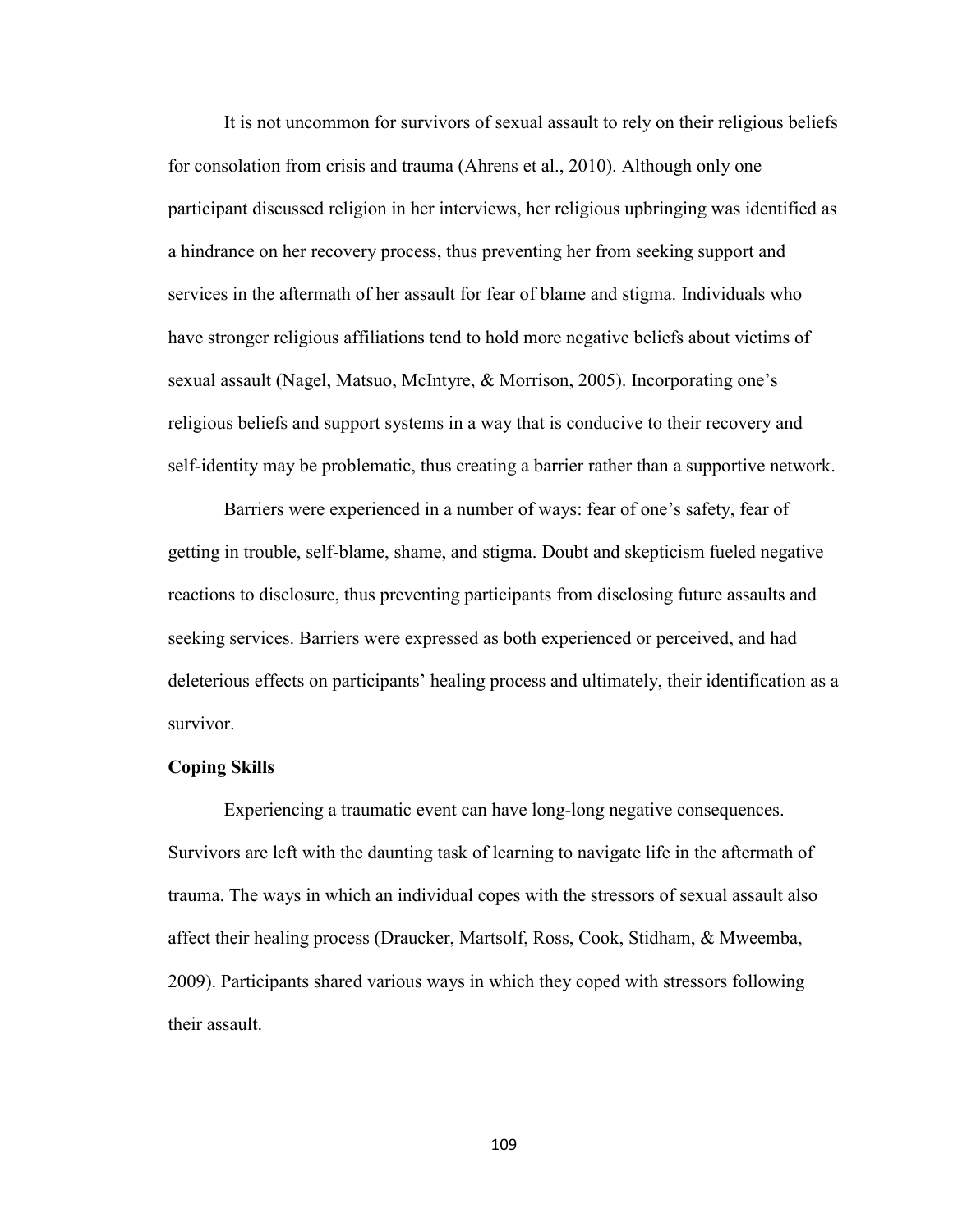It is not uncommon for survivors of sexual assault to rely on their religious beliefs for consolation from crisis and trauma (Ahrens et al., 2010). Although only one participant discussed religion in her interviews, her religious upbringing was identified as a hindrance on her recovery process, thus preventing her from seeking support and services in the aftermath of her assault for fear of blame and stigma. Individuals who have stronger religious affiliations tend to hold more negative beliefs about victims of sexual assault (Nagel, Matsuo, McIntyre, & Morrison, 2005). Incorporating one's religious beliefs and support systems in a way that is conducive to their recovery and self-identity may be problematic, thus creating a barrier rather than a supportive network.

Barriers were experienced in a number of ways: fear of one's safety, fear of getting in trouble, self-blame, shame, and stigma. Doubt and skepticism fueled negative reactions to disclosure, thus preventing participants from disclosing future assaults and seeking services. Barriers were expressed as both experienced or perceived, and had deleterious effects on participants' healing process and ultimately, their identification as a survivor.

#### **Coping Skills**

Experiencing a traumatic event can have long-long negative consequences. Survivors are left with the daunting task of learning to navigate life in the aftermath of trauma. The ways in which an individual copes with the stressors of sexual assault also affect their healing process (Draucker, Martsolf, Ross, Cook, Stidham, & Mweemba, 2009). Participants shared various ways in which they coped with stressors following their assault.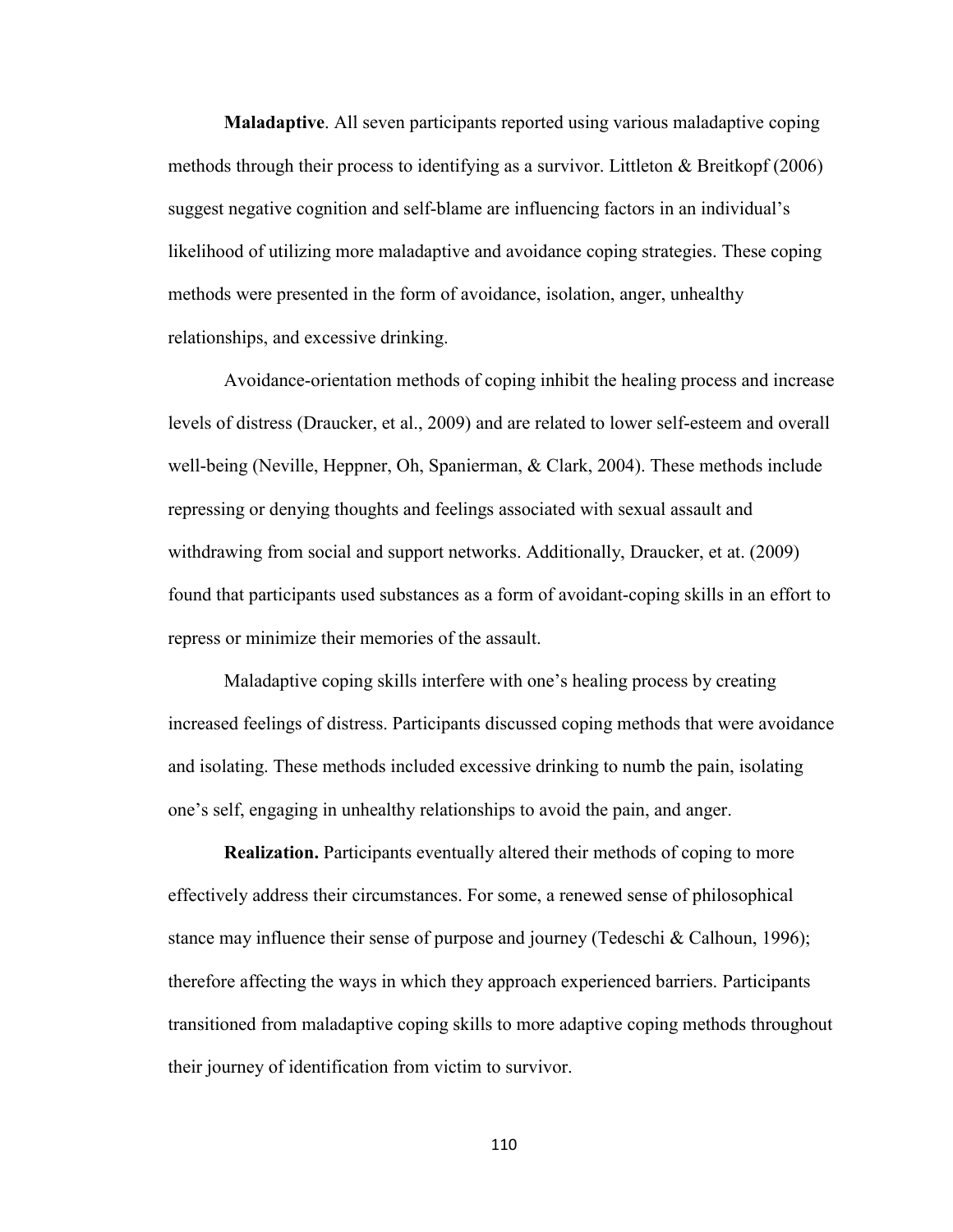**Maladaptive**. All seven participants reported using various maladaptive coping methods through their process to identifying as a survivor. Littleton & Breitkopf (2006) suggest negative cognition and self-blame are influencing factors in an individual's likelihood of utilizing more maladaptive and avoidance coping strategies. These coping methods were presented in the form of avoidance, isolation, anger, unhealthy relationships, and excessive drinking.

Avoidance-orientation methods of coping inhibit the healing process and increase levels of distress (Draucker, et al., 2009) and are related to lower self-esteem and overall well-being (Neville, Heppner, Oh, Spanierman, & Clark, 2004). These methods include repressing or denying thoughts and feelings associated with sexual assault and withdrawing from social and support networks. Additionally, Draucker, et at. (2009) found that participants used substances as a form of avoidant-coping skills in an effort to repress or minimize their memories of the assault.

Maladaptive coping skills interfere with one's healing process by creating increased feelings of distress. Participants discussed coping methods that were avoidance and isolating. These methods included excessive drinking to numb the pain, isolating one's self, engaging in unhealthy relationships to avoid the pain, and anger.

**Realization.** Participants eventually altered their methods of coping to more effectively address their circumstances. For some, a renewed sense of philosophical stance may influence their sense of purpose and journey (Tedeschi & Calhoun, 1996); therefore affecting the ways in which they approach experienced barriers. Participants transitioned from maladaptive coping skills to more adaptive coping methods throughout their journey of identification from victim to survivor.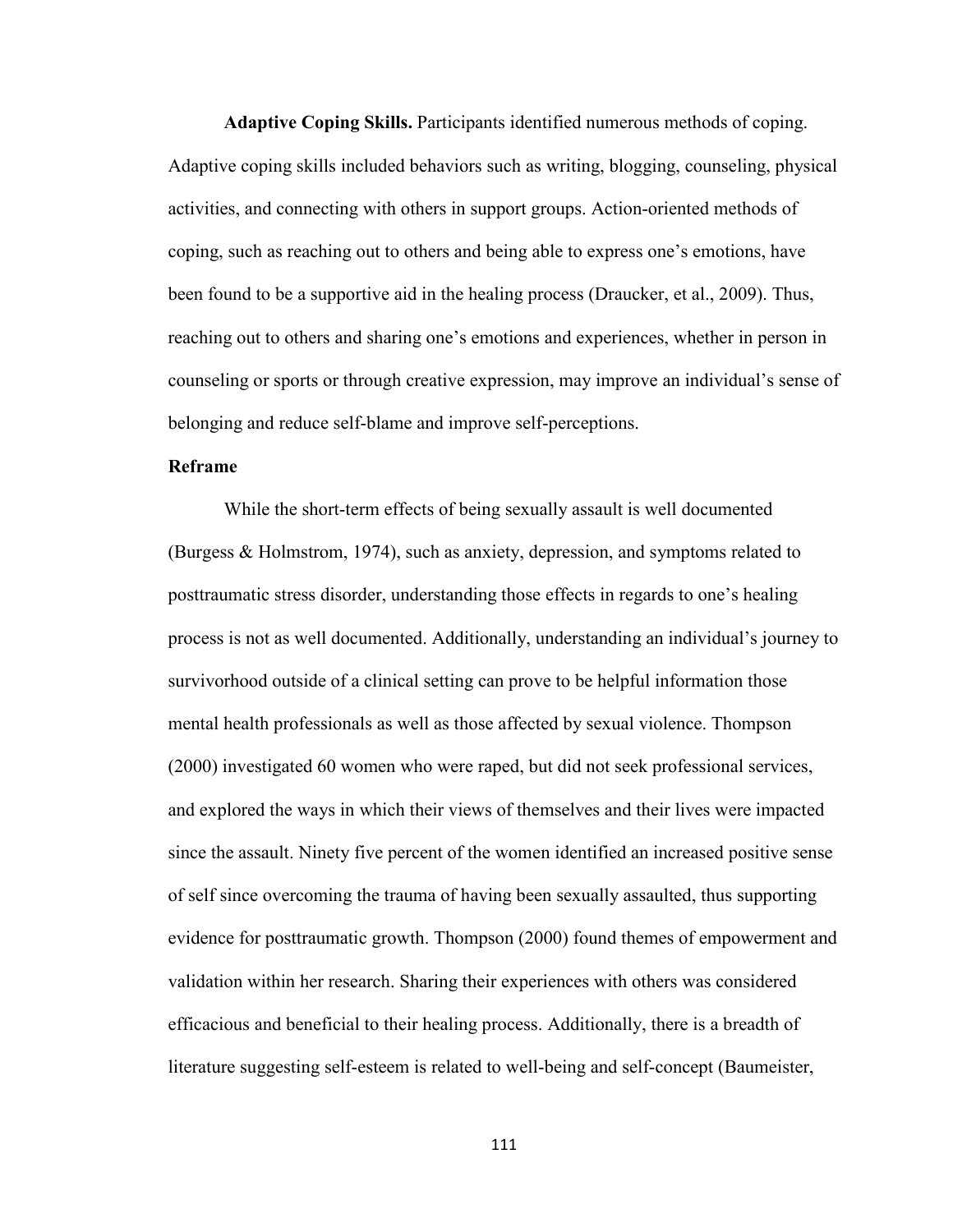**Adaptive Coping Skills.** Participants identified numerous methods of coping. Adaptive coping skills included behaviors such as writing, blogging, counseling, physical activities, and connecting with others in support groups. Action-oriented methods of coping, such as reaching out to others and being able to express one's emotions, have been found to be a supportive aid in the healing process (Draucker, et al., 2009). Thus, reaching out to others and sharing one's emotions and experiences, whether in person in counseling or sports or through creative expression, may improve an individual's sense of belonging and reduce self-blame and improve self-perceptions.

### **Reframe**

While the short-term effects of being sexually assault is well documented (Burgess & Holmstrom, 1974), such as anxiety, depression, and symptoms related to posttraumatic stress disorder, understanding those effects in regards to one's healing process is not as well documented. Additionally, understanding an individual's journey to survivorhood outside of a clinical setting can prove to be helpful information those mental health professionals as well as those affected by sexual violence. Thompson (2000) investigated 60 women who were raped, but did not seek professional services, and explored the ways in which their views of themselves and their lives were impacted since the assault. Ninety five percent of the women identified an increased positive sense of self since overcoming the trauma of having been sexually assaulted, thus supporting evidence for posttraumatic growth. Thompson (2000) found themes of empowerment and validation within her research. Sharing their experiences with others was considered efficacious and beneficial to their healing process. Additionally, there is a breadth of literature suggesting self-esteem is related to well-being and self-concept (Baumeister,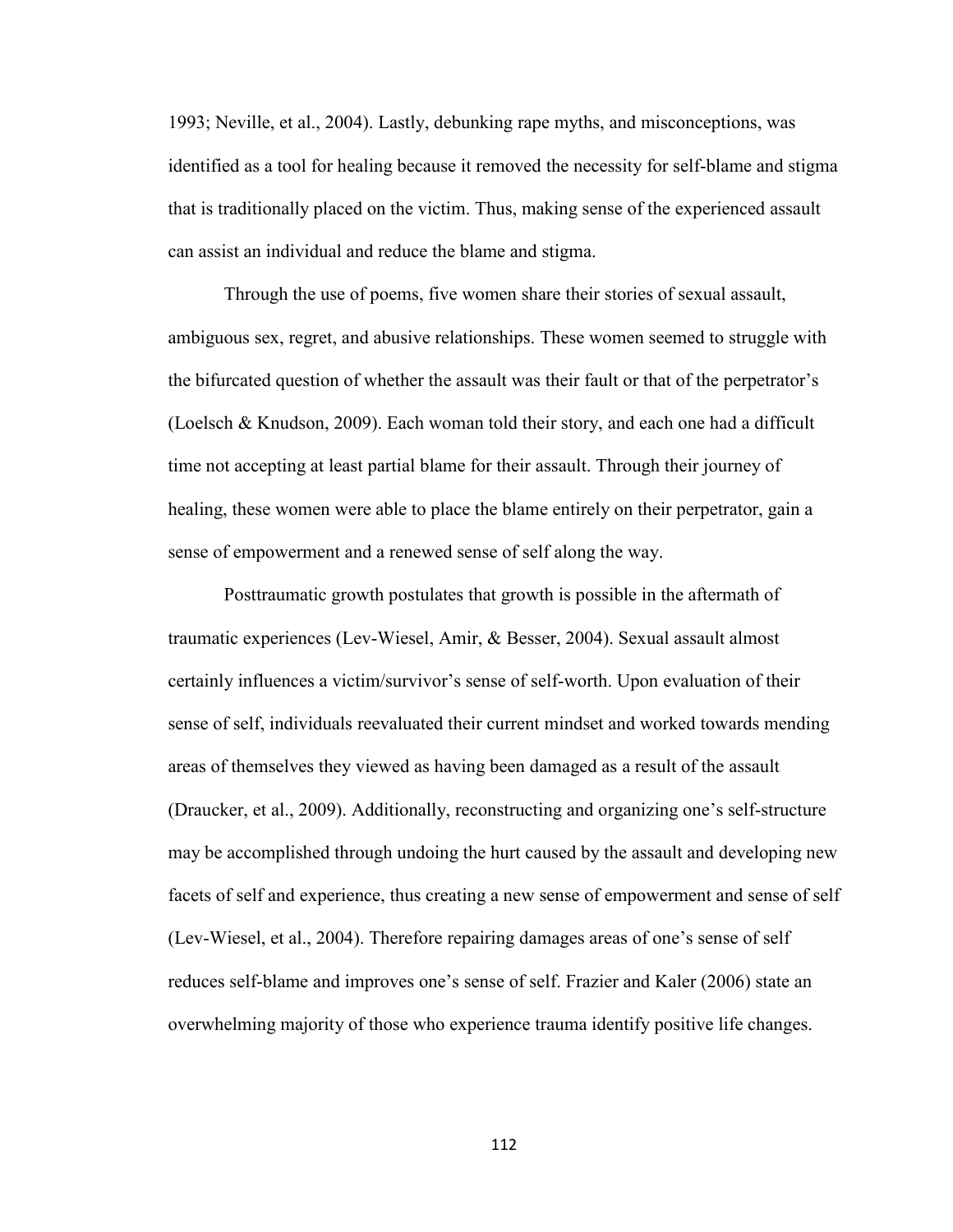1993; Neville, et al., 2004). Lastly, debunking rape myths, and misconceptions, was identified as a tool for healing because it removed the necessity for self-blame and stigma that is traditionally placed on the victim. Thus, making sense of the experienced assault can assist an individual and reduce the blame and stigma.

Through the use of poems, five women share their stories of sexual assault, ambiguous sex, regret, and abusive relationships. These women seemed to struggle with the bifurcated question of whether the assault was their fault or that of the perpetrator's (Loelsch & Knudson, 2009). Each woman told their story, and each one had a difficult time not accepting at least partial blame for their assault. Through their journey of healing, these women were able to place the blame entirely on their perpetrator, gain a sense of empowerment and a renewed sense of self along the way.

Posttraumatic growth postulates that growth is possible in the aftermath of traumatic experiences (Lev-Wiesel, Amir, & Besser, 2004). Sexual assault almost certainly influences a victim/survivor's sense of self-worth. Upon evaluation of their sense of self, individuals reevaluated their current mindset and worked towards mending areas of themselves they viewed as having been damaged as a result of the assault (Draucker, et al., 2009). Additionally, reconstructing and organizing one's self-structure may be accomplished through undoing the hurt caused by the assault and developing new facets of self and experience, thus creating a new sense of empowerment and sense of self (Lev-Wiesel, et al., 2004). Therefore repairing damages areas of one's sense of self reduces self-blame and improves one's sense of self. Frazier and Kaler (2006) state an overwhelming majority of those who experience trauma identify positive life changes.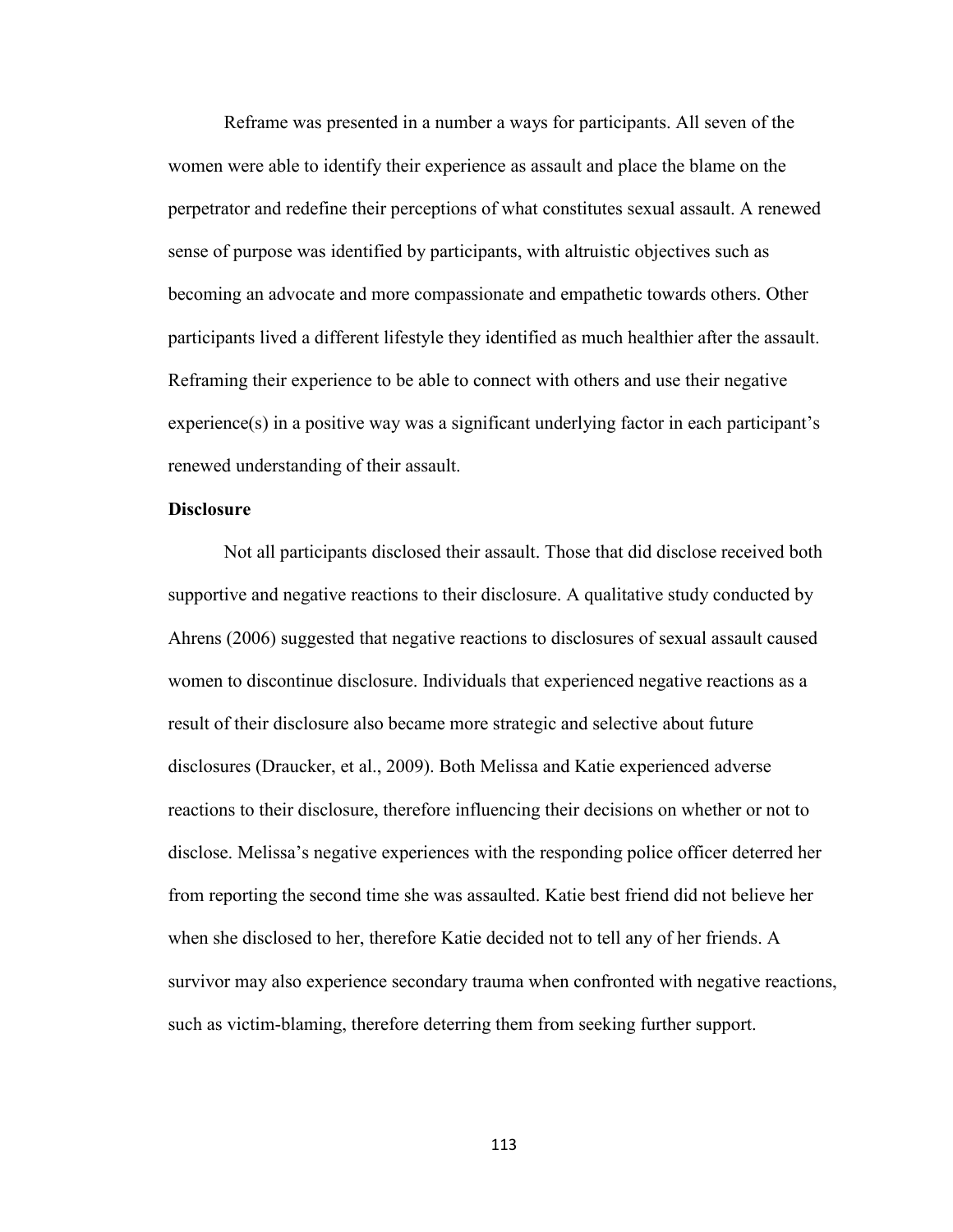Reframe was presented in a number a ways for participants. All seven of the women were able to identify their experience as assault and place the blame on the perpetrator and redefine their perceptions of what constitutes sexual assault. A renewed sense of purpose was identified by participants, with altruistic objectives such as becoming an advocate and more compassionate and empathetic towards others. Other participants lived a different lifestyle they identified as much healthier after the assault. Reframing their experience to be able to connect with others and use their negative experience(s) in a positive way was a significant underlying factor in each participant's renewed understanding of their assault.

### **Disclosure**

Not all participants disclosed their assault. Those that did disclose received both supportive and negative reactions to their disclosure. A qualitative study conducted by Ahrens (2006) suggested that negative reactions to disclosures of sexual assault caused women to discontinue disclosure. Individuals that experienced negative reactions as a result of their disclosure also became more strategic and selective about future disclosures (Draucker, et al., 2009). Both Melissa and Katie experienced adverse reactions to their disclosure, therefore influencing their decisions on whether or not to disclose. Melissa's negative experiences with the responding police officer deterred her from reporting the second time she was assaulted. Katie best friend did not believe her when she disclosed to her, therefore Katie decided not to tell any of her friends. A survivor may also experience secondary trauma when confronted with negative reactions, such as victim-blaming, therefore deterring them from seeking further support.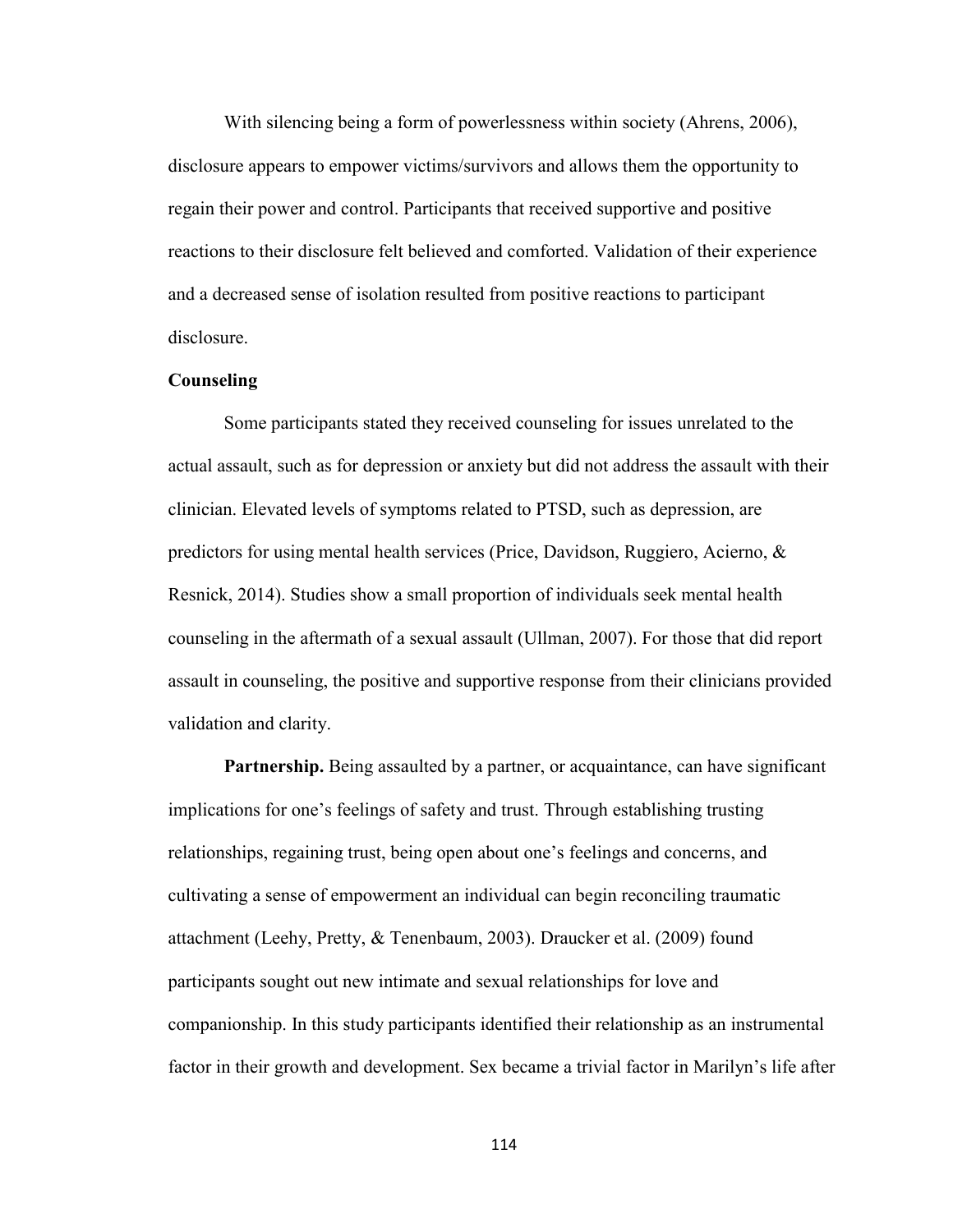With silencing being a form of powerlessness within society (Ahrens, 2006), disclosure appears to empower victims/survivors and allows them the opportunity to regain their power and control. Participants that received supportive and positive reactions to their disclosure felt believed and comforted. Validation of their experience and a decreased sense of isolation resulted from positive reactions to participant disclosure.

#### **Counseling**

Some participants stated they received counseling for issues unrelated to the actual assault, such as for depression or anxiety but did not address the assault with their clinician. Elevated levels of symptoms related to PTSD, such as depression, are predictors for using mental health services (Price, Davidson, Ruggiero, Acierno, & Resnick, 2014). Studies show a small proportion of individuals seek mental health counseling in the aftermath of a sexual assault (Ullman, 2007). For those that did report assault in counseling, the positive and supportive response from their clinicians provided validation and clarity.

**Partnership.** Being assaulted by a partner, or acquaintance, can have significant implications for one's feelings of safety and trust. Through establishing trusting relationships, regaining trust, being open about one's feelings and concerns, and cultivating a sense of empowerment an individual can begin reconciling traumatic attachment (Leehy, Pretty, & Tenenbaum, 2003). Draucker et al. (2009) found participants sought out new intimate and sexual relationships for love and companionship. In this study participants identified their relationship as an instrumental factor in their growth and development. Sex became a trivial factor in Marilyn's life after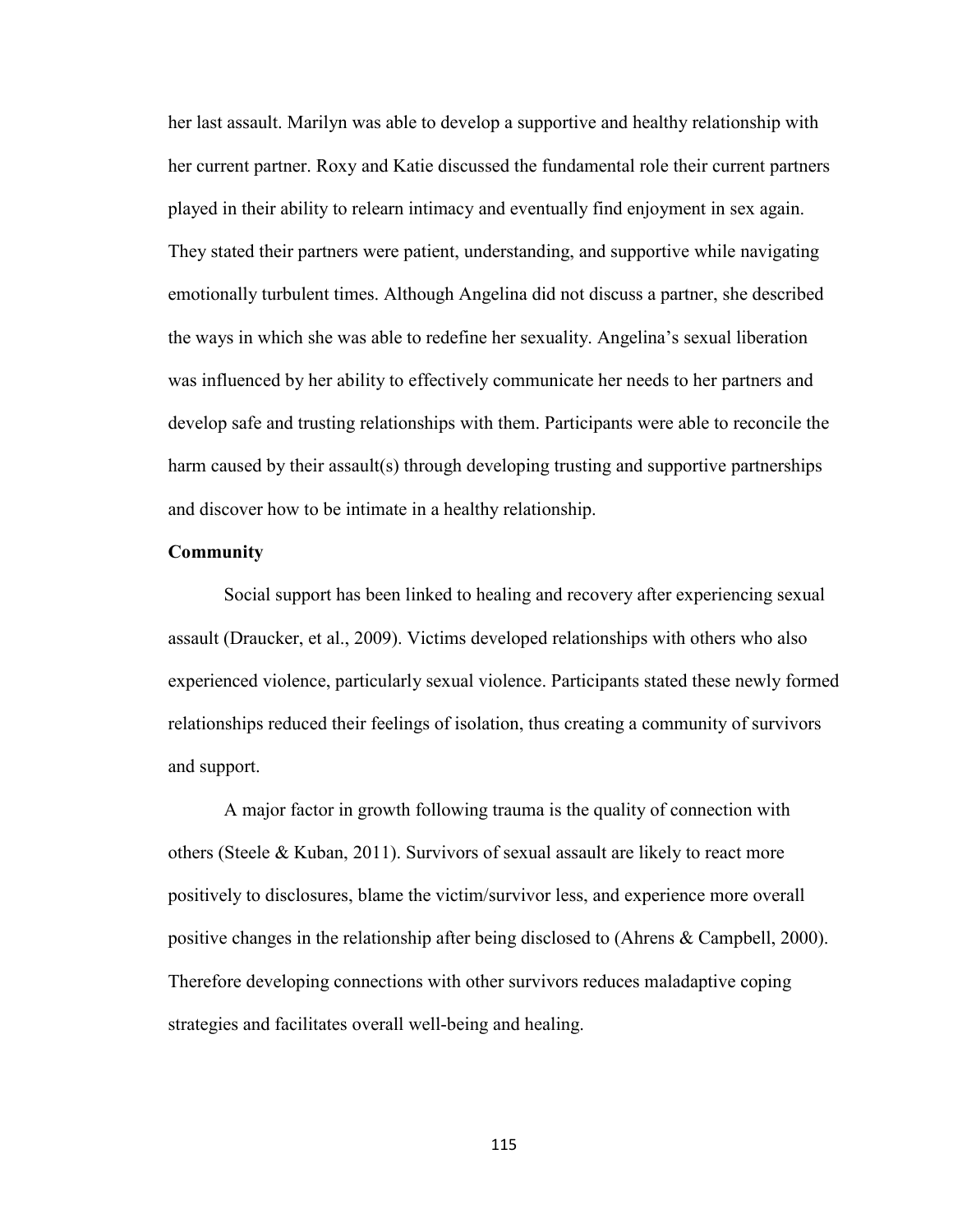her last assault. Marilyn was able to develop a supportive and healthy relationship with her current partner. Roxy and Katie discussed the fundamental role their current partners played in their ability to relearn intimacy and eventually find enjoyment in sex again. They stated their partners were patient, understanding, and supportive while navigating emotionally turbulent times. Although Angelina did not discuss a partner, she described the ways in which she was able to redefine her sexuality. Angelina's sexual liberation was influenced by her ability to effectively communicate her needs to her partners and develop safe and trusting relationships with them. Participants were able to reconcile the harm caused by their assault(s) through developing trusting and supportive partnerships and discover how to be intimate in a healthy relationship.

#### **Community**

Social support has been linked to healing and recovery after experiencing sexual assault (Draucker, et al., 2009). Victims developed relationships with others who also experienced violence, particularly sexual violence. Participants stated these newly formed relationships reduced their feelings of isolation, thus creating a community of survivors and support.

A major factor in growth following trauma is the quality of connection with others (Steele & Kuban, 2011). Survivors of sexual assault are likely to react more positively to disclosures, blame the victim/survivor less, and experience more overall positive changes in the relationship after being disclosed to (Ahrens & Campbell, 2000). Therefore developing connections with other survivors reduces maladaptive coping strategies and facilitates overall well-being and healing.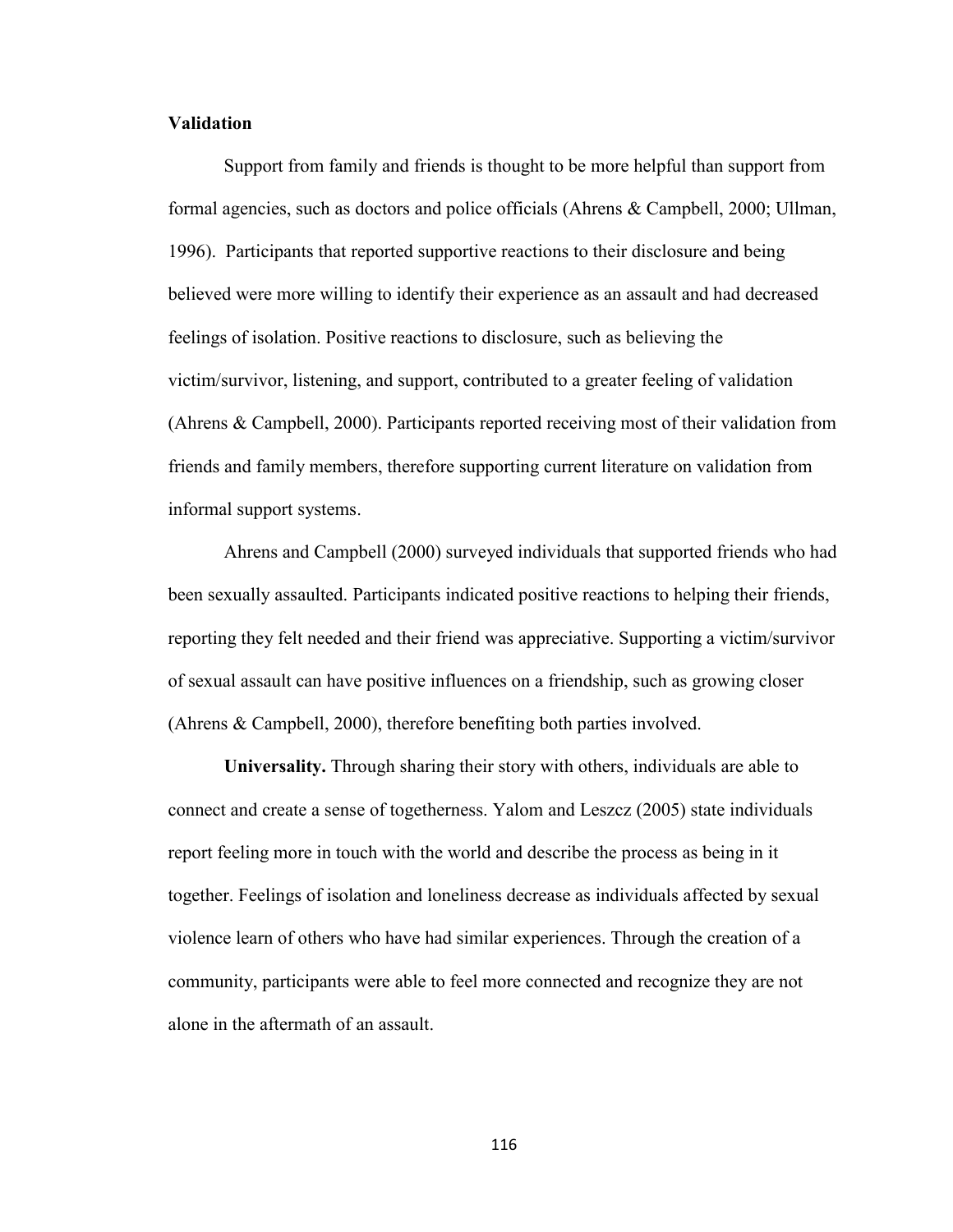### **Validation**

 Support from family and friends is thought to be more helpful than support from formal agencies, such as doctors and police officials (Ahrens & Campbell, 2000; Ullman, 1996). Participants that reported supportive reactions to their disclosure and being believed were more willing to identify their experience as an assault and had decreased feelings of isolation. Positive reactions to disclosure, such as believing the victim/survivor, listening, and support, contributed to a greater feeling of validation (Ahrens & Campbell, 2000). Participants reported receiving most of their validation from friends and family members, therefore supporting current literature on validation from informal support systems.

Ahrens and Campbell (2000) surveyed individuals that supported friends who had been sexually assaulted. Participants indicated positive reactions to helping their friends, reporting they felt needed and their friend was appreciative. Supporting a victim/survivor of sexual assault can have positive influences on a friendship, such as growing closer (Ahrens & Campbell, 2000), therefore benefiting both parties involved.

**Universality.** Through sharing their story with others, individuals are able to connect and create a sense of togetherness. Yalom and Leszcz (2005) state individuals report feeling more in touch with the world and describe the process as being in it together. Feelings of isolation and loneliness decrease as individuals affected by sexual violence learn of others who have had similar experiences. Through the creation of a community, participants were able to feel more connected and recognize they are not alone in the aftermath of an assault.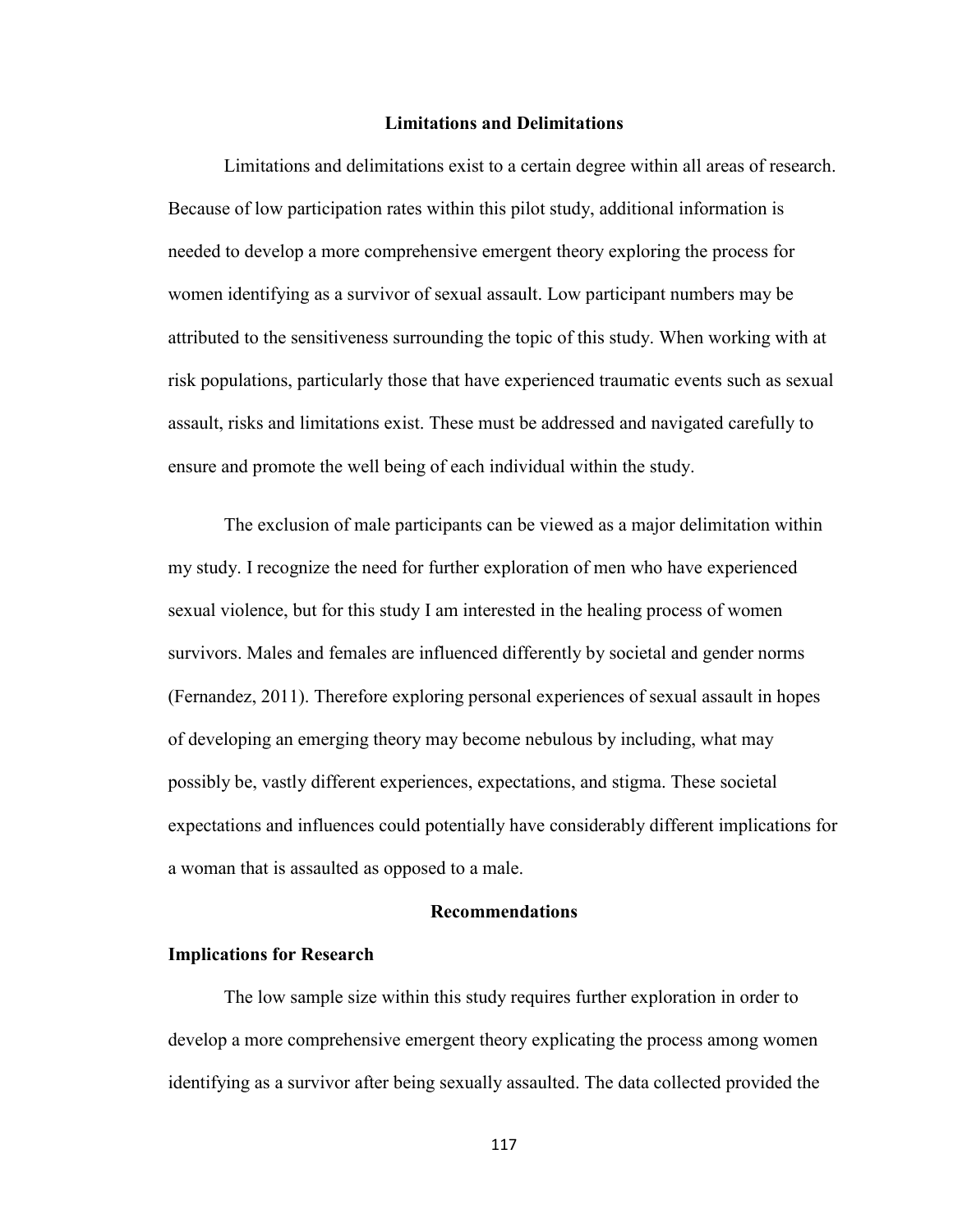### **Limitations and Delimitations**

Limitations and delimitations exist to a certain degree within all areas of research. Because of low participation rates within this pilot study, additional information is needed to develop a more comprehensive emergent theory exploring the process for women identifying as a survivor of sexual assault. Low participant numbers may be attributed to the sensitiveness surrounding the topic of this study. When working with at risk populations, particularly those that have experienced traumatic events such as sexual assault, risks and limitations exist. These must be addressed and navigated carefully to ensure and promote the well being of each individual within the study.

The exclusion of male participants can be viewed as a major delimitation within my study. I recognize the need for further exploration of men who have experienced sexual violence, but for this study I am interested in the healing process of women survivors. Males and females are influenced differently by societal and gender norms (Fernandez, 2011). Therefore exploring personal experiences of sexual assault in hopes of developing an emerging theory may become nebulous by including, what may possibly be, vastly different experiences, expectations, and stigma. These societal expectations and influences could potentially have considerably different implications for a woman that is assaulted as opposed to a male.

### **Recommendations**

### **Implications for Research**

 The low sample size within this study requires further exploration in order to develop a more comprehensive emergent theory explicating the process among women identifying as a survivor after being sexually assaulted. The data collected provided the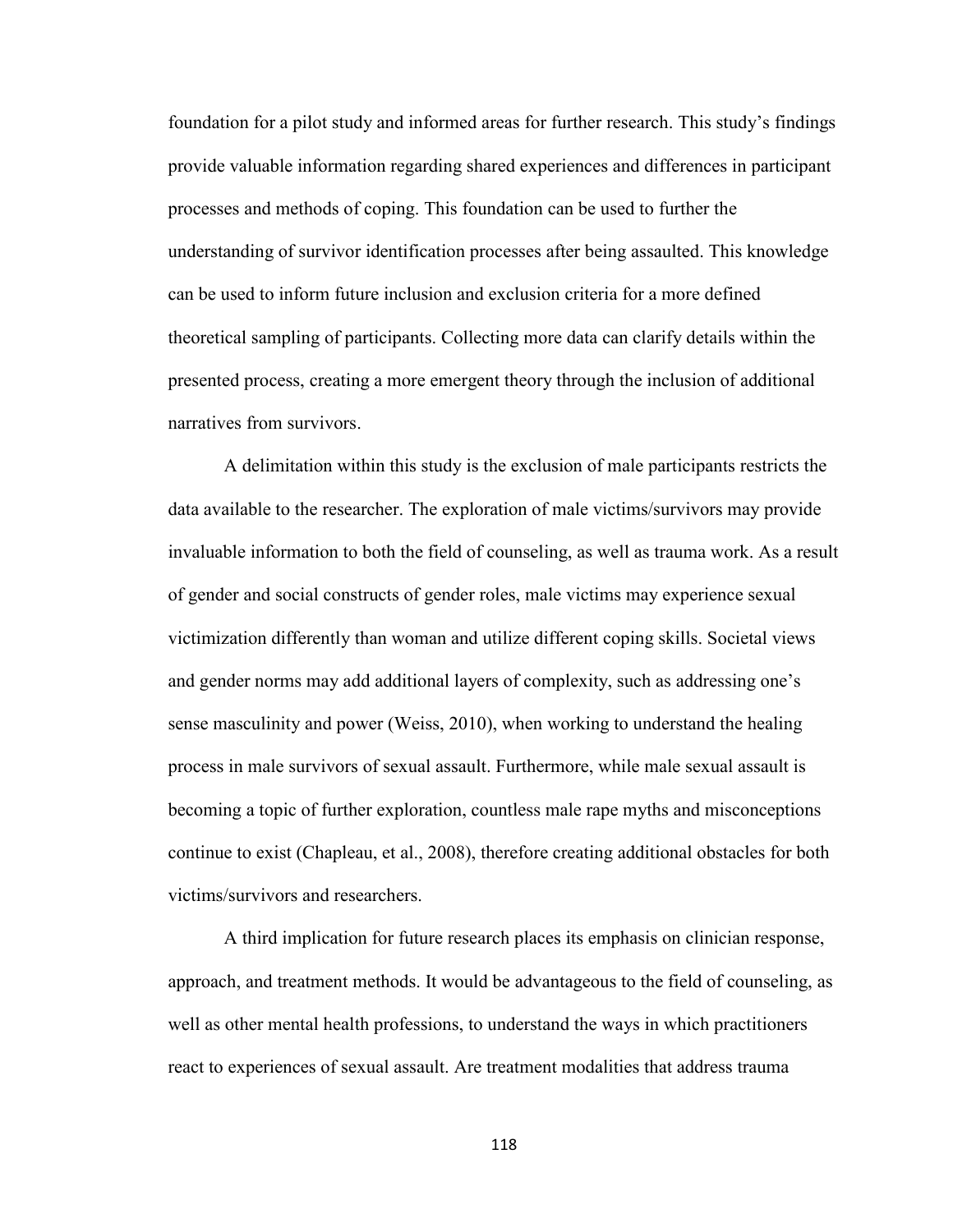foundation for a pilot study and informed areas for further research. This study's findings provide valuable information regarding shared experiences and differences in participant processes and methods of coping. This foundation can be used to further the understanding of survivor identification processes after being assaulted. This knowledge can be used to inform future inclusion and exclusion criteria for a more defined theoretical sampling of participants. Collecting more data can clarify details within the presented process, creating a more emergent theory through the inclusion of additional narratives from survivors.

A delimitation within this study is the exclusion of male participants restricts the data available to the researcher. The exploration of male victims/survivors may provide invaluable information to both the field of counseling, as well as trauma work. As a result of gender and social constructs of gender roles, male victims may experience sexual victimization differently than woman and utilize different coping skills. Societal views and gender norms may add additional layers of complexity, such as addressing one's sense masculinity and power (Weiss, 2010), when working to understand the healing process in male survivors of sexual assault. Furthermore, while male sexual assault is becoming a topic of further exploration, countless male rape myths and misconceptions continue to exist (Chapleau, et al., 2008), therefore creating additional obstacles for both victims/survivors and researchers.

A third implication for future research places its emphasis on clinician response, approach, and treatment methods. It would be advantageous to the field of counseling, as well as other mental health professions, to understand the ways in which practitioners react to experiences of sexual assault. Are treatment modalities that address trauma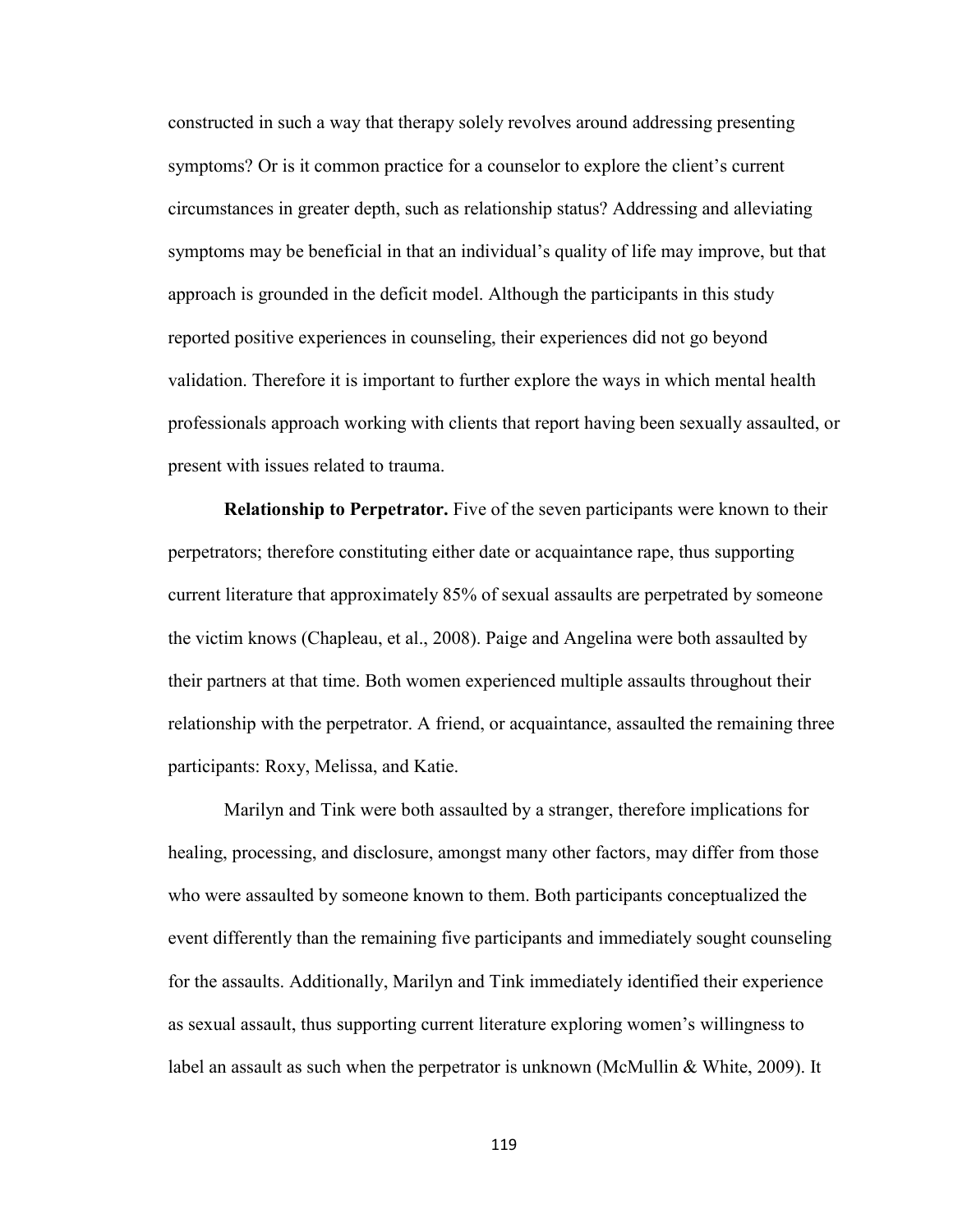constructed in such a way that therapy solely revolves around addressing presenting symptoms? Or is it common practice for a counselor to explore the client's current circumstances in greater depth, such as relationship status? Addressing and alleviating symptoms may be beneficial in that an individual's quality of life may improve, but that approach is grounded in the deficit model. Although the participants in this study reported positive experiences in counseling, their experiences did not go beyond validation. Therefore it is important to further explore the ways in which mental health professionals approach working with clients that report having been sexually assaulted, or present with issues related to trauma.

**Relationship to Perpetrator.** Five of the seven participants were known to their perpetrators; therefore constituting either date or acquaintance rape, thus supporting current literature that approximately 85% of sexual assaults are perpetrated by someone the victim knows (Chapleau, et al., 2008). Paige and Angelina were both assaulted by their partners at that time. Both women experienced multiple assaults throughout their relationship with the perpetrator. A friend, or acquaintance, assaulted the remaining three participants: Roxy, Melissa, and Katie.

Marilyn and Tink were both assaulted by a stranger, therefore implications for healing, processing, and disclosure, amongst many other factors, may differ from those who were assaulted by someone known to them. Both participants conceptualized the event differently than the remaining five participants and immediately sought counseling for the assaults. Additionally, Marilyn and Tink immediately identified their experience as sexual assault, thus supporting current literature exploring women's willingness to label an assault as such when the perpetrator is unknown (McMullin & White, 2009). It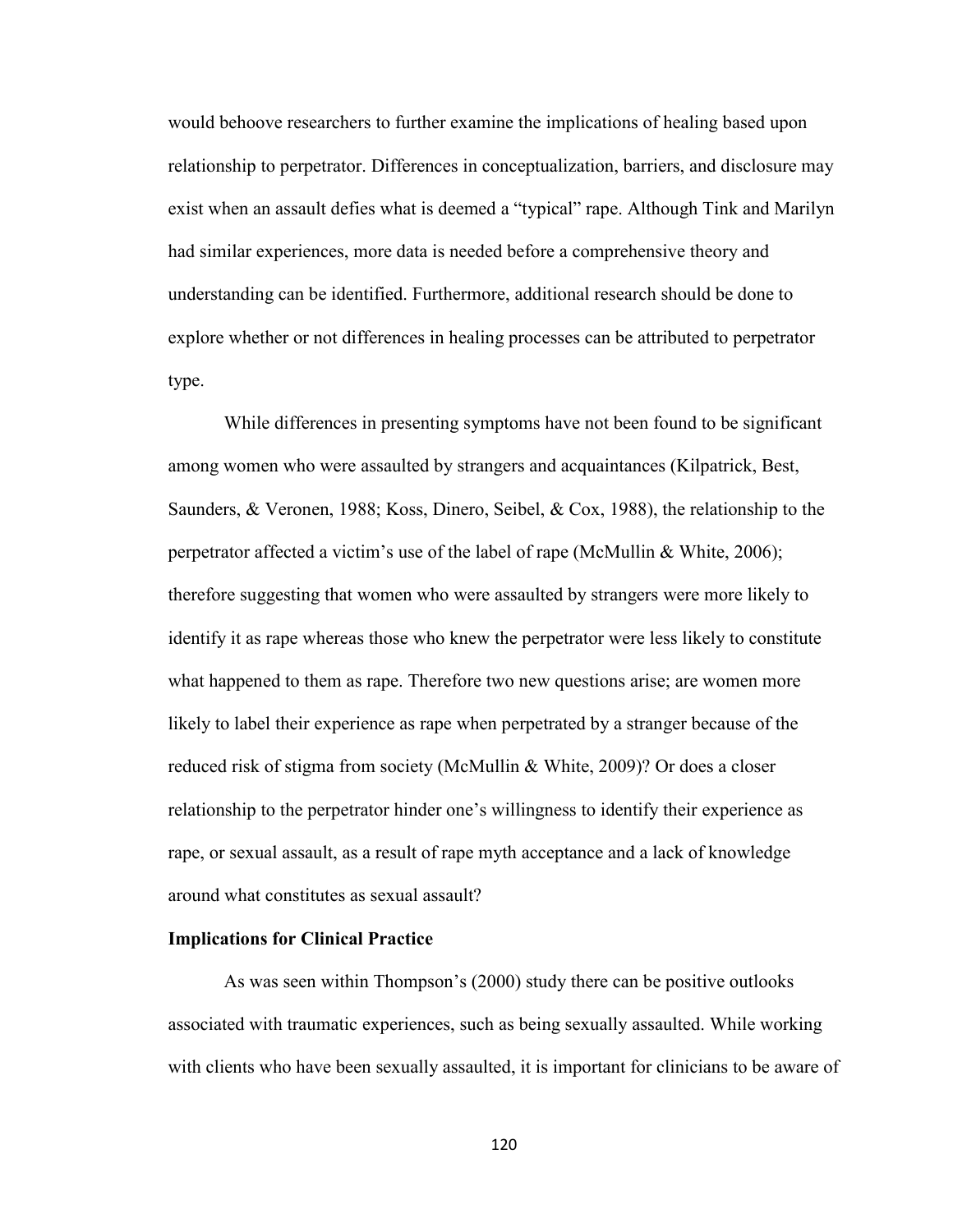would behoove researchers to further examine the implications of healing based upon relationship to perpetrator. Differences in conceptualization, barriers, and disclosure may exist when an assault defies what is deemed a "typical" rape. Although Tink and Marilyn had similar experiences, more data is needed before a comprehensive theory and understanding can be identified. Furthermore, additional research should be done to explore whether or not differences in healing processes can be attributed to perpetrator type.

While differences in presenting symptoms have not been found to be significant among women who were assaulted by strangers and acquaintances (Kilpatrick, Best, Saunders, & Veronen, 1988; Koss, Dinero, Seibel, & Cox, 1988), the relationship to the perpetrator affected a victim's use of the label of rape (McMullin & White, 2006); therefore suggesting that women who were assaulted by strangers were more likely to identify it as rape whereas those who knew the perpetrator were less likely to constitute what happened to them as rape. Therefore two new questions arise; are women more likely to label their experience as rape when perpetrated by a stranger because of the reduced risk of stigma from society (McMullin & White, 2009)? Or does a closer relationship to the perpetrator hinder one's willingness to identify their experience as rape, or sexual assault, as a result of rape myth acceptance and a lack of knowledge around what constitutes as sexual assault?

#### **Implications for Clinical Practice**

As was seen within Thompson's (2000) study there can be positive outlooks associated with traumatic experiences, such as being sexually assaulted. While working with clients who have been sexually assaulted, it is important for clinicians to be aware of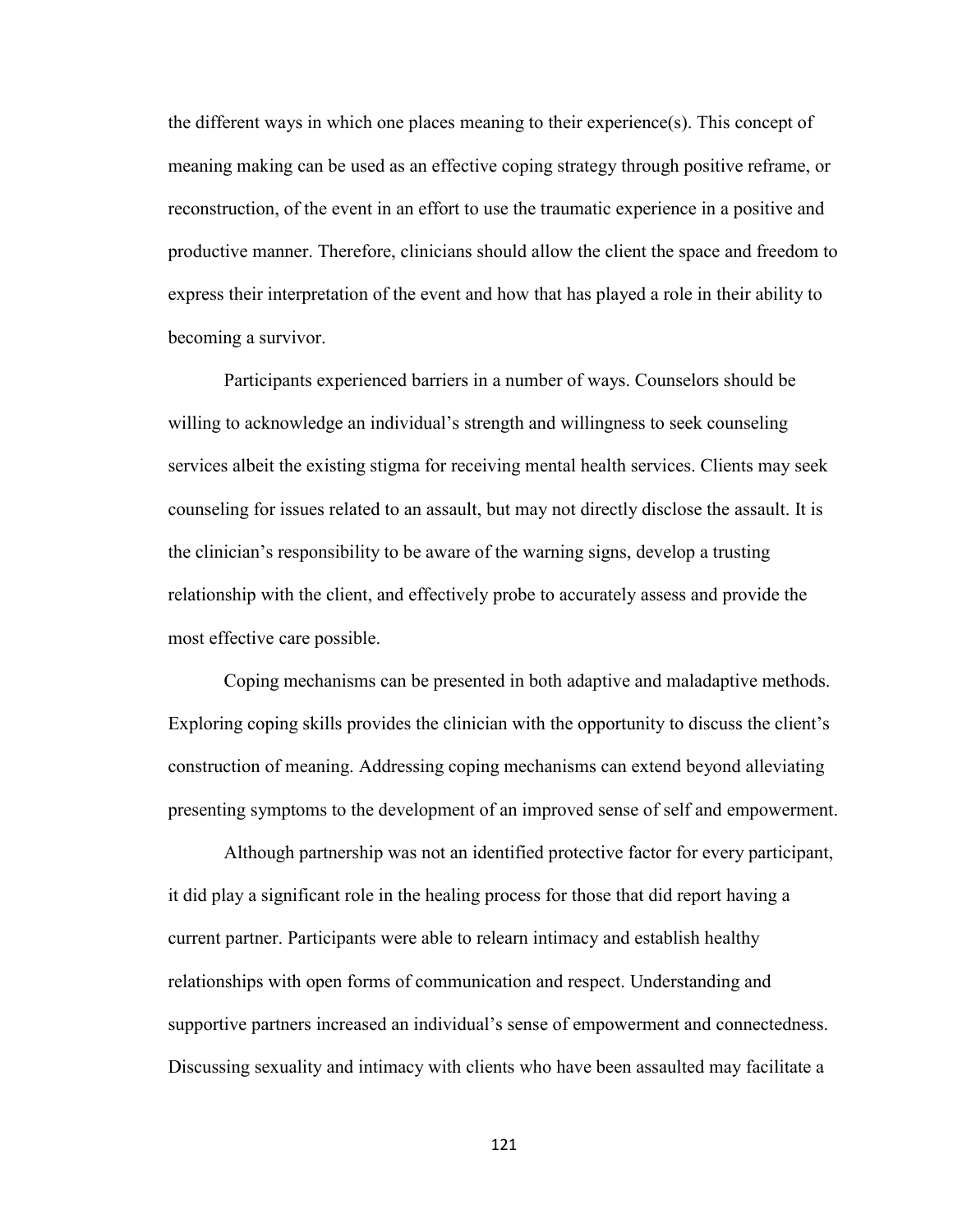the different ways in which one places meaning to their experience(s). This concept of meaning making can be used as an effective coping strategy through positive reframe, or reconstruction, of the event in an effort to use the traumatic experience in a positive and productive manner. Therefore, clinicians should allow the client the space and freedom to express their interpretation of the event and how that has played a role in their ability to becoming a survivor.

Participants experienced barriers in a number of ways. Counselors should be willing to acknowledge an individual's strength and willingness to seek counseling services albeit the existing stigma for receiving mental health services. Clients may seek counseling for issues related to an assault, but may not directly disclose the assault. It is the clinician's responsibility to be aware of the warning signs, develop a trusting relationship with the client, and effectively probe to accurately assess and provide the most effective care possible.

Coping mechanisms can be presented in both adaptive and maladaptive methods. Exploring coping skills provides the clinician with the opportunity to discuss the client's construction of meaning. Addressing coping mechanisms can extend beyond alleviating presenting symptoms to the development of an improved sense of self and empowerment.

Although partnership was not an identified protective factor for every participant, it did play a significant role in the healing process for those that did report having a current partner. Participants were able to relearn intimacy and establish healthy relationships with open forms of communication and respect. Understanding and supportive partners increased an individual's sense of empowerment and connectedness. Discussing sexuality and intimacy with clients who have been assaulted may facilitate a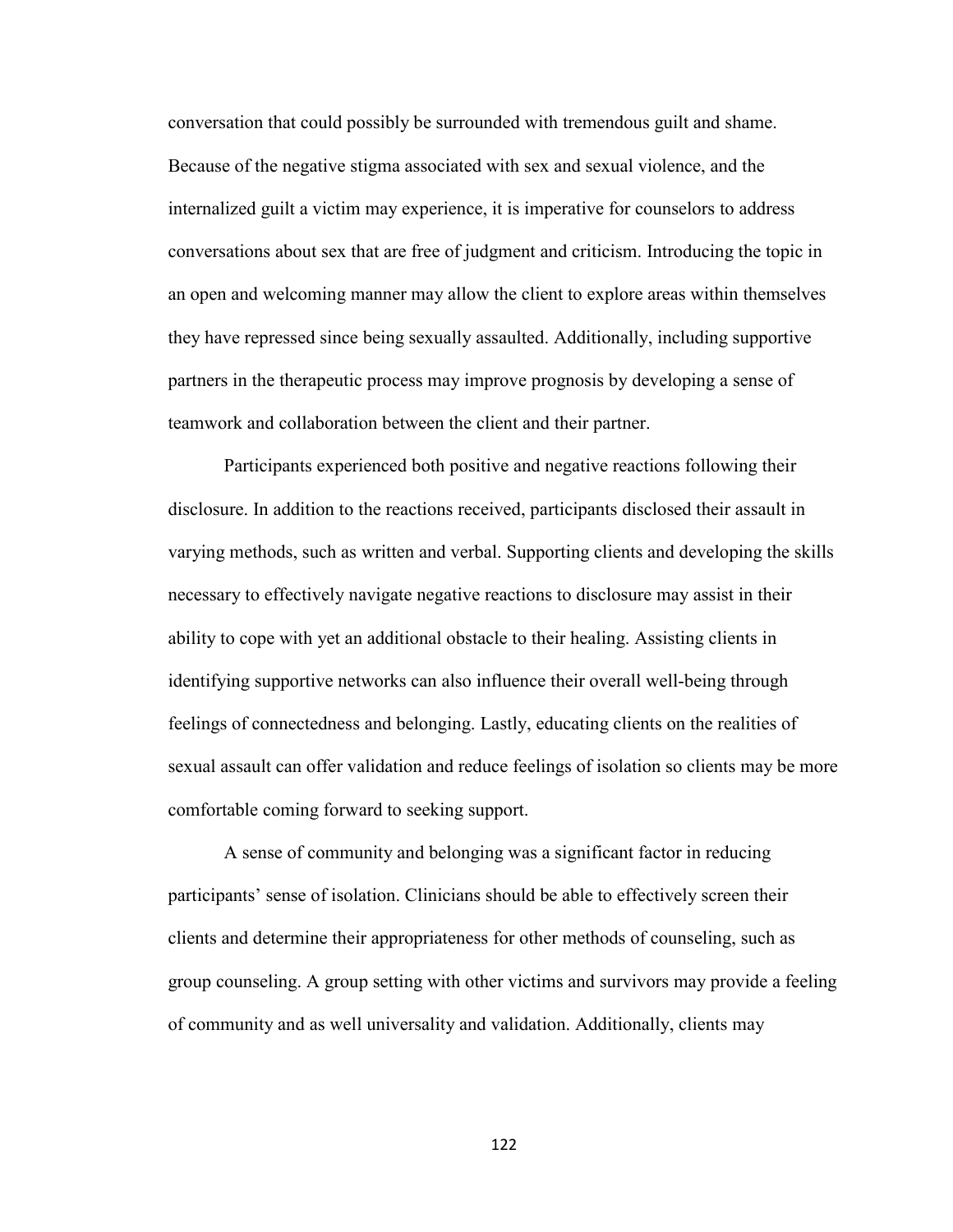conversation that could possibly be surrounded with tremendous guilt and shame. Because of the negative stigma associated with sex and sexual violence, and the internalized guilt a victim may experience, it is imperative for counselors to address conversations about sex that are free of judgment and criticism. Introducing the topic in an open and welcoming manner may allow the client to explore areas within themselves they have repressed since being sexually assaulted. Additionally, including supportive partners in the therapeutic process may improve prognosis by developing a sense of teamwork and collaboration between the client and their partner.

Participants experienced both positive and negative reactions following their disclosure. In addition to the reactions received, participants disclosed their assault in varying methods, such as written and verbal. Supporting clients and developing the skills necessary to effectively navigate negative reactions to disclosure may assist in their ability to cope with yet an additional obstacle to their healing. Assisting clients in identifying supportive networks can also influence their overall well-being through feelings of connectedness and belonging. Lastly, educating clients on the realities of sexual assault can offer validation and reduce feelings of isolation so clients may be more comfortable coming forward to seeking support.

A sense of community and belonging was a significant factor in reducing participants' sense of isolation. Clinicians should be able to effectively screen their clients and determine their appropriateness for other methods of counseling, such as group counseling. A group setting with other victims and survivors may provide a feeling of community and as well universality and validation. Additionally, clients may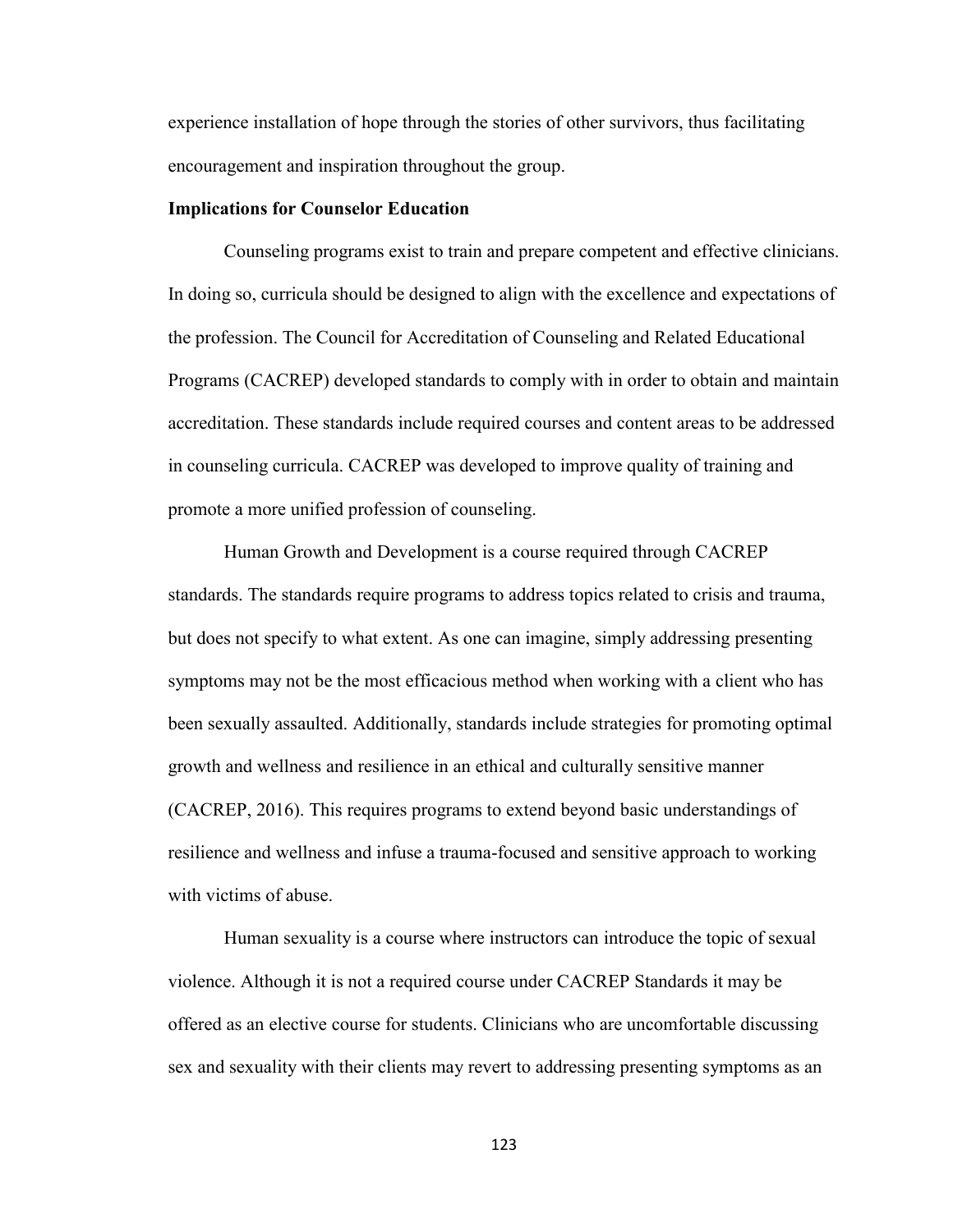experience installation of hope through the stories of other survivors, thus facilitating encouragement and inspiration throughout the group.

### **Implications for Counselor Education**

 Counseling programs exist to train and prepare competent and effective clinicians. In doing so, curricula should be designed to align with the excellence and expectations of the profession. The Council for Accreditation of Counseling and Related Educational Programs (CACREP) developed standards to comply with in order to obtain and maintain accreditation. These standards include required courses and content areas to be addressed in counseling curricula. CACREP was developed to improve quality of training and promote a more unified profession of counseling.

 Human Growth and Development is a course required through CACREP standards. The standards require programs to address topics related to crisis and trauma, but does not specify to what extent. As one can imagine, simply addressing presenting symptoms may not be the most efficacious method when working with a client who has been sexually assaulted. Additionally, standards include strategies for promoting optimal growth and wellness and resilience in an ethical and culturally sensitive manner (CACREP, 2016). This requires programs to extend beyond basic understandings of resilience and wellness and infuse a trauma-focused and sensitive approach to working with victims of abuse.

 Human sexuality is a course where instructors can introduce the topic of sexual violence. Although it is not a required course under CACREP Standards it may be offered as an elective course for students. Clinicians who are uncomfortable discussing sex and sexuality with their clients may revert to addressing presenting symptoms as an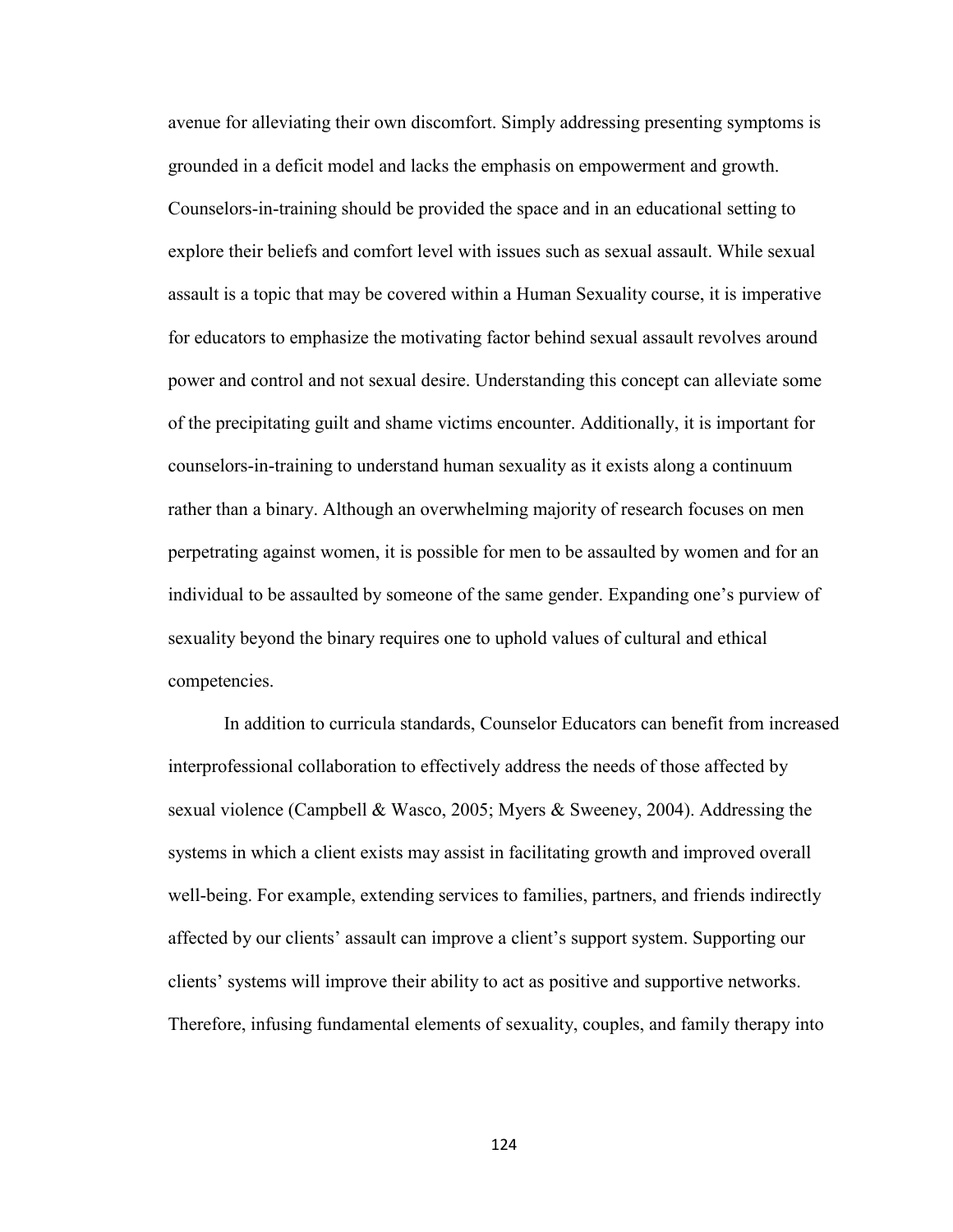avenue for alleviating their own discomfort. Simply addressing presenting symptoms is grounded in a deficit model and lacks the emphasis on empowerment and growth. Counselors-in-training should be provided the space and in an educational setting to explore their beliefs and comfort level with issues such as sexual assault. While sexual assault is a topic that may be covered within a Human Sexuality course, it is imperative for educators to emphasize the motivating factor behind sexual assault revolves around power and control and not sexual desire. Understanding this concept can alleviate some of the precipitating guilt and shame victims encounter. Additionally, it is important for counselors-in-training to understand human sexuality as it exists along a continuum rather than a binary. Although an overwhelming majority of research focuses on men perpetrating against women, it is possible for men to be assaulted by women and for an individual to be assaulted by someone of the same gender. Expanding one's purview of sexuality beyond the binary requires one to uphold values of cultural and ethical competencies.

In addition to curricula standards, Counselor Educators can benefit from increased interprofessional collaboration to effectively address the needs of those affected by sexual violence (Campbell & Wasco, 2005; Myers & Sweeney, 2004). Addressing the systems in which a client exists may assist in facilitating growth and improved overall well-being. For example, extending services to families, partners, and friends indirectly affected by our clients' assault can improve a client's support system. Supporting our clients' systems will improve their ability to act as positive and supportive networks. Therefore, infusing fundamental elements of sexuality, couples, and family therapy into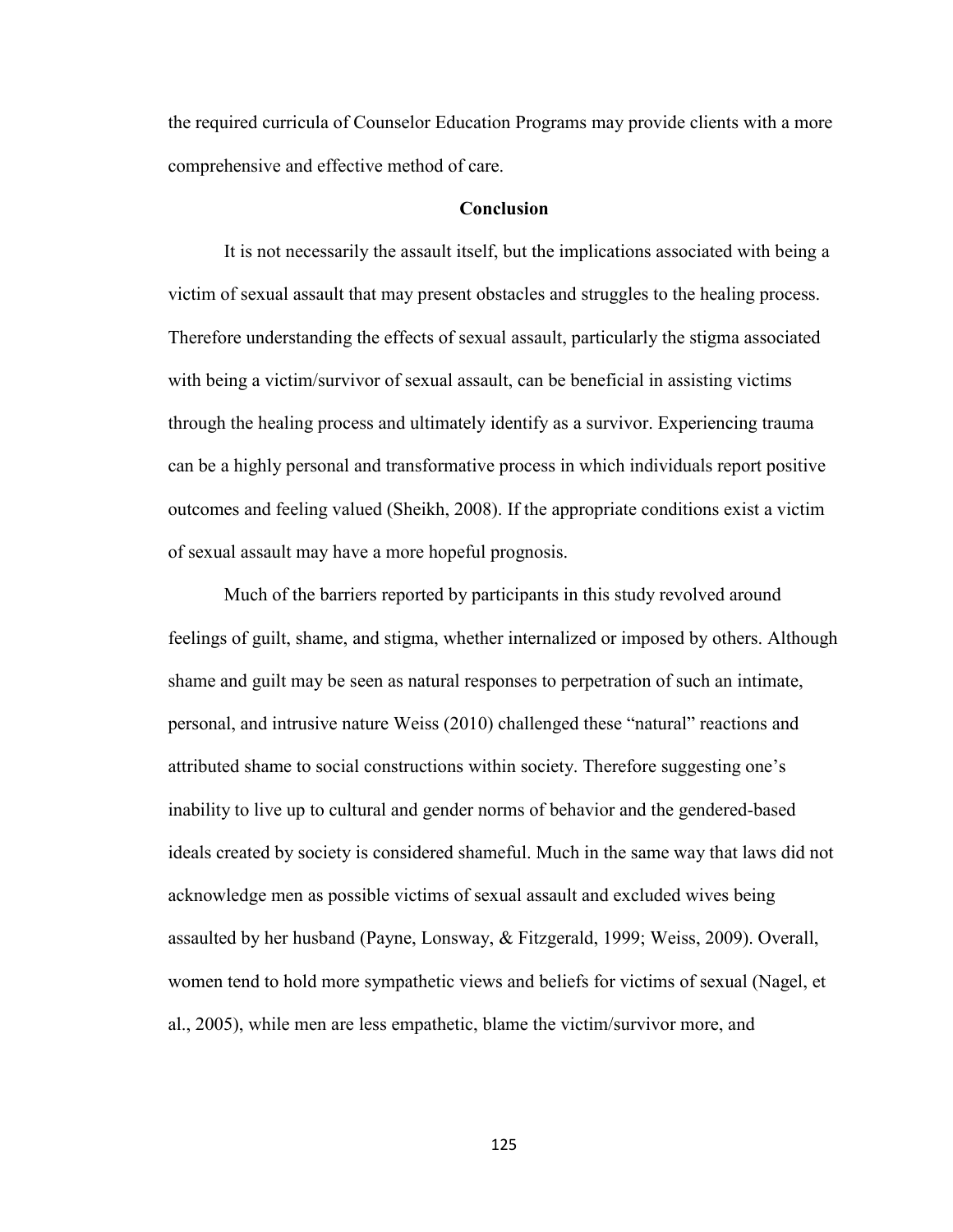the required curricula of Counselor Education Programs may provide clients with a more comprehensive and effective method of care.

### **Conclusion**

 It is not necessarily the assault itself, but the implications associated with being a victim of sexual assault that may present obstacles and struggles to the healing process. Therefore understanding the effects of sexual assault, particularly the stigma associated with being a victim/survivor of sexual assault, can be beneficial in assisting victims through the healing process and ultimately identify as a survivor. Experiencing trauma can be a highly personal and transformative process in which individuals report positive outcomes and feeling valued (Sheikh, 2008). If the appropriate conditions exist a victim of sexual assault may have a more hopeful prognosis.

Much of the barriers reported by participants in this study revolved around feelings of guilt, shame, and stigma, whether internalized or imposed by others. Although shame and guilt may be seen as natural responses to perpetration of such an intimate, personal, and intrusive nature Weiss (2010) challenged these "natural" reactions and attributed shame to social constructions within society. Therefore suggesting one's inability to live up to cultural and gender norms of behavior and the gendered-based ideals created by society is considered shameful. Much in the same way that laws did not acknowledge men as possible victims of sexual assault and excluded wives being assaulted by her husband (Payne, Lonsway, & Fitzgerald, 1999; Weiss, 2009). Overall, women tend to hold more sympathetic views and beliefs for victims of sexual (Nagel, et al., 2005), while men are less empathetic, blame the victim/survivor more, and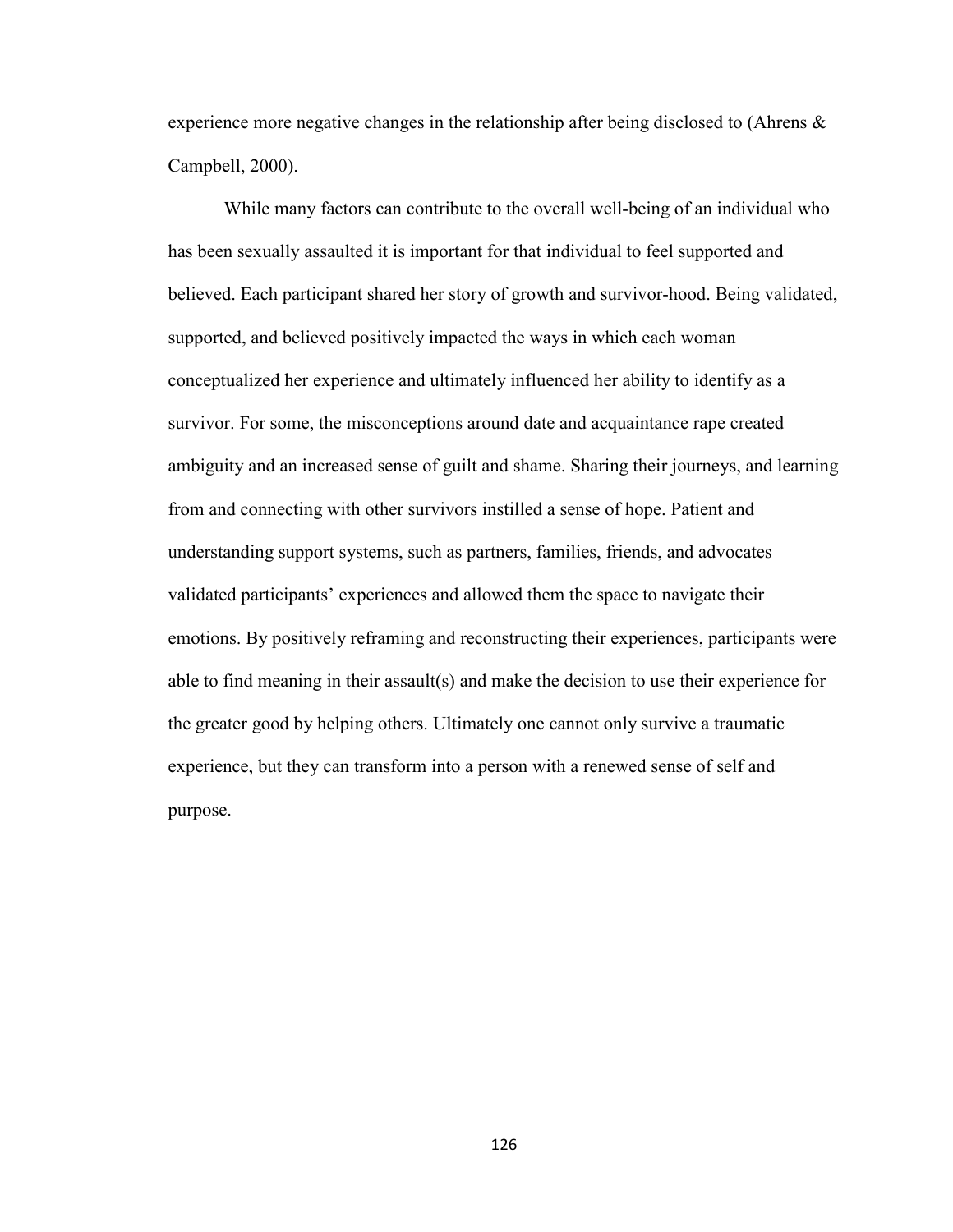experience more negative changes in the relationship after being disclosed to (Ahrens  $\&$ Campbell, 2000).

While many factors can contribute to the overall well-being of an individual who has been sexually assaulted it is important for that individual to feel supported and believed. Each participant shared her story of growth and survivor-hood. Being validated, supported, and believed positively impacted the ways in which each woman conceptualized her experience and ultimately influenced her ability to identify as a survivor. For some, the misconceptions around date and acquaintance rape created ambiguity and an increased sense of guilt and shame. Sharing their journeys, and learning from and connecting with other survivors instilled a sense of hope. Patient and understanding support systems, such as partners, families, friends, and advocates validated participants' experiences and allowed them the space to navigate their emotions. By positively reframing and reconstructing their experiences, participants were able to find meaning in their assault(s) and make the decision to use their experience for the greater good by helping others. Ultimately one cannot only survive a traumatic experience, but they can transform into a person with a renewed sense of self and purpose.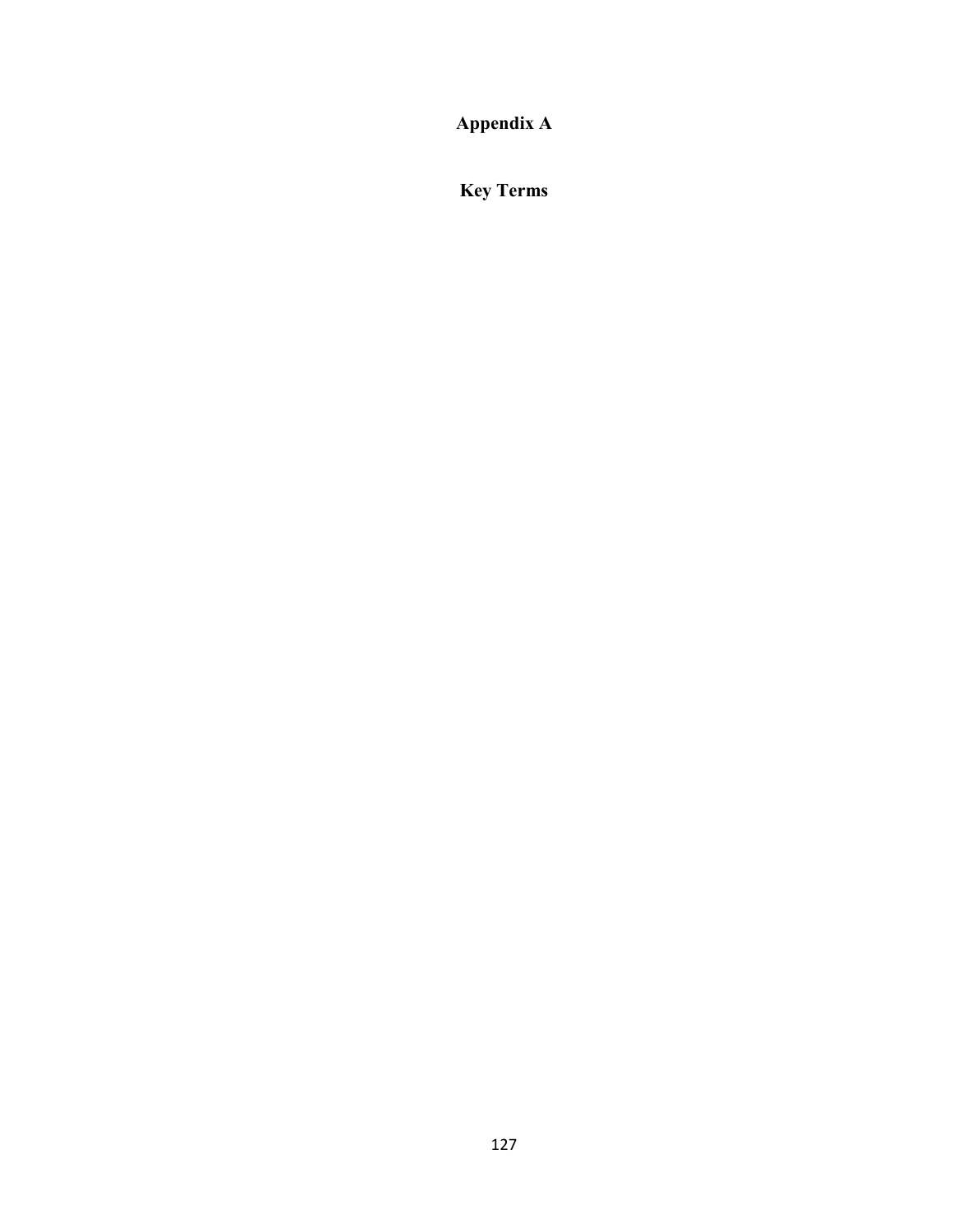**Appendix A**

**Key Terms**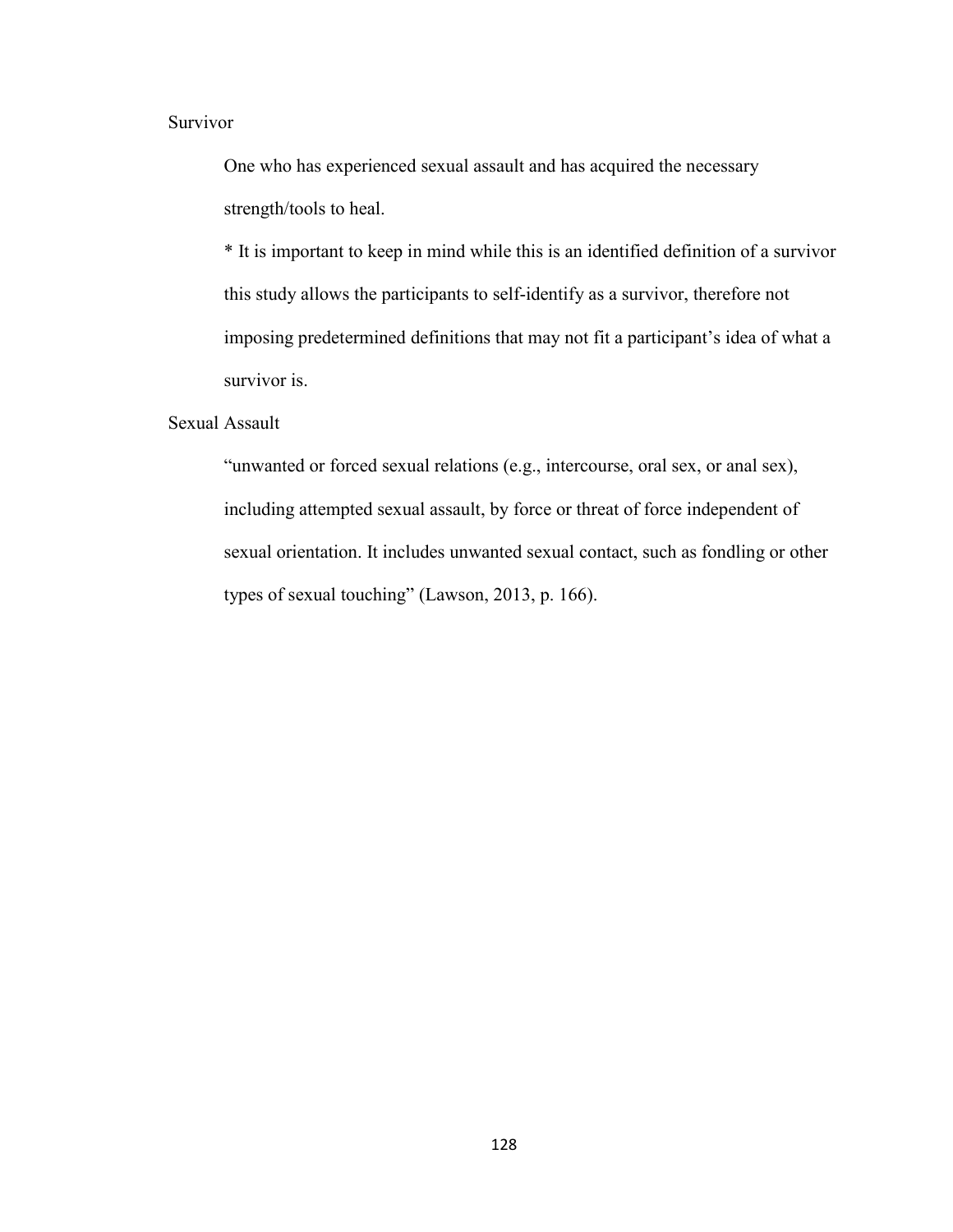### Survivor

One who has experienced sexual assault and has acquired the necessary strength/tools to heal.

\* It is important to keep in mind while this is an identified definition of a survivor this study allows the participants to self-identify as a survivor, therefore not imposing predetermined definitions that may not fit a participant's idea of what a survivor is.

### Sexual Assault

"unwanted or forced sexual relations (e.g., intercourse, oral sex, or anal sex), including attempted sexual assault, by force or threat of force independent of sexual orientation. It includes unwanted sexual contact, such as fondling or other types of sexual touching" (Lawson, 2013, p. 166).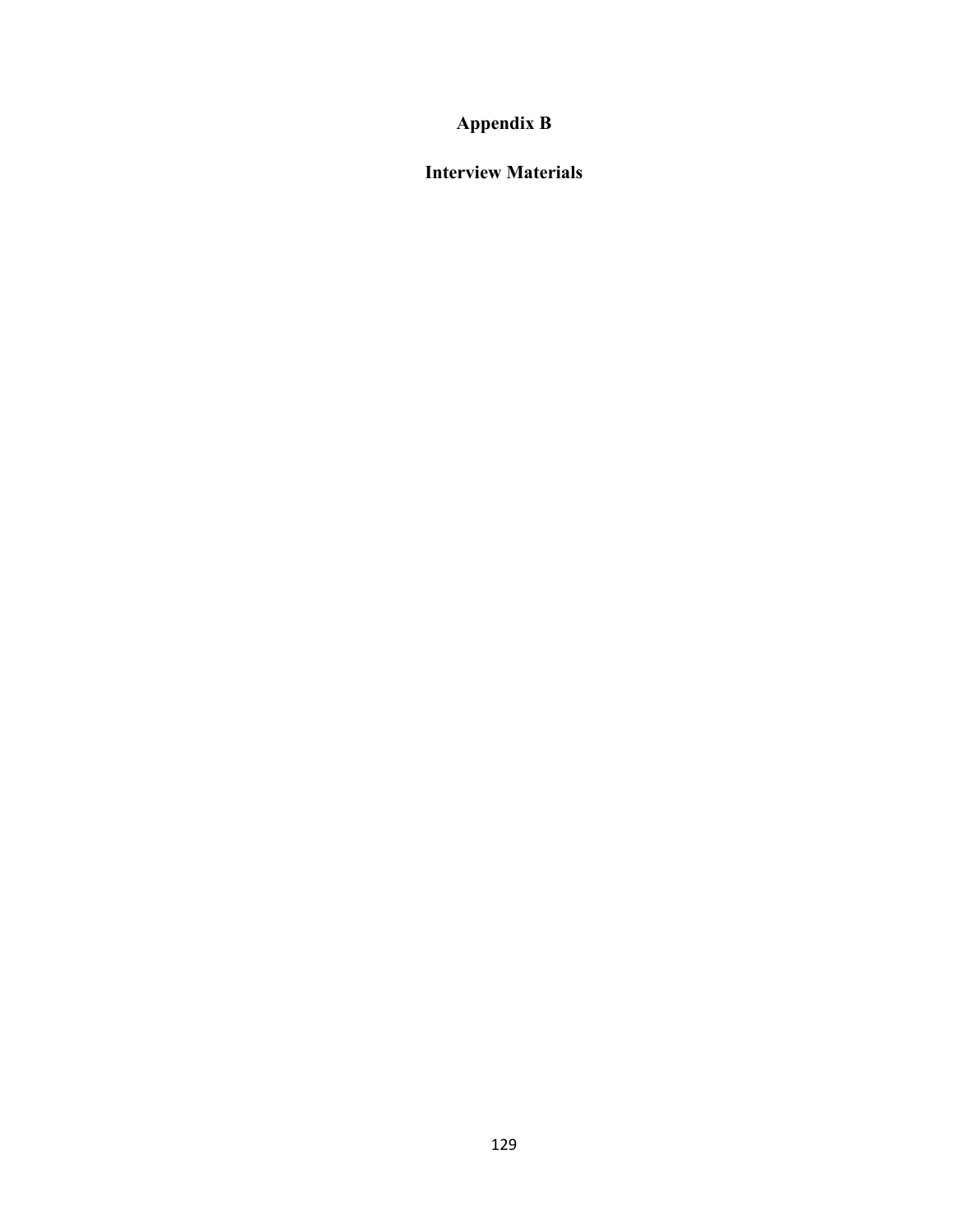# **Appendix B**

**Interview Materials**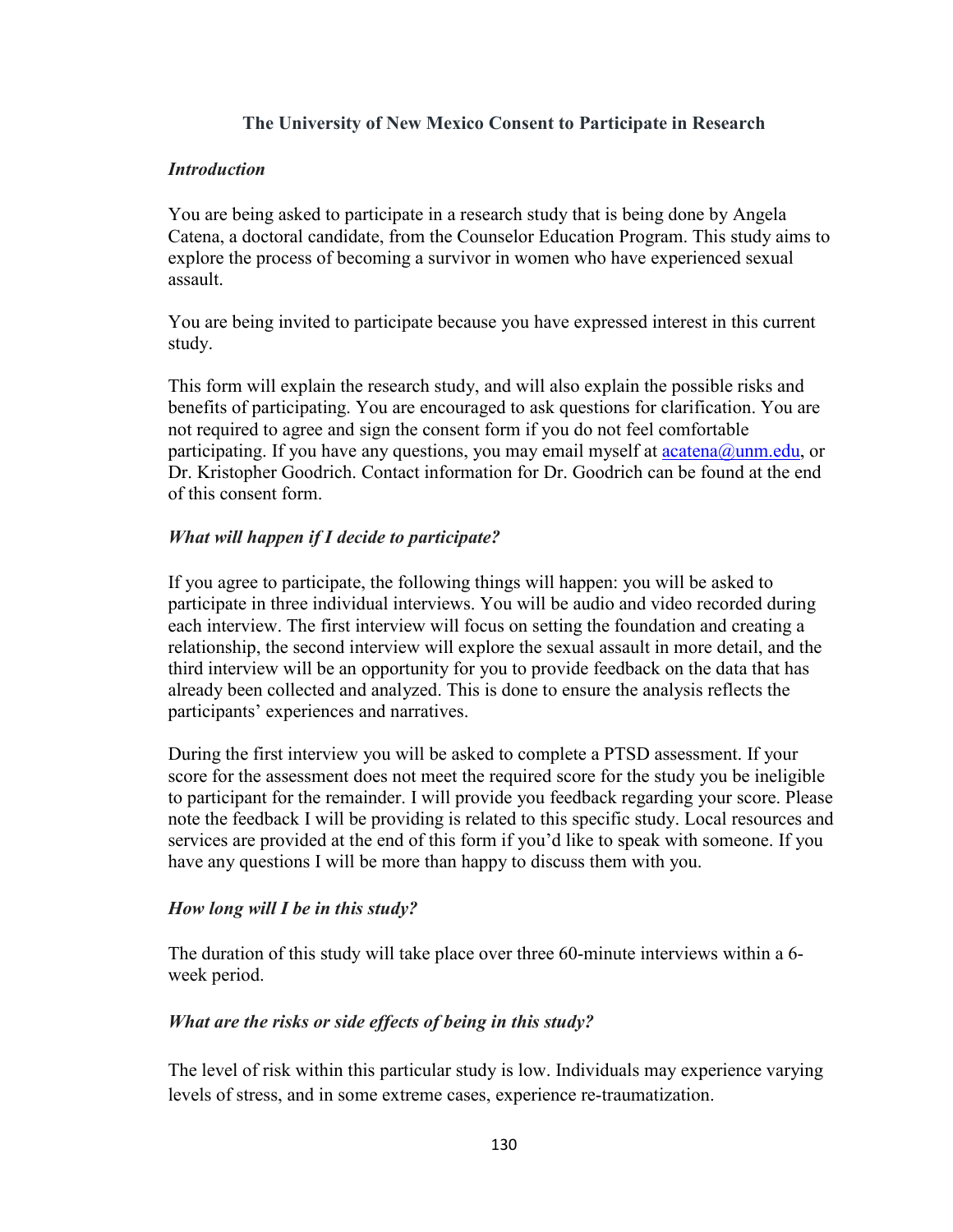### **The University of New Mexico Consent to Participate in Research**

### *Introduction*

You are being asked to participate in a research study that is being done by Angela Catena, a doctoral candidate, from the Counselor Education Program. This study aims to explore the process of becoming a survivor in women who have experienced sexual assault.

You are being invited to participate because you have expressed interest in this current study.

This form will explain the research study, and will also explain the possible risks and benefits of participating. You are encouraged to ask questions for clarification. You are not required to agree and sign the consent form if you do not feel comfortable participating. If you have any questions, you may email myself at  $\arctan(a)$ unm.edu, or Dr. Kristopher Goodrich. Contact information for Dr. Goodrich can be found at the end of this consent form.

### *What will happen if I decide to participate?*

If you agree to participate, the following things will happen: you will be asked to participate in three individual interviews. You will be audio and video recorded during each interview. The first interview will focus on setting the foundation and creating a relationship, the second interview will explore the sexual assault in more detail, and the third interview will be an opportunity for you to provide feedback on the data that has already been collected and analyzed. This is done to ensure the analysis reflects the participants' experiences and narratives.

During the first interview you will be asked to complete a PTSD assessment. If your score for the assessment does not meet the required score for the study you be ineligible to participant for the remainder. I will provide you feedback regarding your score. Please note the feedback I will be providing is related to this specific study. Local resources and services are provided at the end of this form if you'd like to speak with someone. If you have any questions I will be more than happy to discuss them with you.

### *How long will I be in this study?*

The duration of this study will take place over three 60-minute interviews within a 6 week period.

# *What are the risks or side effects of being in this study?*

The level of risk within this particular study is low. Individuals may experience varying levels of stress, and in some extreme cases, experience re-traumatization.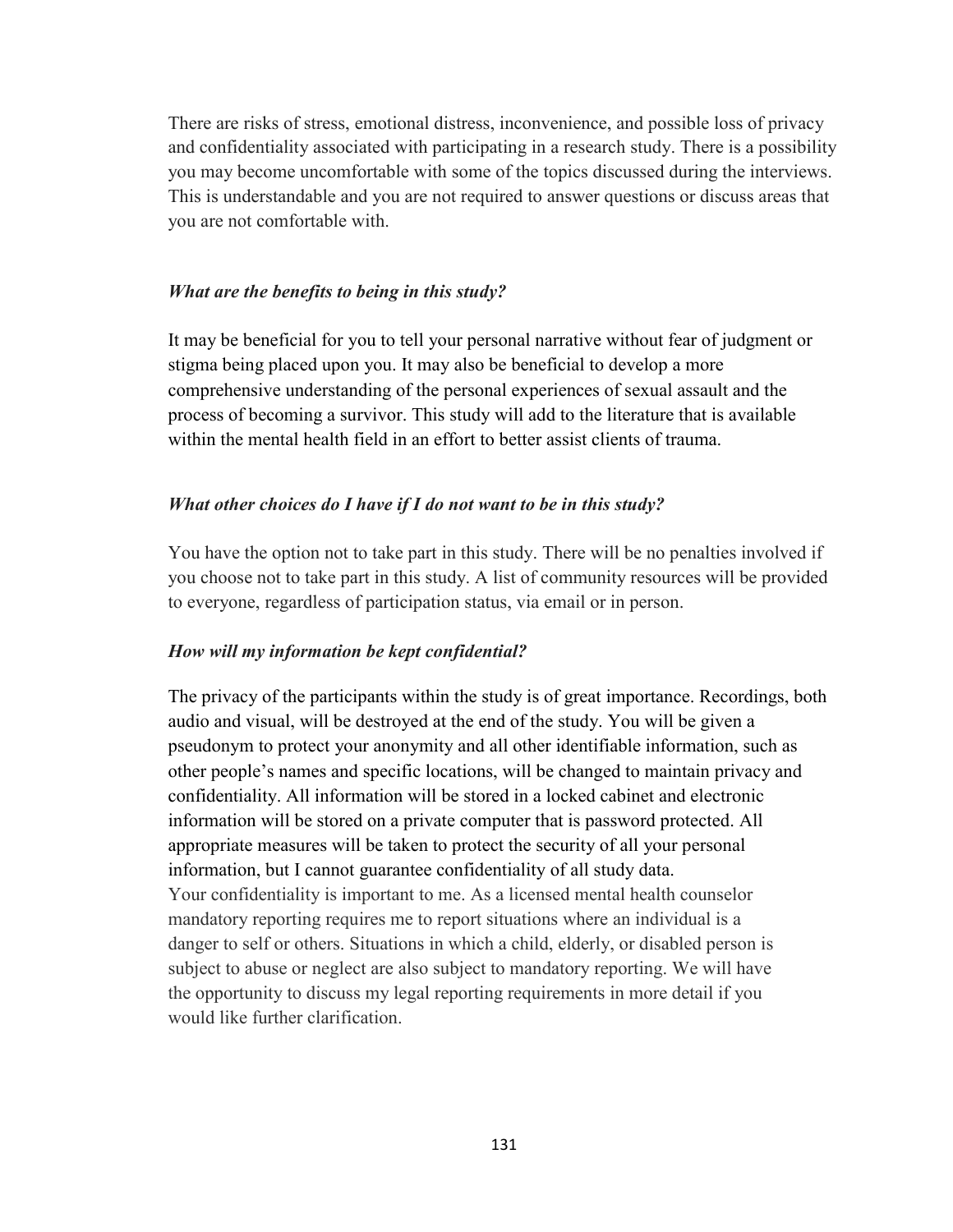There are risks of stress, emotional distress, inconvenience, and possible loss of privacy and confidentiality associated with participating in a research study. There is a possibility you may become uncomfortable with some of the topics discussed during the interviews. This is understandable and you are not required to answer questions or discuss areas that you are not comfortable with.

### *What are the benefits to being in this study?*

It may be beneficial for you to tell your personal narrative without fear of judgment or stigma being placed upon you. It may also be beneficial to develop a more comprehensive understanding of the personal experiences of sexual assault and the process of becoming a survivor. This study will add to the literature that is available within the mental health field in an effort to better assist clients of trauma.

### *What other choices do I have if I do not want to be in this study?*

You have the option not to take part in this study. There will be no penalties involved if you choose not to take part in this study. A list of community resources will be provided to everyone, regardless of participation status, via email or in person.

### *How will my information be kept confidential?*

The privacy of the participants within the study is of great importance. Recordings, both audio and visual, will be destroyed at the end of the study. You will be given a pseudonym to protect your anonymity and all other identifiable information, such as other people's names and specific locations, will be changed to maintain privacy and confidentiality. All information will be stored in a locked cabinet and electronic information will be stored on a private computer that is password protected. All appropriate measures will be taken to protect the security of all your personal information, but I cannot guarantee confidentiality of all study data. Your confidentiality is important to me. As a licensed mental health counselor mandatory reporting requires me to report situations where an individual is a danger to self or others. Situations in which a child, elderly, or disabled person is subject to abuse or neglect are also subject to mandatory reporting. We will have the opportunity to discuss my legal reporting requirements in more detail if you would like further clarification.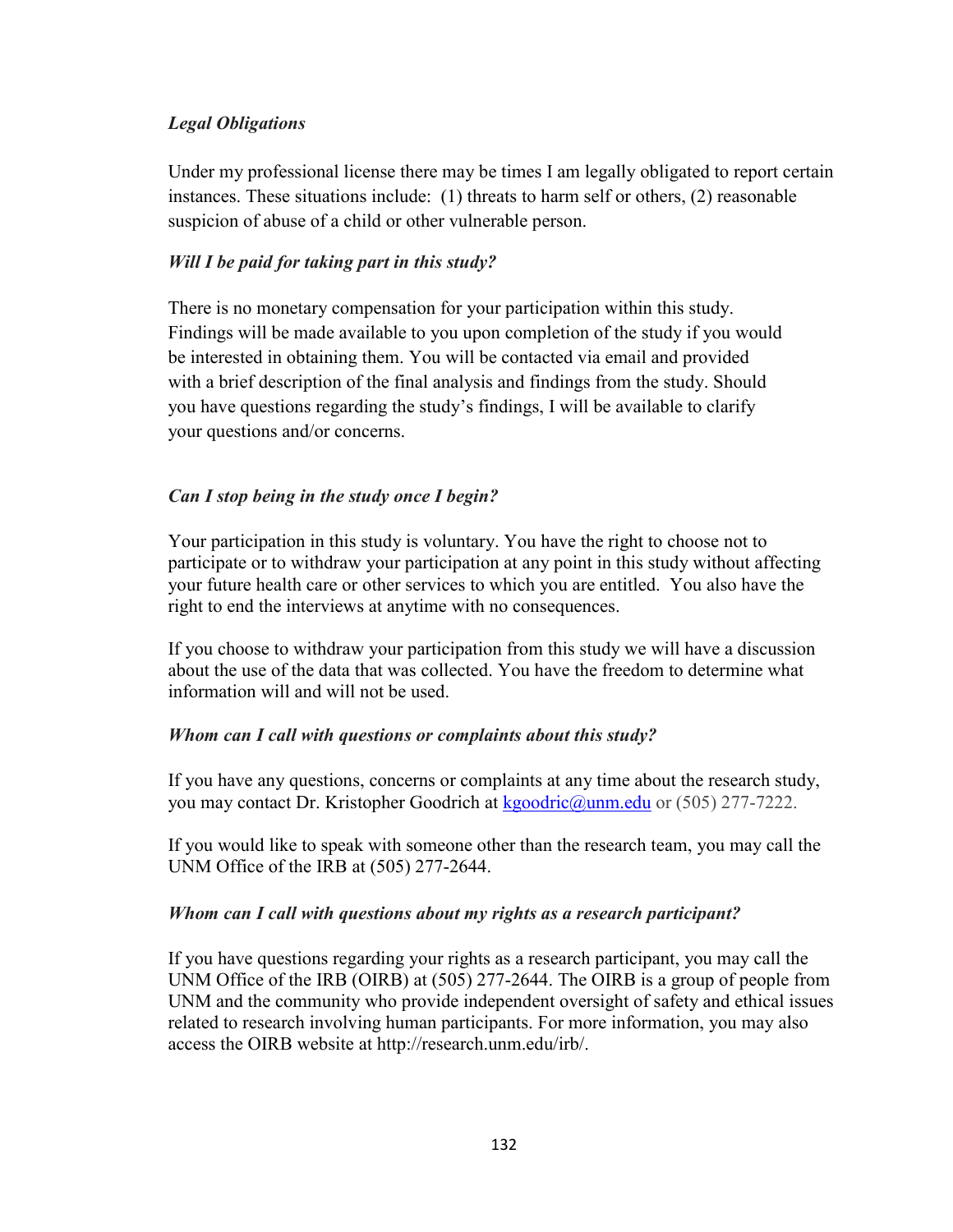# *Legal Obligations*

Under my professional license there may be times I am legally obligated to report certain instances. These situations include: (1) threats to harm self or others, (2) reasonable suspicion of abuse of a child or other vulnerable person.

# *Will I be paid for taking part in this study?*

There is no monetary compensation for your participation within this study. Findings will be made available to you upon completion of the study if you would be interested in obtaining them. You will be contacted via email and provided with a brief description of the final analysis and findings from the study. Should you have questions regarding the study's findings, I will be available to clarify your questions and/or concerns.

# *Can I stop being in the study once I begin?*

Your participation in this study is voluntary. You have the right to choose not to participate or to withdraw your participation at any point in this study without affecting your future health care or other services to which you are entitled. You also have the right to end the interviews at anytime with no consequences.

If you choose to withdraw your participation from this study we will have a discussion about the use of the data that was collected. You have the freedom to determine what information will and will not be used.

# *Whom can I call with questions or complaints about this study?*

If you have any questions, concerns or complaints at any time about the research study, you may contact Dr. Kristopher Goodrich at [kgoodric@unm.edu](mailto:kgoodric@unm.edu) or (505) 277-7222.

If you would like to speak with someone other than the research team, you may call the UNM Office of the IRB at (505) 277-2644.

# *Whom can I call with questions about my rights as a research participant?*

If you have questions regarding your rights as a research participant, you may call the UNM Office of the IRB (OIRB) at (505) 277-2644. The OIRB is a group of people from UNM and the community who provide independent oversight of safety and ethical issues related to research involving human participants. For more information, you may also access the OIRB website at http://research.unm.edu/irb/.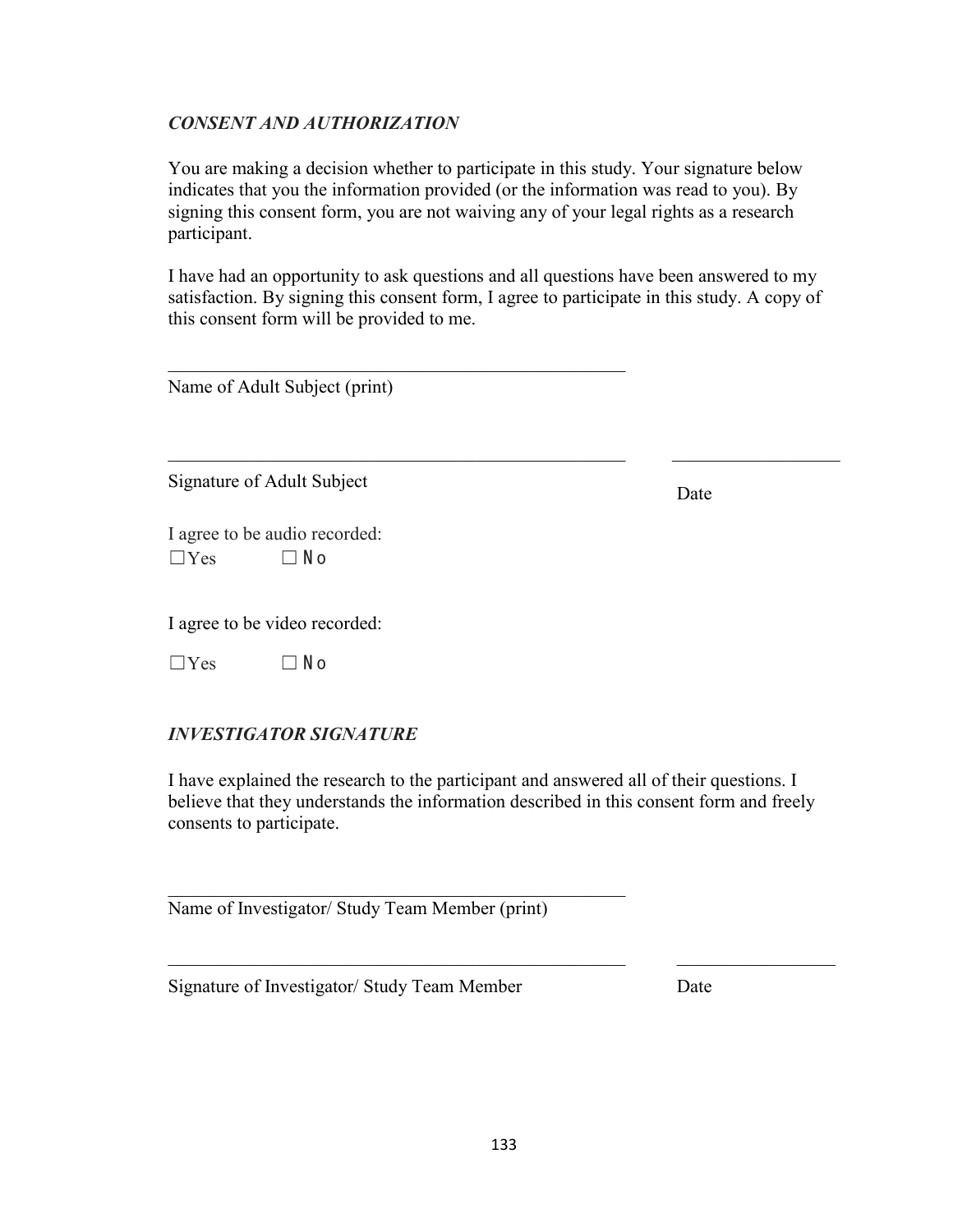### *CONSENT AND AUTHORIZATION*

You are making a decision whether to participate in this study. Your signature below indicates that you the information provided (or the information was read to you). By signing this consent form, you are not waiving any of your legal rights as a research participant.

I have had an opportunity to ask questions and all questions have been answered to my satisfaction. By signing this consent form, I agree to participate in this study. A copy of this consent form will be provided to me.

\_\_\_\_\_\_\_\_\_\_\_\_\_\_\_\_\_\_\_\_\_\_\_\_\_\_\_\_\_\_\_\_\_\_\_\_\_\_\_\_\_\_\_\_\_\_\_\_\_ \_\_\_\_\_\_\_\_\_\_\_\_\_\_\_\_\_\_

\_\_\_\_\_\_\_\_\_\_\_\_\_\_\_\_\_\_\_\_\_\_\_\_\_\_\_\_\_\_\_\_\_\_\_\_\_\_\_\_\_\_\_\_\_\_\_\_\_

Name of Adult Subject (print)

Signature of Adult Subject Date

I agree to be audio recorded:  $\Box$  Yes  $\Box$  No

I agree to be video recorded:

 $\Box$ Yes  $\Box$ No

# *INVESTIGATOR SIGNATURE*

I have explained the research to the participant and answered all of their questions. I believe that they understands the information described in this consent form and freely consents to participate.

Name of Investigator/ Study Team Member (print)

 $\mathcal{L}_\mathcal{L}$  , and the set of the set of the set of the set of the set of the set of the set of the set of the set of the set of the set of the set of the set of the set of the set of the set of the set of the set of th

Signature of Investigator/ Study Team Member Date

 $\_$  ,  $\_$  ,  $\_$  ,  $\_$  ,  $\_$  ,  $\_$  ,  $\_$  ,  $\_$  ,  $\_$  ,  $\_$  ,  $\_$  ,  $\_$  ,  $\_$  ,  $\_$  ,  $\_$  ,  $\_$  ,  $\_$  ,  $\_$  ,  $\_$  ,  $\_$  ,  $\_$  ,  $\_$  ,  $\_$  ,  $\_$  ,  $\_$  ,  $\_$  ,  $\_$  ,  $\_$  ,  $\_$  ,  $\_$  ,  $\_$  ,  $\_$  ,  $\_$  ,  $\_$  ,  $\_$  ,  $\_$  ,  $\_$  ,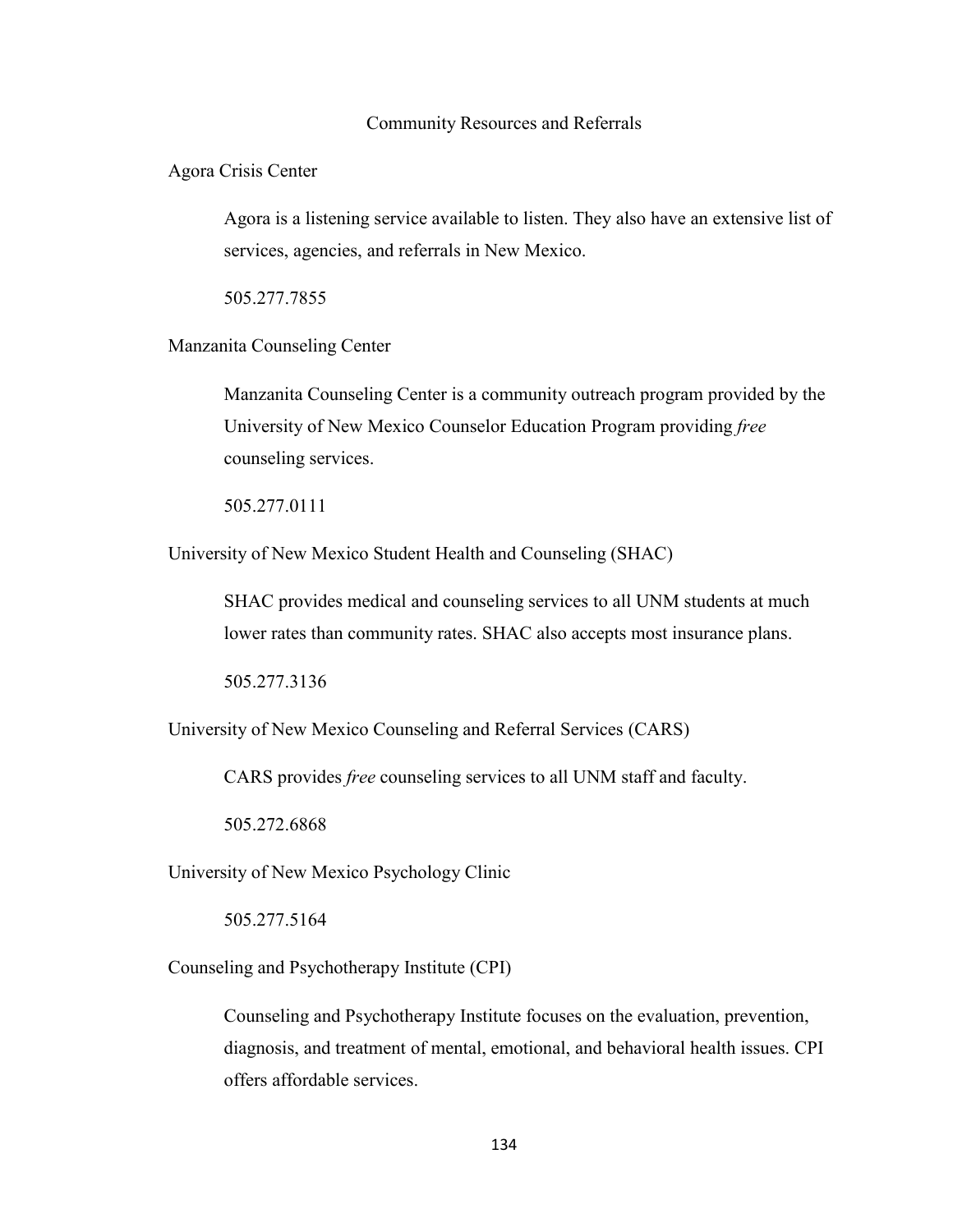### Community Resources and Referrals

Agora Crisis Center

Agora is a listening service available to listen. They also have an extensive list of services, agencies, and referrals in New Mexico.

505.277.7855

Manzanita Counseling Center

Manzanita Counseling Center is a community outreach program provided by the University of New Mexico Counselor Education Program providing *free* counseling services.

505.277.0111

University of New Mexico Student Health and Counseling (SHAC)

SHAC provides medical and counseling services to all UNM students at much lower rates than community rates. SHAC also accepts most insurance plans.

505.277.3136

University of New Mexico Counseling and Referral Services (CARS)

CARS provides *free* counseling services to all UNM staff and faculty.

505.272.6868

University of New Mexico Psychology Clinic

505.277.5164

Counseling and Psychotherapy Institute (CPI)

Counseling and Psychotherapy Institute focuses on the evaluation, prevention, diagnosis, and treatment of mental, emotional, and behavioral health issues. CPI offers affordable services.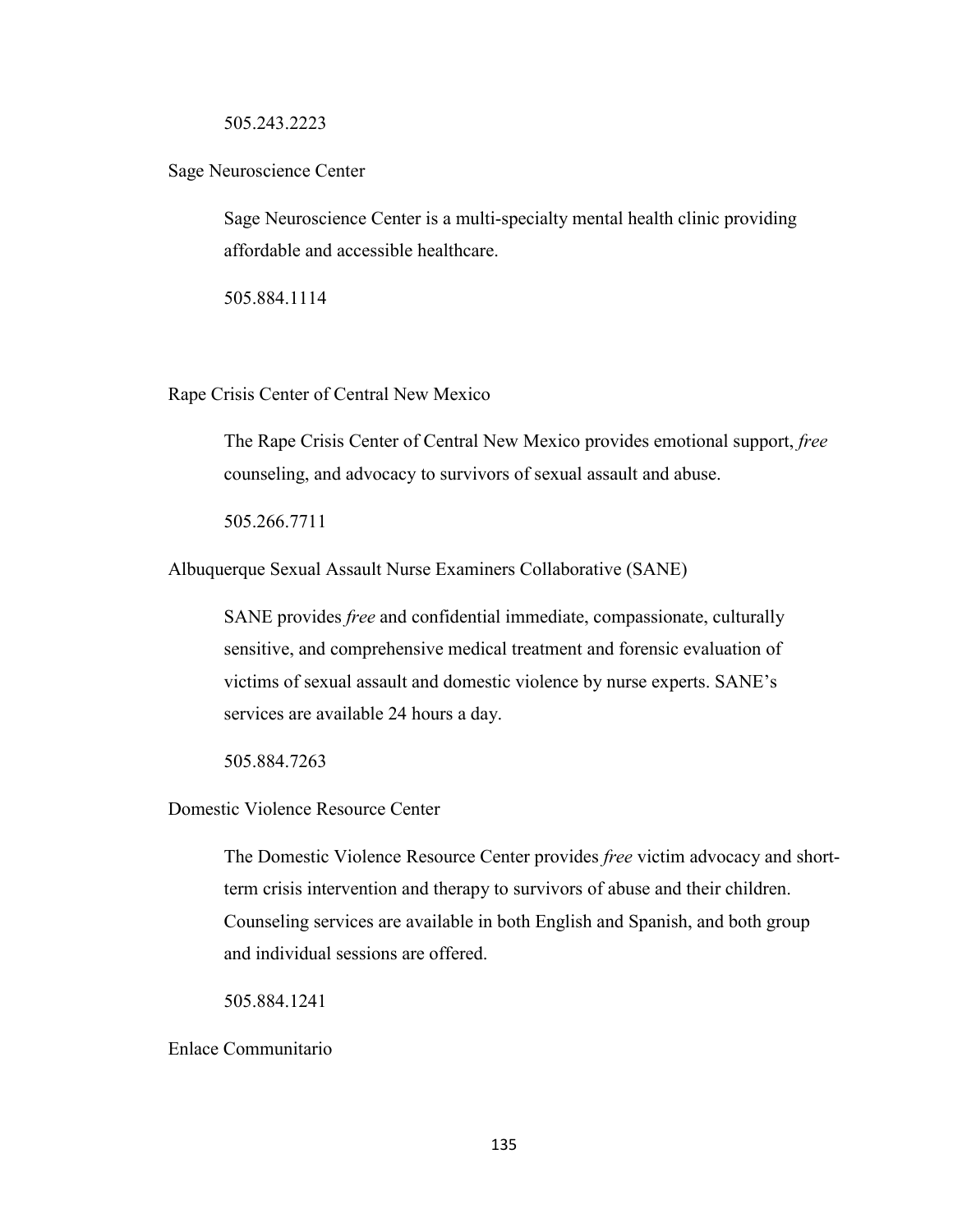### 505.243.2223

### Sage Neuroscience Center

Sage Neuroscience Center is a multi-specialty mental health clinic providing affordable and accessible healthcare.

505.884.1114

Rape Crisis Center of Central New Mexico

The Rape Crisis Center of Central New Mexico provides emotional support, *free* counseling, and advocacy to survivors of sexual assault and abuse.

505.266.7711

Albuquerque Sexual Assault Nurse Examiners Collaborative (SANE)

SANE provides *free* and confidential immediate, compassionate, culturally sensitive, and comprehensive medical treatment and forensic evaluation of victims of sexual assault and domestic violence by nurse experts. SANE's services are available 24 hours a day.

505.884.7263

Domestic Violence Resource Center

The Domestic Violence Resource Center provides *free* victim advocacy and shortterm crisis intervention and therapy to survivors of abuse and their children. Counseling services are available in both English and Spanish, and both group and individual sessions are offered.

505.884.1241

Enlace Communitario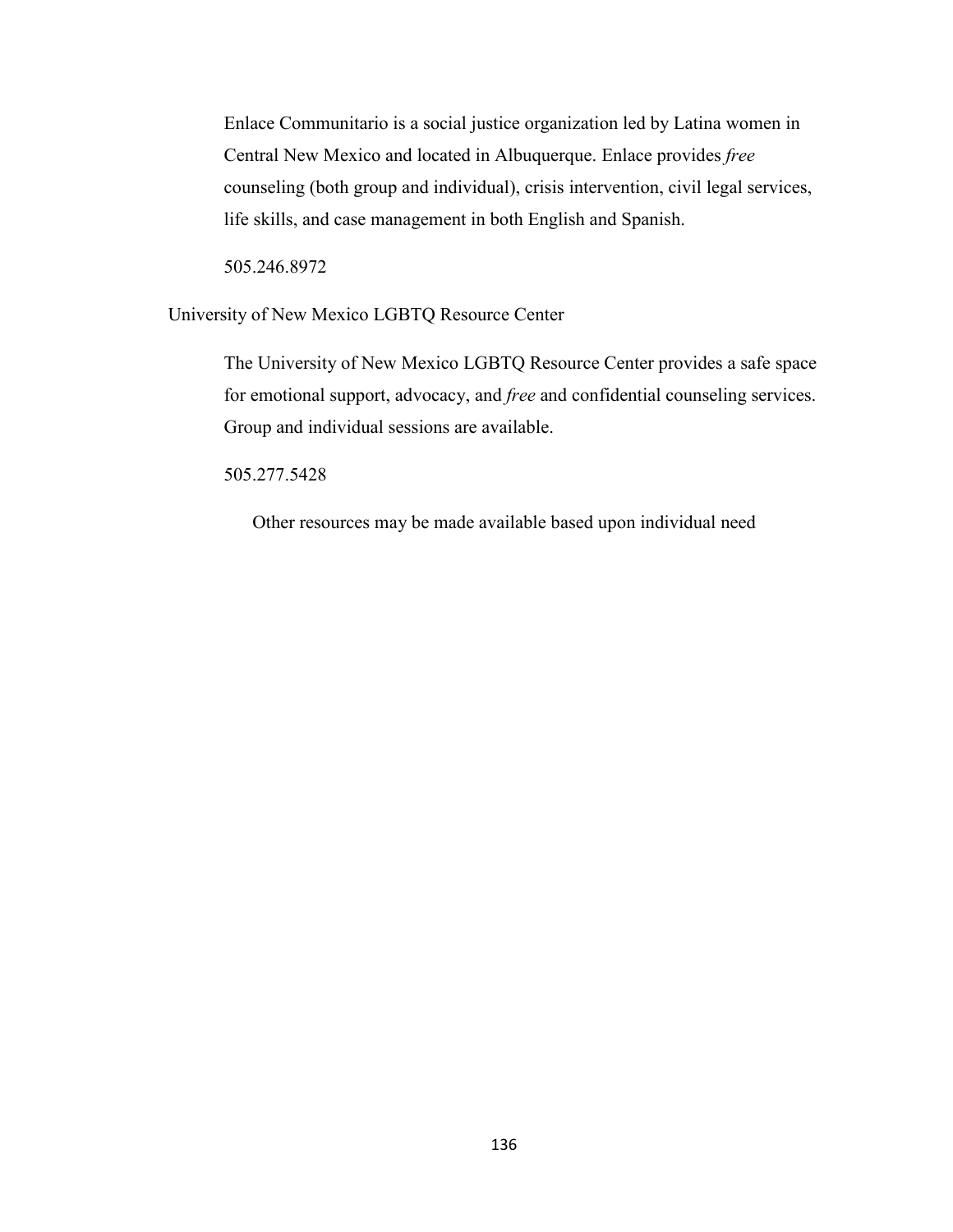Enlace Communitario is a social justice organization led by Latina women in Central New Mexico and located in Albuquerque. Enlace provides *free* counseling (both group and individual), crisis intervention, civil legal services, life skills, and case management in both English and Spanish.

505.246.8972

University of New Mexico LGBTQ Resource Center

The University of New Mexico LGBTQ Resource Center provides a safe space for emotional support, advocacy, and *free* and confidential counseling services. Group and individual sessions are available.

505.277.5428

Other resources may be made available based upon individual need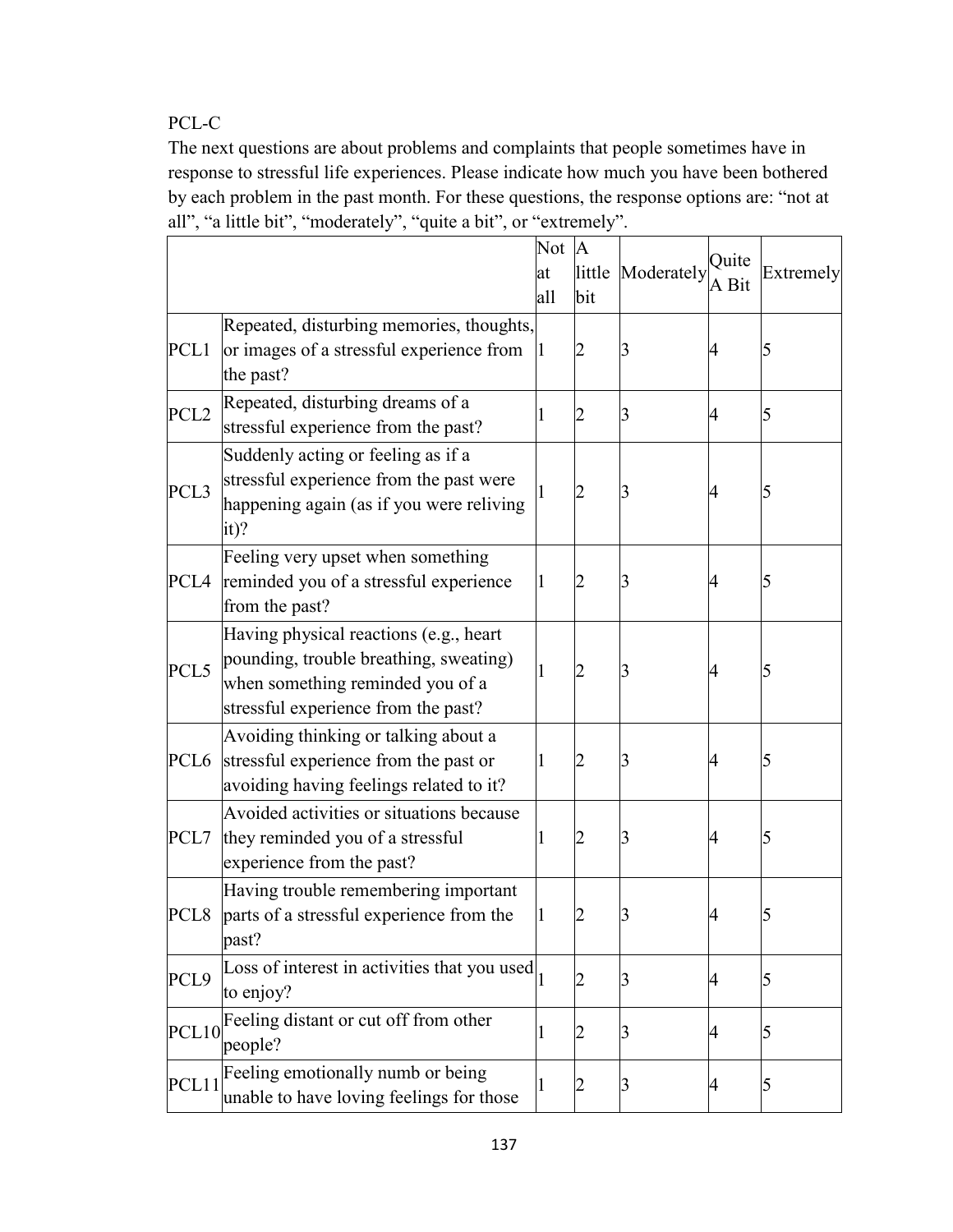PCL-C

The next questions are about problems and complaints that people sometimes have in response to stressful life experiences. Please indicate how much you have been bothered by each problem in the past month. For these questions, the response options are: "not at all", "a little bit", "moderately", "quite a bit", or "extremely".

|                  |                                                                                                                                                             | Not          | $\mathbf{A}$ |                   |                |           |
|------------------|-------------------------------------------------------------------------------------------------------------------------------------------------------------|--------------|--------------|-------------------|----------------|-----------|
|                  |                                                                                                                                                             | at           |              | little Moderately | Quite<br>A Bit | Extremely |
|                  |                                                                                                                                                             | all          | bit          |                   |                |           |
| PCL1             | Repeated, disturbing memories, thoughts,<br>or images of a stressful experience from<br>the past?                                                           |              | 2            | 3                 | 4              | 5         |
| PCL <sub>2</sub> | Repeated, disturbing dreams of a<br>stressful experience from the past?                                                                                     | $\mathbf{I}$ |              | 3                 | 4              | 5         |
| PCL <sub>3</sub> | Suddenly acting or feeling as if a<br>stressful experience from the past were<br>happening again (as if you were reliving<br>$it)$ ?                        |              | 2            | 3                 | 4              |           |
| PCL4             | Feeling very upset when something<br>reminded you of a stressful experience<br>from the past?                                                               | 1            | 2            | 3                 | 4              | 5         |
| PCL5             | Having physical reactions (e.g., heart<br>pounding, trouble breathing, sweating)<br>when something reminded you of a<br>stressful experience from the past? | 1            | 2            | 3                 | 4              | 5         |
| PCL6             | Avoiding thinking or talking about a<br>stressful experience from the past or<br>avoiding having feelings related to it?                                    | $\mathbf 1$  |              | 3                 | 4              | 5         |
| PCL7             | Avoided activities or situations because<br>they reminded you of a stressful<br>experience from the past?                                                   | 1            | 2            | 3                 | 4              | 5         |
| PCL <sub>8</sub> | Having trouble remembering important<br>parts of a stressful experience from the<br>past?                                                                   | 1            | 2            | 3                 | 4              |           |
| PCL9             | Loss of interest in activities that you used<br>to enjoy?                                                                                                   |              | 2            | $\overline{3}$    | 4              | 5         |
| PCL10            | Feeling distant or cut off from other<br>people?                                                                                                            | 1            |              | 3                 | 4              | 5         |
| PCL11            | Feeling emotionally numb or being<br>unable to have loving feelings for those                                                                               | $\mathbf{I}$ | 2            | 3                 | 4              | 5         |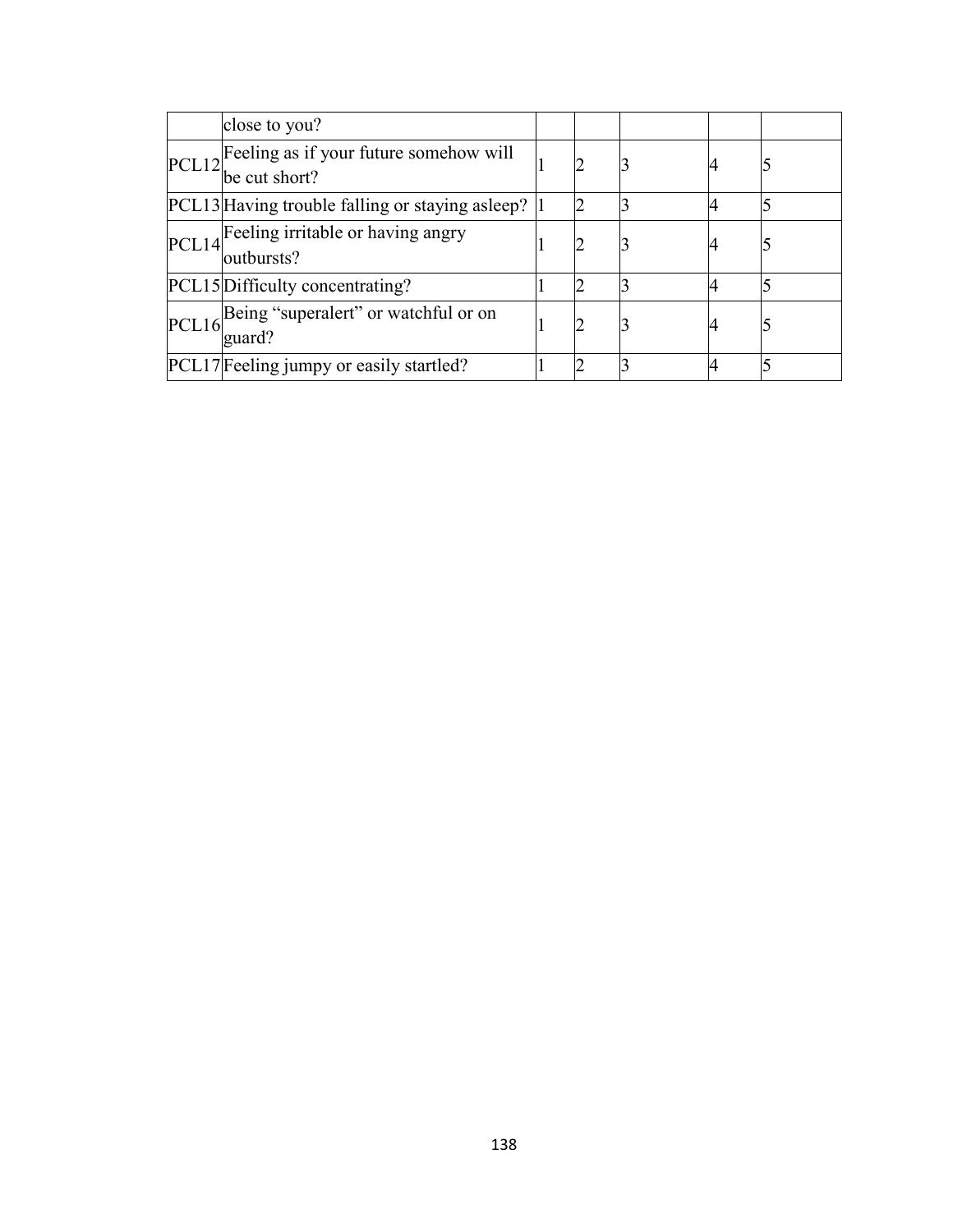|       | close to you?                                           |  |    |  |
|-------|---------------------------------------------------------|--|----|--|
| PCL12 | Feeling as if your future somehow will<br>be cut short? |  | 14 |  |
|       | PCL13 Having trouble falling or staying asleep?  1      |  |    |  |
| PCL14 | Feeling irritable or having angry<br>outbursts?         |  |    |  |
|       | PCL15 Difficulty concentrating?                         |  |    |  |
| PCL16 | Being "superalert" or watchful or on<br>guard?          |  | 4  |  |
|       | PCL17 Feeling jumpy or easily startled?                 |  |    |  |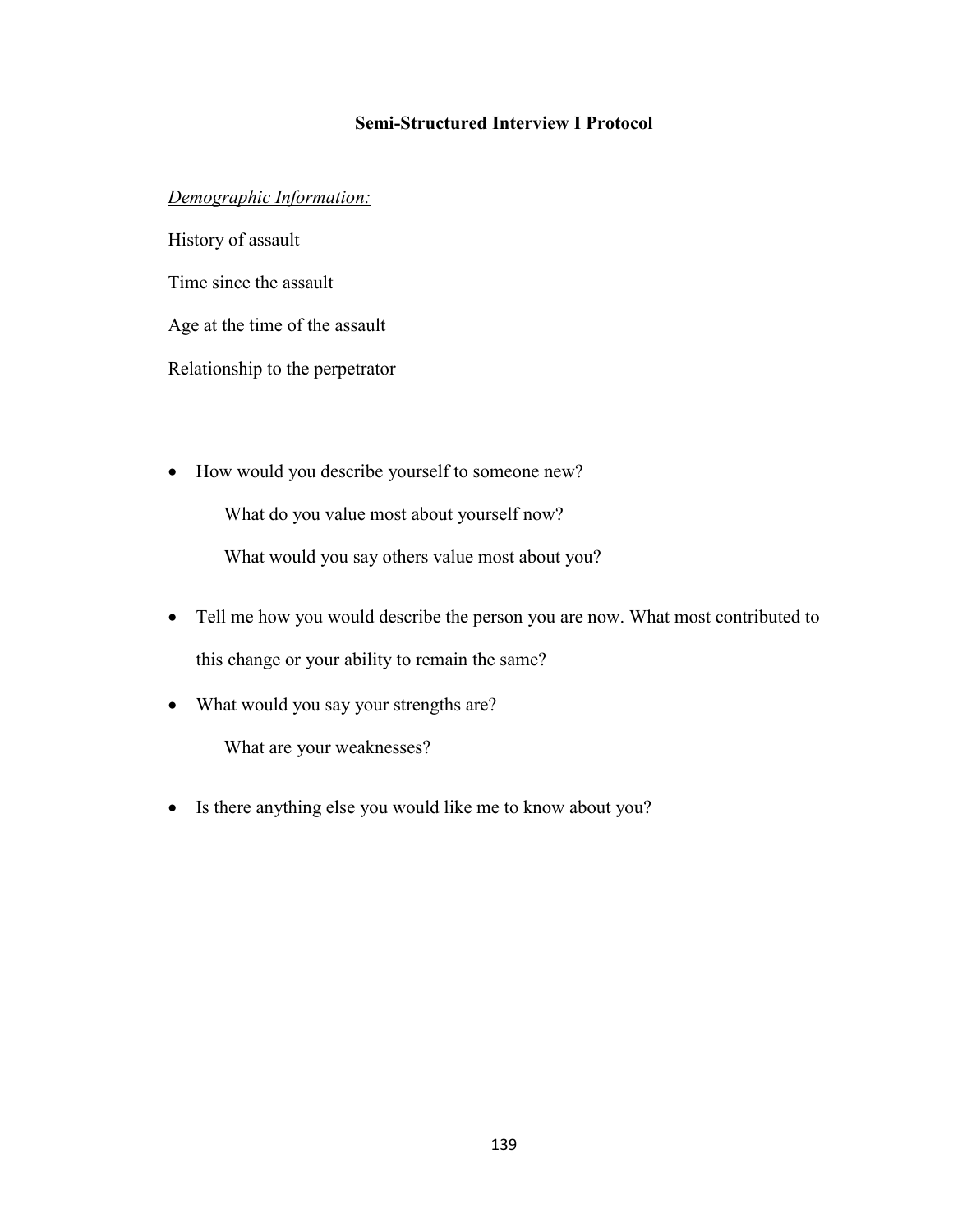## **Semi-Structured Interview I Protocol**

### *Demographic Information:*

History of assault Time since the assault Age at the time of the assault Relationship to the perpetrator

• How would you describe yourself to someone new?

What do you value most about yourself now?

What would you say others value most about you?

- Tell me how you would describe the person you are now. What most contributed to this change or your ability to remain the same?
- What would you say your strengths are?

What are your weaknesses?

• Is there anything else you would like me to know about you?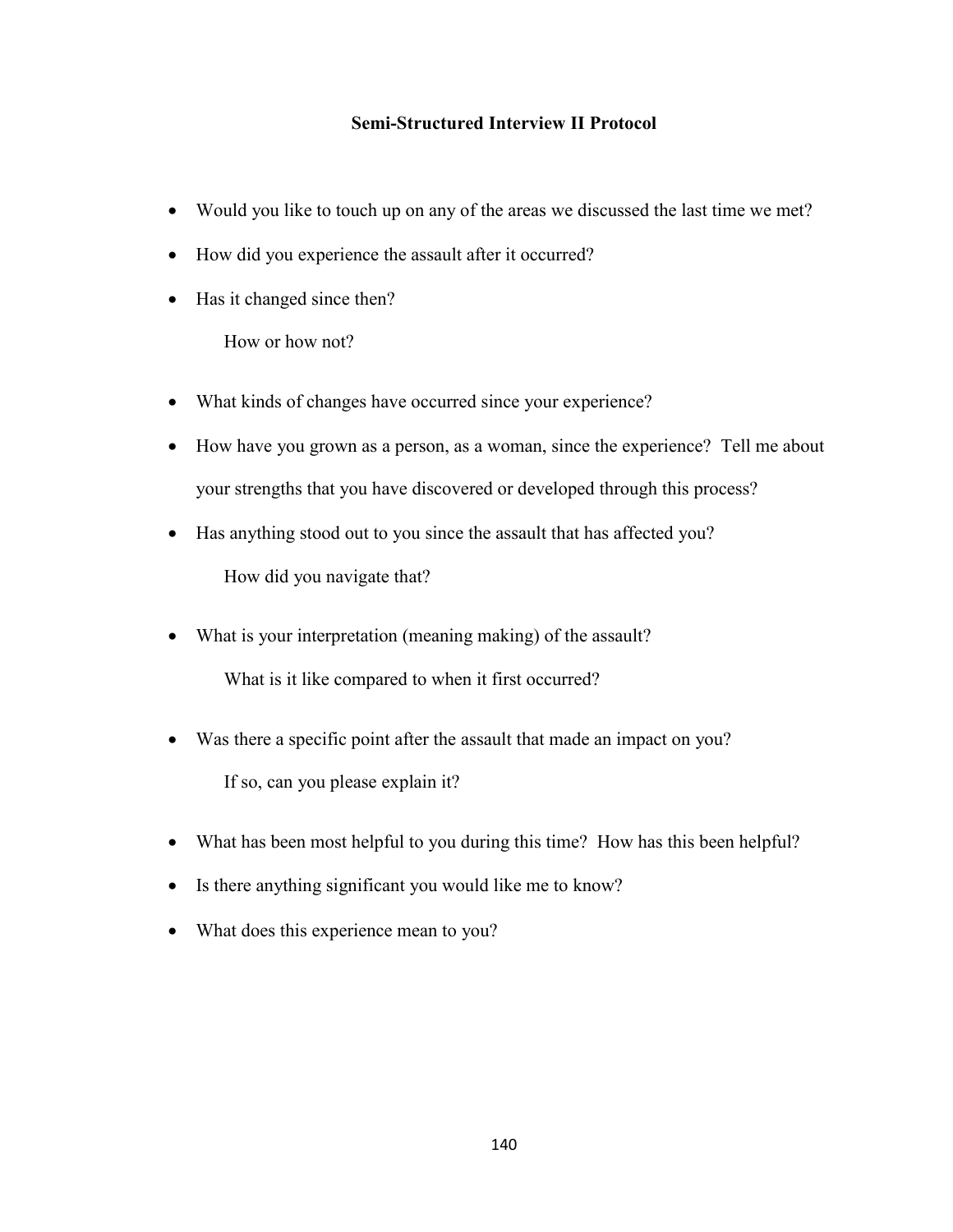### **Semi-Structured Interview II Protocol**

- Would you like to touch up on any of the areas we discussed the last time we met?
- How did you experience the assault after it occurred?
- Has it changed since then?

How or how not?

- What kinds of changes have occurred since your experience?
- How have you grown as a person, as a woman, since the experience? Tell me about your strengths that you have discovered or developed through this process?
- Has anything stood out to you since the assault that has affected you? How did you navigate that?
- What is your interpretation (meaning making) of the assault?

What is it like compared to when it first occurred?

- Was there a specific point after the assault that made an impact on you? If so, can you please explain it?
- What has been most helpful to you during this time? How has this been helpful?
- Is there anything significant you would like me to know?
- What does this experience mean to you?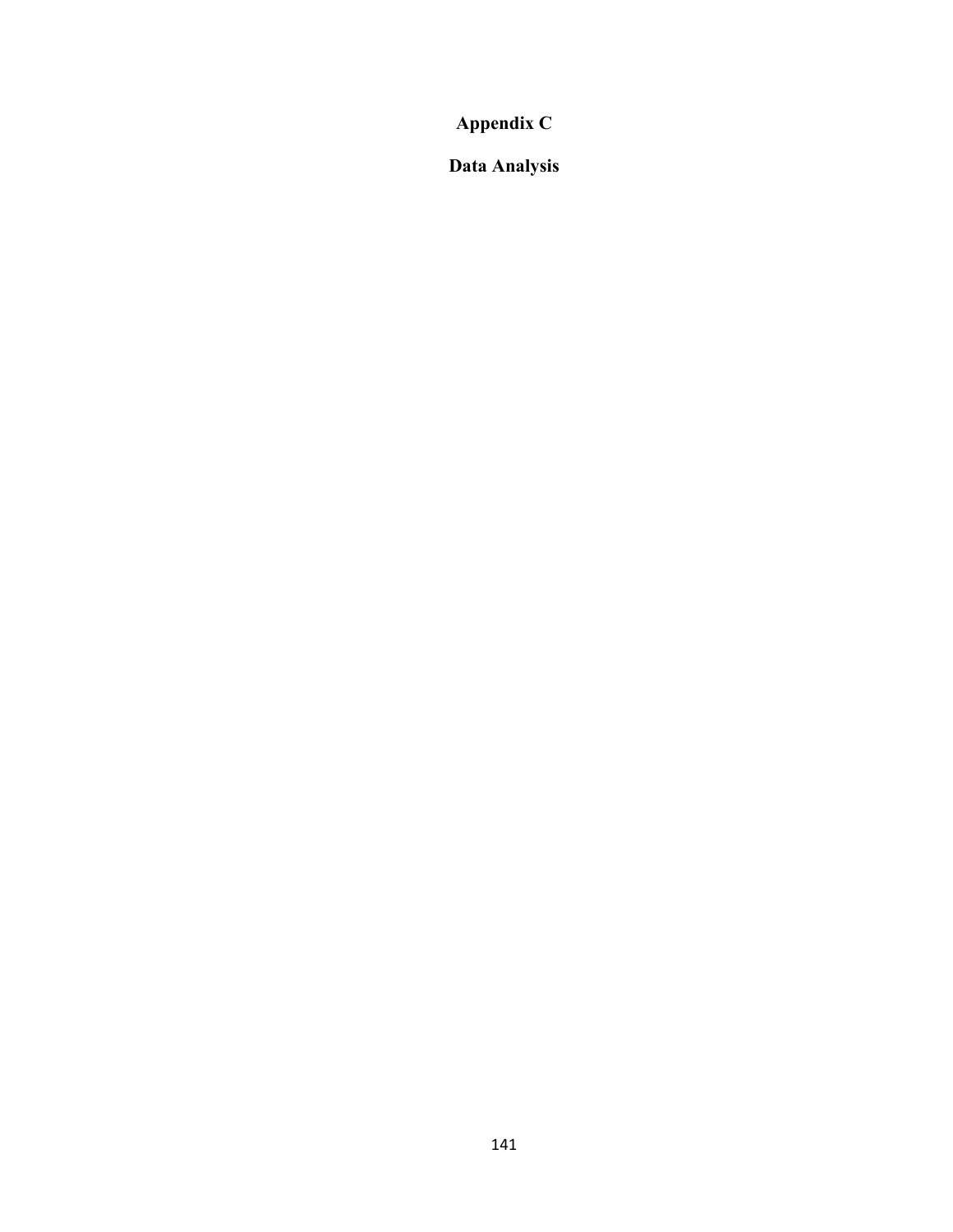**Appendix C**

**Data Analysis**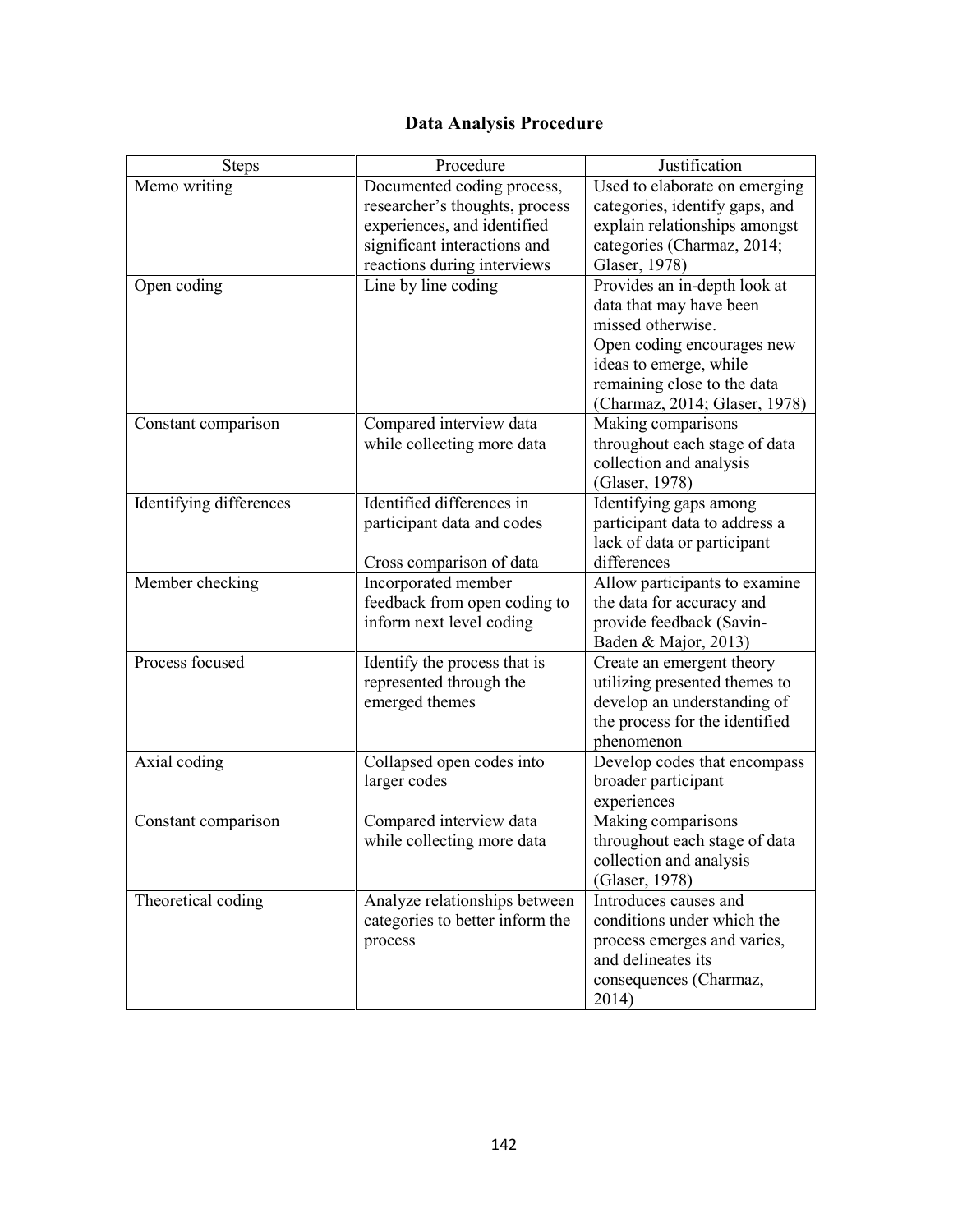# **Data Analysis Procedure**

| <b>Steps</b>            | Procedure                                                                                                                                                  | Justification                                                                                                                                                                                        |
|-------------------------|------------------------------------------------------------------------------------------------------------------------------------------------------------|------------------------------------------------------------------------------------------------------------------------------------------------------------------------------------------------------|
| Memo writing            | Documented coding process,<br>researcher's thoughts, process<br>experiences, and identified<br>significant interactions and<br>reactions during interviews | Used to elaborate on emerging<br>categories, identify gaps, and<br>explain relationships amongst<br>categories (Charmaz, 2014;<br>Glaser, 1978)                                                      |
| Open coding             | Line by line coding                                                                                                                                        | Provides an in-depth look at<br>data that may have been<br>missed otherwise.<br>Open coding encourages new<br>ideas to emerge, while<br>remaining close to the data<br>(Charmaz, 2014; Glaser, 1978) |
| Constant comparison     | Compared interview data<br>while collecting more data                                                                                                      | Making comparisons<br>throughout each stage of data<br>collection and analysis<br>(Glaser, 1978)                                                                                                     |
| Identifying differences | Identified differences in<br>participant data and codes<br>Cross comparison of data                                                                        | Identifying gaps among<br>participant data to address a<br>lack of data or participant<br>differences                                                                                                |
| Member checking         | Incorporated member<br>feedback from open coding to<br>inform next level coding                                                                            | Allow participants to examine<br>the data for accuracy and<br>provide feedback (Savin-<br>Baden & Major, 2013)                                                                                       |
| Process focused         | Identify the process that is<br>represented through the<br>emerged themes                                                                                  | Create an emergent theory<br>utilizing presented themes to<br>develop an understanding of<br>the process for the identified<br>phenomenon                                                            |
| Axial coding            | Collapsed open codes into<br>larger codes                                                                                                                  | Develop codes that encompass<br>broader participant<br>experiences                                                                                                                                   |
| Constant comparison     | Compared interview data<br>while collecting more data                                                                                                      | Making comparisons<br>throughout each stage of data<br>collection and analysis<br>(Glaser, 1978)                                                                                                     |
| Theoretical coding      | Analyze relationships between<br>categories to better inform the<br>process                                                                                | Introduces causes and<br>conditions under which the<br>process emerges and varies,<br>and delineates its<br>consequences (Charmaz,<br>2014)                                                          |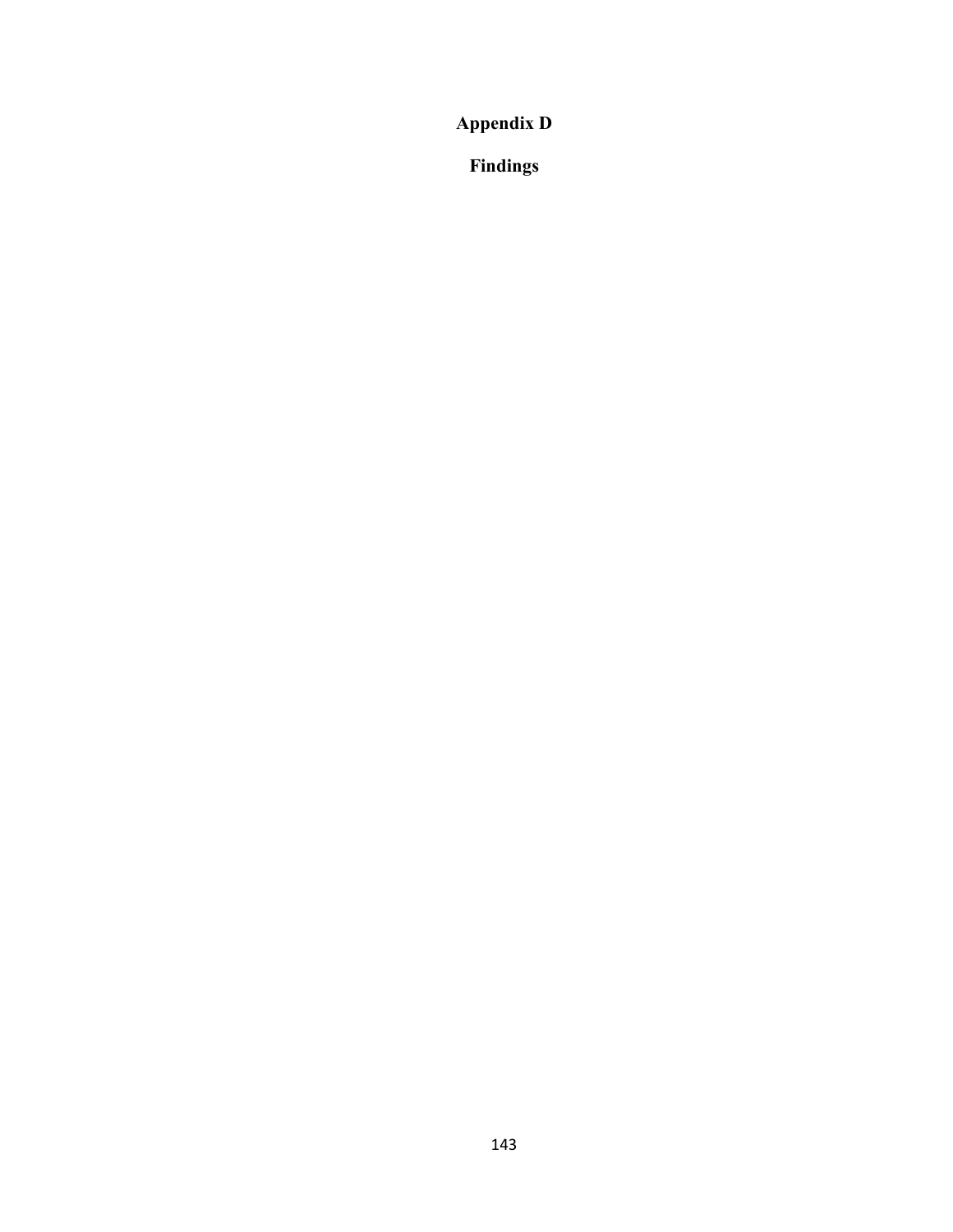**Appendix D**

**Findings**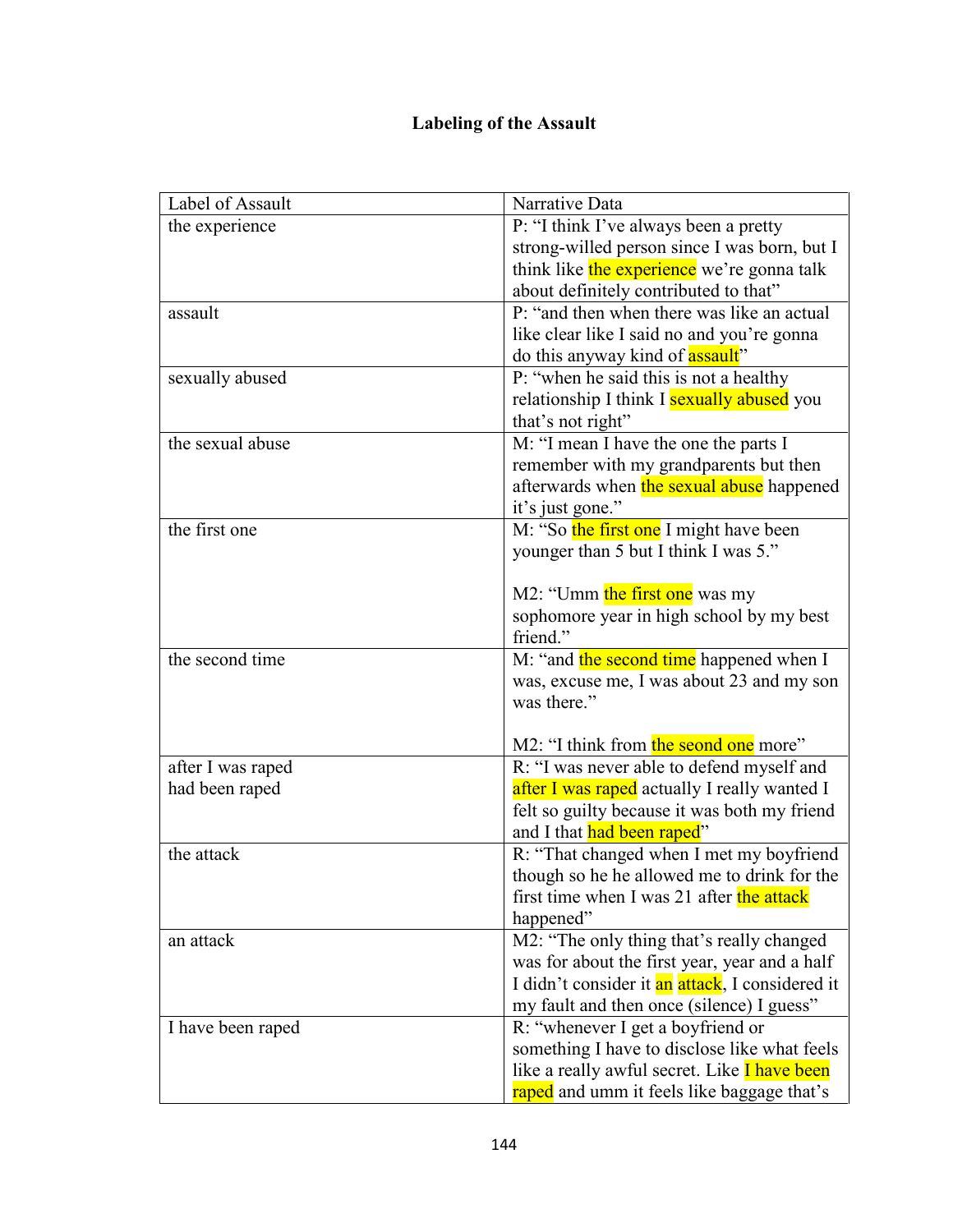# **Labeling of the Assault**

| Label of Assault  | Narrative Data                                      |
|-------------------|-----------------------------------------------------|
| the experience    | P: "I think I've always been a pretty               |
|                   | strong-willed person since I was born, but I        |
|                   | think like the experience we're gonna talk          |
|                   | about definitely contributed to that"               |
| assault           | P: "and then when there was like an actual          |
|                   | like clear like I said no and you're gonna          |
|                   | do this anyway kind of <b>assault</b> "             |
| sexually abused   | P: "when he said this is not a healthy              |
|                   | relationship I think I sexually abused you          |
|                   | that's not right"                                   |
| the sexual abuse  | M: "I mean I have the one the parts I               |
|                   | remember with my grandparents but then              |
|                   | afterwards when the sexual abuse happened           |
|                   | it's just gone."                                    |
| the first one     | M: "So the first one I might have been              |
|                   | younger than 5 but I think I was 5."                |
|                   |                                                     |
|                   | M2: "Umm the first one was my                       |
|                   | sophomore year in high school by my best            |
|                   | friend."                                            |
| the second time   | M: "and the second time happened when I             |
|                   | was, excuse me, I was about 23 and my son           |
|                   | was there."                                         |
|                   |                                                     |
|                   | M2: "I think from the seond one more"               |
| after I was raped | R: "I was never able to defend myself and           |
| had been raped    | after I was raped actually I really wanted I        |
|                   | felt so guilty because it was both my friend        |
|                   | and I that had been raped"                          |
| the attack        | R: "That changed when I met my boyfriend            |
|                   | though so he he allowed me to drink for the         |
|                   | first time when I was 21 after the attack           |
|                   | happened"                                           |
| an attack         | M2: "The only thing that's really changed           |
|                   | was for about the first year, year and a half       |
|                   | I didn't consider it an attack, I considered it     |
|                   | my fault and then once (silence) I guess"           |
| I have been raped | R: "whenever I get a boyfriend or                   |
|                   | something I have to disclose like what feels        |
|                   | like a really awful secret. Like <i>I have been</i> |
|                   | raped and umm it feels like baggage that's          |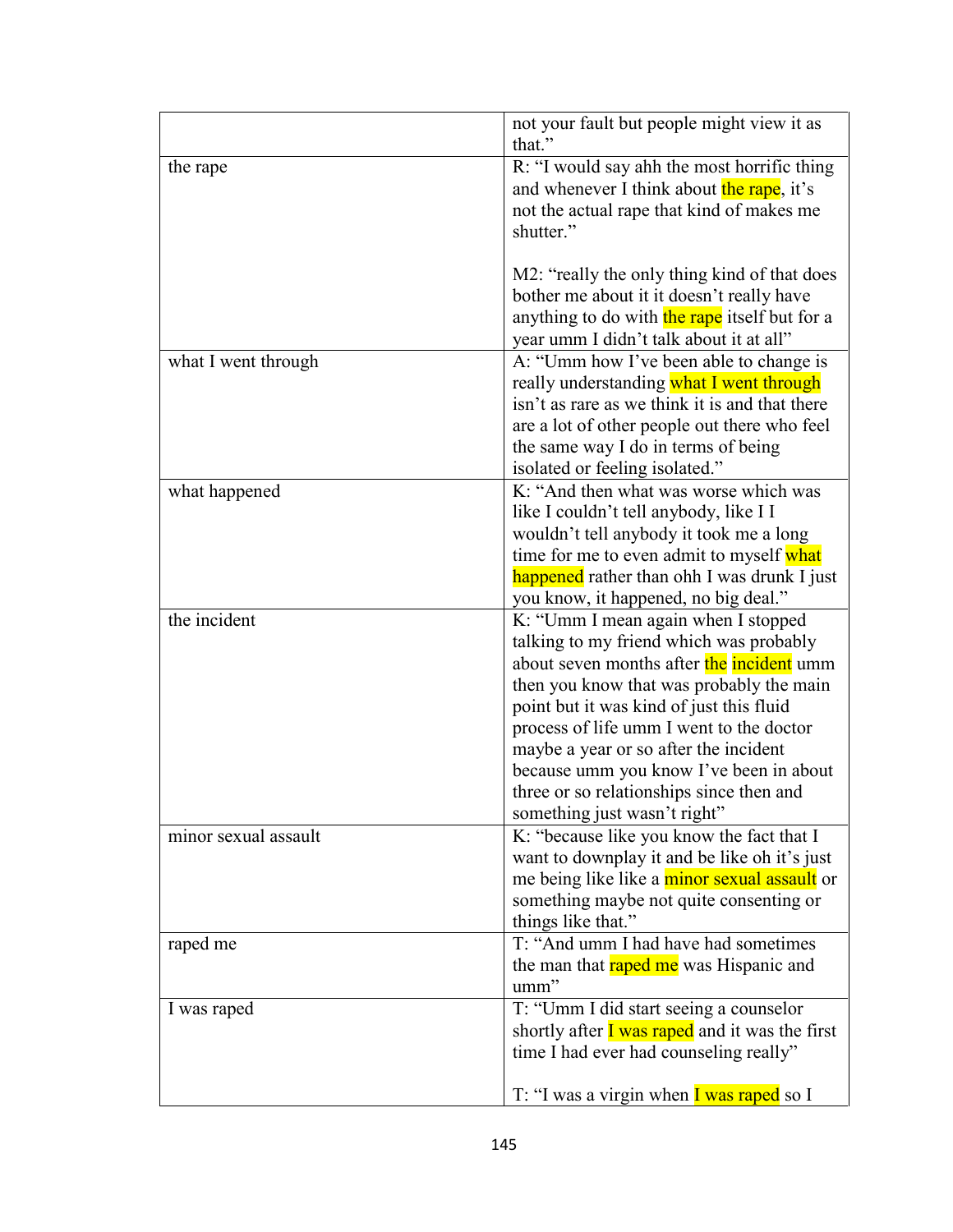|                      | not your fault but people might view it as<br>that."                                                                                                                                                                                                                                                                                                                                                                            |
|----------------------|---------------------------------------------------------------------------------------------------------------------------------------------------------------------------------------------------------------------------------------------------------------------------------------------------------------------------------------------------------------------------------------------------------------------------------|
| the rape             | R: "I would say ahh the most horrific thing<br>and whenever I think about the rape, it's<br>not the actual rape that kind of makes me<br>shutter."                                                                                                                                                                                                                                                                              |
| what I went through  | M2: "really the only thing kind of that does<br>bother me about it it doesn't really have<br>anything to do with the rape itself but for a<br>year umm I didn't talk about it at all"<br>A: "Umm how I've been able to change is<br>really understanding what I went through                                                                                                                                                    |
|                      | isn't as rare as we think it is and that there<br>are a lot of other people out there who feel<br>the same way I do in terms of being<br>isolated or feeling isolated."                                                                                                                                                                                                                                                         |
| what happened        | K: "And then what was worse which was<br>like I couldn't tell anybody, like I I<br>wouldn't tell anybody it took me a long<br>time for me to even admit to myself what<br>happened rather than ohh I was drunk I just<br>you know, it happened, no big deal."                                                                                                                                                                   |
| the incident         | K: "Umm I mean again when I stopped<br>talking to my friend which was probably<br>about seven months after the incident umm<br>then you know that was probably the main<br>point but it was kind of just this fluid<br>process of life umm I went to the doctor<br>maybe a year or so after the incident<br>because umm you know I've been in about<br>three or so relationships since then and<br>something just wasn't right' |
| minor sexual assault | K: "because like you know the fact that I<br>want to downplay it and be like oh it's just<br>me being like like a minor sexual assault or<br>something maybe not quite consenting or<br>things like that."                                                                                                                                                                                                                      |
| raped me             | T: "And umm I had have had sometimes<br>the man that raped me was Hispanic and<br>umm"                                                                                                                                                                                                                                                                                                                                          |
| I was raped          | T: "Umm I did start seeing a counselor<br>shortly after $\overline{I}$ was raped and it was the first<br>time I had ever had counseling really"<br>T: "I was a virgin when I was raped so I                                                                                                                                                                                                                                     |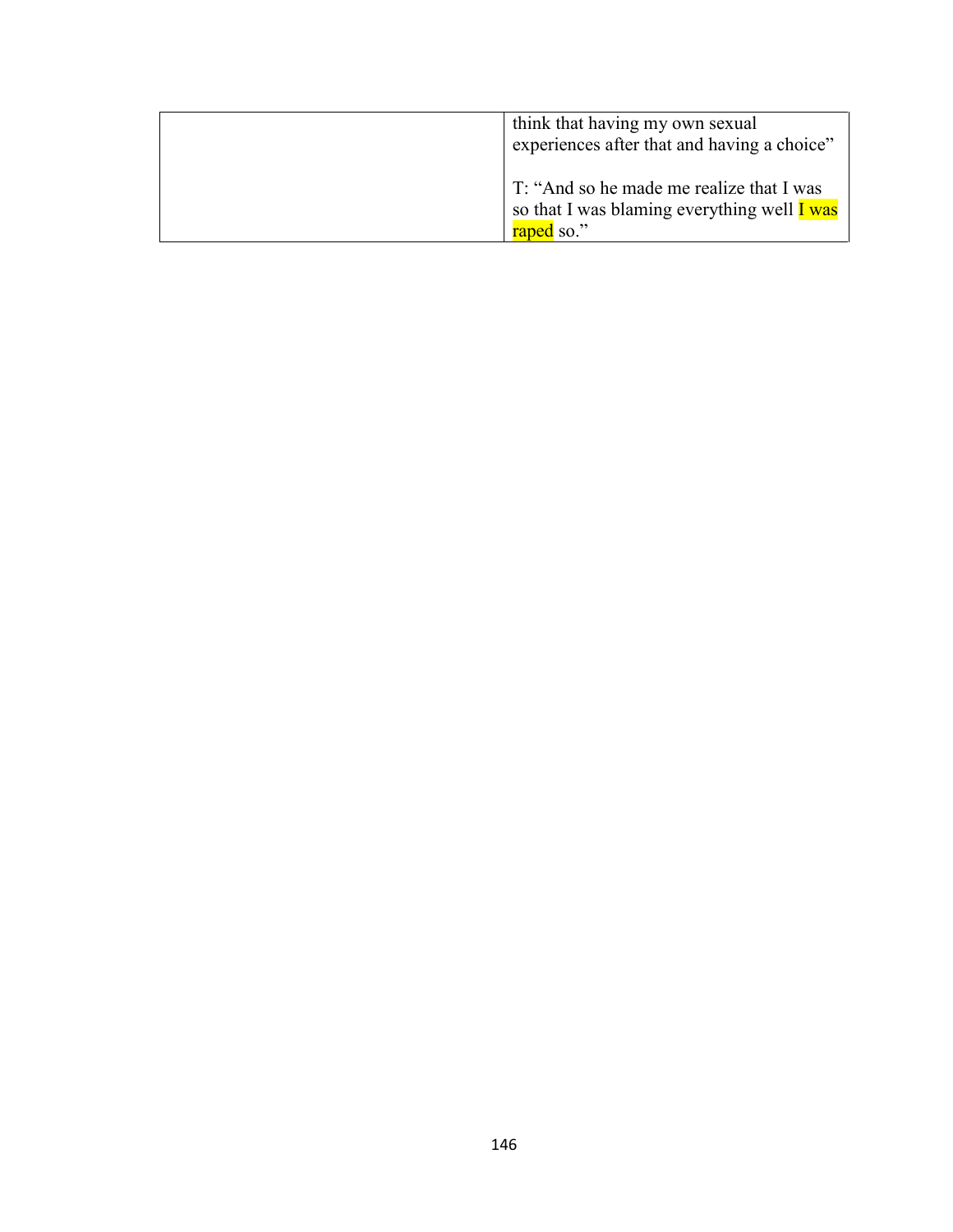| think that having my own sexual<br>experiences after that and having a choice"                        |
|-------------------------------------------------------------------------------------------------------|
| T: "And so he made me realize that I was<br>so that I was blaming everything well I was<br>raped so." |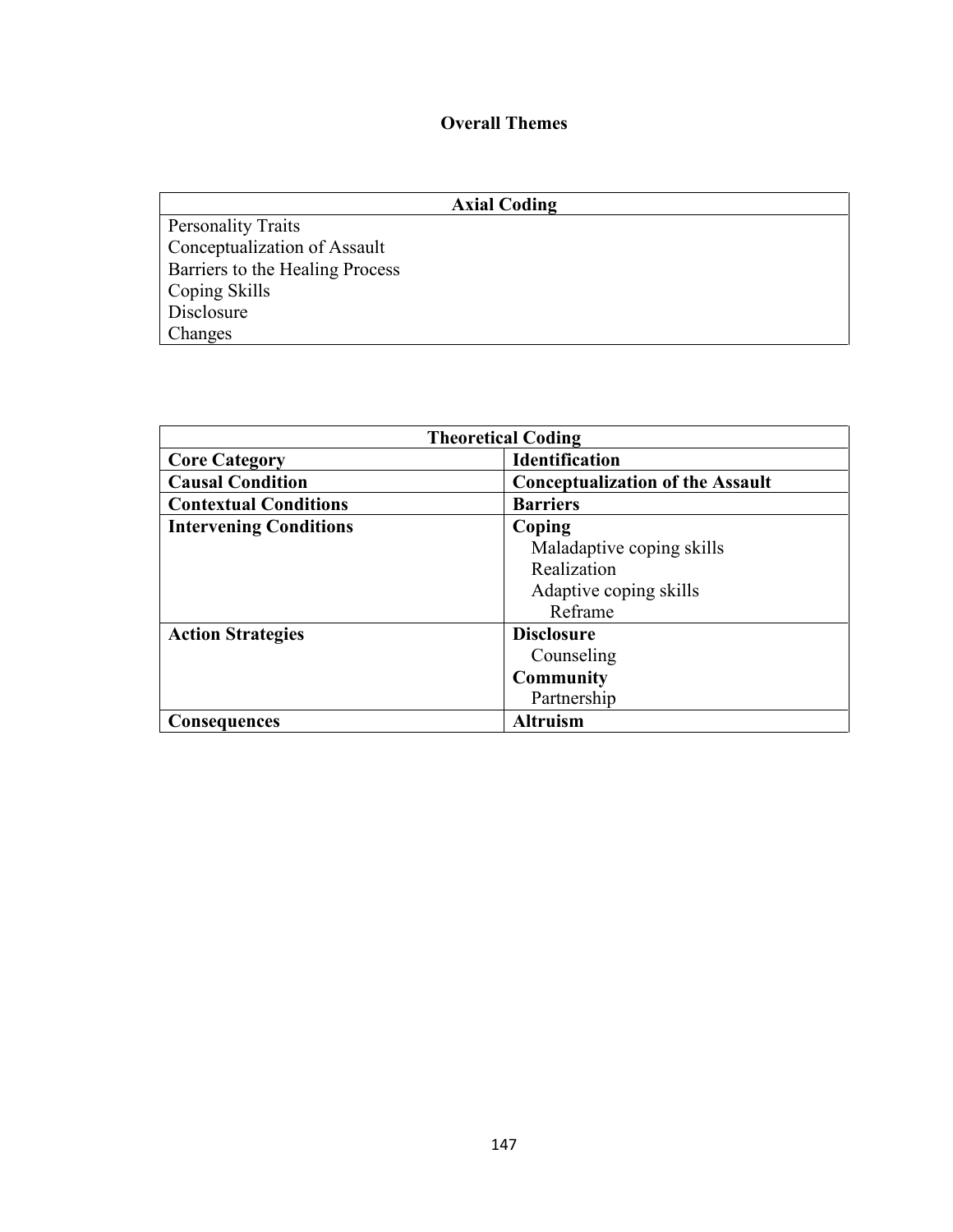## **Overall Themes**

| <b>Axial Coding</b>             |  |
|---------------------------------|--|
| <b>Personality Traits</b>       |  |
| Conceptualization of Assault    |  |
| Barriers to the Healing Process |  |
| Coping Skills                   |  |
| Disclosure                      |  |
| Changes                         |  |

| <b>Theoretical Coding</b>     |                                         |  |  |
|-------------------------------|-----------------------------------------|--|--|
| <b>Core Category</b>          | <b>Identification</b>                   |  |  |
| <b>Causal Condition</b>       | <b>Conceptualization of the Assault</b> |  |  |
| <b>Contextual Conditions</b>  | <b>Barriers</b>                         |  |  |
| <b>Intervening Conditions</b> | Coping                                  |  |  |
|                               | Maladaptive coping skills               |  |  |
|                               | Realization                             |  |  |
|                               | Adaptive coping skills                  |  |  |
|                               | Reframe                                 |  |  |
| <b>Action Strategies</b>      | <b>Disclosure</b>                       |  |  |
|                               | Counseling                              |  |  |
|                               | <b>Community</b>                        |  |  |
|                               | Partnership                             |  |  |
| <b>Consequences</b>           | <b>Altruism</b>                         |  |  |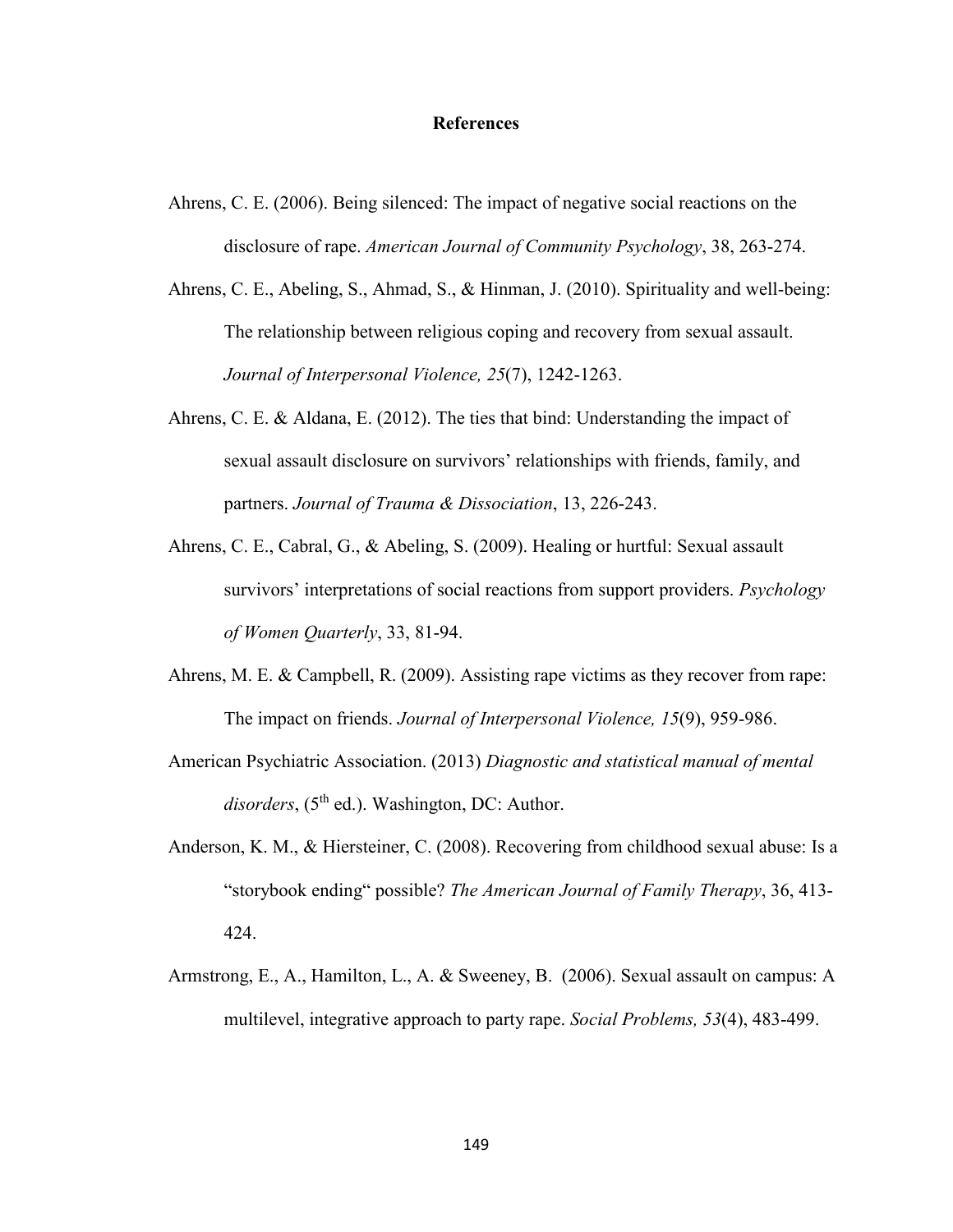#### **References**

- Ahrens, C. E. (2006). Being silenced: The impact of negative social reactions on the disclosure of rape. *American Journal of Community Psychology*, 38, 263-274.
- Ahrens, C. E., Abeling, S., Ahmad, S., & Hinman, J. (2010). Spirituality and well-being: The relationship between religious coping and recovery from sexual assault. *Journal of Interpersonal Violence, 25*(7), 1242-1263.
- Ahrens, C. E. & Aldana, E. (2012). The ties that bind: Understanding the impact of sexual assault disclosure on survivors' relationships with friends, family, and partners. *Journal of Trauma & Dissociation*, 13, 226-243.
- Ahrens, C. E., Cabral, G., & Abeling, S. (2009). Healing or hurtful: Sexual assault survivors' interpretations of social reactions from support providers. *Psychology of Women Quarterly*, 33, 81-94.
- Ahrens, M. E. & Campbell, R. (2009). Assisting rape victims as they recover from rape: The impact on friends. *Journal of Interpersonal Violence, 15*(9), 959-986.
- American Psychiatric Association. (2013) *Diagnostic and statistical manual of mental*  disorders, (5<sup>th</sup> ed.). Washington, DC: Author.
- Anderson, K. M., & Hiersteiner, C. (2008). Recovering from childhood sexual abuse: Is a "storybook ending" possible? *The American Journal of Family Therapy*, 36, 413- 424.
- Armstrong, E., A., Hamilton, L., A. & Sweeney, B. (2006). Sexual assault on campus: A multilevel, integrative approach to party rape. *Social Problems, 53*(4), 483-499.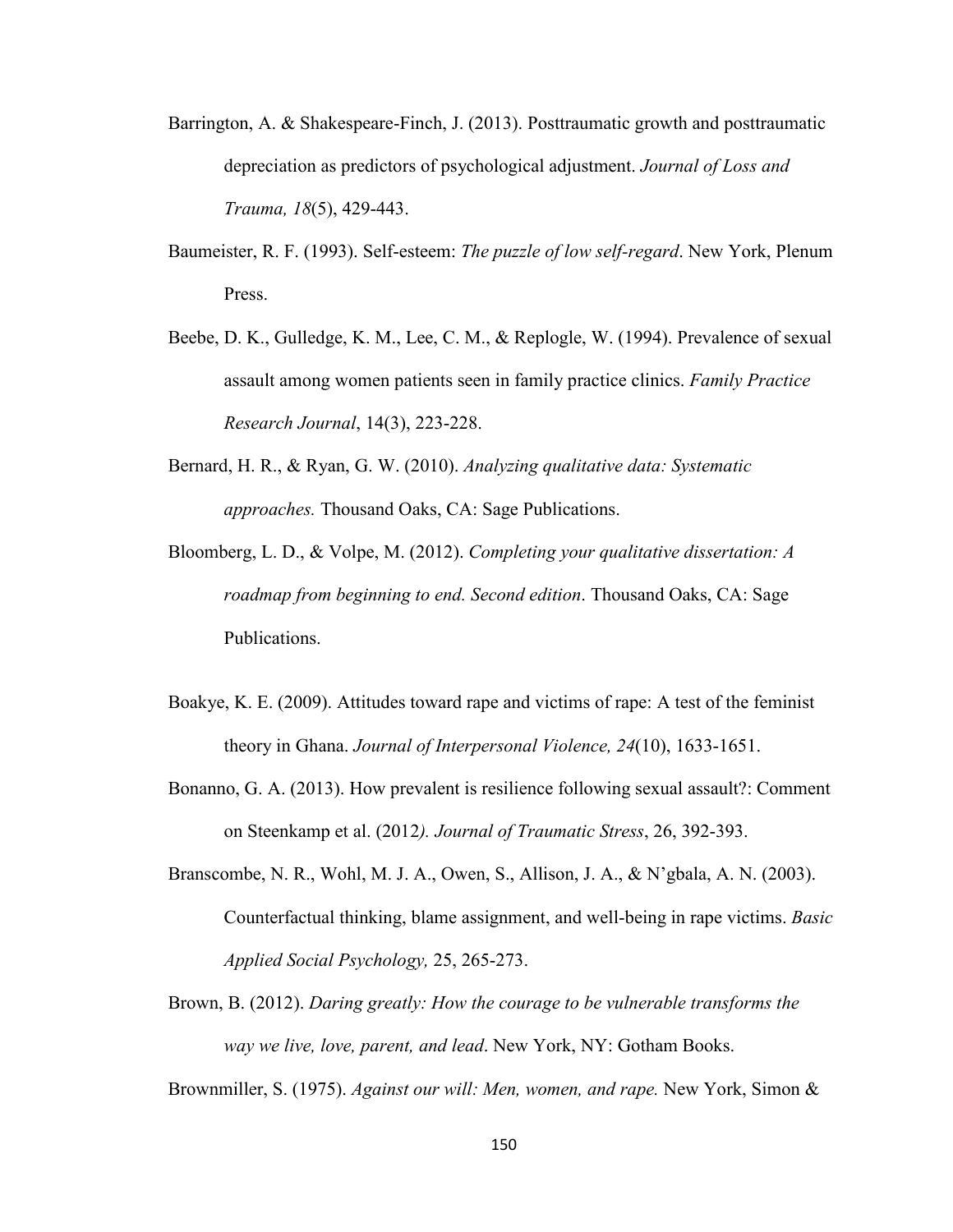- Barrington, A. & Shakespeare-Finch, J. (2013). Posttraumatic growth and posttraumatic depreciation as predictors of psychological adjustment. *Journal of Loss and Trauma, 18*(5), 429-443.
- Baumeister, R. F. (1993). Self-esteem: *The puzzle of low self-regard*. New York, Plenum Press.
- Beebe, D. K., Gulledge, K. M., Lee, C. M., & Replogle, W. (1994). Prevalence of sexual assault among women patients seen in family practice clinics. *Family Practice Research Journal*, 14(3), 223-228.
- Bernard, H. R., & Ryan, G. W. (2010). *Analyzing qualitative data: Systematic approaches.* Thousand Oaks, CA: Sage Publications.
- Bloomberg, L. D., & Volpe, M. (2012). *Completing your qualitative dissertation: A roadmap from beginning to end. Second edition*. Thousand Oaks, CA: Sage Publications.
- Boakye, K. E. (2009). Attitudes toward rape and victims of rape: A test of the feminist theory in Ghana. *Journal of Interpersonal Violence, 24*(10), 1633-1651.
- Bonanno, G. A. (2013). How prevalent is resilience following sexual assault?: Comment on Steenkamp et al. (2012*). Journal of Traumatic Stress*, 26, 392-393.
- Branscombe, N. R., Wohl, M. J. A., Owen, S., Allison, J. A., & N'gbala, A. N. (2003). Counterfactual thinking, blame assignment, and well-being in rape victims. *Basic Applied Social Psychology,* 25, 265-273.
- Brown, B. (2012). *Daring greatly: How the courage to be vulnerable transforms the way we live, love, parent, and lead*. New York, NY: Gotham Books.

Brownmiller, S. (1975). *Against our will: Men, women, and rape.* New York, Simon &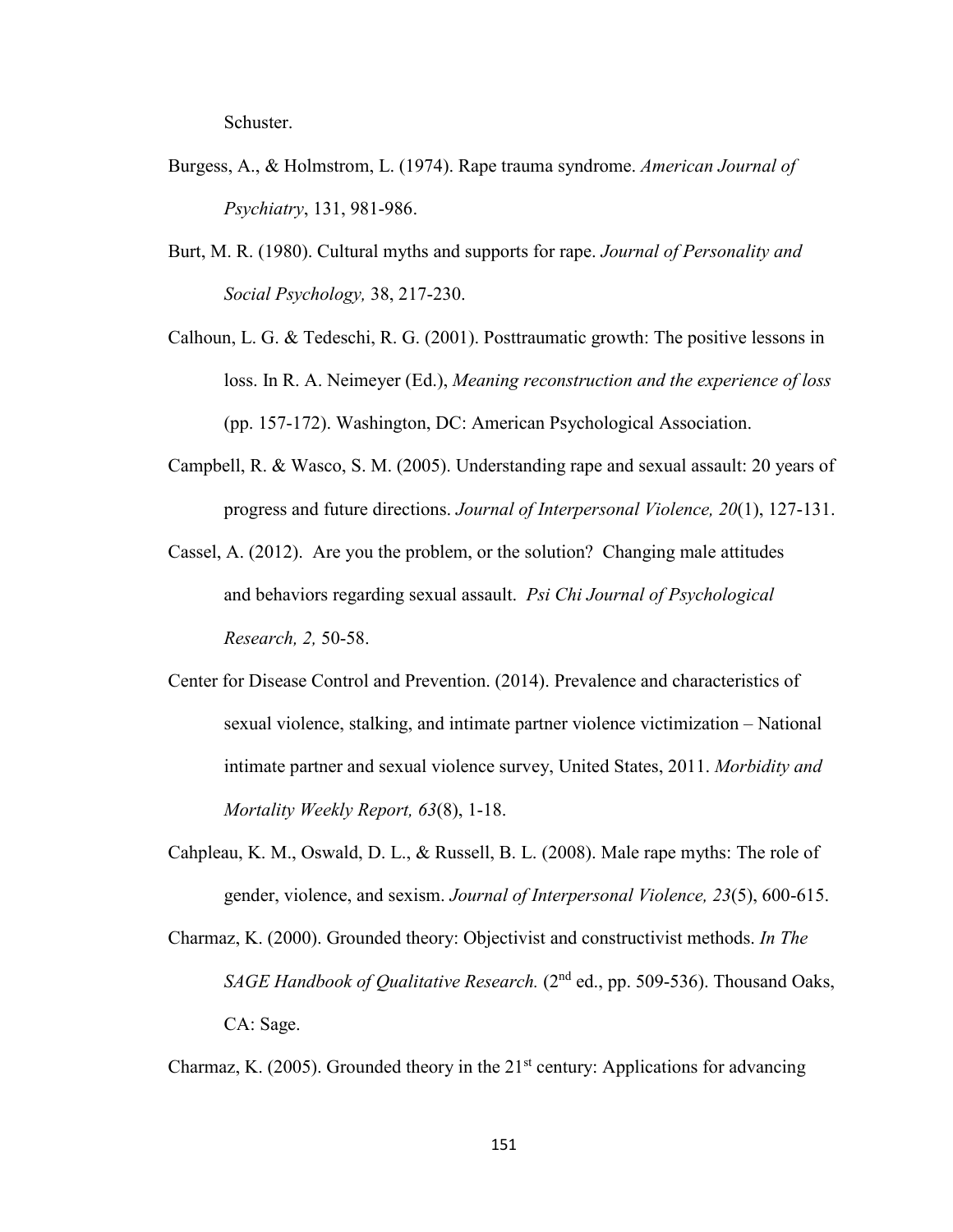Schuster.

- Burgess, A., & Holmstrom, L. (1974). Rape trauma syndrome. *American Journal of Psychiatry*, 131, 981-986.
- Burt, M. R. (1980). Cultural myths and supports for rape. *Journal of Personality and Social Psychology,* 38, 217-230.
- Calhoun, L. G. & Tedeschi, R. G. (2001). Posttraumatic growth: The positive lessons in loss. In R. A. Neimeyer (Ed.), *Meaning reconstruction and the experience of loss* (pp. 157-172). Washington, DC: American Psychological Association.
- Campbell, R. & Wasco, S. M. (2005). Understanding rape and sexual assault: 20 years of progress and future directions. *Journal of Interpersonal Violence, 20*(1), 127-131.
- Cassel, A. (2012). Are you the problem, or the solution? Changing male attitudes and behaviors regarding sexual assault. *Psi Chi Journal of Psychological Research, 2,* 50-58.
- Center for Disease Control and Prevention. (2014). Prevalence and characteristics of sexual violence, stalking, and intimate partner violence victimization – National intimate partner and sexual violence survey, United States, 2011. *Morbidity and Mortality Weekly Report, 63*(8), 1-18.
- Cahpleau, K. M., Oswald, D. L., & Russell, B. L. (2008). Male rape myths: The role of gender, violence, and sexism. *Journal of Interpersonal Violence, 23*(5), 600-615.
- Charmaz, K. (2000). Grounded theory: Objectivist and constructivist methods. *In The SAGE Handbook of Qualitative Research.* (2<sup>nd</sup> ed., pp. 509-536). Thousand Oaks, CA: Sage.

Charmaz, K. (2005). Grounded theory in the  $21<sup>st</sup>$  century: Applications for advancing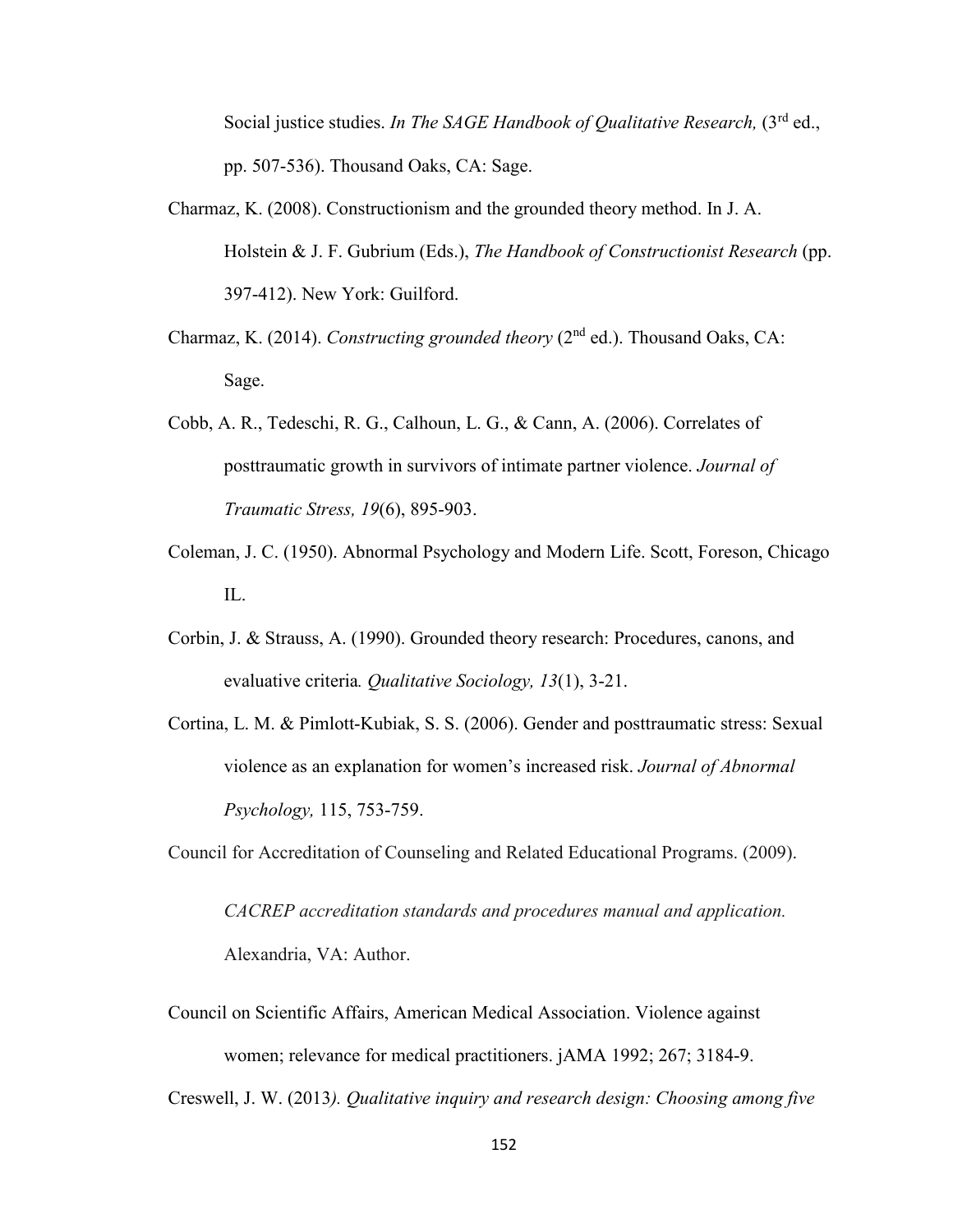Social justice studies. *In The SAGE Handbook of Oualitative Research*, (3<sup>rd</sup> ed., pp. 507-536). Thousand Oaks, CA: Sage.

- Charmaz, K. (2008). Constructionism and the grounded theory method. In J. A. Holstein & J. F. Gubrium (Eds.), *The Handbook of Constructionist Research* (pp. 397-412). New York: Guilford.
- Charmaz, K. (2014). *Constructing grounded theory* (2nd ed.). Thousand Oaks, CA: Sage.
- Cobb, A. R., Tedeschi, R. G., Calhoun, L. G., & Cann, A. (2006). Correlates of posttraumatic growth in survivors of intimate partner violence. *Journal of Traumatic Stress, 19*(6), 895-903.
- Coleman, J. C. (1950). Abnormal Psychology and Modern Life. Scott, Foreson, Chicago IL.
- Corbin, J. & Strauss, A. (1990). Grounded theory research: Procedures, canons, and evaluative criteria*. Qualitative Sociology, 13*(1), 3-21.
- Cortina, L. M. & Pimlott-Kubiak, S. S. (2006). Gender and posttraumatic stress: Sexual violence as an explanation for women's increased risk. *Journal of Abnormal Psychology,* 115, 753-759.

Council for Accreditation of Counseling and Related Educational Programs. (2009).

*CACREP accreditation standards and procedures manual and application.* Alexandria, VA: Author.

Council on Scientific Affairs, American Medical Association. Violence against women; relevance for medical practitioners. jAMA 1992; 267; 3184-9.

Creswell, J. W. (2013*). Qualitative inquiry and research design: Choosing among five*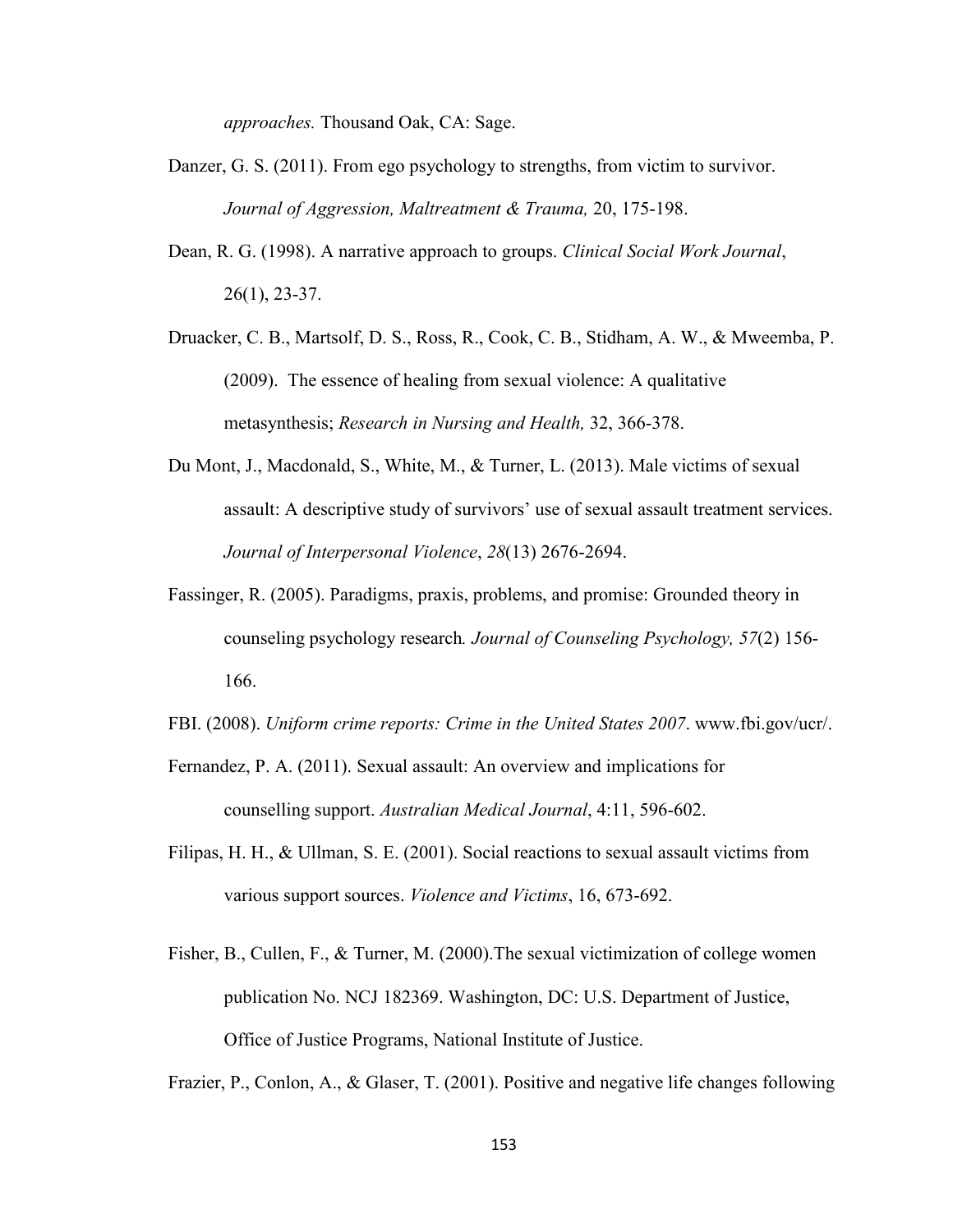*approaches.* Thousand Oak, CA: Sage.

- Danzer, G. S. (2011). From ego psychology to strengths, from victim to survivor. *Journal of Aggression, Maltreatment & Trauma,* 20, 175-198.
- Dean, R. G. (1998). A narrative approach to groups. *Clinical Social Work Journal*, 26(1), 23-37.
- Druacker, C. B., Martsolf, D. S., Ross, R., Cook, C. B., Stidham, A. W., & Mweemba, P. (2009). The essence of healing from sexual violence: A qualitative metasynthesis; *Research in Nursing and Health,* 32, 366-378.
- Du Mont, J., Macdonald, S., White, M., & Turner, L. (2013). Male victims of sexual assault: A descriptive study of survivors' use of sexual assault treatment services. *Journal of Interpersonal Violence*, *28*(13) 2676-2694.
- Fassinger, R. (2005). Paradigms, praxis, problems, and promise: Grounded theory in counseling psychology research*. Journal of Counseling Psychology, 57*(2) 156- 166.
- FBI. (2008). *Uniform crime reports: Crime in the United States 2007*. www.fbi.gov/ucr/.
- Fernandez, P. A. (2011). Sexual assault: An overview and implications for counselling support. *Australian Medical Journal*, 4:11, 596-602.
- Filipas, H. H., & Ullman, S. E. (2001). Social reactions to sexual assault victims from various support sources. *Violence and Victims*, 16, 673-692.
- Fisher, B., Cullen, F., & Turner, M. (2000).The sexual victimization of college women publication No. NCJ 182369. Washington, DC: U.S. Department of Justice, Office of Justice Programs, National Institute of Justice.

Frazier, P., Conlon, A., & Glaser, T. (2001). Positive and negative life changes following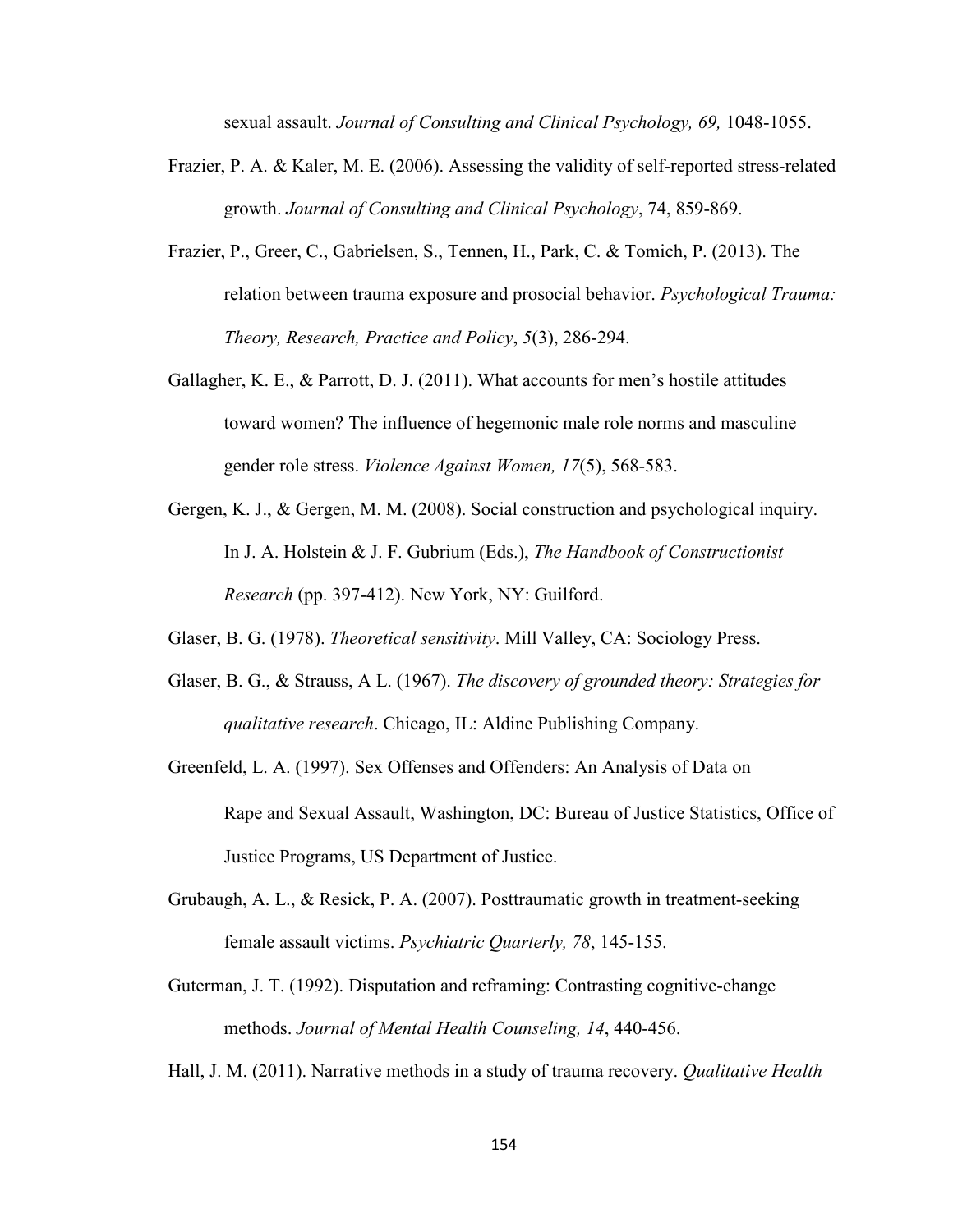sexual assault. *Journal of Consulting and Clinical Psychology, 69,* 1048-1055.

- Frazier, P. A. & Kaler, M. E. (2006). Assessing the validity of self-reported stress-related growth. *Journal of Consulting and Clinical Psychology*, 74, 859-869.
- Frazier, P., Greer, C., Gabrielsen, S., Tennen, H., Park, C. & Tomich, P. (2013). The relation between trauma exposure and prosocial behavior. *Psychological Trauma: Theory, Research, Practice and Policy*, *5*(3), 286-294.
- Gallagher, K. E., & Parrott, D. J. (2011). What accounts for men's hostile attitudes toward women? The influence of hegemonic male role norms and masculine gender role stress. *Violence Against Women, 17*(5), 568-583.
- Gergen, K. J., & Gergen, M. M. (2008). Social construction and psychological inquiry. In J. A. Holstein & J. F. Gubrium (Eds.), *The Handbook of Constructionist Research* (pp. 397-412). New York, NY: Guilford.
- Glaser, B. G. (1978). *Theoretical sensitivity*. Mill Valley, CA: Sociology Press.
- Glaser, B. G., & Strauss, A L. (1967). *The discovery of grounded theory: Strategies for qualitative research*. Chicago, IL: Aldine Publishing Company.
- Greenfeld, L. A. (1997). Sex Offenses and Offenders: An Analysis of Data on Rape and Sexual Assault, Washington, DC: Bureau of Justice Statistics, Office of Justice Programs, US Department of Justice.
- Grubaugh, A. L., & Resick, P. A. (2007). Posttraumatic growth in treatment-seeking female assault victims. *Psychiatric Quarterly, 78*, 145-155.
- Guterman, J. T. (1992). Disputation and reframing: Contrasting cognitive-change methods. *Journal of Mental Health Counseling, 14*, 440-456.
- Hall, J. M. (2011). Narrative methods in a study of trauma recovery. *Qualitative Health*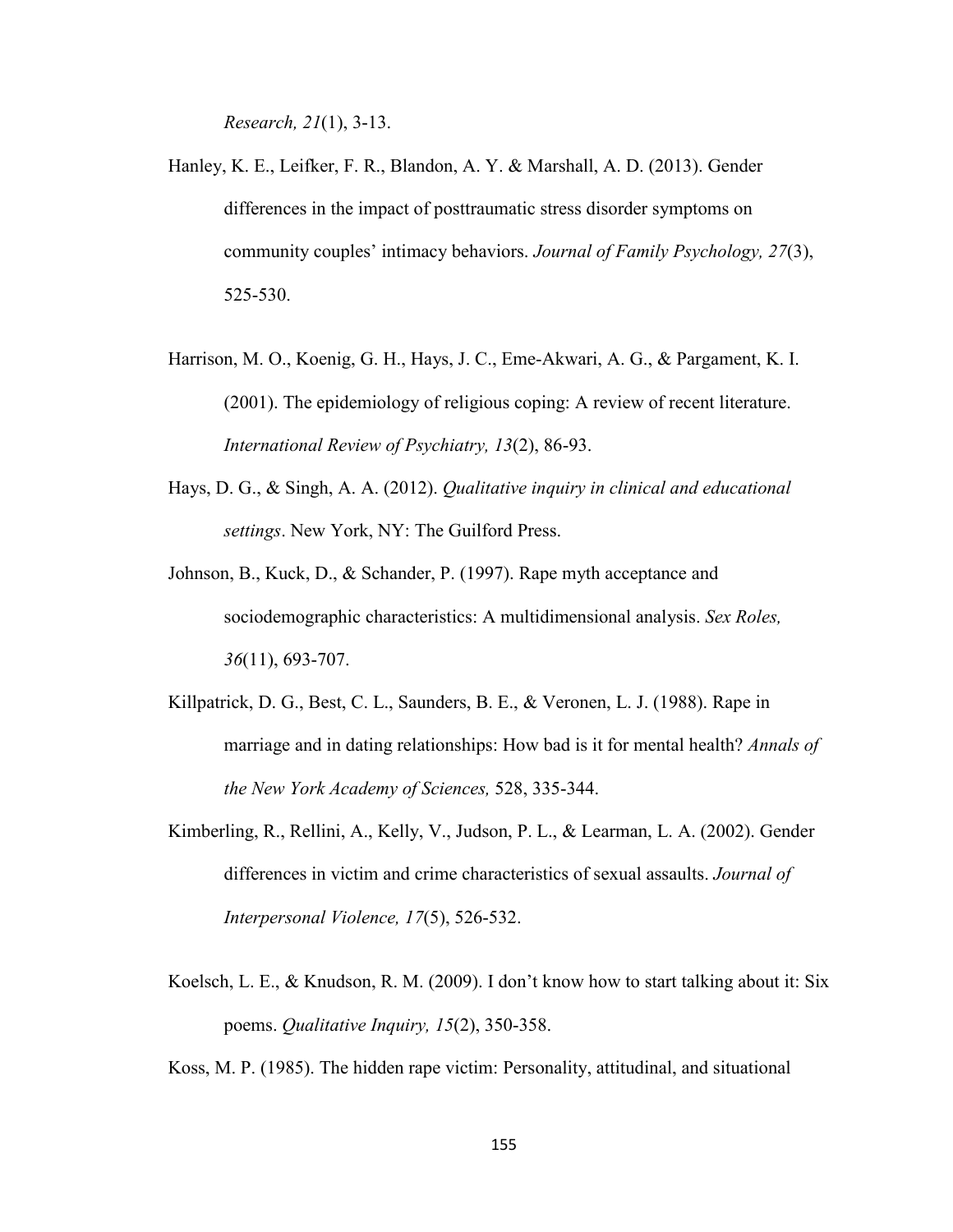*Research, 21*(1), 3-13.

- Hanley, K. E., Leifker, F. R., Blandon, A. Y. & Marshall, A. D. (2013). Gender differences in the impact of posttraumatic stress disorder symptoms on community couples' intimacy behaviors. *Journal of Family Psychology, 27*(3), 525-530.
- Harrison, M. O., Koenig, G. H., Hays, J. C., Eme-Akwari, A. G., & Pargament, K. I. (2001). The epidemiology of religious coping: A review of recent literature. *International Review of Psychiatry, 13*(2), 86-93.
- Hays, D. G., & Singh, A. A. (2012). *Qualitative inquiry in clinical and educational settings*. New York, NY: The Guilford Press.
- Johnson, B., Kuck, D., & Schander, P. (1997). Rape myth acceptance and sociodemographic characteristics: A multidimensional analysis. *Sex Roles, 36*(11), 693-707.
- Killpatrick, D. G., Best, C. L., Saunders, B. E., & Veronen, L. J. (1988). Rape in marriage and in dating relationships: How bad is it for mental health? *Annals of the New York Academy of Sciences,* 528, 335-344.
- Kimberling, R., Rellini, A., Kelly, V., Judson, P. L., & Learman, L. A. (2002). Gender differences in victim and crime characteristics of sexual assaults. *Journal of Interpersonal Violence, 17*(5), 526-532.
- Koelsch, L. E., & Knudson, R. M. (2009). I don't know how to start talking about it: Six poems. *Qualitative Inquiry, 15*(2), 350-358.

Koss, M. P. (1985). The hidden rape victim: Personality, attitudinal, and situational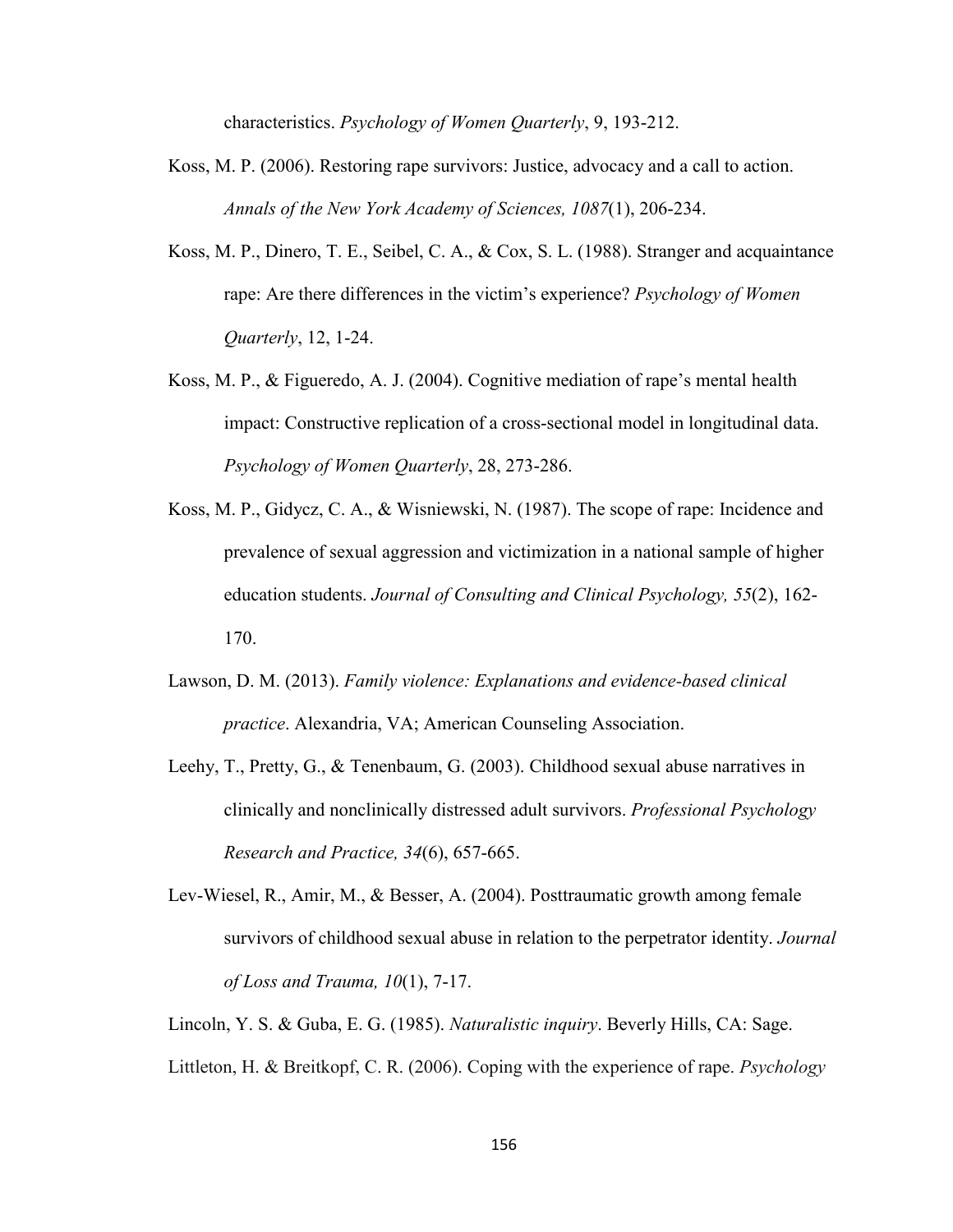characteristics. *Psychology of Women Quarterly*, 9, 193-212.

- Koss, M. P. (2006). Restoring rape survivors: Justice, advocacy and a call to action. *Annals of the New York Academy of Sciences, 1087*(1), 206-234.
- Koss, M. P., Dinero, T. E., Seibel, C. A., & Cox, S. L. (1988). Stranger and acquaintance rape: Are there differences in the victim's experience? *Psychology of Women Quarterly*, 12, 1-24.
- Koss, M. P., & Figueredo, A. J. (2004). Cognitive mediation of rape's mental health impact: Constructive replication of a cross-sectional model in longitudinal data. *Psychology of Women Quarterly*, 28, 273-286.
- Koss, M. P., Gidycz, C. A., & Wisniewski, N. (1987). The scope of rape: Incidence and prevalence of sexual aggression and victimization in a national sample of higher education students. *Journal of Consulting and Clinical Psychology, 55*(2), 162- 170.
- Lawson, D. M. (2013). *Family violence: Explanations and evidence-based clinical practice*. Alexandria, VA; American Counseling Association.
- Leehy, T., Pretty, G., & Tenenbaum, G. (2003). Childhood sexual abuse narratives in clinically and nonclinically distressed adult survivors. *Professional Psychology Research and Practice, 34*(6), 657-665.
- Lev-Wiesel, R., Amir, M., & Besser, A. (2004). Posttraumatic growth among female survivors of childhood sexual abuse in relation to the perpetrator identity. *Journal of Loss and Trauma, 10*(1), 7-17.
- Lincoln, Y. S. & Guba, E. G. (1985). *Naturalistic inquiry*. Beverly Hills, CA: Sage.
- Littleton, H. & Breitkopf, C. R. (2006). Coping with the experience of rape. *Psychology*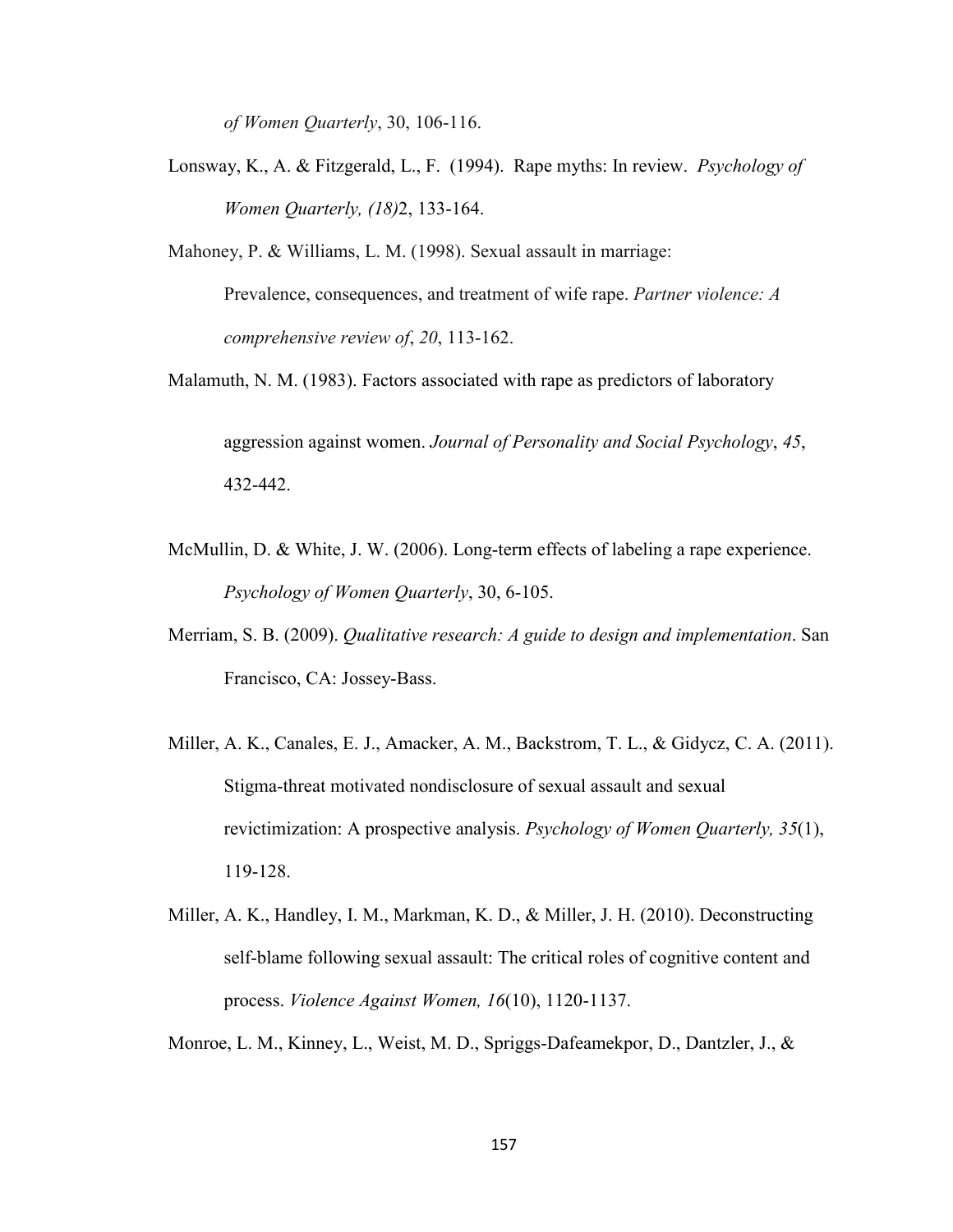*of Women Quarterly*, 30, 106-116.

Lonsway, K., A. & Fitzgerald, L., F. (1994). Rape myths: In review. *Psychology of Women Quarterly, (18)*2, 133-164.

Mahoney, P. & Williams, L. M. (1998). Sexual assault in marriage: Prevalence, consequences, and treatment of wife rape. *Partner violence: A comprehensive review of*, *20*, 113-162.

Malamuth, N. M. (1983). Factors associated with rape as predictors of laboratory

aggression against women. *Journal of Personality and Social Psychology*, *45*, 432-442.

- McMullin, D. & White, J. W. (2006). Long-term effects of labeling a rape experience. *Psychology of Women Quarterly*, 30, 6-105.
- Merriam, S. B. (2009). *Qualitative research: A guide to design and implementation*. San Francisco, CA: Jossey-Bass.
- Miller, A. K., Canales, E. J., Amacker, A. M., Backstrom, T. L., & Gidycz, C. A. (2011). Stigma-threat motivated nondisclosure of sexual assault and sexual revictimization: A prospective analysis. *Psychology of Women Quarterly, 35*(1), 119-128.
- Miller, A. K., Handley, I. M., Markman, K. D., & Miller, J. H. (2010). Deconstructing self-blame following sexual assault: The critical roles of cognitive content and process. *Violence Against Women, 16*(10), 1120-1137.

Monroe, L. M., Kinney, L., Weist, M. D., Spriggs-Dafeamekpor, D., Dantzler, J., &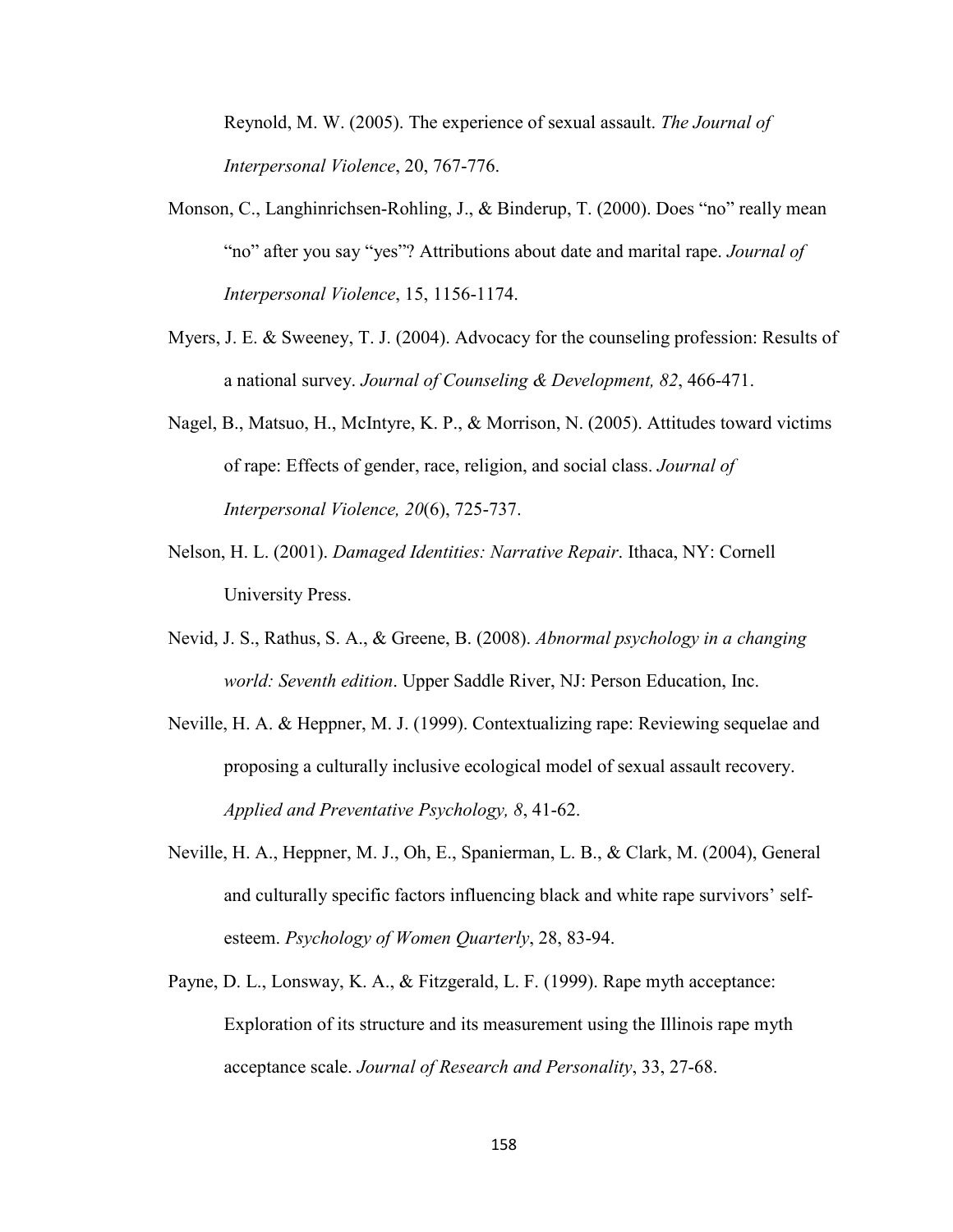Reynold, M. W. (2005). The experience of sexual assault. *The Journal of Interpersonal Violence*, 20, 767-776.

- Monson, C., Langhinrichsen-Rohling, J., & Binderup, T. (2000). Does "no" really mean "no" after you say "yes"? Attributions about date and marital rape. *Journal of Interpersonal Violence*, 15, 1156-1174.
- Myers, J. E. & Sweeney, T. J. (2004). Advocacy for the counseling profession: Results of a national survey. *Journal of Counseling & Development, 82*, 466-471.
- Nagel, B., Matsuo, H., McIntyre, K. P., & Morrison, N. (2005). Attitudes toward victims of rape: Effects of gender, race, religion, and social class. *Journal of Interpersonal Violence, 20*(6), 725-737.
- Nelson, H. L. (2001). *Damaged Identities: Narrative Repair*. Ithaca, NY: Cornell University Press.
- Nevid, J. S., Rathus, S. A., & Greene, B. (2008). *Abnormal psychology in a changing world: Seventh edition*. Upper Saddle River, NJ: Person Education, Inc.
- Neville, H. A. & Heppner, M. J. (1999). Contextualizing rape: Reviewing sequelae and proposing a culturally inclusive ecological model of sexual assault recovery. *Applied and Preventative Psychology, 8*, 41-62.
- Neville, H. A., Heppner, M. J., Oh, E., Spanierman, L. B., & Clark, M. (2004), General and culturally specific factors influencing black and white rape survivors' selfesteem. *Psychology of Women Quarterly*, 28, 83-94.
- Payne, D. L., Lonsway, K. A., & Fitzgerald, L. F. (1999). Rape myth acceptance: Exploration of its structure and its measurement using the Illinois rape myth acceptance scale. *Journal of Research and Personality*, 33, 27-68.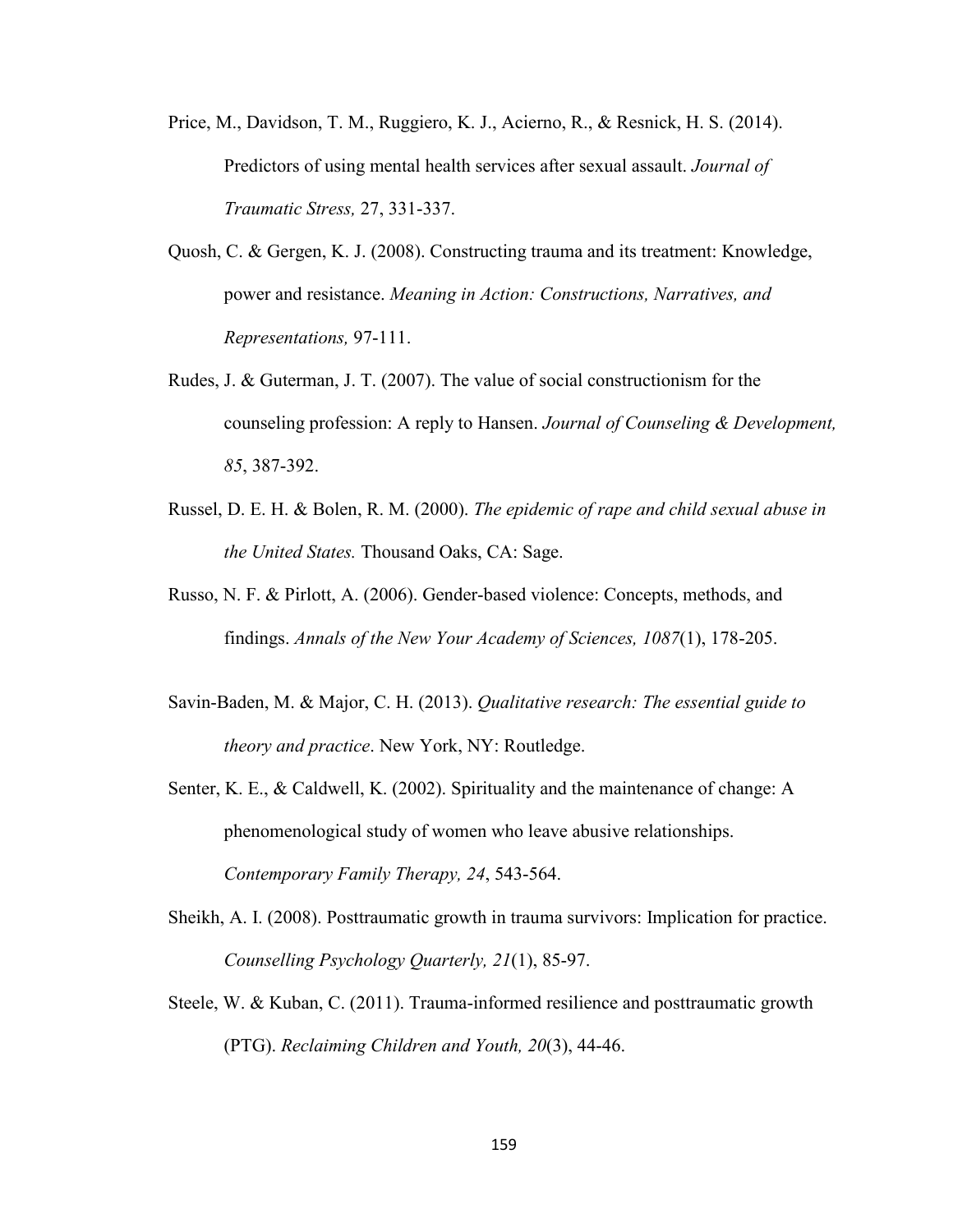- Price, M., Davidson, T. M., Ruggiero, K. J., Acierno, R., & Resnick, H. S. (2014). Predictors of using mental health services after sexual assault. *Journal of Traumatic Stress,* 27, 331-337.
- Quosh, C. & Gergen, K. J. (2008). Constructing trauma and its treatment: Knowledge, power and resistance. *Meaning in Action: Constructions, Narratives, and Representations,* 97-111.
- Rudes, J. & Guterman, J. T. (2007). The value of social constructionism for the counseling profession: A reply to Hansen. *Journal of Counseling & Development, 85*, 387-392.
- Russel, D. E. H. & Bolen, R. M. (2000). *The epidemic of rape and child sexual abuse in the United States.* Thousand Oaks, CA: Sage.
- Russo, N. F. & Pirlott, A. (2006). Gender-based violence: Concepts, methods, and findings. *Annals of the New Your Academy of Sciences, 1087*(1), 178-205.
- Savin-Baden, M. & Major, C. H. (2013). *Qualitative research: The essential guide to theory and practice*. New York, NY: Routledge.
- Senter, K. E., & Caldwell, K. (2002). Spirituality and the maintenance of change: A phenomenological study of women who leave abusive relationships. *Contemporary Family Therapy, 24*, 543-564.
- Sheikh, A. I. (2008). Posttraumatic growth in trauma survivors: Implication for practice. *Counselling Psychology Quarterly, 21*(1), 85-97.
- Steele, W. & Kuban, C. (2011). Trauma-informed resilience and posttraumatic growth (PTG). *Reclaiming Children and Youth, 20*(3), 44-46.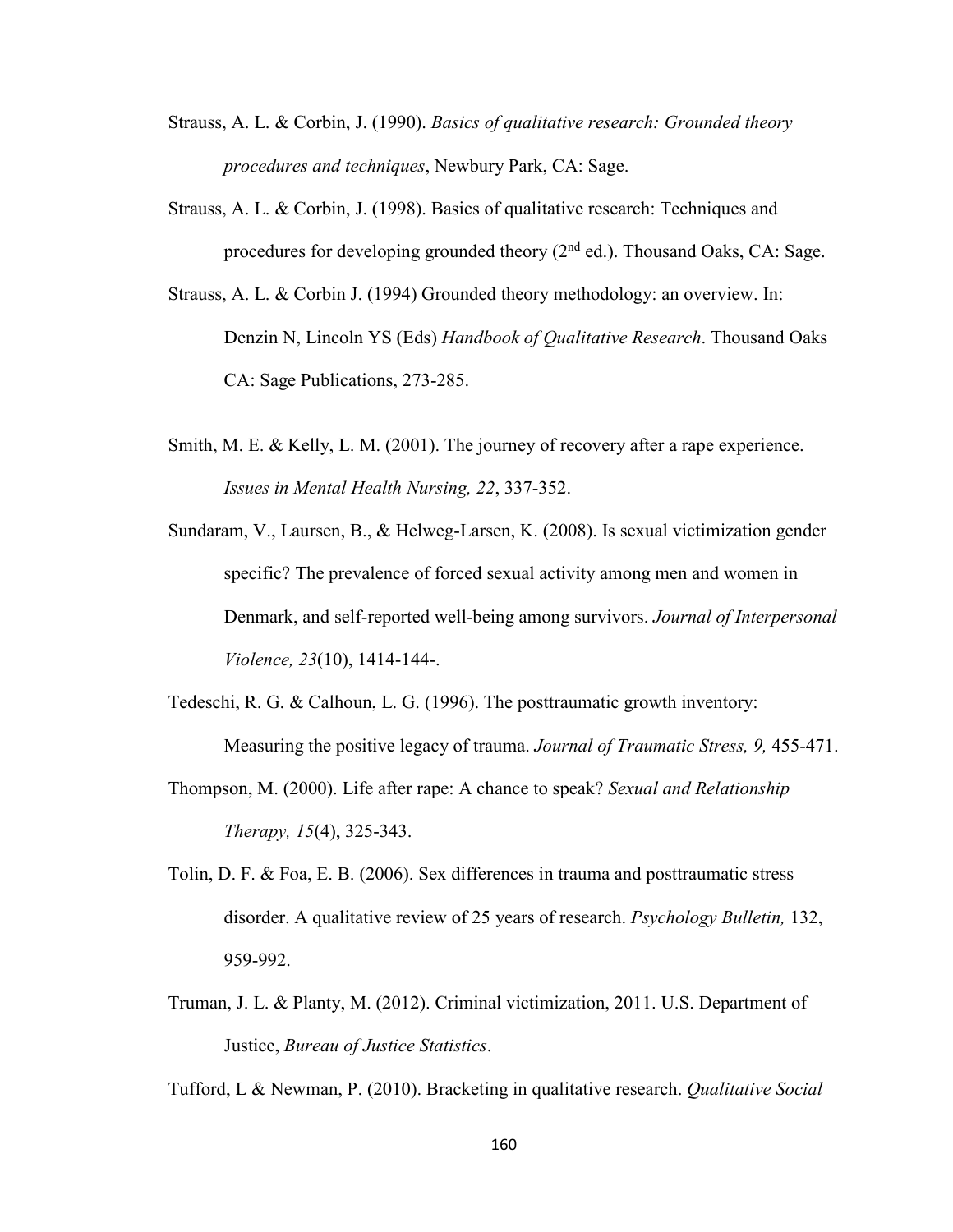- Strauss, A. L. & Corbin, J. (1990). *Basics of qualitative research: Grounded theory procedures and techniques*, Newbury Park, CA: Sage.
- Strauss, A. L. & Corbin, J. (1998). Basics of qualitative research: Techniques and procedures for developing grounded theory  $(2^{nd}$  ed.). Thousand Oaks, CA: Sage.
- Strauss, A. L. & Corbin J. (1994) Grounded theory methodology: an overview. In: Denzin N, Lincoln YS (Eds) *Handbook of Qualitative Research*. Thousand Oaks CA: Sage Publications, 273-285.
- Smith, M. E. & Kelly, L. M. (2001). The journey of recovery after a rape experience. *Issues in Mental Health Nursing, 22*, 337-352.
- Sundaram, V., Laursen, B., & Helweg-Larsen, K. (2008). Is sexual victimization gender specific? The prevalence of forced sexual activity among men and women in Denmark, and self-reported well-being among survivors. *Journal of Interpersonal Violence, 23*(10), 1414-144-.
- Tedeschi, R. G. & Calhoun, L. G. (1996). The posttraumatic growth inventory: Measuring the positive legacy of trauma. *Journal of Traumatic Stress, 9,* 455-471.
- Thompson, M. (2000). Life after rape: A chance to speak? *Sexual and Relationship Therapy, 15*(4), 325-343.
- Tolin, D. F. & Foa, E. B. (2006). Sex differences in trauma and posttraumatic stress disorder. A qualitative review of 25 years of research. *Psychology Bulletin,* 132, 959-992.
- Truman, J. L. & Planty, M. (2012). Criminal victimization, 2011. U.S. Department of Justice, *Bureau of Justice Statistics*.

Tufford, L & Newman, P. (2010). Bracketing in qualitative research. *Qualitative Social*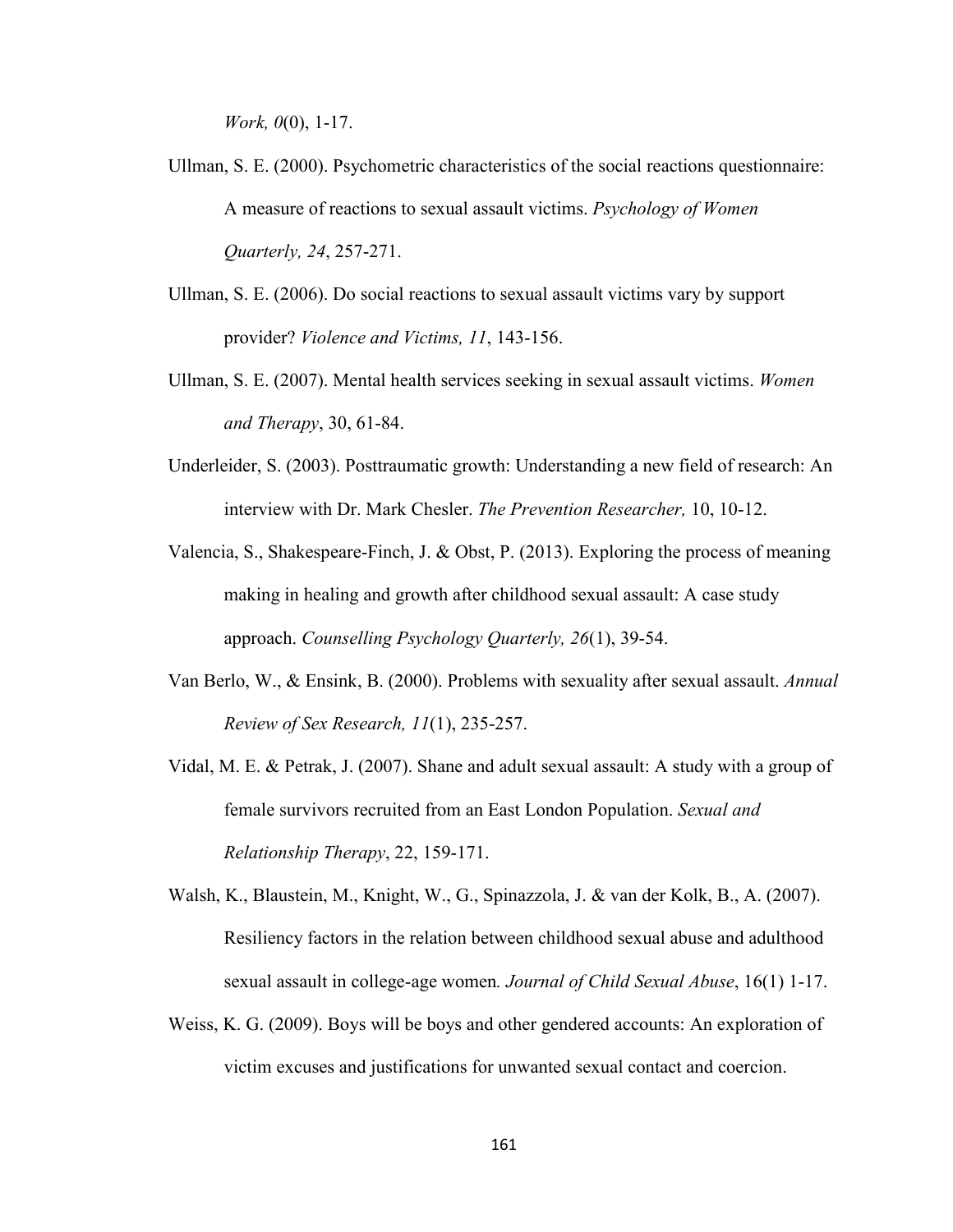*Work, 0*(0), 1-17.

- Ullman, S. E. (2000). Psychometric characteristics of the social reactions questionnaire: A measure of reactions to sexual assault victims. *Psychology of Women Quarterly, 24*, 257-271.
- Ullman, S. E. (2006). Do social reactions to sexual assault victims vary by support provider? *Violence and Victims, 11*, 143-156.
- Ullman, S. E. (2007). Mental health services seeking in sexual assault victims. *Women and Therapy*, 30, 61-84.
- Underleider, S. (2003). Posttraumatic growth: Understanding a new field of research: An interview with Dr. Mark Chesler. *The Prevention Researcher,* 10, 10-12.
- Valencia, S., Shakespeare-Finch, J. & Obst, P. (2013). Exploring the process of meaning making in healing and growth after childhood sexual assault: A case study approach. *Counselling Psychology Quarterly, 26*(1), 39-54.
- Van Berlo, W., & Ensink, B. (2000). Problems with sexuality after sexual assault. *Annual Review of Sex Research, 11*(1), 235-257.
- Vidal, M. E. & Petrak, J. (2007). Shane and adult sexual assault: A study with a group of female survivors recruited from an East London Population. *Sexual and Relationship Therapy*, 22, 159-171.
- Walsh, K., Blaustein, M., Knight, W., G., Spinazzola, J. & van der Kolk, B., A. (2007). Resiliency factors in the relation between childhood sexual abuse and adulthood sexual assault in college-age women*. Journal of Child Sexual Abuse*, 16(1) 1-17.
- Weiss, K. G. (2009). Boys will be boys and other gendered accounts: An exploration of victim excuses and justifications for unwanted sexual contact and coercion.